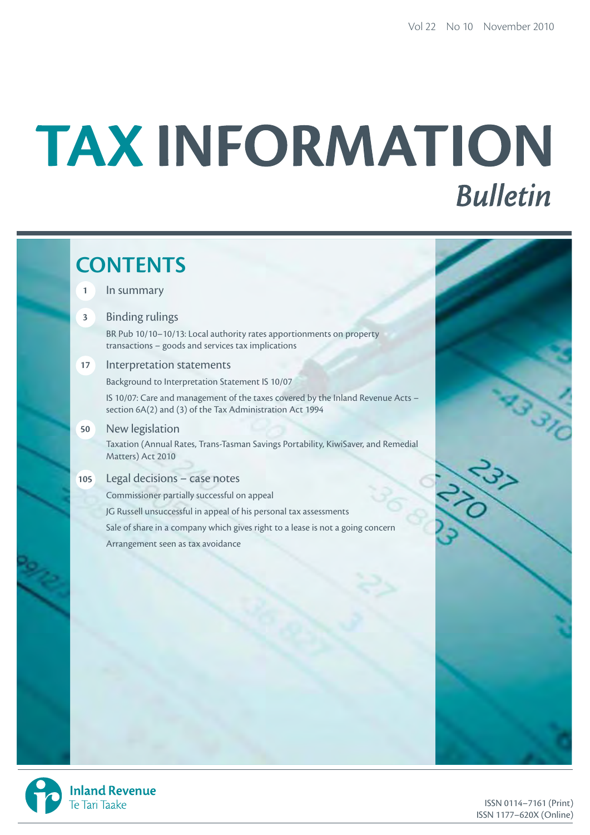# TAX INFORMATION **Bulletin**

# **CONTENTS**

# **1** In summary

# **3** Binding rulings

BR Pub 10/10–10/13: Local authority rates apportionments on property transactions – goods and services tax implications

# **17** Interpretation statements

Background to Interpretation Statement IS 10/07

IS 10/07: Care and management of the taxes covered by the Inland Revenue Acts – section 6A(2) and (3) of the Tax Administration Act 1994

**50** New legislation

Taxation (Annual Rates, Trans-Tasman Savings Portability, KiwiSaver, and Remedial Matters) Act 2010

# **105** Legal decisions – case notes

Commissioner partially successful on appeal JG Russell unsuccessful in appeal of his personal tax assessments Sale of share in a company which gives right to a lease is not a going concern Arrangement seen as tax avoidance



**Inland Revenue** Te Tari Taake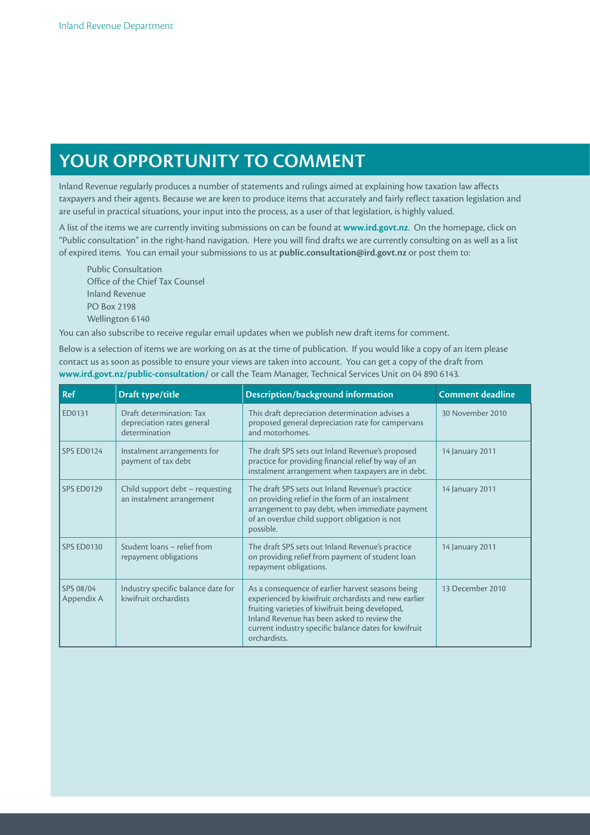# **YOur OppOrTuNiTY TO COmmENT**

Inland Revenue regularly produces a number of statements and rulings aimed at explaining how taxation law affects taxpayers and their agents. Because we are keen to produce items that accurately and fairly reflect taxation legislation and are useful in practical situations, your input into the process, as a user of that legislation, is highly valued.

A list of the items we are currently inviting submissions on can be found at **www.ird.govt.nz**. On the homepage, click on "Public consultation" in the right-hand navigation. Here you will find drafts we are currently consulting on as well as a list of expired items. You can email your submissions to us at **public.consultation@ird.govt.nz** or post them to:

Public Consultation Office of the Chief Tax Counsel Inland Revenue PO Box 2198 Wellington 6140

You can also subscribe to receive regular email updates when we publish new draft items for comment.

Below is a selection of items we are working on as at the time of publication. If you would like a copy of an item please contact us as soon as possible to ensure your views are taken into account. You can get a copy of the draft from **www.ird.govt.nz/public-consultation/** or call the Team Manager, Technical Services Unit on 04 890 6143.

| Ref                     | Draft type/title                                                        | Description/background information                                                                                                                                                                                                                                                    | <b>Comment deadline</b> |
|-------------------------|-------------------------------------------------------------------------|---------------------------------------------------------------------------------------------------------------------------------------------------------------------------------------------------------------------------------------------------------------------------------------|-------------------------|
| ED0131                  | Draft determination: Tax<br>depreciation rates general<br>determination | This draft depreciation determination advises a<br>proposed general depreciation rate for campervans<br>and motorhomes.                                                                                                                                                               | 30 November 2010        |
| SPS ED0124              | Instalment arrangements for<br>payment of tax debt                      | The draft SPS sets out Inland Revenue's proposed<br>practice for providing financial relief by way of an<br>instalment arrangement when taxpayers are in debt.                                                                                                                        | 14 January 2011         |
| SPS ED0129              | Child support debt - requesting<br>an instalment arrangement            | The draft SPS sets out Inland Revenue's practice<br>on providing relief in the form of an instalment<br>arrangement to pay debt, when immediate payment<br>of an overdue child support obligation is not<br>possible.                                                                 | 14 January 2011         |
| SPS ED0130              | Student loans - relief from<br>repayment obligations                    | The draft SPS sets out Inland Revenue's practice<br>on providing relief from payment of student loan<br>repayment obligations.                                                                                                                                                        | 14 January 2011         |
| SPS 08/04<br>Appendix A | Industry specific balance date for<br>kiwifruit orchardists             | As a consequence of earlier harvest seasons being<br>experienced by kiwifruit orchardists and new earlier<br>fruiting varieties of kiwifruit being developed,<br>Inland Revenue has been asked to review the<br>current industry specific balance dates for kiwifruit<br>orchardists. | 13 December 2010        |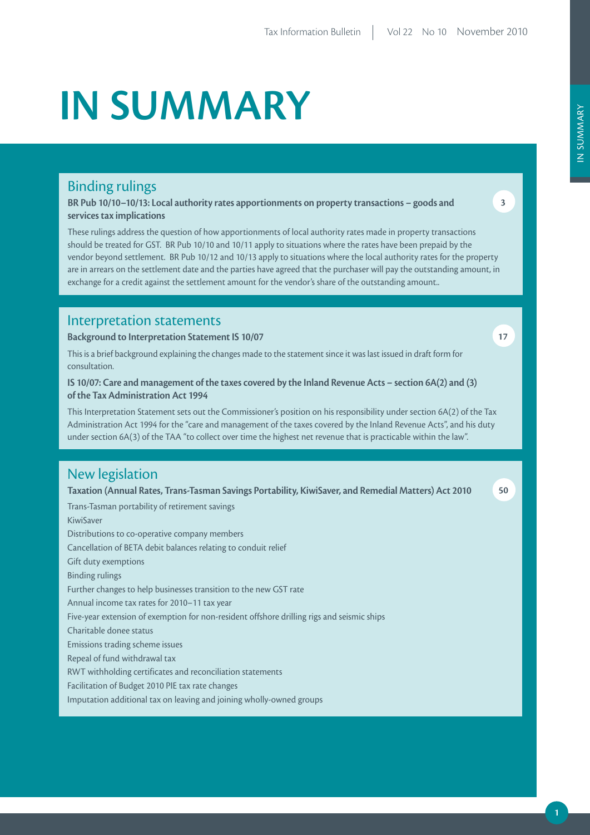# **iN SummArY**

# Binding rulings

**Br pub 10/10–10/13: Local authority rates apportionments on property transactions – goods and services tax implications**

These rulings address the question of how apportionments of local authority rates made in property transactions should be treated for GST. BR Pub 10/10 and 10/11 apply to situations where the rates have been prepaid by the vendor beyond settlement. BR Pub 10/12 and 10/13 apply to situations where the local authority rates for the property are in arrears on the settlement date and the parties have agreed that the purchaser will pay the outstanding amount, in exchange for a credit against the settlement amount for the vendor's share of the outstanding amount..

# Interpretation statements

**Background to interpretation Statement iS 10/07**

This is a brief background explaining the changes made to the statement since it was last issued in draft form for consultation.

# **iS 10/07: Care and management of the taxes covered by the Inland Revenue Acts – section 6A(2) and (3) of the Tax Administration Act 1994**

This Interpretation Statement sets out the Commissioner's position on his responsibility under section 6A(2) of the Tax Administration Act 1994 for the "care and management of the taxes covered by the Inland Revenue Acts", and his duty under section 6A(3) of the TAA "to collect over time the highest net revenue that is practicable within the law".

# New legislation

Taxation (Annual Rates, Trans-Tasman Savings Portability, KiwiSaver, and Remedial Matters) Act 2010

Trans-Tasman portability of retirement savings KiwiSaver Distributions to co-operative company members Cancellation of BETA debit balances relating to conduit relief Gift duty exemptions Binding rulings Further changes to help businesses transition to the new GST rate Annual income tax rates for 2010–11 tax year Five-year extension of exemption for non-resident offshore drilling rigs and seismic ships Charitable donee status Emissions trading scheme issues Repeal of fund withdrawal tax RWT withholding certificates and reconciliation statements Facilitation of Budget 2010 PIE tax rate changes Imputation additional tax on leaving and joining wholly-owned groups

**17**

**50**

**3**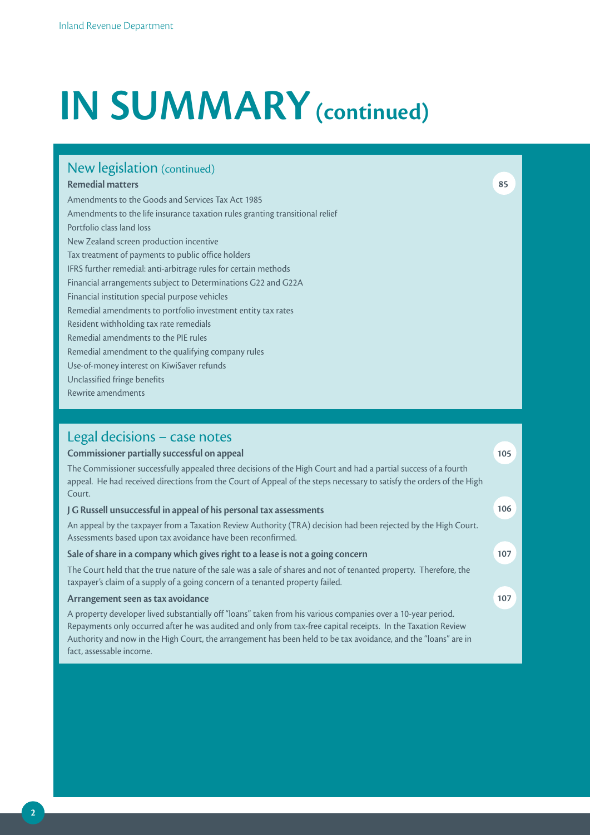# **IN SUMMARY** (continued)

# New legislation (continued)

# **remedial matters**

**85**

**105**

**107**

**107**

Amendments to the Goods and Services Tax Act 1985 Amendments to the life insurance taxation rules granting transitional relief Portfolio class land loss New Zealand screen production incentive Tax treatment of payments to public office holders IFRS further remedial: anti-arbitrage rules for certain methods Financial arrangements subject to Determinations G22 and G22A Financial institution special purpose vehicles Remedial amendments to portfolio investment entity tax rates Resident withholding tax rate remedials Remedial amendments to the PIE rules Remedial amendment to the qualifying company rules Use-of-money interest on KiwiSaver refunds Unclassified fringe benefits Rewrite amendments

# Legal decisions – case notes

# **Commissioner partially successful on appeal**

The Commissioner successfully appealed three decisions of the High Court and had a partial success of a fourth appeal. He had received directions from the Court of Appeal of the steps necessary to satisfy the orders of the High Court. **J G russell unsuccessful in appeal of his personal tax assessments 106**

An appeal by the taxpayer from a Taxation Review Authority (TRA) decision had been rejected by the High Court. Assessments based upon tax avoidance have been reconfirmed.

# **Sale of share in a company which gives right to a lease is not a going concern**

The Court held that the true nature of the sale was a sale of shares and not of tenanted property. Therefore, the taxpayer's claim of a supply of a going concern of a tenanted property failed.

# **Arrangement seen as tax avoidance**

A property developer lived substantially off "loans" taken from his various companies over a 10-year period. Repayments only occurred after he was audited and only from tax-free capital receipts. In the Taxation Review Authority and now in the High Court, the arrangement has been held to be tax avoidance, and the "loans" are in fact, assessable income.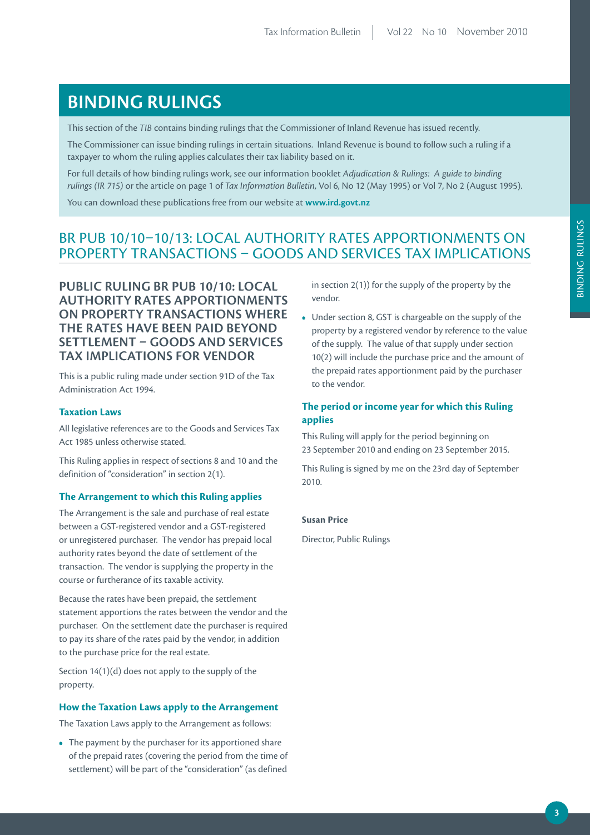# **BiNDiNG ruLiNGS**

This section of the *TIB* contains binding rulings that the Commissioner of Inland Revenue has issued recently.

The Commissioner can issue binding rulings in certain situations. Inland Revenue is bound to follow such a ruling if a FRC COMMISSIONET CAN ISSUE DIRAING TAILINGS IN CETTAIN SIGLACIONS. THANG RC

For full details of how binding rulings work, see our information booklet *Adjudication & Rulings: A guide to binding rulings (IR 715)* or the article on page 1 of *Tax Information Bulletin*, Vol 6, No 12 (May 1995) or Vol 7, No 2 (August 1995).

You can download these publications free from our website at **www.ird.govt.nz**

# BR PUB 10/10–10/13: LOCAL AUTHORITY RATES APPORTIONMENTS ON PROPERTY TRANSACTIONS – GOODS AND SERVICES TAX IMPLICATIONS

**puBLiC ruLiNG Br puB 10/10: LOCAL AuTHOriTY rATES AppOrTiONmENTS ON prOpErTY TrANSACTiONS WHErE THE rATES HAVE BEEN pAiD BEYOND SETTLEmENT – GOODS AND SErViCES TAX impLiCATiONS FOr VENDOr**

This is a public ruling made under section 91D of the Tax Administration Act 1994.

# **Taxation Laws**

All legislative references are to the Goods and Services Tax Act 1985 unless otherwise stated.

This Ruling applies in respect of sections 8 and 10 and the definition of "consideration" in section 2(1).

# **The Arrangement to which this Ruling applies**

The Arrangement is the sale and purchase of real estate between a GST-registered vendor and a GST-registered or unregistered purchaser. The vendor has prepaid local authority rates beyond the date of settlement of the transaction. The vendor is supplying the property in the course or furtherance of its taxable activity.

Because the rates have been prepaid, the settlement statement apportions the rates between the vendor and the purchaser. On the settlement date the purchaser is required to pay its share of the rates paid by the vendor, in addition to the purchase price for the real estate.

Section 14(1)(d) does not apply to the supply of the property.

#### **How the Taxation Laws apply to the Arrangement**

The Taxation Laws apply to the Arrangement as follows:

**•** The payment by the purchaser for its apportioned share of the prepaid rates (covering the period from the time of settlement) will be part of the "consideration" (as defined

in section 2(1)) for the supply of the property by the vendor.

**•** Under section 8, GST is chargeable on the supply of the property by a registered vendor by reference to the value of the supply. The value of that supply under section 10(2) will include the purchase price and the amount of the prepaid rates apportionment paid by the purchaser to the vendor.

# **The period or income year for which this Ruling applies**

This Ruling will apply for the period beginning on 23 September 2010 and ending on 23 September 2015.

This Ruling is signed by me on the 23rd day of September 2010.

#### **Susan Price**

Director, Public Rulings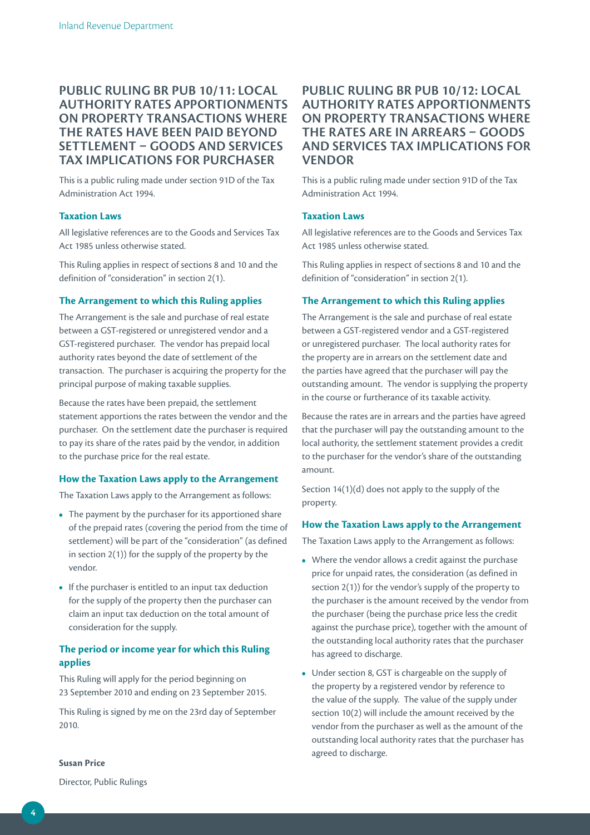# **puBLiC ruLiNG Br puB 10/11: LOCAL AuTHOriTY rATES AppOrTiONmENTS ON prOpErTY TrANSACTiONS WHErE THE rATES HAVE BEEN pAiD BEYOND SETTLEmENT – GOODS AND SErViCES TAX impLiCATiONS FOr purCHASEr**

This is a public ruling made under section 91D of the Tax Administration Act 1994.

# **Taxation Laws**

All legislative references are to the Goods and Services Tax Act 1985 unless otherwise stated.

This Ruling applies in respect of sections 8 and 10 and the definition of "consideration" in section 2(1).

# **The Arrangement to which this Ruling applies**

The Arrangement is the sale and purchase of real estate between a GST-registered or unregistered vendor and a GST-registered purchaser. The vendor has prepaid local authority rates beyond the date of settlement of the transaction. The purchaser is acquiring the property for the principal purpose of making taxable supplies.

Because the rates have been prepaid, the settlement statement apportions the rates between the vendor and the purchaser. On the settlement date the purchaser is required to pay its share of the rates paid by the vendor, in addition to the purchase price for the real estate.

# **How the Taxation Laws apply to the Arrangement**

The Taxation Laws apply to the Arrangement as follows:

- The payment by the purchaser for its apportioned share of the prepaid rates (covering the period from the time of settlement) will be part of the "consideration" (as defined in section 2(1)) for the supply of the property by the vendor.
- If the purchaser is entitled to an input tax deduction for the supply of the property then the purchaser can claim an input tax deduction on the total amount of consideration for the supply.

# **The period or income year for which this Ruling applies**

This Ruling will apply for the period beginning on 23 September 2010 and ending on 23 September 2015.

This Ruling is signed by me on the 23rd day of September 2010.

# **puBLiC ruLiNG Br puB 10/12: LOCAL AuTHOriTY rATES AppOrTiONmENTS ON prOpErTY TrANSACTiONS WHErE THE rATES ArE iN ArrEArS – GOODS AND SErViCES TAX impLiCATiONS FOr VENDOr**

This is a public ruling made under section 91D of the Tax Administration Act 1994.

# **Taxation Laws**

All legislative references are to the Goods and Services Tax Act 1985 unless otherwise stated.

This Ruling applies in respect of sections 8 and 10 and the definition of "consideration" in section 2(1).

# **The Arrangement to which this Ruling applies**

The Arrangement is the sale and purchase of real estate between a GST-registered vendor and a GST-registered or unregistered purchaser. The local authority rates for the property are in arrears on the settlement date and the parties have agreed that the purchaser will pay the outstanding amount. The vendor is supplying the property in the course or furtherance of its taxable activity.

Because the rates are in arrears and the parties have agreed that the purchaser will pay the outstanding amount to the local authority, the settlement statement provides a credit to the purchaser for the vendor's share of the outstanding amount.

Section 14(1)(d) does not apply to the supply of the property.

### **How the Taxation Laws apply to the Arrangement**

The Taxation Laws apply to the Arrangement as follows:

- Where the vendor allows a credit against the purchase price for unpaid rates, the consideration (as defined in section 2(1)) for the vendor's supply of the property to the purchaser is the amount received by the vendor from the purchaser (being the purchase price less the credit against the purchase price), together with the amount of the outstanding local authority rates that the purchaser has agreed to discharge.
- Under section 8, GST is chargeable on the supply of the property by a registered vendor by reference to the value of the supply. The value of the supply under section 10(2) will include the amount received by the vendor from the purchaser as well as the amount of the outstanding local authority rates that the purchaser has agreed to discharge.

**Susan Price**

Director, Public Rulings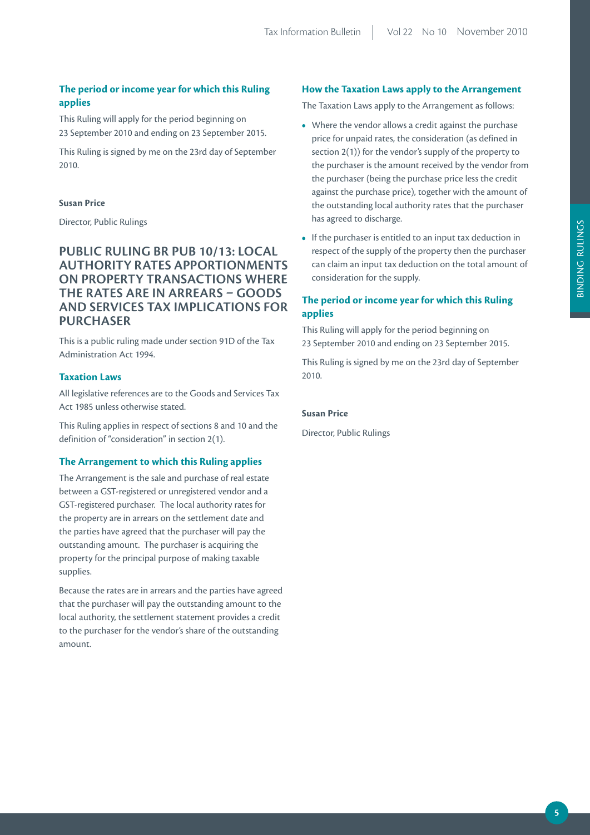# **The period or income year for which this Ruling applies**

This Ruling will apply for the period beginning on 23 September 2010 and ending on 23 September 2015.

This Ruling is signed by me on the 23rd day of September 2010.

# **Susan Price**

Director, Public Rulings

# **puBLiC ruLiNG Br puB 10/13: LOCAL AuTHOriTY rATES AppOrTiONmENTS ON prOpErTY TrANSACTiONS WHErE THE rATES ArE iN ArrEArS – GOODS AND SErViCES TAX impLiCATiONS FOr purCHASEr**

This is a public ruling made under section 91D of the Tax Administration Act 1994.

# **Taxation Laws**

All legislative references are to the Goods and Services Tax Act 1985 unless otherwise stated.

This Ruling applies in respect of sections 8 and 10 and the definition of "consideration" in section 2(1).

# **The Arrangement to which this Ruling applies**

The Arrangement is the sale and purchase of real estate between a GST-registered or unregistered vendor and a GST-registered purchaser. The local authority rates for the property are in arrears on the settlement date and the parties have agreed that the purchaser will pay the outstanding amount. The purchaser is acquiring the property for the principal purpose of making taxable supplies.

Because the rates are in arrears and the parties have agreed that the purchaser will pay the outstanding amount to the local authority, the settlement statement provides a credit to the purchaser for the vendor's share of the outstanding amount.

# **How the Taxation Laws apply to the Arrangement**

The Taxation Laws apply to the Arrangement as follows:

- Where the vendor allows a credit against the purchase price for unpaid rates, the consideration (as defined in section 2(1)) for the vendor's supply of the property to the purchaser is the amount received by the vendor from the purchaser (being the purchase price less the credit against the purchase price), together with the amount of the outstanding local authority rates that the purchaser has agreed to discharge.
- If the purchaser is entitled to an input tax deduction in respect of the supply of the property then the purchaser can claim an input tax deduction on the total amount of consideration for the supply.

# **The period or income year for which this Ruling applies**

This Ruling will apply for the period beginning on 23 September 2010 and ending on 23 September 2015.

This Ruling is signed by me on the 23rd day of September 2010.

# **Susan Price**

Director, Public Rulings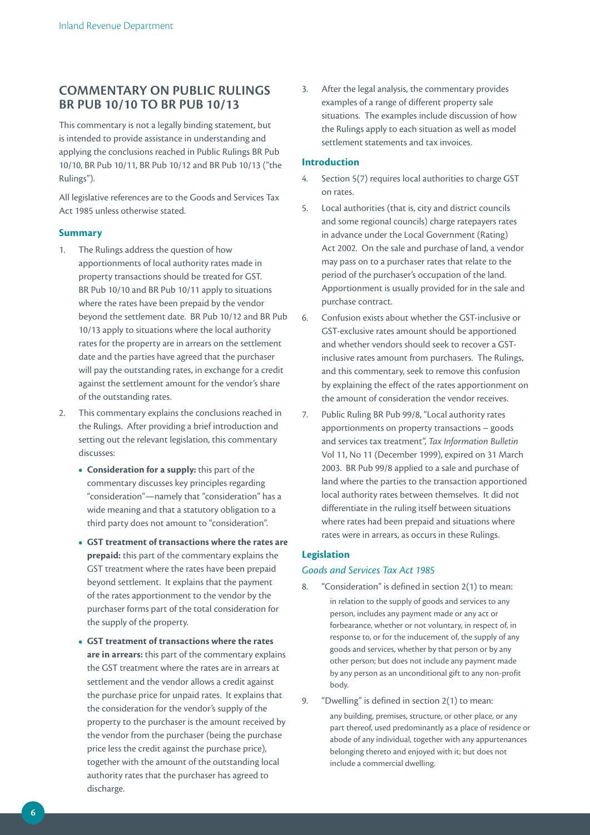# **COmmENTArY ON puBLiC ruLiNGS Br puB 10/10 TO Br puB 10/13**

This commentary is not a legally binding statement, but is intended to provide assistance in understanding and applying the conclusions reached in Public Rulings BR Pub 10/10, BR Pub 10/11, BR Pub 10/12 and BR Pub 10/13 ("the Rulings").

All legislative references are to the Goods and Services Tax Act 1985 unless otherwise stated.

# **Summary**

- 1. The Rulings address the question of how apportionments of local authority rates made in property transactions should be treated for GST. BR Pub 10/10 and BR Pub 10/11 apply to situations where the rates have been prepaid by the vendor beyond the settlement date. BR Pub 10/12 and BR Pub 10/13 apply to situations where the local authority rates for the property are in arrears on the settlement date and the parties have agreed that the purchaser will pay the outstanding rates, in exchange for a credit against the settlement amount for the vendor's share of the outstanding rates.
- 2. This commentary explains the conclusions reached in the Rulings. After providing a brief introduction and setting out the relevant legislation, this commentary discusses:
	- **Consideration for a supply:** this part of the commentary discusses key principles regarding "consideration"—namely that "consideration" has a wide meaning and that a statutory obligation to a third party does not amount to "consideration".
	- **GST treatment of transactions where the rates are prepaid:** this part of the commentary explains the GST treatment where the rates have been prepaid beyond settlement. It explains that the payment of the rates apportionment to the vendor by the purchaser forms part of the total consideration for the supply of the property.
	- **GST treatment of transactions where the rates are in arrears:** this part of the commentary explains the GST treatment where the rates are in arrears at settlement and the vendor allows a credit against the purchase price for unpaid rates. It explains that the consideration for the vendor's supply of the property to the purchaser is the amount received by the vendor from the purchaser (being the purchase price less the credit against the purchase price), together with the amount of the outstanding local authority rates that the purchaser has agreed to discharge.

3. After the legal analysis, the commentary provides examples of a range of different property sale situations. The examples include discussion of how the Rulings apply to each situation as well as model settlement statements and tax invoices.

# **Introduction**

- 4. Section 5(7) requires local authorities to charge GST on rates.
- 5. Local authorities (that is, city and district councils and some regional councils) charge ratepayers rates in advance under the Local Government (Rating) Act 2002. On the sale and purchase of land, a vendor may pass on to a purchaser rates that relate to the period of the purchaser's occupation of the land. Apportionment is usually provided for in the sale and purchase contract.
- 6. Confusion exists about whether the GST-inclusive or GST-exclusive rates amount should be apportioned and whether vendors should seek to recover a GSTinclusive rates amount from purchasers. The Rulings, and this commentary, seek to remove this confusion by explaining the effect of the rates apportionment on the amount of consideration the vendor receives.
- 7. Public Ruling BR Pub 99/8, "Local authority rates apportionments on property transactions – goods and services tax treatment", *Tax Information Bulletin* Vol 11, No 11 (December 1999), expired on 31 March 2003. BR Pub 99/8 applied to a sale and purchase of land where the parties to the transaction apportioned local authority rates between themselves. It did not differentiate in the ruling itself between situations where rates had been prepaid and situations where rates were in arrears, as occurs in these Rulings.

# **Legislation**

# *Goods and Services Tax Act 1985*

- 8. "Consideration" is defined in section 2(1) to mean: in relation to the supply of goods and services to any person, includes any payment made or any act or forbearance, whether or not voluntary, in respect of, in response to, or for the inducement of, the supply of any goods and services, whether by that person or by any other person; but does not include any payment made by any person as an unconditional gift to any non-profit body.
- 9. "Dwelling" is defined in section 2(1) to mean:
	- any building, premises, structure, or other place, or any part thereof, used predominantly as a place of residence or abode of any individual, together with any appurtenances belonging thereto and enjoyed with it; but does not include a commercial dwelling.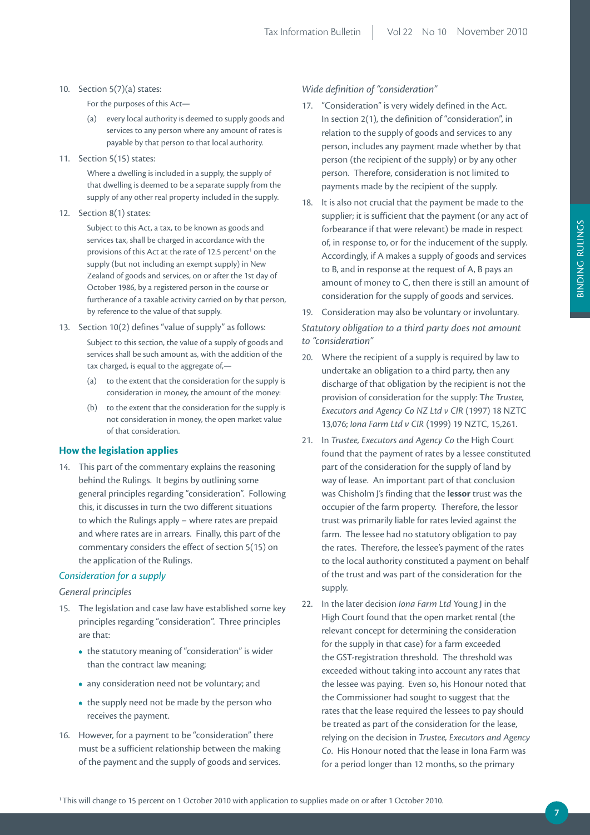#### 10. Section 5(7)(a) states:

For the purposes of this Act—

- (a) every local authority is deemed to supply goods and services to any person where any amount of rates is payable by that person to that local authority.
- 11. Section 5(15) states:

Where a dwelling is included in a supply, the supply of that dwelling is deemed to be a separate supply from the supply of any other real property included in the supply.

12. Section 8(1) states:

Subject to this Act, a tax, to be known as goods and services tax, shall be charged in accordance with the provisions of this Act at the rate of 12.5 percent<sup>1</sup> on the supply (but not including an exempt supply) in New Zealand of goods and services, on or after the 1st day of October 1986, by a registered person in the course or furtherance of a taxable activity carried on by that person, by reference to the value of that supply.

13. Section 10(2) defines "value of supply" as follows:

Subject to this section, the value of a supply of goods and services shall be such amount as, with the addition of the tax charged, is equal to the aggregate of,—

- (a) to the extent that the consideration for the supply is consideration in money, the amount of the money:
- (b) to the extent that the consideration for the supply is not consideration in money, the open market value of that consideration.

# **How the legislation applies**

14. This part of the commentary explains the reasoning behind the Rulings. It begins by outlining some general principles regarding "consideration". Following this, it discusses in turn the two different situations to which the Rulings apply – where rates are prepaid and where rates are in arrears. Finally, this part of the commentary considers the effect of section 5(15) on the application of the Rulings.

### *Consideration for a supply*

# *General principles*

- 15. The legislation and case law have established some key principles regarding "consideration". Three principles are that:
	- the statutory meaning of "consideration" is wider than the contract law meaning;
	- any consideration need not be voluntary; and
	- the supply need not be made by the person who receives the payment.
- 16. However, for a payment to be "consideration" there must be a sufficient relationship between the making of the payment and the supply of goods and services.

# *Wide definition of "consideration"*

- 17. "Consideration" is very widely defined in the Act. In section 2(1), the definition of "consideration", in relation to the supply of goods and services to any person, includes any payment made whether by that person (the recipient of the supply) or by any other person. Therefore, consideration is not limited to payments made by the recipient of the supply.
- 18. It is also not crucial that the payment be made to the supplier; it is sufficient that the payment (or any act of forbearance if that were relevant) be made in respect of, in response to, or for the inducement of the supply. Accordingly, if A makes a supply of goods and services to B, and in response at the request of A, B pays an amount of money to C, then there is still an amount of consideration for the supply of goods and services.
- 19. Consideration may also be voluntary or involuntary.

*Statutory obligation to a third party does not amount to "consideration"*

- 20. Where the recipient of a supply is required by law to undertake an obligation to a third party, then any discharge of that obligation by the recipient is not the provision of consideration for the supply: T*he Trustee, Executors and Agency Co NZ Ltd v CIR* (1997) 18 NZTC 13,076; *Iona Farm Ltd v CIR* (1999) 19 NZTC, 15,261.
- 21. In *Trustee, Executors and Agency Co* the High Court found that the payment of rates by a lessee constituted part of the consideration for the supply of land by way of lease. An important part of that conclusion was Chisholm J's finding that the **lessor** trust was the occupier of the farm property. Therefore, the lessor trust was primarily liable for rates levied against the farm. The lessee had no statutory obligation to pay the rates. Therefore, the lessee's payment of the rates to the local authority constituted a payment on behalf of the trust and was part of the consideration for the supply.
- 22. In the later decision *Iona Farm Ltd* Young J in the High Court found that the open market rental (the relevant concept for determining the consideration for the supply in that case) for a farm exceeded the GST-registration threshold. The threshold was exceeded without taking into account any rates that the lessee was paying. Even so, his Honour noted that the Commissioner had sought to suggest that the rates that the lease required the lessees to pay should be treated as part of the consideration for the lease, relying on the decision in *Trustee, Executors and Agency Co*. His Honour noted that the lease in Iona Farm was for a period longer than 12 months, so the primary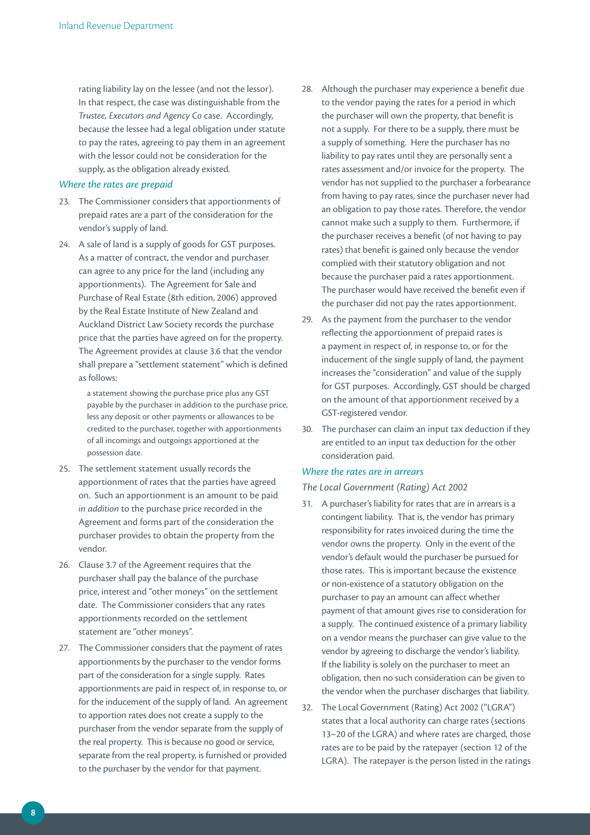rating liability lay on the lessee (and not the lessor). In that respect, the case was distinguishable from the *Trustee, Executors and Agency Co* case. Accordingly, because the lessee had a legal obligation under statute to pay the rates, agreeing to pay them in an agreement with the lessor could not be consideration for the supply, as the obligation already existed.

# *Where the rates are prepaid*

- 23. The Commissioner considers that apportionments of prepaid rates are a part of the consideration for the vendor's supply of land.
- 24. A sale of land is a supply of goods for GST purposes. As a matter of contract, the vendor and purchaser can agree to any price for the land (including any apportionments). The Agreement for Sale and Purchase of Real Estate (8th edition, 2006) approved by the Real Estate Institute of New Zealand and Auckland District Law Society records the purchase price that the parties have agreed on for the property. The Agreement provides at clause 3.6 that the vendor shall prepare a "settlement statement" which is defined as follows:

a statement showing the purchase price plus any GST payable by the purchaser in addition to the purchase price, less any deposit or other payments or allowances to be credited to the purchaser, together with apportionments of all incomings and outgoings apportioned at the possession date.

- 25. The settlement statement usually records the apportionment of rates that the parties have agreed on. Such an apportionment is an amount to be paid *in addition* to the purchase price recorded in the Agreement and forms part of the consideration the purchaser provides to obtain the property from the vendor.
- 26. Clause 3.7 of the Agreement requires that the purchaser shall pay the balance of the purchase price, interest and "other moneys" on the settlement date. The Commissioner considers that any rates apportionments recorded on the settlement statement are "other moneys".
- 27. The Commissioner considers that the payment of rates apportionments by the purchaser to the vendor forms part of the consideration for a single supply. Rates apportionments are paid in respect of, in response to, or for the inducement of the supply of land. An agreement to apportion rates does not create a supply to the purchaser from the vendor separate from the supply of the real property. This is because no good or service, separate from the real property, is furnished or provided to the purchaser by the vendor for that payment.
- 28. Although the purchaser may experience a benefit due to the vendor paying the rates for a period in which the purchaser will own the property, that benefit is not a supply. For there to be a supply, there must be a supply of something. Here the purchaser has no liability to pay rates until they are personally sent a rates assessment and/or invoice for the property. The vendor has not supplied to the purchaser a forbearance from having to pay rates, since the purchaser never had an obligation to pay those rates. Therefore, the vendor cannot make such a supply to them. Furthermore, if the purchaser receives a benefit (of not having to pay rates) that benefit is gained only because the vendor complied with their statutory obligation and not because the purchaser paid a rates apportionment. The purchaser would have received the benefit even if the purchaser did not pay the rates apportionment.
- 29. As the payment from the purchaser to the vendor reflecting the apportionment of prepaid rates is a payment in respect of, in response to, or for the inducement of the single supply of land, the payment increases the "consideration" and value of the supply for GST purposes. Accordingly, GST should be charged on the amount of that apportionment received by a GST-registered vendor.
- 30. The purchaser can claim an input tax deduction if they are entitled to an input tax deduction for the other consideration paid.

## *Where the rates are in arrears*

*The Local Government (Rating) Act 2002*

- 31. A purchaser's liability for rates that are in arrears is a contingent liability. That is, the vendor has primary responsibility for rates invoiced during the time the vendor owns the property. Only in the event of the vendor's default would the purchaser be pursued for those rates. This is important because the existence or non-existence of a statutory obligation on the purchaser to pay an amount can affect whether payment of that amount gives rise to consideration for a supply. The continued existence of a primary liability on a vendor means the purchaser can give value to the vendor by agreeing to discharge the vendor's liability. If the liability is solely on the purchaser to meet an obligation, then no such consideration can be given to the vendor when the purchaser discharges that liability.
- 32. The Local Government (Rating) Act 2002 ("LGRA") states that a local authority can charge rates (sections 13–20 of the LGRA) and where rates are charged, those rates are to be paid by the ratepayer (section 12 of the LGRA). The ratepayer is the person listed in the ratings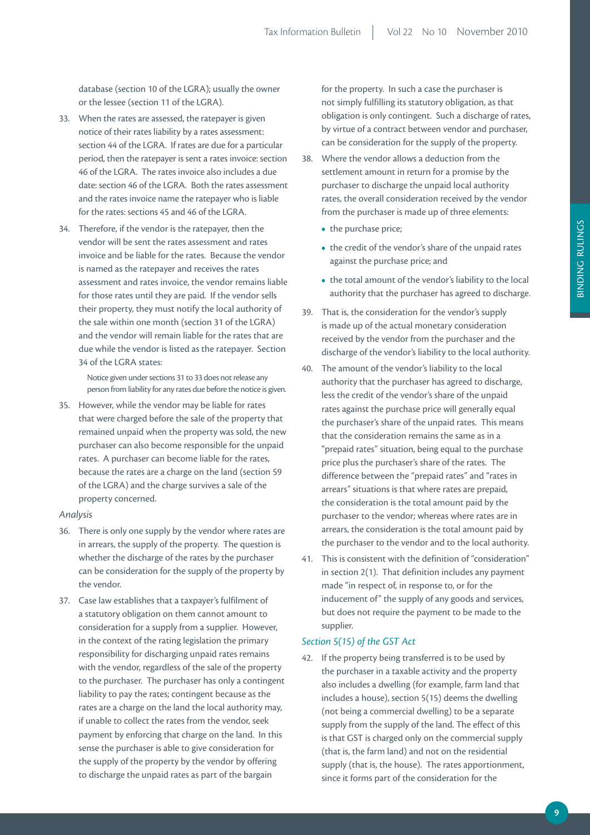database (section 10 of the LGRA); usually the owner or the lessee (section 11 of the LGRA).

- 33. When the rates are assessed, the ratepayer is given notice of their rates liability by a rates assessment: section 44 of the LGRA. If rates are due for a particular period, then the ratepayer is sent a rates invoice: section 46 of the LGRA. The rates invoice also includes a due date: section 46 of the LGRA. Both the rates assessment and the rates invoice name the ratepayer who is liable for the rates: sections 45 and 46 of the LGRA.
- 34. Therefore, if the vendor is the ratepayer, then the vendor will be sent the rates assessment and rates invoice and be liable for the rates. Because the vendor is named as the ratepayer and receives the rates assessment and rates invoice, the vendor remains liable for those rates until they are paid. If the vendor sells their property, they must notify the local authority of the sale within one month (section 31 of the LGRA) and the vendor will remain liable for the rates that are due while the vendor is listed as the ratepayer. Section 34 of the LGRA states:

Notice given under sections 31 to 33 does not release any person from liability for any rates due before the notice is given.

35. However, while the vendor may be liable for rates that were charged before the sale of the property that remained unpaid when the property was sold, the new purchaser can also become responsible for the unpaid rates. A purchaser can become liable for the rates, because the rates are a charge on the land (section 59 of the LGRA) and the charge survives a sale of the property concerned.

# *Analysis*

- 36. There is only one supply by the vendor where rates are in arrears, the supply of the property. The question is whether the discharge of the rates by the purchaser can be consideration for the supply of the property by the vendor.
- 37. Case law establishes that a taxpayer's fulfilment of a statutory obligation on them cannot amount to consideration for a supply from a supplier. However, in the context of the rating legislation the primary responsibility for discharging unpaid rates remains with the vendor, regardless of the sale of the property to the purchaser. The purchaser has only a contingent liability to pay the rates; contingent because as the rates are a charge on the land the local authority may, if unable to collect the rates from the vendor, seek payment by enforcing that charge on the land. In this sense the purchaser is able to give consideration for the supply of the property by the vendor by offering to discharge the unpaid rates as part of the bargain

for the property. In such a case the purchaser is not simply fulfilling its statutory obligation, as that obligation is only contingent. Such a discharge of rates, by virtue of a contract between vendor and purchaser, can be consideration for the supply of the property.

- 38. Where the vendor allows a deduction from the settlement amount in return for a promise by the purchaser to discharge the unpaid local authority rates, the overall consideration received by the vendor from the purchaser is made up of three elements:
	- the purchase price;
	- the credit of the vendor's share of the unpaid rates against the purchase price; and
	- the total amount of the vendor's liability to the local authority that the purchaser has agreed to discharge.
- 39. That is, the consideration for the vendor's supply is made up of the actual monetary consideration received by the vendor from the purchaser and the discharge of the vendor's liability to the local authority.
- 40. The amount of the vendor's liability to the local authority that the purchaser has agreed to discharge, less the credit of the vendor's share of the unpaid rates against the purchase price will generally equal the purchaser's share of the unpaid rates. This means that the consideration remains the same as in a "prepaid rates" situation, being equal to the purchase price plus the purchaser's share of the rates. The difference between the "prepaid rates" and "rates in arrears" situations is that where rates are prepaid, the consideration is the total amount paid by the purchaser to the vendor; whereas where rates are in arrears, the consideration is the total amount paid by the purchaser to the vendor and to the local authority.
- 41. This is consistent with the definition of "consideration" in section 2(1). That definition includes any payment made "in respect of, in response to, or for the inducement of" the supply of any goods and services, but does not require the payment to be made to the supplier.

# *Section 5(15) of the GST Act*

42. If the property being transferred is to be used by the purchaser in a taxable activity and the property also includes a dwelling (for example, farm land that includes a house), section 5(15) deems the dwelling (not being a commercial dwelling) to be a separate supply from the supply of the land. The effect of this is that GST is charged only on the commercial supply (that is, the farm land) and not on the residential supply (that is, the house). The rates apportionment, since it forms part of the consideration for the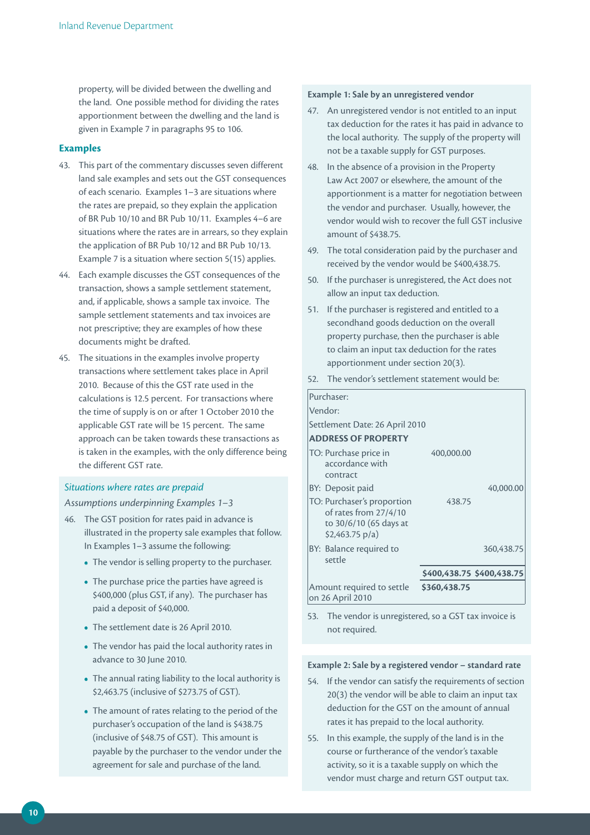property, will be divided between the dwelling and the land. One possible method for dividing the rates apportionment between the dwelling and the land is given in Example 7 in paragraphs 95 to 106.

# **Examples**

- 43. This part of the commentary discusses seven different land sale examples and sets out the GST consequences of each scenario. Examples 1–3 are situations where the rates are prepaid, so they explain the application of BR Pub 10/10 and BR Pub 10/11. Examples 4–6 are situations where the rates are in arrears, so they explain the application of BR Pub 10/12 and BR Pub 10/13. Example 7 is a situation where section 5(15) applies.
- 44. Each example discusses the GST consequences of the transaction, shows a sample settlement statement, and, if applicable, shows a sample tax invoice. The sample settlement statements and tax invoices are not prescriptive; they are examples of how these documents might be drafted.
- 45. The situations in the examples involve property transactions where settlement takes place in April 2010. Because of this the GST rate used in the calculations is 12.5 percent. For transactions where the time of supply is on or after 1 October 2010 the applicable GST rate will be 15 percent. The same approach can be taken towards these transactions as is taken in the examples, with the only difference being the different GST rate.

# *Situations where rates are prepaid*

# *Assumptions underpinning Examples 1–3*

- 46. The GST position for rates paid in advance is illustrated in the property sale examples that follow. In Examples 1–3 assume the following:
	- The vendor is selling property to the purchaser.
	- The purchase price the parties have agreed is \$400,000 (plus GST, if any). The purchaser has paid a deposit of \$40,000.
	- The settlement date is 26 April 2010.
	- The vendor has paid the local authority rates in advance to 30 June 2010.
	- The annual rating liability to the local authority is \$2,463.75 (inclusive of \$273.75 of GST).
	- The amount of rates relating to the period of the purchaser's occupation of the land is \$438.75 (inclusive of \$48.75 of GST). This amount is payable by the purchaser to the vendor under the agreement for sale and purchase of the land.

## **Example 1: Sale by an unregistered vendor**

- 47. An unregistered vendor is not entitled to an input tax deduction for the rates it has paid in advance to the local authority. The supply of the property will not be a taxable supply for GST purposes.
- 48. In the absence of a provision in the Property Law Act 2007 or elsewhere, the amount of the apportionment is a matter for negotiation between the vendor and purchaser. Usually, however, the vendor would wish to recover the full GST inclusive amount of \$438.75.
- 49. The total consideration paid by the purchaser and received by the vendor would be \$400,438.75.
- 50. If the purchaser is unregistered, the Act does not allow an input tax deduction.
- 51. If the purchaser is registered and entitled to a secondhand goods deduction on the overall property purchase, then the purchaser is able to claim an input tax deduction for the rates apportionment under section 20(3).
- 52. The vendor's settlement statement would be:

| Purchaser:                                                                                               |                           |            |
|----------------------------------------------------------------------------------------------------------|---------------------------|------------|
| Vendor:                                                                                                  |                           |            |
| Settlement Date: 26 April 2010                                                                           |                           |            |
| <b>ADDRESS OF PROPERTY</b>                                                                               |                           |            |
| TO: Purchase price in<br>accordance with<br>contract                                                     | 400,000.00                |            |
| BY: Deposit paid                                                                                         |                           | 40,000.00  |
| TO: Purchaser's proportion<br>of rates from 27/4/10<br>to 30/6/10 (65 days at<br>$$2,463.75 \text{ p/a}$ | 438.75                    |            |
| BY: Balance required to<br>settle                                                                        |                           | 360,438.75 |
|                                                                                                          | \$400,438.75 \$400,438.75 |            |
| Amount required to settle<br>on 26 April 2010                                                            | \$360,438.75              |            |

53. The vendor is unregistered, so a GST tax invoice is not required.

## **Example 2: Sale by a registered vendor – standard rate**

- 54. If the vendor can satisfy the requirements of section 20(3) the vendor will be able to claim an input tax deduction for the GST on the amount of annual rates it has prepaid to the local authority.
- 55. In this example, the supply of the land is in the course or furtherance of the vendor's taxable activity, so it is a taxable supply on which the vendor must charge and return GST output tax.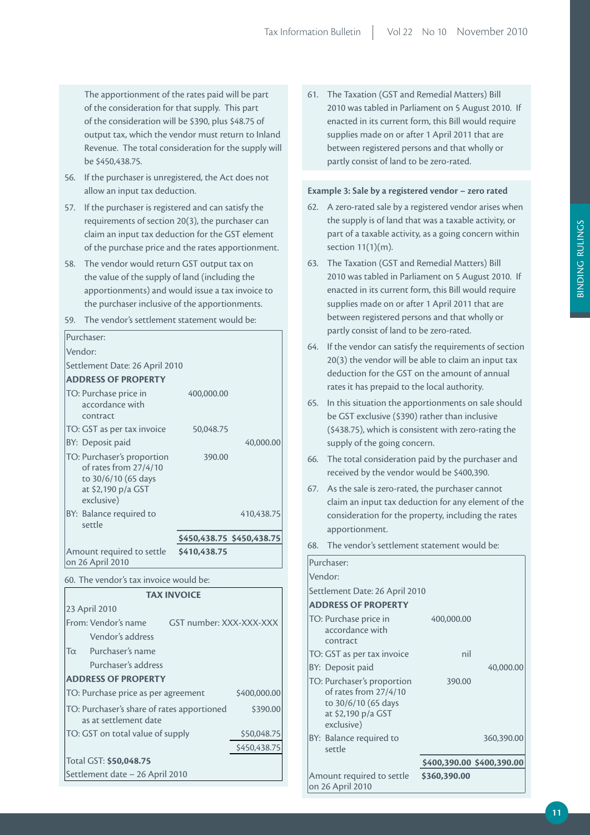The apportionment of the rates paid will be part of the consideration for that supply. This part of the consideration will be \$390, plus \$48.75 of output tax, which the vendor must return to Inland Revenue. The total consideration for the supply will be \$450,438.75.

- 56. If the purchaser is unregistered, the Act does not allow an input tax deduction.
- 57. If the purchaser is registered and can satisfy the requirements of section 20(3), the purchaser can claim an input tax deduction for the GST element of the purchase price and the rates apportionment.
- 58. The vendor would return GST output tax on the value of the supply of land (including the apportionments) and would issue a tax invoice to the purchaser inclusive of the apportionments.

| 59.                                                 | The vendor's settlement statement would be:                                                                    |                         |                           |
|-----------------------------------------------------|----------------------------------------------------------------------------------------------------------------|-------------------------|---------------------------|
|                                                     | Purchaser:                                                                                                     |                         |                           |
|                                                     | Vendor:                                                                                                        |                         |                           |
|                                                     | Settlement Date: 26 April 2010                                                                                 |                         |                           |
|                                                     | <b>ADDRESS OF PROPERTY</b>                                                                                     |                         |                           |
|                                                     | TO: Purchase price in<br>accordance with<br>contract                                                           | 400,000.00              |                           |
|                                                     | TO: GST as per tax invoice                                                                                     | 50,048.75               |                           |
|                                                     | BY: Deposit paid                                                                                               |                         | 40,000.00                 |
|                                                     | TO: Purchaser's proportion<br>of rates from 27/4/10<br>to 30/6/10 (65 days<br>at \$2,190 p/a GST<br>exclusive) | 390.00                  |                           |
|                                                     | BY: Balance required to<br>settle                                                                              |                         | 410,438.75                |
|                                                     |                                                                                                                |                         | \$450,438.75 \$450,438.75 |
|                                                     | Amount required to settle<br>on 26 April 2010                                                                  | \$410,438.75            |                           |
| 60. The vendor's tax invoice would be:              |                                                                                                                |                         |                           |
|                                                     | <b>TAX INVOICE</b>                                                                                             |                         |                           |
|                                                     | 23 April 2010                                                                                                  |                         |                           |
|                                                     | From: Vendor's name                                                                                            | GST number: XXX-XXX-XXX |                           |
|                                                     | Vendor's address                                                                                               |                         |                           |
| $T\alpha$                                           | Purchaser's name                                                                                               |                         |                           |
| Purchaser's address                                 |                                                                                                                |                         |                           |
| <b>ADDRESS OF PROPERTY</b>                          |                                                                                                                |                         |                           |
| \$400,000.00<br>TO: Purchase price as per agreement |                                                                                                                |                         |                           |
|                                                     | TO: Purchaser's share of rates apportioned<br>\$390.00<br>as at settlement date                                |                         |                           |
| TO: GST on total value of supply<br>\$50,048.75     |                                                                                                                |                         |                           |
|                                                     |                                                                                                                |                         | \$450,438.75              |
|                                                     | Total GST: \$50,048.75                                                                                         |                         |                           |
|                                                     | Settlement date - 26 April 2010                                                                                |                         |                           |

61. The Taxation (GST and Remedial Matters) Bill 2010 was tabled in Parliament on 5 August 2010. If enacted in its current form, this Bill would require supplies made on or after 1 April 2011 that are between registered persons and that wholly or partly consist of land to be zero-rated.

#### **Example 3: Sale by a registered vendor – zero rated**

- 62. A zero-rated sale by a registered vendor arises when the supply is of land that was a taxable activity, or part of a taxable activity, as a going concern within section 11(1)(m).
- 63. The Taxation (GST and Remedial Matters) Bill 2010 was tabled in Parliament on 5 August 2010. If enacted in its current form, this Bill would require supplies made on or after 1 April 2011 that are between registered persons and that wholly or partly consist of land to be zero-rated.
- 64. If the vendor can satisfy the requirements of section 20(3) the vendor will be able to claim an input tax deduction for the GST on the amount of annual rates it has prepaid to the local authority.
- 65. In this situation the apportionments on sale should be GST exclusive (\$390) rather than inclusive (\$438.75), which is consistent with zero-rating the supply of the going concern.
- 66. The total consideration paid by the purchaser and received by the vendor would be \$400,390.
- 67. As the sale is zero-rated, the purchaser cannot claim an input tax deduction for any element of the consideration for the property, including the rates apportionment.
- 68. The vendor's settlement statement would be:

| Purchaser:                                                                                                     |                           |            |
|----------------------------------------------------------------------------------------------------------------|---------------------------|------------|
| Vendor:                                                                                                        |                           |            |
| Settlement Date: 26 April 2010                                                                                 |                           |            |
| <b>ADDRESS OF PROPERTY</b>                                                                                     |                           |            |
| TO: Purchase price in<br>accordance with<br>contract                                                           | 400,000.00                |            |
| TO: GST as per tax invoice                                                                                     | nil                       |            |
| BY: Deposit paid                                                                                               |                           | 40,000.00  |
| TO: Purchaser's proportion<br>of rates from 27/4/10<br>to 30/6/10 (65 days<br>at \$2,190 p/a GST<br>exclusive) | 390.00                    |            |
| BY: Balance required to<br>settle                                                                              |                           | 360,390.00 |
|                                                                                                                | \$400,390.00 \$400,390.00 |            |
| Amount required to settle<br>on 26 April 2010                                                                  | \$360,390.00              |            |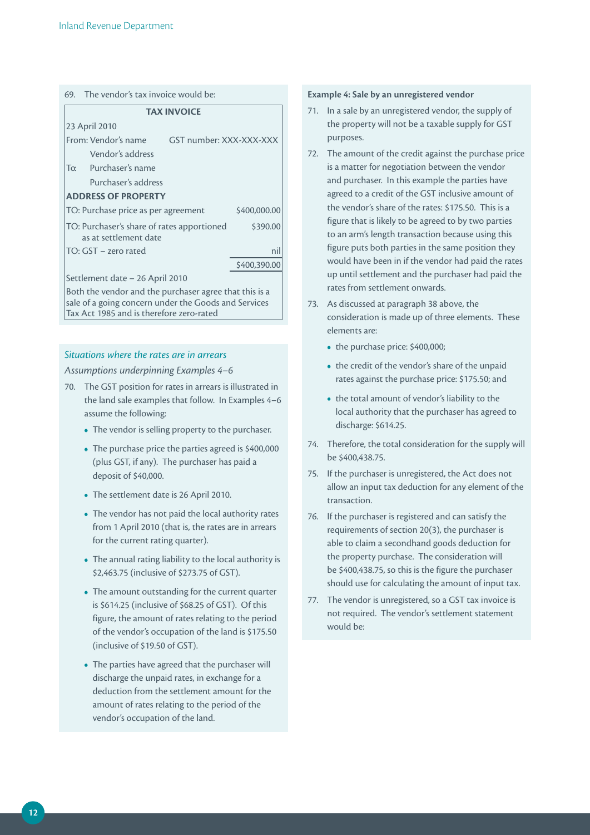# 69. The vendor's tax invoice would be:

| <b>TAX INVOICE</b>                                                                                             |              |  |  |
|----------------------------------------------------------------------------------------------------------------|--------------|--|--|
| 23 April 2010                                                                                                  |              |  |  |
| From: Vendor's name<br>GST number: XXX-XXX-XXX                                                                 |              |  |  |
| Vendor's address                                                                                               |              |  |  |
| Purchaser's name<br>$T_{\alpha}$                                                                               |              |  |  |
| Purchaser's address                                                                                            |              |  |  |
| <b>ADDRESS OF PROPERTY</b>                                                                                     |              |  |  |
| TO: Purchase price as per agreement<br>\$400,000.00                                                            |              |  |  |
| TO: Purchaser's share of rates apportioned<br>\$390.00<br>as at settlement date                                |              |  |  |
| TO: GST - zero rated<br>nil                                                                                    |              |  |  |
|                                                                                                                | \$400,390.00 |  |  |
| Settlement date - 26 April 2010                                                                                |              |  |  |
| Both the vendor and the purchaser agree that this is a<br>sale of a going concern under the Goods and Services |              |  |  |

# *Situations where the rates are in arrears*

Tax Act 1985 and is therefore zero-rated

*Assumptions underpinning Examples 4–6*

- 70. The GST position for rates in arrears is illustrated in the land sale examples that follow. In Examples 4–6 assume the following:
	- The vendor is selling property to the purchaser.
	- The purchase price the parties agreed is \$400,000 (plus GST, if any). The purchaser has paid a deposit of \$40,000.
	- The settlement date is 26 April 2010.
	- The vendor has not paid the local authority rates from 1 April 2010 (that is, the rates are in arrears for the current rating quarter).
	- The annual rating liability to the local authority is \$2,463.75 (inclusive of \$273.75 of GST).
	- The amount outstanding for the current quarter is \$614.25 (inclusive of \$68.25 of GST). Of this figure, the amount of rates relating to the period of the vendor's occupation of the land is \$175.50 (inclusive of \$19.50 of GST).
	- The parties have agreed that the purchaser will discharge the unpaid rates, in exchange for a deduction from the settlement amount for the amount of rates relating to the period of the vendor's occupation of the land.

#### **Example 4: Sale by an unregistered vendor**

- 71. In a sale by an unregistered vendor, the supply of the property will not be a taxable supply for GST purposes.
- 72. The amount of the credit against the purchase price is a matter for negotiation between the vendor and purchaser. In this example the parties have agreed to a credit of the GST inclusive amount of the vendor's share of the rates: \$175.50. This is a figure that is likely to be agreed to by two parties to an arm's length transaction because using this figure puts both parties in the same position they would have been in if the vendor had paid the rates up until settlement and the purchaser had paid the rates from settlement onwards.
- 73. As discussed at paragraph 38 above, the consideration is made up of three elements. These elements are:
	- the purchase price: \$400,000;
	- the credit of the vendor's share of the unpaid rates against the purchase price: \$175.50; and
	- the total amount of vendor's liability to the local authority that the purchaser has agreed to discharge: \$614.25.
- 74. Therefore, the total consideration for the supply will be \$400,438.75.
- 75. If the purchaser is unregistered, the Act does not allow an input tax deduction for any element of the transaction.
- 76. If the purchaser is registered and can satisfy the requirements of section 20(3), the purchaser is able to claim a secondhand goods deduction for the property purchase. The consideration will be \$400,438.75, so this is the figure the purchaser should use for calculating the amount of input tax.
- 77. The vendor is unregistered, so a GST tax invoice is not required. The vendor's settlement statement would be: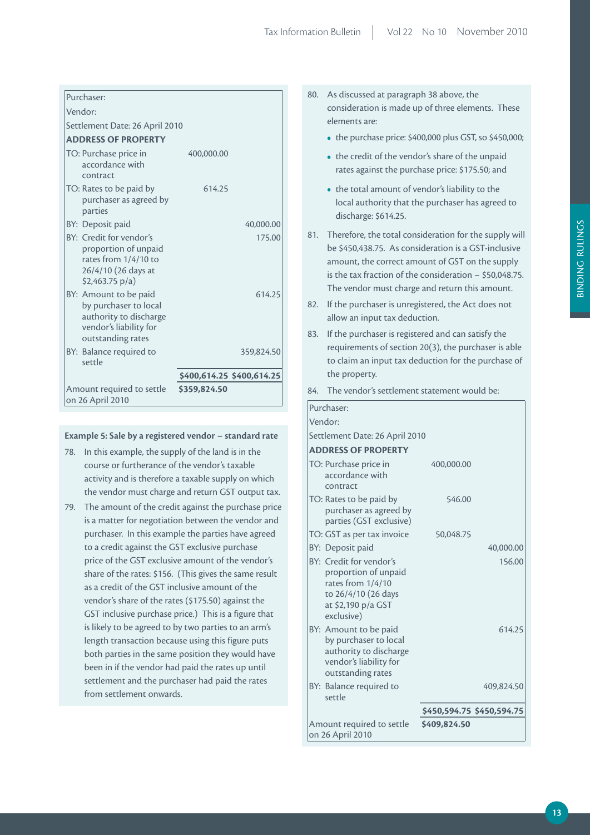| Purchaser:                                                                                                                |                           |
|---------------------------------------------------------------------------------------------------------------------------|---------------------------|
| Vendor:                                                                                                                   |                           |
| Settlement Date: 26 April 2010                                                                                            |                           |
| <b>ADDRESS OF PROPERTY</b>                                                                                                |                           |
| TO: Purchase price in<br>accordance with<br>contract                                                                      | 400.000.00                |
| TO: Rates to be paid by<br>purchaser as agreed by<br>parties                                                              | 614.25                    |
| BY: Deposit paid                                                                                                          | 40,000.00                 |
| BY: Credit for vendor's<br>proportion of unpaid<br>rates from 1/4/10 to<br>26/4/10 (26 days at<br>$$2,463.75 \text{ p/a}$ | 175.00                    |
| BY: Amount to be paid<br>by purchaser to local<br>authority to discharge<br>vendor's liability for<br>outstanding rates   | 614.25                    |
| BY: Balance required to<br>settle                                                                                         | 359,824.50                |
|                                                                                                                           | \$400,614.25 \$400,614.25 |
| Amount required to settle<br>on 26 April 2010                                                                             | \$359,824.50              |

# **Example 5: Sale by a registered vendor – standard rate**

- 78. In this example, the supply of the land is in the course or furtherance of the vendor's taxable activity and is therefore a taxable supply on which the vendor must charge and return GST output tax.
- 79. The amount of the credit against the purchase price is a matter for negotiation between the vendor and purchaser. In this example the parties have agreed to a credit against the GST exclusive purchase price of the GST exclusive amount of the vendor's share of the rates: \$156. (This gives the same result as a credit of the GST inclusive amount of the vendor's share of the rates (\$175.50) against the GST inclusive purchase price.) This is a figure that is likely to be agreed to by two parties to an arm's length transaction because using this figure puts both parties in the same position they would have been in if the vendor had paid the rates up until settlement and the purchaser had paid the rates from settlement onwards.
- 80. As discussed at paragraph 38 above, the consideration is made up of three elements. These elements are:
	- the purchase price: \$400,000 plus GST, so \$450,000;
	- the credit of the vendor's share of the unpaid rates against the purchase price: \$175.50; and
	- the total amount of vendor's liability to the local authority that the purchaser has agreed to discharge: \$614.25.
- 81. Therefore, the total consideration for the supply will be \$450,438.75. As consideration is a GST-inclusive amount, the correct amount of GST on the supply is the tax fraction of the consideration – \$50,048.75. The vendor must charge and return this amount.
- 82. If the purchaser is unregistered, the Act does not allow an input tax deduction.
- 83. If the purchaser is registered and can satisfy the requirements of section 20(3), the purchaser is able to claim an input tax deduction for the purchase of the property.
- 84. The vendor's settlement statement would be:

| Purchaser:                                                                                                                      |                           |            |
|---------------------------------------------------------------------------------------------------------------------------------|---------------------------|------------|
| Vendor:                                                                                                                         |                           |            |
| Settlement Date: 26 April 2010                                                                                                  |                           |            |
| <b>ADDRESS OF PROPERTY</b>                                                                                                      |                           |            |
| TO: Purchase price in<br>accordance with<br>contract                                                                            | 400,000.00                |            |
| TO: Rates to be paid by<br>purchaser as agreed by<br>parties (GST exclusive)                                                    | 546.00                    |            |
| TO: GST as per tax invoice                                                                                                      | 50,048.75                 |            |
| BY: Deposit paid                                                                                                                |                           | 40,000.00  |
| BY: Credit for vendor's<br>proportion of unpaid<br>rates from 1/4/10<br>to 26/4/10 (26 days<br>at \$2,190 p/a GST<br>exclusive) |                           | 156.00     |
| BY: Amount to be paid<br>by purchaser to local<br>authority to discharge<br>vendor's liability for<br>outstanding rates         |                           | 614.25     |
| BY: Balance required to<br>settle                                                                                               |                           | 409,824.50 |
|                                                                                                                                 | \$450,594.75 \$450,594.75 |            |
| Amount required to settle<br>on 26 April 2010                                                                                   | \$409,824.50              |            |

**BINDING RULINGS** BINDING RULINGS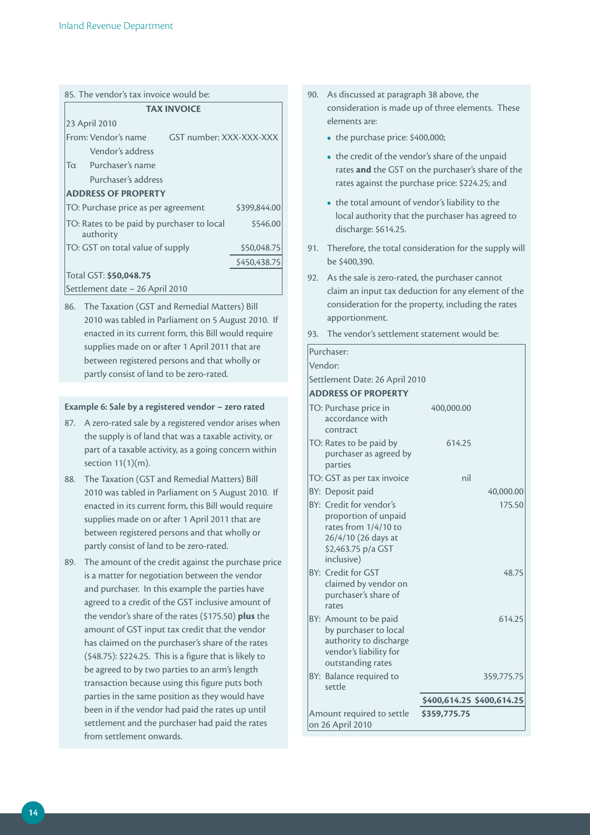|                        | 85. The vendor's tax invoice would be:                                                                 |          |  |  |  |
|------------------------|--------------------------------------------------------------------------------------------------------|----------|--|--|--|
|                        | <b>TAX INVOICE</b>                                                                                     |          |  |  |  |
|                        | 23 April 2010                                                                                          |          |  |  |  |
|                        | From: Vendor's name<br>GST number: XXX-XXX-XXX                                                         |          |  |  |  |
|                        | Vendor's address                                                                                       |          |  |  |  |
|                        | Tα Purchaser's name                                                                                    |          |  |  |  |
|                        | Purchaser's address                                                                                    |          |  |  |  |
|                        | <b>ADDRESS OF PROPERTY</b>                                                                             |          |  |  |  |
|                        | TO: Purchase price as per agreement<br>\$399,844.00                                                    |          |  |  |  |
|                        | TO: Rates to be paid by purchaser to local<br>authority                                                | \$546.00 |  |  |  |
|                        | TO: GST on total value of supply<br>\$50,048.75                                                        |          |  |  |  |
|                        | \$450,438.75                                                                                           |          |  |  |  |
| Total GST: \$50,048.75 |                                                                                                        |          |  |  |  |
|                        | Settlement date – 26 April 2010                                                                        |          |  |  |  |
|                        | 86. The Taxation (GST and Remedial Matters) Bill<br>2010 was tabled in Parliament on 5 August 2010. If |          |  |  |  |

2010 was tabled in Parliament on 5 August 2010. If enacted in its current form, this Bill would require supplies made on or after 1 April 2011 that are between registered persons and that wholly or partly consist of land to be zero-rated.

# **Example 6: Sale by a registered vendor – zero rated**

- 87. A zero-rated sale by a registered vendor arises when the supply is of land that was a taxable activity, or part of a taxable activity, as a going concern within section 11(1)(m).
- 88. The Taxation (GST and Remedial Matters) Bill 2010 was tabled in Parliament on 5 August 2010. If enacted in its current form, this Bill would require supplies made on or after 1 April 2011 that are between registered persons and that wholly or partly consist of land to be zero-rated.
- 89. The amount of the credit against the purchase price is a matter for negotiation between the vendor and purchaser. In this example the parties have agreed to a credit of the GST inclusive amount of the vendor's share of the rates (\$175.50) **plus** the amount of GST input tax credit that the vendor has claimed on the purchaser's share of the rates (\$48.75): \$224.25. This is a figure that is likely to be agreed to by two parties to an arm's length transaction because using this figure puts both parties in the same position as they would have been in if the vendor had paid the rates up until settlement and the purchaser had paid the rates from settlement onwards.
- 90. As discussed at paragraph 38 above, the consideration is made up of three elements. These elements are:
	- the purchase price: \$400,000;
	- the credit of the vendor's share of the unpaid rates **and** the GST on the purchaser's share of the rates against the purchase price: \$224.25; and
	- the total amount of vendor's liability to the local authority that the purchaser has agreed to discharge: \$614.25.
- 91. Therefore, the total consideration for the supply will be \$400,390.
- 92. As the sale is zero-rated, the purchaser cannot claim an input tax deduction for any element of the consideration for the property, including the rates apportionment.
- 93. The vendor's settlement statement would be:

| Purchaser:                                                                                                                         |                           |            |
|------------------------------------------------------------------------------------------------------------------------------------|---------------------------|------------|
| Vendor:                                                                                                                            |                           |            |
| Settlement Date: 26 April 2010                                                                                                     |                           |            |
| <b>ADDRESS OF PROPERTY</b>                                                                                                         |                           |            |
| TO: Purchase price in<br>accordance with<br>contract                                                                               | 400,000.00                |            |
| TO: Rates to be paid by<br>purchaser as agreed by<br>parties                                                                       | 614.25                    |            |
| TO: GST as per tax invoice                                                                                                         | nil                       |            |
| BY: Deposit paid                                                                                                                   |                           | 40,000.00  |
| BY: Credit for vendor's<br>proportion of unpaid<br>rates from 1/4/10 to<br>26/4/10 (26 days at<br>\$2,463.75 p/a GST<br>inclusive) |                           | 175.50     |
| BY: Credit for GST<br>claimed by vendor on<br>purchaser's share of<br>rates                                                        |                           | 48.75      |
| BY: Amount to be paid<br>by purchaser to local<br>authority to discharge<br>vendor's liability for<br>outstanding rates            |                           | 614.25     |
| BY: Balance required to<br>settle                                                                                                  |                           | 359,775.75 |
|                                                                                                                                    | \$400,614.25 \$400,614.25 |            |
| Amount required to settle<br>on 26 April 2010                                                                                      | \$359,775.75              |            |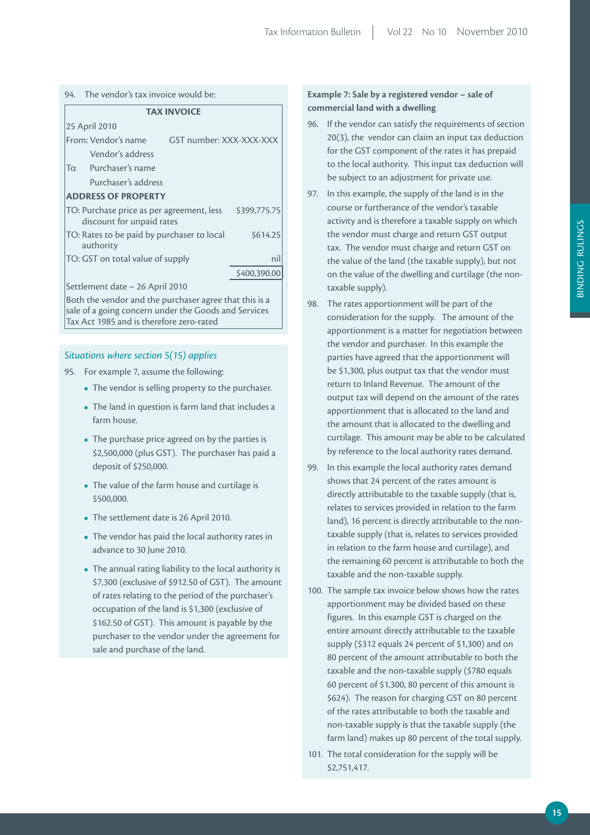|  |  |  | <b>TAX INVOICE</b> |
|--|--|--|--------------------|
|--|--|--|--------------------|

|                                                                                        | 25 April 2010                    |                         |              |  |
|----------------------------------------------------------------------------------------|----------------------------------|-------------------------|--------------|--|
|                                                                                        | From: Vendor's name              | GST number: XXX-XXX-XXX |              |  |
|                                                                                        | Vendor's address                 |                         |              |  |
| $T_{\alpha}$                                                                           | Purchaser's name                 |                         |              |  |
|                                                                                        | Purchaser's address              |                         |              |  |
| <b>ADDRESS OF PROPERTY</b>                                                             |                                  |                         |              |  |
| TO: Purchase price as per agreement, less<br>\$399,775.75<br>discount for unpaid rates |                                  |                         |              |  |
| \$614.25<br>TO: Rates to be paid by purchaser to local<br>authority                    |                                  |                         |              |  |
|                                                                                        | TO: GST on total value of supply |                         | nil          |  |
|                                                                                        |                                  |                         | \$400,390.00 |  |
|                                                                                        | Settlement date - 26 April 2010  |                         |              |  |
| Both the vendor and the purchaser agree that this is a                                 |                                  |                         |              |  |

sale of a going concern under the Goods and Services Tax Act 1985 and is therefore zero-rated

# *Situations where section 5(15) applies*

- 95. For example 7, assume the following:
	- The vendor is selling property to the purchaser.
	- The land in question is farm land that includes a farm house.
	- The purchase price agreed on by the parties is \$2,500,000 (plus GST). The purchaser has paid a deposit of \$250,000.
	- The value of the farm house and curtilage is \$500,000.
	- The settlement date is 26 April 2010.
	- The vendor has paid the local authority rates in advance to 30 June 2010.
	- The annual rating liability to the local authority is \$7,300 (exclusive of \$912.50 of GST). The amount of rates relating to the period of the purchaser's occupation of the land is \$1,300 (exclusive of \$162.50 of GST). This amount is payable by the purchaser to the vendor under the agreement for sale and purchase of the land.

# **Example 7: Sale by a registered vendor – sale of commercial land with a dwelling**

- 96. If the vendor can satisfy the requirements of section 20(3), the vendor can claim an input tax deduction for the GST component of the rates it has prepaid to the local authority. This input tax deduction will be subject to an adjustment for private use.
- 97. In this example, the supply of the land is in the course or furtherance of the vendor's taxable activity and is therefore a taxable supply on which the vendor must charge and return GST output tax. The vendor must charge and return GST on the value of the land (the taxable supply), but not on the value of the dwelling and curtilage (the nontaxable supply).
- 98. The rates apportionment will be part of the consideration for the supply. The amount of the apportionment is a matter for negotiation between the vendor and purchaser. In this example the parties have agreed that the apportionment will be \$1,300, plus output tax that the vendor must return to Inland Revenue. The amount of the output tax will depend on the amount of the rates apportionment that is allocated to the land and the amount that is allocated to the dwelling and curtilage. This amount may be able to be calculated by reference to the local authority rates demand.
- 99. In this example the local authority rates demand shows that 24 percent of the rates amount is directly attributable to the taxable supply (that is, relates to services provided in relation to the farm land), 16 percent is directly attributable to the nontaxable supply (that is, relates to services provided in relation to the farm house and curtilage), and the remaining 60 percent is attributable to both the taxable and the non-taxable supply.
- 100. The sample tax invoice below shows how the rates apportionment may be divided based on these figures. In this example GST is charged on the entire amount directly attributable to the taxable supply (\$312 equals 24 percent of \$1,300) and on 80 percent of the amount attributable to both the taxable and the non-taxable supply (\$780 equals 60 percent of \$1,300, 80 percent of this amount is \$624). The reason for charging GST on 80 percent of the rates attributable to both the taxable and non-taxable supply is that the taxable supply (the farm land) makes up 80 percent of the total supply.
- 101. The total consideration for the supply will be \$2,751,417.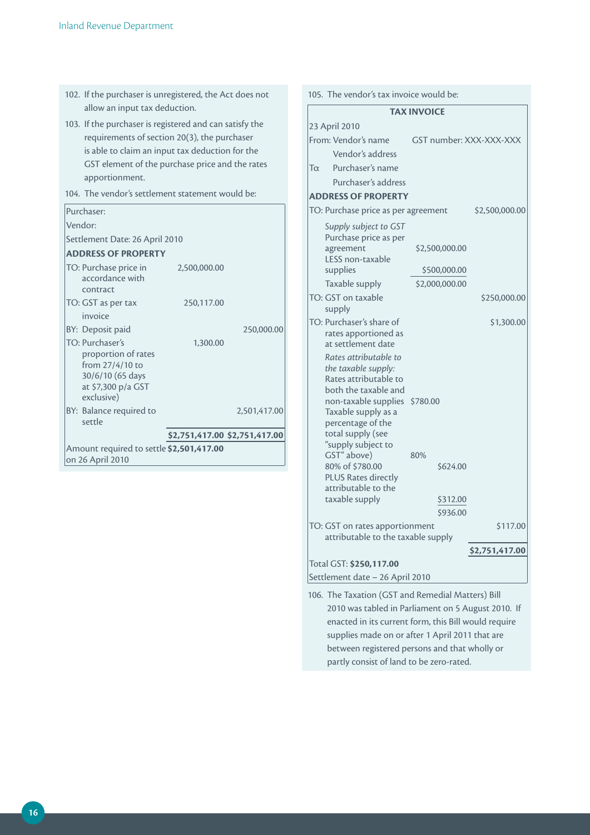- 102. If the purchaser is unregistered, the Act does not allow an input tax deduction.
- 103. If the purchaser is registered and can satisfy the requirements of section 20(3), the purchaser is able to claim an input tax deduction for the GST element of the purchase price and the rates apportionment.
- 104. The vendor's settlement statement would be:

| Purchaser:                                                                                                        |                               |              |  |
|-------------------------------------------------------------------------------------------------------------------|-------------------------------|--------------|--|
| Vendor:                                                                                                           |                               |              |  |
| Settlement Date: 26 April 2010                                                                                    |                               |              |  |
| <b>ADDRESS OF PROPERTY</b>                                                                                        |                               |              |  |
| TO: Purchase price in<br>accordance with<br>contract                                                              | 2,500,000.00                  |              |  |
| TO: GST as per tax                                                                                                | 250,117.00                    |              |  |
| invoice                                                                                                           |                               |              |  |
| BY: Deposit paid                                                                                                  |                               | 250,000.00   |  |
| TO: Purchaser's<br>proportion of rates<br>from 27/4/10 to<br>30/6/10 (65 days<br>at \$7,300 p/a GST<br>exclusive) | 1.300.00                      |              |  |
| BY: Balance required to<br>settle                                                                                 |                               | 2.501.417.00 |  |
|                                                                                                                   | \$2,751,417.00 \$2,751,417.00 |              |  |
| Amount required to settle \$2,501,417.00<br>on 26 April 2010                                                      |                               |              |  |

| <b>TAX INVOICE</b><br>GST number: XXX-XXX-XXX<br>Vendor's address<br>Purchaser's name<br>Purchaser's address<br><b>ADDRESS OF PROPERTY</b><br>TO: Purchase price as per agreement<br>\$2,500,000.00<br>Supply subject to GST<br>Purchase price as per<br>agreement<br>\$2,500,000.00<br>LESS non-taxable<br>supplies<br>\$500,000.00<br>Taxable supply<br>\$2,000,000.00<br>TO: GST on taxable<br>\$250,000.00<br>supply<br>TO: Purchaser's share of<br>\$1,300.00<br>rates apportioned as<br>at settlement date<br>Rates attributable to<br>the taxable supply:<br>Rates attributable to<br>both the taxable and<br>non-taxable supplies<br>\$780.00<br>Taxable supply as a<br>percentage of the<br>total supply (see<br>"supply subject to<br>GST" above)<br>80%<br>80% of \$780.00<br>\$624.00<br>PLUS Rates directly<br>attributable to the<br>taxable supply<br>\$312.00<br>\$936.00<br>TO: GST on rates apportionment<br>\$117.00<br>attributable to the taxable supply<br>\$2,751,417.00<br>Settlement date - 26 April 2010 | 105. The vendor's tax invoice would be: |  |  |  |  |
|------------------------------------------------------------------------------------------------------------------------------------------------------------------------------------------------------------------------------------------------------------------------------------------------------------------------------------------------------------------------------------------------------------------------------------------------------------------------------------------------------------------------------------------------------------------------------------------------------------------------------------------------------------------------------------------------------------------------------------------------------------------------------------------------------------------------------------------------------------------------------------------------------------------------------------------------------------------------------------------------------------------------------------|-----------------------------------------|--|--|--|--|
|                                                                                                                                                                                                                                                                                                                                                                                                                                                                                                                                                                                                                                                                                                                                                                                                                                                                                                                                                                                                                                    |                                         |  |  |  |  |
|                                                                                                                                                                                                                                                                                                                                                                                                                                                                                                                                                                                                                                                                                                                                                                                                                                                                                                                                                                                                                                    | 23 April 2010                           |  |  |  |  |
|                                                                                                                                                                                                                                                                                                                                                                                                                                                                                                                                                                                                                                                                                                                                                                                                                                                                                                                                                                                                                                    | From: Vendor's name                     |  |  |  |  |
|                                                                                                                                                                                                                                                                                                                                                                                                                                                                                                                                                                                                                                                                                                                                                                                                                                                                                                                                                                                                                                    |                                         |  |  |  |  |
|                                                                                                                                                                                                                                                                                                                                                                                                                                                                                                                                                                                                                                                                                                                                                                                                                                                                                                                                                                                                                                    | $T_{\rm O}$                             |  |  |  |  |
|                                                                                                                                                                                                                                                                                                                                                                                                                                                                                                                                                                                                                                                                                                                                                                                                                                                                                                                                                                                                                                    |                                         |  |  |  |  |
|                                                                                                                                                                                                                                                                                                                                                                                                                                                                                                                                                                                                                                                                                                                                                                                                                                                                                                                                                                                                                                    |                                         |  |  |  |  |
|                                                                                                                                                                                                                                                                                                                                                                                                                                                                                                                                                                                                                                                                                                                                                                                                                                                                                                                                                                                                                                    |                                         |  |  |  |  |
|                                                                                                                                                                                                                                                                                                                                                                                                                                                                                                                                                                                                                                                                                                                                                                                                                                                                                                                                                                                                                                    |                                         |  |  |  |  |
|                                                                                                                                                                                                                                                                                                                                                                                                                                                                                                                                                                                                                                                                                                                                                                                                                                                                                                                                                                                                                                    |                                         |  |  |  |  |
|                                                                                                                                                                                                                                                                                                                                                                                                                                                                                                                                                                                                                                                                                                                                                                                                                                                                                                                                                                                                                                    |                                         |  |  |  |  |
|                                                                                                                                                                                                                                                                                                                                                                                                                                                                                                                                                                                                                                                                                                                                                                                                                                                                                                                                                                                                                                    |                                         |  |  |  |  |
|                                                                                                                                                                                                                                                                                                                                                                                                                                                                                                                                                                                                                                                                                                                                                                                                                                                                                                                                                                                                                                    |                                         |  |  |  |  |
|                                                                                                                                                                                                                                                                                                                                                                                                                                                                                                                                                                                                                                                                                                                                                                                                                                                                                                                                                                                                                                    |                                         |  |  |  |  |
|                                                                                                                                                                                                                                                                                                                                                                                                                                                                                                                                                                                                                                                                                                                                                                                                                                                                                                                                                                                                                                    |                                         |  |  |  |  |
|                                                                                                                                                                                                                                                                                                                                                                                                                                                                                                                                                                                                                                                                                                                                                                                                                                                                                                                                                                                                                                    | Total GST: \$250,117.00                 |  |  |  |  |
|                                                                                                                                                                                                                                                                                                                                                                                                                                                                                                                                                                                                                                                                                                                                                                                                                                                                                                                                                                                                                                    |                                         |  |  |  |  |

106. The Taxation (GST and Remedial Matters) Bill 2010 was tabled in Parliament on 5 August 2010. If enacted in its current form, this Bill would require supplies made on or after 1 April 2011 that are between registered persons and that wholly or partly consist of land to be zero-rated.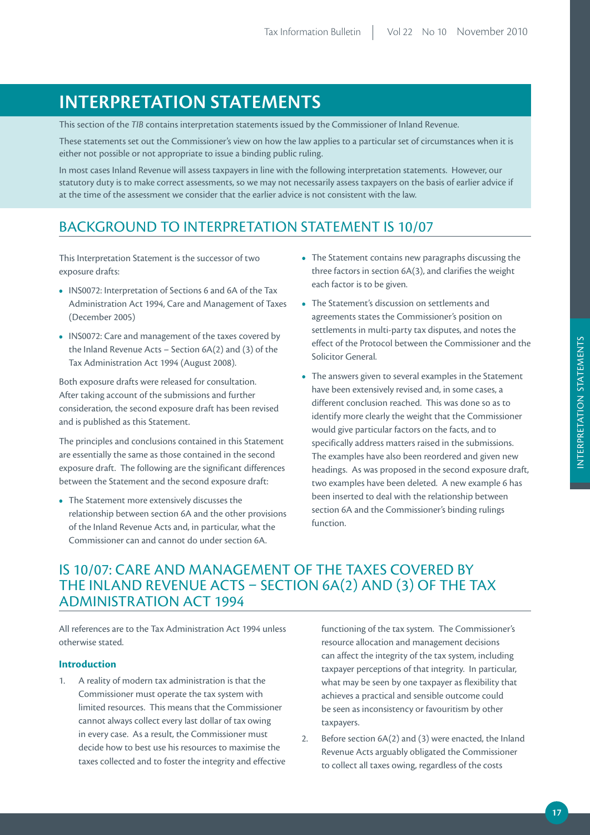# **iNTErprETATiON STATEmENTS**

This section of the *TIB* contains interpretation statements issued by the Commissioner of Inland Revenue.

These statements set out the Commissioner's view on how the law applies to a particular set of circumstances when it is either not possible or not appropriate to issue a binding public ruling.

In most cases Inland Revenue will assess taxpayers in line with the following interpretation statements. However, our statutory duty is to make correct assessments, so we may not necessarily assess taxpayers on the basis of earlier advice if at the time of the assessment we consider that the earlier advice is not consistent with the law.

# BACKGROUND TO INTERPRETATION STATEMENT IS 10/07

This Interpretation Statement is the successor of two exposure drafts:

- INS0072: Interpretation of Sections 6 and 6A of the Tax Administration Act 1994, Care and Management of Taxes (December 2005)
- INS0072: Care and management of the taxes covered by the Inland Revenue Acts – Section 6A(2) and (3) of the Tax Administration Act 1994 (August 2008).

Both exposure drafts were released for consultation. After taking account of the submissions and further consideration, the second exposure draft has been revised and is published as this Statement.

The principles and conclusions contained in this Statement are essentially the same as those contained in the second exposure draft. The following are the significant differences between the Statement and the second exposure draft:

**•** The Statement more extensively discusses the relationship between section 6A and the other provisions of the Inland Revenue Acts and, in particular, what the Commissioner can and cannot do under section 6A.

- The Statement contains new paragraphs discussing the three factors in section 6A(3), and clarifies the weight each factor is to be given.
- The Statement's discussion on settlements and agreements states the Commissioner's position on settlements in multi-party tax disputes, and notes the effect of the Protocol between the Commissioner and the Solicitor General.
- The answers given to several examples in the Statement have been extensively revised and, in some cases, a different conclusion reached. This was done so as to identify more clearly the weight that the Commissioner would give particular factors on the facts, and to specifically address matters raised in the submissions. The examples have also been reordered and given new headings. As was proposed in the second exposure draft, two examples have been deleted. A new example 6 has been inserted to deal with the relationship between section 6A and the Commissioner's binding rulings function.

# IS 10/07: CARE AND MANAGEMENT OF THE TAXES COVERED BY THE INLAND REVENUE ACTS – SECTION 6A(2) AND (3) OF THE TAX ADMINISTRATION ACT 1994

All references are to the Tax Administration Act 1994 unless otherwise stated.

# **Introduction**

1. A reality of modern tax administration is that the Commissioner must operate the tax system with limited resources. This means that the Commissioner cannot always collect every last dollar of tax owing in every case. As a result, the Commissioner must decide how to best use his resources to maximise the taxes collected and to foster the integrity and effective functioning of the tax system. The Commissioner's resource allocation and management decisions can affect the integrity of the tax system, including taxpayer perceptions of that integrity. In particular, what may be seen by one taxpayer as flexibility that achieves a practical and sensible outcome could be seen as inconsistency or favouritism by other taxpayers.

2. Before section 6A(2) and (3) were enacted, the Inland Revenue Acts arguably obligated the Commissioner to collect all taxes owing, regardless of the costs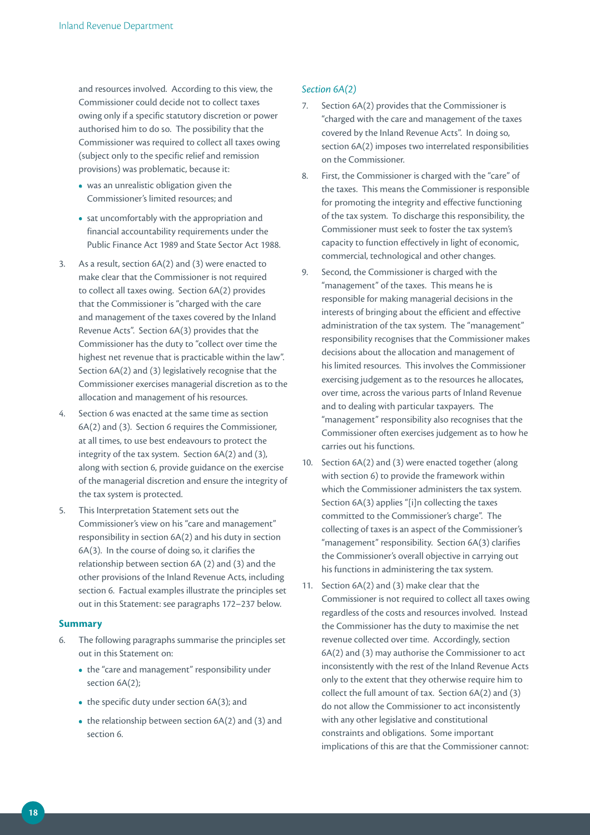and resources involved. According to this view, the Commissioner could decide not to collect taxes owing only if a specific statutory discretion or power authorised him to do so. The possibility that the Commissioner was required to collect all taxes owing (subject only to the specific relief and remission provisions) was problematic, because it:

- was an unrealistic obligation given the Commissioner's limited resources; and
- sat uncomfortably with the appropriation and financial accountability requirements under the Public Finance Act 1989 and State Sector Act 1988.
- 3. As a result, section 6A(2) and (3) were enacted to make clear that the Commissioner is not required to collect all taxes owing. Section 6A(2) provides that the Commissioner is "charged with the care and management of the taxes covered by the Inland Revenue Acts". Section 6A(3) provides that the Commissioner has the duty to "collect over time the highest net revenue that is practicable within the law". Section 6A(2) and (3) legislatively recognise that the Commissioner exercises managerial discretion as to the allocation and management of his resources.
- 4. Section 6 was enacted at the same time as section 6A(2) and (3). Section 6 requires the Commissioner, at all times, to use best endeavours to protect the integrity of the tax system. Section 6A(2) and (3), along with section 6, provide guidance on the exercise of the managerial discretion and ensure the integrity of the tax system is protected.
- 5. This Interpretation Statement sets out the Commissioner's view on his "care and management" responsibility in section 6A(2) and his duty in section 6A(3). In the course of doing so, it clarifies the relationship between section 6A (2) and (3) and the other provisions of the Inland Revenue Acts, including section 6. Factual examples illustrate the principles set out in this Statement: see paragraphs 172–237 below.

#### **Summary**

- 6. The following paragraphs summarise the principles set out in this Statement on:
	- the "care and management" responsibility under section 6A(2);
	- the specific duty under section 6A(3); and
	- the relationship between section 6A(2) and (3) and section 6.

## *Section 6A(2)*

- 7. Section 6A(2) provides that the Commissioner is "charged with the care and management of the taxes covered by the Inland Revenue Acts". In doing so, section 6A(2) imposes two interrelated responsibilities on the Commissioner.
- 8. First, the Commissioner is charged with the "care" of the taxes. This means the Commissioner is responsible for promoting the integrity and effective functioning of the tax system. To discharge this responsibility, the Commissioner must seek to foster the tax system's capacity to function effectively in light of economic, commercial, technological and other changes.
- 9. Second, the Commissioner is charged with the "management" of the taxes. This means he is responsible for making managerial decisions in the interests of bringing about the efficient and effective administration of the tax system. The "management" responsibility recognises that the Commissioner makes decisions about the allocation and management of his limited resources. This involves the Commissioner exercising judgement as to the resources he allocates, over time, across the various parts of Inland Revenue and to dealing with particular taxpayers. The "management" responsibility also recognises that the Commissioner often exercises judgement as to how he carries out his functions.
- 10. Section 6A(2) and (3) were enacted together (along with section 6) to provide the framework within which the Commissioner administers the tax system. Section 6A(3) applies "[i]n collecting the taxes committed to the Commissioner's charge". The collecting of taxes is an aspect of the Commissioner's "management" responsibility. Section 6A(3) clarifies the Commissioner's overall objective in carrying out his functions in administering the tax system.
- 11. Section 6A(2) and (3) make clear that the Commissioner is not required to collect all taxes owing regardless of the costs and resources involved. Instead the Commissioner has the duty to maximise the net revenue collected over time. Accordingly, section 6A(2) and (3) may authorise the Commissioner to act inconsistently with the rest of the Inland Revenue Acts only to the extent that they otherwise require him to collect the full amount of tax. Section 6A(2) and (3) do not allow the Commissioner to act inconsistently with any other legislative and constitutional constraints and obligations. Some important implications of this are that the Commissioner cannot: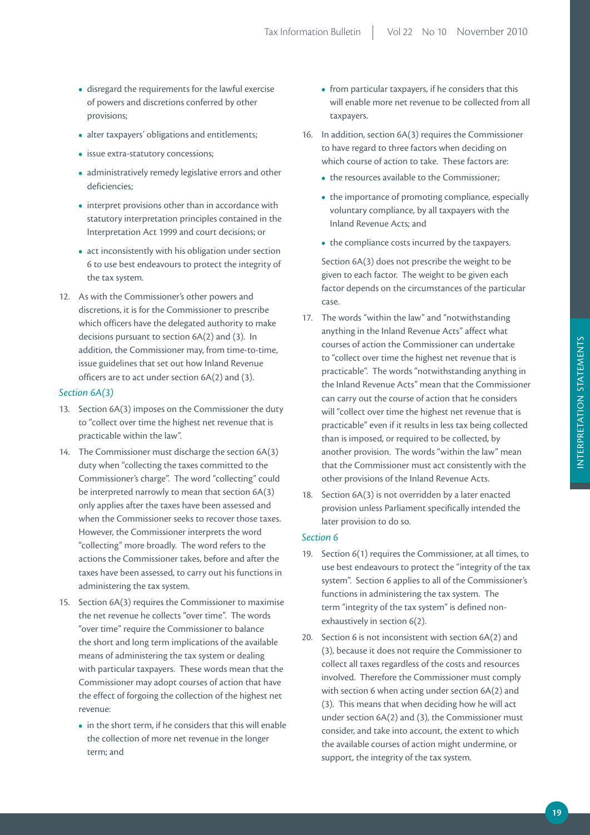- disregard the requirements for the lawful exercise of powers and discretions conferred by other provisions;
- alter taxpayers' obligations and entitlements;
- issue extra-statutory concessions;
- administratively remedy legislative errors and other deficiencies;
- interpret provisions other than in accordance with statutory interpretation principles contained in the Interpretation Act 1999 and court decisions; or
- act inconsistently with his obligation under section 6 to use best endeavours to protect the integrity of the tax system.
- 12. As with the Commissioner's other powers and discretions, it is for the Commissioner to prescribe which officers have the delegated authority to make decisions pursuant to section 6A(2) and (3). In addition, the Commissioner may, from time-to-time, issue guidelines that set out how Inland Revenue officers are to act under section 6A(2) and (3).

#### *Section 6A(3)*

- 13. Section 6A(3) imposes on the Commissioner the duty to "collect over time the highest net revenue that is practicable within the law".
- 14. The Commissioner must discharge the section 6A(3) duty when "collecting the taxes committed to the Commissioner's charge". The word "collecting" could be interpreted narrowly to mean that section 6A(3) only applies after the taxes have been assessed and when the Commissioner seeks to recover those taxes. However, the Commissioner interprets the word "collecting" more broadly. The word refers to the actions the Commissioner takes, before and after the taxes have been assessed, to carry out his functions in administering the tax system.
- 15. Section 6A(3) requires the Commissioner to maximise the net revenue he collects "over time". The words "over time" require the Commissioner to balance the short and long term implications of the available means of administering the tax system or dealing with particular taxpayers. These words mean that the Commissioner may adopt courses of action that have the effect of forgoing the collection of the highest net revenue:
	- in the short term, if he considers that this will enable the collection of more net revenue in the longer term; and
- from particular taxpayers, if he considers that this will enable more net revenue to be collected from all taxpayers.
- 16. In addition, section 6A(3) requires the Commissioner to have regard to three factors when deciding on which course of action to take. These factors are:
	- the resources available to the Commissioner;
	- the importance of promoting compliance, especially voluntary compliance, by all taxpayers with the Inland Revenue Acts; and
	- the compliance costs incurred by the taxpayers.

Section 6A(3) does not prescribe the weight to be given to each factor. The weight to be given each factor depends on the circumstances of the particular case.

- 17. The words "within the law" and "notwithstanding anything in the Inland Revenue Acts" affect what courses of action the Commissioner can undertake to "collect over time the highest net revenue that is practicable". The words "notwithstanding anything in the Inland Revenue Acts" mean that the Commissioner can carry out the course of action that he considers will "collect over time the highest net revenue that is practicable" even if it results in less tax being collected than is imposed, or required to be collected, by another provision. The words "within the law" mean that the Commissioner must act consistently with the other provisions of the Inland Revenue Acts.
- 18. Section 6A(3) is not overridden by a later enacted provision unless Parliament specifically intended the later provision to do so.

# *Section 6*

- 19. Section 6(1) requires the Commissioner, at all times, to use best endeavours to protect the "integrity of the tax system". Section 6 applies to all of the Commissioner's functions in administering the tax system. The term "integrity of the tax system" is defined nonexhaustively in section 6(2).
- 20. Section 6 is not inconsistent with section 6A(2) and (3), because it does not require the Commissioner to collect all taxes regardless of the costs and resources involved. Therefore the Commissioner must comply with section 6 when acting under section 6A(2) and (3). This means that when deciding how he will act under section 6A(2) and (3), the Commissioner must consider, and take into account, the extent to which the available courses of action might undermine, or support, the integrity of the tax system.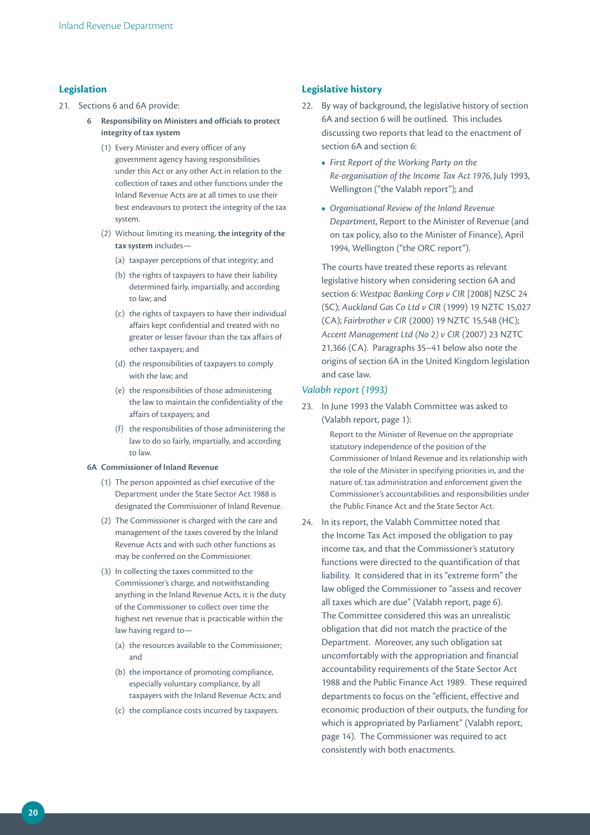# **Legislation**

- 21. Sections 6 and 6A provide:
	- **6 responsibility on ministers and officials to protect integrity of tax system**
		- (1) Every Minister and every officer of any government agency having responsibilities under this Act or any other Act in relation to the collection of taxes and other functions under the Inland Revenue Acts are at all times to use their best endeavours to protect the integrity of the tax system.
		- (2) Without limiting its meaning, **the integrity of the tax system** includes—
			- (a) taxpayer perceptions of that integrity; and
			- (b) the rights of taxpayers to have their liability determined fairly, impartially, and according to law; and
			- (c) the rights of taxpayers to have their individual affairs kept confidential and treated with no greater or lesser favour than the tax affairs of other taxpayers; and
			- (d) the responsibilities of taxpayers to comply with the law; and
			- (e) the responsibilities of those administering the law to maintain the confidentiality of the affairs of taxpayers; and
			- (f) the responsibilities of those administering the law to do so fairly, impartially, and according to law.

#### **6A Commissioner of Inland Revenue**

- (1) The person appointed as chief executive of the Department under the State Sector Act 1988 is designated the Commissioner of Inland Revenue.
- (2) The Commissioner is charged with the care and management of the taxes covered by the Inland Revenue Acts and with such other functions as may be conferred on the Commissioner.
- (3) In collecting the taxes committed to the Commissioner's charge, and notwithstanding anything in the Inland Revenue Acts, it is the duty of the Commissioner to collect over time the highest net revenue that is practicable within the law having regard to—
	- (a) the resources available to the Commissioner; and
	- (b) the importance of promoting compliance, especially voluntary compliance, by all taxpayers with the Inland Revenue Acts; and
	- (c) the compliance costs incurred by taxpayers.

# **Legislative history**

- 22. By way of background, the legislative history of section 6A and section 6 will be outlined. This includes discussing two reports that lead to the enactment of section 6A and section 6:
	- *First Report of the Working Party on the Re‑organisation of the Income Tax Act 1976*, July 1993, Wellington ("the Valabh report"); and
	- *Organisational Review of the Inland Revenue Department*, Report to the Minister of Revenue (and on tax policy, also to the Minister of Finance), April 1994, Wellington ("the ORC report").

The courts have treated these reports as relevant legislative history when considering section 6A and section 6: *Westpac Banking Corp v CIR* [2008] NZSC 24 (SC); *Auckland Gas Co Ltd v CIR* (1999) 19 NZTC 15,027 (CA); *Fairbrother v CIR* (2000) 19 NZTC 15,548 (HC); *Accent Management Ltd (No 2) v CIR* (2007) 23 NZTC 21,366 (CA). Paragraphs 35–41 below also note the origins of section 6A in the United Kingdom legislation and case law.

# *Valabh report (1993)*

23. In June 1993 the Valabh Committee was asked to (Valabh report, page 1):

> Report to the Minister of Revenue on the appropriate statutory independence of the position of the Commissioner of Inland Revenue and its relationship with the role of the Minister in specifying priorities in, and the nature of, tax administration and enforcement given the Commissioner's accountabilities and responsibilities under the Public Finance Act and the State Sector Act.

24. In its report, the Valabh Committee noted that the Income Tax Act imposed the obligation to pay income tax, and that the Commissioner's statutory functions were directed to the quantification of that liability. It considered that in its "extreme form" the law obliged the Commissioner to "assess and recover all taxes which are due" (Valabh report, page 6). The Committee considered this was an unrealistic obligation that did not match the practice of the Department. Moreover, any such obligation sat uncomfortably with the appropriation and financial accountability requirements of the State Sector Act 1988 and the Public Finance Act 1989. These required departments to focus on the "efficient, effective and economic production of their outputs, the funding for which is appropriated by Parliament" (Valabh report, page 14). The Commissioner was required to act consistently with both enactments.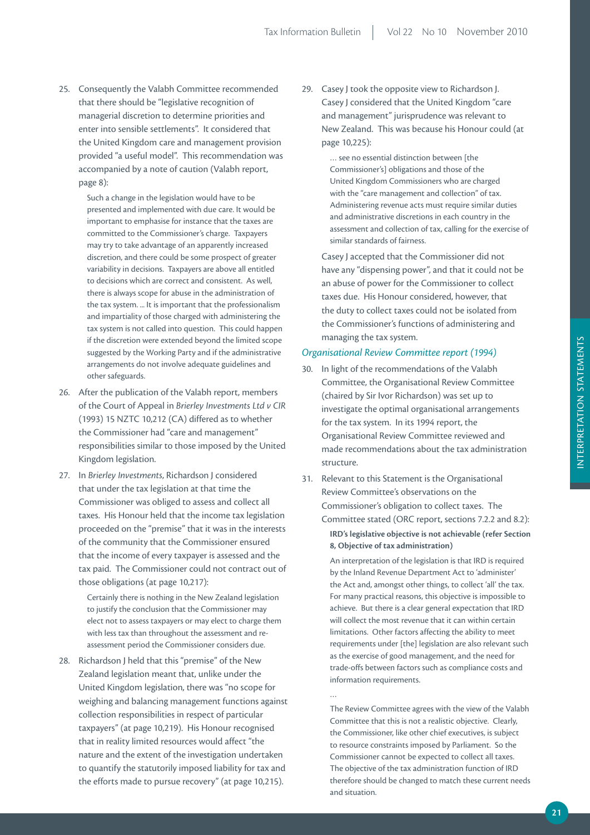25. Consequently the Valabh Committee recommended that there should be "legislative recognition of managerial discretion to determine priorities and enter into sensible settlements". It considered that the United Kingdom care and management provision provided "a useful model". This recommendation was accompanied by a note of caution (Valabh report, page 8):

> Such a change in the legislation would have to be presented and implemented with due care. It would be important to emphasise for instance that the taxes are committed to the Commissioner's charge. Taxpayers may try to take advantage of an apparently increased discretion, and there could be some prospect of greater variability in decisions. Taxpayers are above all entitled to decisions which are correct and consistent. As well, there is always scope for abuse in the administration of the tax system. ... It is important that the professionalism and impartiality of those charged with administering the tax system is not called into question. This could happen if the discretion were extended beyond the limited scope suggested by the Working Party and if the administrative arrangements do not involve adequate guidelines and other safeguards.

- 26. After the publication of the Valabh report, members of the Court of Appeal in *Brierley Investments Ltd v CIR* (1993) 15 NZTC 10,212 (CA) differed as to whether the Commissioner had "care and management" responsibilities similar to those imposed by the United Kingdom legislation.
- 27. In *Brierley Investments*, Richardson J considered that under the tax legislation at that time the Commissioner was obliged to assess and collect all taxes. His Honour held that the income tax legislation proceeded on the "premise" that it was in the interests of the community that the Commissioner ensured that the income of every taxpayer is assessed and the tax paid. The Commissioner could not contract out of those obligations (at page 10,217):

Certainly there is nothing in the New Zealand legislation to justify the conclusion that the Commissioner may elect not to assess taxpayers or may elect to charge them with less tax than throughout the assessment and reassessment period the Commissioner considers due.

28. Richardson J held that this "premise" of the New Zealand legislation meant that, unlike under the United Kingdom legislation, there was "no scope for weighing and balancing management functions against collection responsibilities in respect of particular taxpayers" (at page 10,219). His Honour recognised that in reality limited resources would affect "the nature and the extent of the investigation undertaken to quantify the statutorily imposed liability for tax and the efforts made to pursue recovery" (at page 10,215).

29. Casey J took the opposite view to Richardson J. Casey J considered that the United Kingdom "care and management" jurisprudence was relevant to New Zealand. This was because his Honour could (at page 10,225):

> … see no essential distinction between [the Commissioner's] obligations and those of the United Kingdom Commissioners who are charged with the "care management and collection" of tax. Administering revenue acts must require similar duties and administrative discretions in each country in the assessment and collection of tax, calling for the exercise of similar standards of fairness.

Casey J accepted that the Commissioner did not have any "dispensing power", and that it could not be an abuse of power for the Commissioner to collect taxes due. His Honour considered, however, that the duty to collect taxes could not be isolated from the Commissioner's functions of administering and managing the tax system.

# *Organisational Review Committee report (1994)*

- 30. In light of the recommendations of the Valabh Committee, the Organisational Review Committee (chaired by Sir Ivor Richardson) was set up to investigate the optimal organisational arrangements for the tax system. In its 1994 report, the Organisational Review Committee reviewed and made recommendations about the tax administration structure.
- 31. Relevant to this Statement is the Organisational Review Committee's observations on the Commissioner's obligation to collect taxes. The Committee stated (ORC report, sections 7.2.2 and 8.2):

# **irD's legislative objective is not achievable (refer Section 8, Objective of tax administration)**

An interpretation of the legislation is that IRD is required by the Inland Revenue Department Act to 'administer' the Act and, amongst other things, to collect 'all' the tax. For many practical reasons, this objective is impossible to achieve. But there is a clear general expectation that IRD will collect the most revenue that it can within certain limitations. Other factors affecting the ability to meet requirements under [the] legislation are also relevant such as the exercise of good management, and the need for trade-offs between factors such as compliance costs and information requirements.

The Review Committee agrees with the view of the Valabh Committee that this is not a realistic objective. Clearly, the Commissioner, like other chief executives, is subject to resource constraints imposed by Parliament. So the Commissioner cannot be expected to collect all taxes. The objective of the tax administration function of IRD therefore should be changed to match these current needs and situation.

…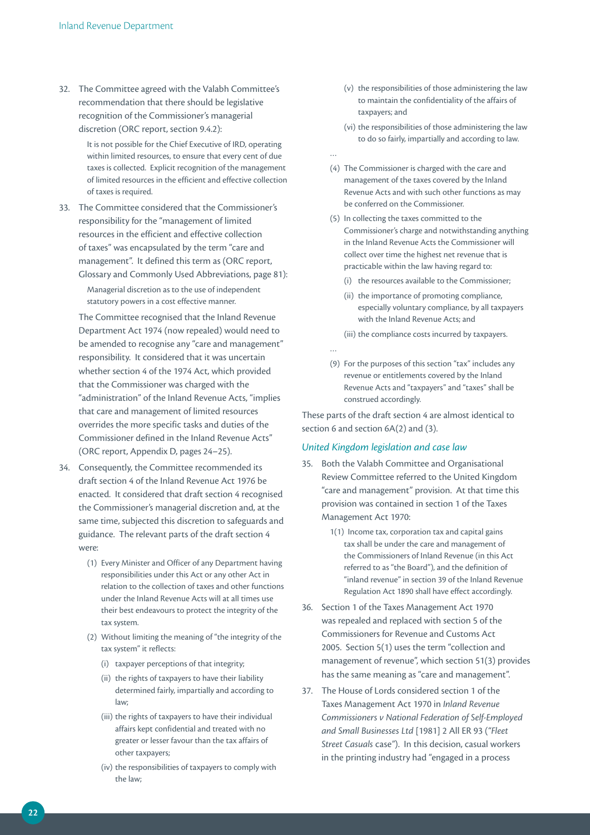32. The Committee agreed with the Valabh Committee's recommendation that there should be legislative recognition of the Commissioner's managerial discretion (ORC report, section 9.4.2):

> It is not possible for the Chief Executive of IRD, operating within limited resources, to ensure that every cent of due taxes is collected. Explicit recognition of the management of limited resources in the efficient and effective collection of taxes is required.

33. The Committee considered that the Commissioner's responsibility for the "management of limited resources in the efficient and effective collection of taxes" was encapsulated by the term "care and management". It defined this term as (ORC report, Glossary and Commonly Used Abbreviations, page 81): Managerial discretion as to the use of independent statutory powers in a cost effective manner.

 The Committee recognised that the Inland Revenue Department Act 1974 (now repealed) would need to be amended to recognise any "care and management" responsibility. It considered that it was uncertain whether section 4 of the 1974 Act, which provided that the Commissioner was charged with the "administration" of the Inland Revenue Acts, "implies that care and management of limited resources overrides the more specific tasks and duties of the Commissioner defined in the Inland Revenue Acts" (ORC report, Appendix D, pages 24–25).

- 34. Consequently, the Committee recommended its draft section 4 of the Inland Revenue Act 1976 be enacted. It considered that draft section 4 recognised the Commissioner's managerial discretion and, at the same time, subjected this discretion to safeguards and guidance. The relevant parts of the draft section 4 were:
	- (1) Every Minister and Officer of any Department having responsibilities under this Act or any other Act in relation to the collection of taxes and other functions under the Inland Revenue Acts will at all times use their best endeavours to protect the integrity of the tax system.
	- (2) Without limiting the meaning of "the integrity of the tax system" it reflects:
		- (i) taxpayer perceptions of that integrity;
		- (ii) the rights of taxpayers to have their liability determined fairly, impartially and according to law;
		- (iii) the rights of taxpayers to have their individual affairs kept confidential and treated with no greater or lesser favour than the tax affairs of other taxpayers;
		- (iv) the responsibilities of taxpayers to comply with the law;
- (v) the responsibilities of those administering the law to maintain the confidentiality of the affairs of taxpayers; and
- (vi) the responsibilities of those administering the law to do so fairly, impartially and according to law.
- (4) The Commissioner is charged with the care and management of the taxes covered by the Inland Revenue Acts and with such other functions as may be conferred on the Commissioner.

…

…

- (5) In collecting the taxes committed to the Commissioner's charge and notwithstanding anything in the Inland Revenue Acts the Commissioner will collect over time the highest net revenue that is practicable within the law having regard to:
	- (i) the resources available to the Commissioner;
	- (ii) the importance of promoting compliance, especially voluntary compliance, by all taxpayers with the Inland Revenue Acts; and
	- (iii) the compliance costs incurred by taxpayers.
- (9) For the purposes of this section "tax" includes any revenue or entitlements covered by the Inland Revenue Acts and "taxpayers" and "taxes" shall be construed accordingly.

These parts of the draft section 4 are almost identical to section 6 and section 6A(2) and (3).

# *United Kingdom legislation and case law*

- 35. Both the Valabh Committee and Organisational Review Committee referred to the United Kingdom "care and management" provision. At that time this provision was contained in section 1 of the Taxes Management Act 1970:
	- 1(1) Income tax, corporation tax and capital gains tax shall be under the care and management of the Commissioners of Inland Revenue (in this Act referred to as "the Board"), and the definition of "inland revenue" in section 39 of the Inland Revenue Regulation Act 1890 shall have effect accordingly.
- 36. Section 1 of the Taxes Management Act 1970 was repealed and replaced with section 5 of the Commissioners for Revenue and Customs Act 2005. Section 5(1) uses the term "collection and management of revenue", which section 51(3) provides has the same meaning as "care and management".
- 37. The House of Lords considered section 1 of the Taxes Management Act 1970 in *Inland Revenue Commissioners v National Federation of Self‑Employed and Small Businesses Ltd* [1981] 2 All ER 93 (*"Fleet Street Casuals* case*"*). In this decision, casual workers in the printing industry had "engaged in a process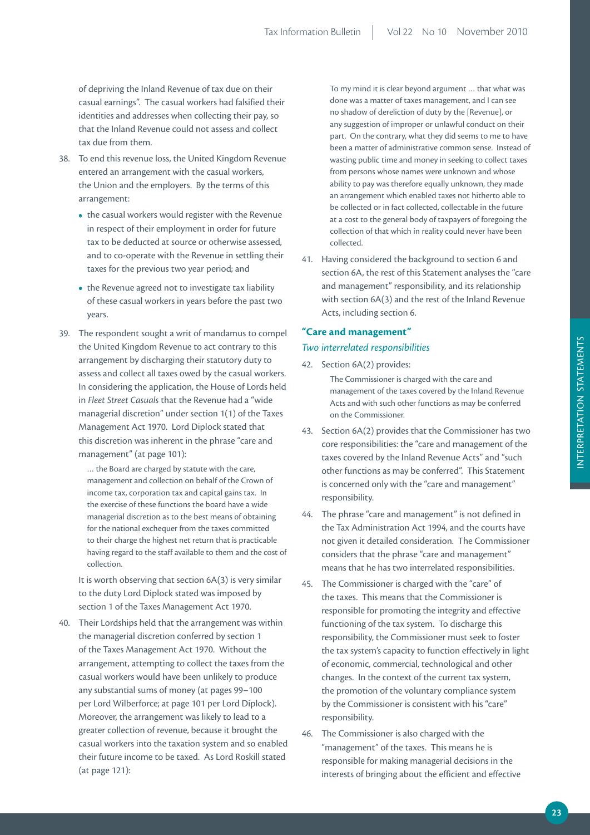of depriving the Inland Revenue of tax due on their casual earnings". The casual workers had falsified their identities and addresses when collecting their pay, so that the Inland Revenue could not assess and collect tax due from them.

- 38. To end this revenue loss, the United Kingdom Revenue entered an arrangement with the casual workers, the Union and the employers. By the terms of this arrangement:
	- the casual workers would register with the Revenue in respect of their employment in order for future tax to be deducted at source or otherwise assessed, and to co-operate with the Revenue in settling their taxes for the previous two year period; and
	- the Revenue agreed not to investigate tax liability of these casual workers in years before the past two years.
- 39. The respondent sought a writ of mandamus to compel the United Kingdom Revenue to act contrary to this arrangement by discharging their statutory duty to assess and collect all taxes owed by the casual workers. In considering the application, the House of Lords held in *Fleet Street Casuals* that the Revenue had a "wide managerial discretion" under section 1(1) of the Taxes Management Act 1970. Lord Diplock stated that this discretion was inherent in the phrase "care and management" (at page 101):

… the Board are charged by statute with the care, management and collection on behalf of the Crown of income tax, corporation tax and capital gains tax. In the exercise of these functions the board have a wide managerial discretion as to the best means of obtaining for the national exchequer from the taxes committed to their charge the highest net return that is practicable having regard to the staff available to them and the cost of collection.

 It is worth observing that section 6A(3) is very similar to the duty Lord Diplock stated was imposed by section 1 of the Taxes Management Act 1970.

40. Their Lordships held that the arrangement was within the managerial discretion conferred by section 1 of the Taxes Management Act 1970. Without the arrangement, attempting to collect the taxes from the casual workers would have been unlikely to produce any substantial sums of money (at pages 99–100 per Lord Wilberforce; at page 101 per Lord Diplock). Moreover, the arrangement was likely to lead to a greater collection of revenue, because it brought the casual workers into the taxation system and so enabled their future income to be taxed. As Lord Roskill stated (at page 121):

To my mind it is clear beyond argument … that what was done was a matter of taxes management, and I can see no shadow of dereliction of duty by the [Revenue], or any suggestion of improper or unlawful conduct on their part. On the contrary, what they did seems to me to have been a matter of administrative common sense. Instead of wasting public time and money in seeking to collect taxes from persons whose names were unknown and whose ability to pay was therefore equally unknown, they made an arrangement which enabled taxes not hitherto able to be collected or in fact collected, collectable in the future at a cost to the general body of taxpayers of foregoing the collection of that which in reality could never have been collected.

41. Having considered the background to section 6 and section 6A, the rest of this Statement analyses the "care and management" responsibility, and its relationship with section 6A(3) and the rest of the Inland Revenue Acts, including section 6.

# **"Care and management"**

#### *Two interrelated responsibilities*

- 42. Section 6A(2) provides: The Commissioner is charged with the care and management of the taxes covered by the Inland Revenue Acts and with such other functions as may be conferred on the Commissioner.
- 43. Section 6A(2) provides that the Commissioner has two core responsibilities: the "care and management of the taxes covered by the Inland Revenue Acts" and "such other functions as may be conferred". This Statement is concerned only with the "care and management" responsibility.
- 44. The phrase "care and management" is not defined in the Tax Administration Act 1994, and the courts have not given it detailed consideration. The Commissioner considers that the phrase "care and management" means that he has two interrelated responsibilities.
- 45. The Commissioner is charged with the "care" of the taxes. This means that the Commissioner is responsible for promoting the integrity and effective functioning of the tax system. To discharge this responsibility, the Commissioner must seek to foster the tax system's capacity to function effectively in light of economic, commercial, technological and other changes. In the context of the current tax system, the promotion of the voluntary compliance system by the Commissioner is consistent with his "care" responsibility.
- 46. The Commissioner is also charged with the "management" of the taxes. This means he is responsible for making managerial decisions in the interests of bringing about the efficient and effective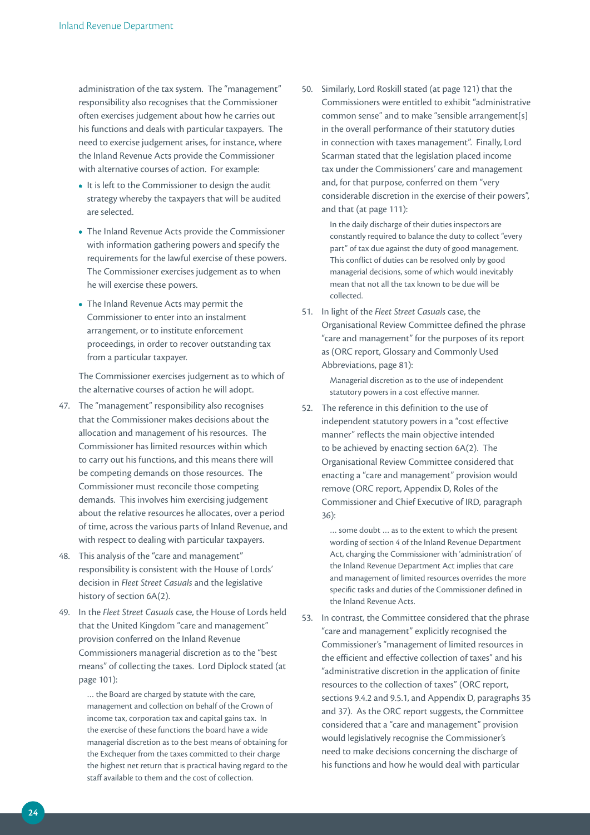administration of the tax system. The "management" responsibility also recognises that the Commissioner often exercises judgement about how he carries out his functions and deals with particular taxpayers. The need to exercise judgement arises, for instance, where the Inland Revenue Acts provide the Commissioner with alternative courses of action. For example:

- It is left to the Commissioner to design the audit strategy whereby the taxpayers that will be audited are selected.
- The Inland Revenue Acts provide the Commissioner with information gathering powers and specify the requirements for the lawful exercise of these powers. The Commissioner exercises judgement as to when he will exercise these powers.
- The Inland Revenue Acts may permit the Commissioner to enter into an instalment arrangement, or to institute enforcement proceedings, in order to recover outstanding tax from a particular taxpayer.

 The Commissioner exercises judgement as to which of the alternative courses of action he will adopt.

- 47. The "management" responsibility also recognises that the Commissioner makes decisions about the allocation and management of his resources. The Commissioner has limited resources within which to carry out his functions, and this means there will be competing demands on those resources. The Commissioner must reconcile those competing demands. This involves him exercising judgement about the relative resources he allocates, over a period of time, across the various parts of Inland Revenue, and with respect to dealing with particular taxpayers.
- 48. This analysis of the "care and management" responsibility is consistent with the House of Lords' decision in *Fleet Street Casuals* and the legislative history of section 6A(2).
- 49. In the *Fleet Street Casuals* case, the House of Lords held that the United Kingdom "care and management" provision conferred on the Inland Revenue Commissioners managerial discretion as to the "best means" of collecting the taxes. Lord Diplock stated (at page 101):

… the Board are charged by statute with the care, management and collection on behalf of the Crown of income tax, corporation tax and capital gains tax. In the exercise of these functions the board have a wide managerial discretion as to the best means of obtaining for the Exchequer from the taxes committed to their charge the highest net return that is practical having regard to the staff available to them and the cost of collection.

50. Similarly, Lord Roskill stated (at page 121) that the Commissioners were entitled to exhibit "administrative common sense" and to make "sensible arrangement[s] in the overall performance of their statutory duties in connection with taxes management". Finally, Lord Scarman stated that the legislation placed income tax under the Commissioners' care and management and, for that purpose, conferred on them "very considerable discretion in the exercise of their powers", and that (at page 111):

> In the daily discharge of their duties inspectors are constantly required to balance the duty to collect "every part" of tax due against the duty of good management. This conflict of duties can be resolved only by good managerial decisions, some of which would inevitably mean that not all the tax known to be due will be collected.

51. In light of the *Fleet Street Casuals* case, the Organisational Review Committee defined the phrase "care and management" for the purposes of its report as (ORC report, Glossary and Commonly Used Abbreviations, page 81):

> Managerial discretion as to the use of independent statutory powers in a cost effective manner.

52. The reference in this definition to the use of independent statutory powers in a "cost effective manner" reflects the main objective intended to be achieved by enacting section 6A(2). The Organisational Review Committee considered that enacting a "care and management" provision would remove (ORC report, Appendix D, Roles of the Commissioner and Chief Executive of IRD, paragraph 36):

> … some doubt … as to the extent to which the present wording of section 4 of the Inland Revenue Department Act, charging the Commissioner with 'administration' of the Inland Revenue Department Act implies that care and management of limited resources overrides the more specific tasks and duties of the Commissioner defined in the Inland Revenue Acts.

53. In contrast, the Committee considered that the phrase "care and management" explicitly recognised the Commissioner's "management of limited resources in the efficient and effective collection of taxes" and his "administrative discretion in the application of finite resources to the collection of taxes" (ORC report, sections 9.4.2 and 9.5.1, and Appendix D, paragraphs 35 and 37). As the ORC report suggests, the Committee considered that a "care and management" provision would legislatively recognise the Commissioner's need to make decisions concerning the discharge of his functions and how he would deal with particular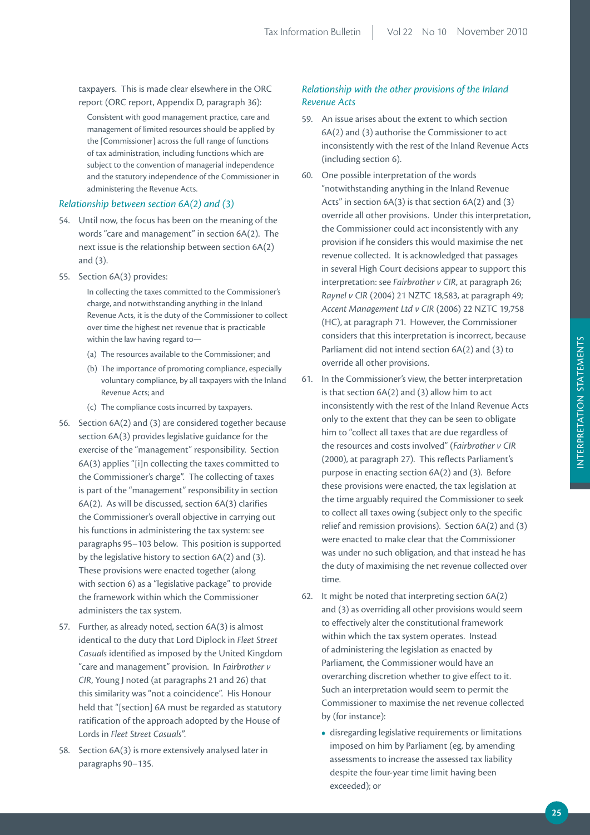taxpayers. This is made clear elsewhere in the ORC report (ORC report, Appendix D, paragraph 36):

Consistent with good management practice, care and management of limited resources should be applied by the [Commissioner] across the full range of functions of tax administration, including functions which are subject to the convention of managerial independence and the statutory independence of the Commissioner in administering the Revenue Acts.

# *Relationship between section 6A(2) and (3)*

- 54. Until now, the focus has been on the meaning of the words "care and management" in section 6A(2). The next issue is the relationship between section 6A(2) and (3).
- 55. Section 6A(3) provides:

In collecting the taxes committed to the Commissioner's charge, and notwithstanding anything in the Inland Revenue Acts, it is the duty of the Commissioner to collect over time the highest net revenue that is practicable within the law having regard to—

- (a) The resources available to the Commissioner; and
- (b) The importance of promoting compliance, especially voluntary compliance, by all taxpayers with the Inland Revenue Acts; and
- (c) The compliance costs incurred by taxpayers.
- 56. Section 6A(2) and (3) are considered together because section 6A(3) provides legislative guidance for the exercise of the "management" responsibility. Section 6A(3) applies "[i]n collecting the taxes committed to the Commissioner's charge". The collecting of taxes is part of the "management" responsibility in section 6A(2). As will be discussed, section 6A(3) clarifies the Commissioner's overall objective in carrying out his functions in administering the tax system: see paragraphs 95–103 below. This position is supported by the legislative history to section 6A(2) and (3). These provisions were enacted together (along with section 6) as a "legislative package" to provide the framework within which the Commissioner administers the tax system.
- 57. Further, as already noted, section 6A(3) is almost identical to the duty that Lord Diplock in *Fleet Street Casuals* identified as imposed by the United Kingdom "care and management" provision. In *Fairbrother v CIR*, Young J noted (at paragraphs 21 and 26) that this similarity was "not a coincidence". His Honour held that "[section] 6A must be regarded as statutory ratification of the approach adopted by the House of Lords in *Fleet Street Casuals*".
- 58. Section 6A(3) is more extensively analysed later in paragraphs 90–135.

# *Relationship with the other provisions of the Inland Revenue Acts*

- 59. An issue arises about the extent to which section 6A(2) and (3) authorise the Commissioner to act inconsistently with the rest of the Inland Revenue Acts (including section 6).
- 60. One possible interpretation of the words "notwithstanding anything in the Inland Revenue Acts" in section 6A(3) is that section 6A(2) and (3) override all other provisions. Under this interpretation, the Commissioner could act inconsistently with any provision if he considers this would maximise the net revenue collected. It is acknowledged that passages in several High Court decisions appear to support this interpretation: see *Fairbrother v CIR*, at paragraph 26; *Raynel v CIR* (2004) 21 NZTC 18,583, at paragraph 49; *Accent Management Ltd v CIR* (2006) 22 NZTC 19,758 (HC), at paragraph 71. However, the Commissioner considers that this interpretation is incorrect, because Parliament did not intend section 6A(2) and (3) to override all other provisions.
- 61. In the Commissioner's view, the better interpretation is that section 6A(2) and (3) allow him to act inconsistently with the rest of the Inland Revenue Acts only to the extent that they can be seen to obligate him to "collect all taxes that are due regardless of the resources and costs involved" (*Fairbrother v CIR* (2000), at paragraph 27). This reflects Parliament's purpose in enacting section 6A(2) and (3). Before these provisions were enacted, the tax legislation at the time arguably required the Commissioner to seek to collect all taxes owing (subject only to the specific relief and remission provisions). Section 6A(2) and (3) were enacted to make clear that the Commissioner was under no such obligation, and that instead he has the duty of maximising the net revenue collected over time.
- 62. It might be noted that interpreting section 6A(2) and (3) as overriding all other provisions would seem to effectively alter the constitutional framework within which the tax system operates. Instead of administering the legislation as enacted by Parliament, the Commissioner would have an overarching discretion whether to give effect to it. Such an interpretation would seem to permit the Commissioner to maximise the net revenue collected by (for instance):
	- disregarding legislative requirements or limitations imposed on him by Parliament (eg, by amending assessments to increase the assessed tax liability despite the four-year time limit having been exceeded); or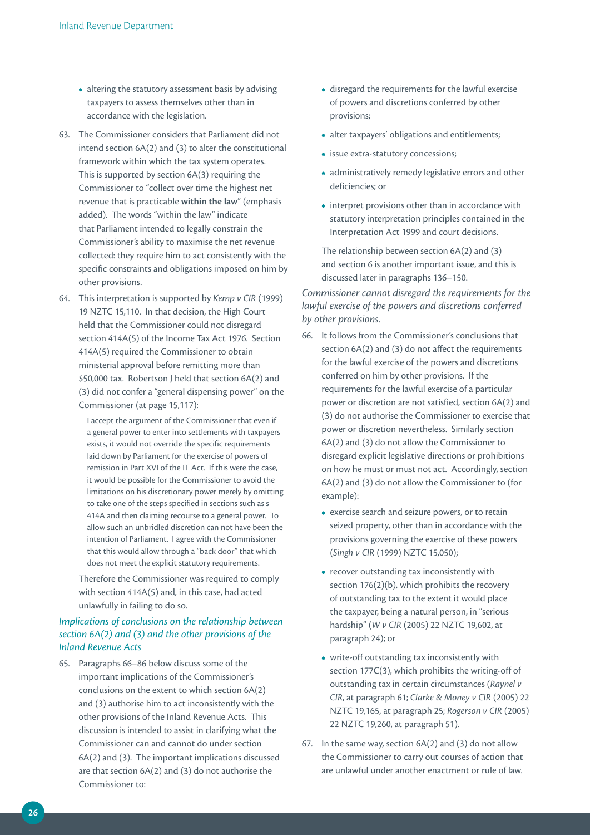- altering the statutory assessment basis by advising taxpayers to assess themselves other than in accordance with the legislation.
- 63. The Commissioner considers that Parliament did not intend section 6A(2) and (3) to alter the constitutional framework within which the tax system operates. This is supported by section 6A(3) requiring the Commissioner to "collect over time the highest net revenue that is practicable **within the law**" (emphasis added). The words "within the law" indicate that Parliament intended to legally constrain the Commissioner's ability to maximise the net revenue collected: they require him to act consistently with the specific constraints and obligations imposed on him by other provisions.
- 64. This interpretation is supported by *Kemp v CIR* (1999) 19 NZTC 15,110. In that decision, the High Court held that the Commissioner could not disregard section 414A(5) of the Income Tax Act 1976. Section 414A(5) required the Commissioner to obtain ministerial approval before remitting more than \$50,000 tax. Robertson J held that section 6A(2) and (3) did not confer a "general dispensing power" on the Commissioner (at page 15,117):

I accept the argument of the Commissioner that even if a general power to enter into settlements with taxpayers exists, it would not override the specific requirements laid down by Parliament for the exercise of powers of remission in Part XVI of the IT Act. If this were the case, it would be possible for the Commissioner to avoid the limitations on his discretionary power merely by omitting to take one of the steps specified in sections such as s 414A and then claiming recourse to a general power. To allow such an unbridled discretion can not have been the intention of Parliament. I agree with the Commissioner that this would allow through a "back door" that which does not meet the explicit statutory requirements.

 Therefore the Commissioner was required to comply with section 414A(5) and, in this case, had acted unlawfully in failing to do so.

# *Implications of conclusions on the relationship between section 6A(2) and (3) and the other provisions of the Inland Revenue Acts*

65. Paragraphs 66–86 below discuss some of the important implications of the Commissioner's conclusions on the extent to which section 6A(2) and (3) authorise him to act inconsistently with the other provisions of the Inland Revenue Acts. This discussion is intended to assist in clarifying what the Commissioner can and cannot do under section 6A(2) and (3). The important implications discussed are that section 6A(2) and (3) do not authorise the Commissioner to:

- disregard the requirements for the lawful exercise of powers and discretions conferred by other provisions;
- alter taxpayers' obligations and entitlements;
- issue extra-statutory concessions;
- administratively remedy legislative errors and other deficiencies; or
- interpret provisions other than in accordance with statutory interpretation principles contained in the Interpretation Act 1999 and court decisions.

 The relationship between section 6A(2) and (3) and section 6 is another important issue, and this is discussed later in paragraphs 136–150.

*Commissioner cannot disregard the requirements for the lawful exercise of the powers and discretions conferred by other provisions.* 

- 66. It follows from the Commissioner's conclusions that section 6A(2) and (3) do not affect the requirements for the lawful exercise of the powers and discretions conferred on him by other provisions. If the requirements for the lawful exercise of a particular power or discretion are not satisfied, section 6A(2) and (3) do not authorise the Commissioner to exercise that power or discretion nevertheless. Similarly section 6A(2) and (3) do not allow the Commissioner to disregard explicit legislative directions or prohibitions on how he must or must not act. Accordingly, section 6A(2) and (3) do not allow the Commissioner to (for example):
	- exercise search and seizure powers, or to retain seized property, other than in accordance with the provisions governing the exercise of these powers (*Singh v CIR* (1999) NZTC 15,050);
	- recover outstanding tax inconsistently with section 176(2)(b), which prohibits the recovery of outstanding tax to the extent it would place the taxpayer, being a natural person, in "serious hardship" (*W v CIR* (2005) 22 NZTC 19,602, at paragraph 24); or
	- write-off outstanding tax inconsistently with section 177C(3), which prohibits the writing-off of outstanding tax in certain circumstances (*Raynel v CIR*, at paragraph 61; *Clarke & Money v CIR* (2005) 22 NZTC 19,165, at paragraph 25; *Rogerson v CIR* (2005) 22 NZTC 19,260, at paragraph 51).
- 67. In the same way, section 6A(2) and (3) do not allow the Commissioner to carry out courses of action that are unlawful under another enactment or rule of law.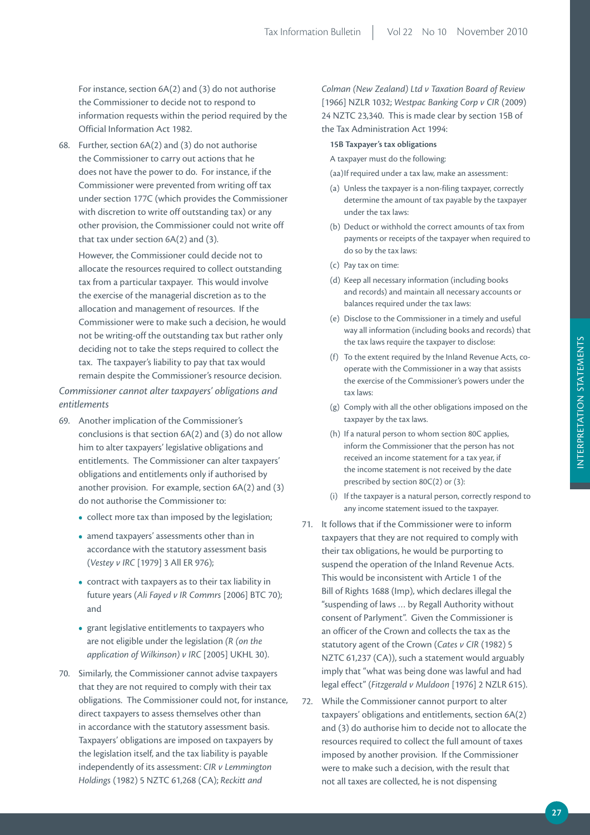For instance, section 6A(2) and (3) do not authorise the Commissioner to decide not to respond to information requests within the period required by the Official Information Act 1982.

68. Further, section 6A(2) and (3) do not authorise the Commissioner to carry out actions that he does not have the power to do. For instance, if the Commissioner were prevented from writing off tax under section 177C (which provides the Commissioner with discretion to write off outstanding tax) or any other provision, the Commissioner could not write off that tax under section 6A(2) and (3).

 However, the Commissioner could decide not to allocate the resources required to collect outstanding tax from a particular taxpayer. This would involve the exercise of the managerial discretion as to the allocation and management of resources. If the Commissioner were to make such a decision, he would not be writing-off the outstanding tax but rather only deciding not to take the steps required to collect the tax. The taxpayer's liability to pay that tax would remain despite the Commissioner's resource decision.

*Commissioner cannot alter taxpayers' obligations and entitlements*

- 69. Another implication of the Commissioner's conclusions is that section 6A(2) and (3) do not allow him to alter taxpayers' legislative obligations and entitlements. The Commissioner can alter taxpayers' obligations and entitlements only if authorised by another provision. For example, section 6A(2) and (3) do not authorise the Commissioner to:
	- collect more tax than imposed by the legislation;
	- amend taxpayers' assessments other than in accordance with the statutory assessment basis (*Vestey v IRC* [1979] 3 All ER 976);
	- contract with taxpayers as to their tax liability in future years (*Ali Fayed v IR Commrs* [2006] BTC 70); and
	- grant legislative entitlements to taxpayers who are not eligible under the legislation *(R (on the application of Wilkinson) v IRC* [2005] UKHL 30).
- 70. Similarly, the Commissioner cannot advise taxpayers that they are not required to comply with their tax obligations. The Commissioner could not, for instance, direct taxpayers to assess themselves other than in accordance with the statutory assessment basis. Taxpayers' obligations are imposed on taxpayers by the legislation itself, and the tax liability is payable independently of its assessment: *CIR v Lemmington Holdings* (1982) 5 NZTC 61,268 (CA); *Reckitt and*

*Colman (New Zealand) Ltd v Taxation Board of Review* [1966] NZLR 1032; *Westpac Banking Corp v CIR* (2009) 24 NZTC 23,340. This is made clear by section 15B of the Tax Administration Act 1994:

#### **15B Taxpayer's tax obligations**

A taxpayer must do the following:

- (aa) If required under a tax law, make an assessment:
- (a) Unless the taxpayer is a non-filing taxpayer, correctly determine the amount of tax payable by the taxpayer under the tax laws:
- (b) Deduct or withhold the correct amounts of tax from payments or receipts of the taxpayer when required to do so by the tax laws:
- (c) Pay tax on time:
- (d) Keep all necessary information (including books and records) and maintain all necessary accounts or balances required under the tax laws:
- (e) Disclose to the Commissioner in a timely and useful way all information (including books and records) that the tax laws require the taxpayer to disclose:
- (f) To the extent required by the Inland Revenue Acts, cooperate with the Commissioner in a way that assists the exercise of the Commissioner's powers under the tax laws:
- (g) Comply with all the other obligations imposed on the taxpayer by the tax laws.
- (h) If a natural person to whom section 80C applies, inform the Commissioner that the person has not received an income statement for a tax year, if the income statement is not received by the date prescribed by section 80C(2) or (3):
- (i) If the taxpayer is a natural person, correctly respond to any income statement issued to the taxpayer.
- 71. It follows that if the Commissioner were to inform taxpayers that they are not required to comply with their tax obligations, he would be purporting to suspend the operation of the Inland Revenue Acts. This would be inconsistent with Article 1 of the Bill of Rights 1688 (Imp), which declares illegal the "suspending of laws … by Regall Authority without consent of Parlyment". Given the Commissioner is an officer of the Crown and collects the tax as the statutory agent of the Crown (*Cates v CIR* (1982) 5 NZTC 61,237 (CA)), such a statement would arguably imply that "what was being done was lawful and had legal effect" (*Fitzgerald v Muldoon* [1976] 2 NZLR 615).
- 72. While the Commissioner cannot purport to alter taxpayers' obligations and entitlements, section 6A(2) and (3) do authorise him to decide not to allocate the resources required to collect the full amount of taxes imposed by another provision. If the Commissioner were to make such a decision, with the result that not all taxes are collected, he is not dispensing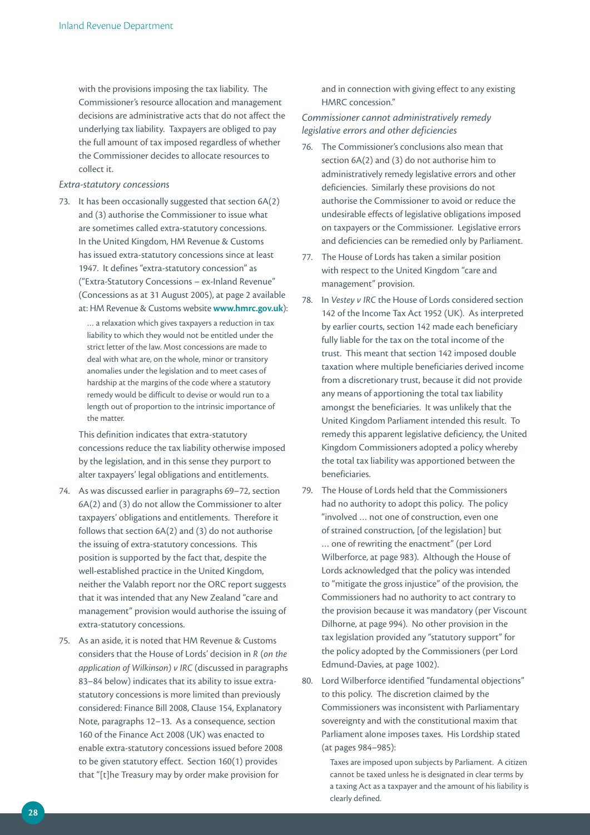with the provisions imposing the tax liability. The Commissioner's resource allocation and management decisions are administrative acts that do not affect the underlying tax liability. Taxpayers are obliged to pay the full amount of tax imposed regardless of whether the Commissioner decides to allocate resources to collect it.

#### *Extra‑statutory concessions*

73. It has been occasionally suggested that section 6A(2) and (3) authorise the Commissioner to issue what are sometimes called extra-statutory concessions. In the United Kingdom, HM Revenue & Customs has issued extra-statutory concessions since at least 1947. It defines "extra-statutory concession" as ("Extra-Statutory Concessions – ex-Inland Revenue" (Concessions as at 31 August 2005), at page 2 available at: HM Revenue & Customs website **www.hmrc.gov.uk**):

> … a relaxation which gives taxpayers a reduction in tax liability to which they would not be entitled under the strict letter of the law. Most concessions are made to deal with what are, on the whole, minor or transitory anomalies under the legislation and to meet cases of hardship at the margins of the code where a statutory remedy would be difficult to devise or would run to a length out of proportion to the intrinsic importance of the matter.

 This definition indicates that extra-statutory concessions reduce the tax liability otherwise imposed by the legislation, and in this sense they purport to alter taxpayers' legal obligations and entitlements.

- 74. As was discussed earlier in paragraphs 69–72, section 6A(2) and (3) do not allow the Commissioner to alter taxpayers' obligations and entitlements. Therefore it follows that section 6A(2) and (3) do not authorise the issuing of extra-statutory concessions. This position is supported by the fact that, despite the well-established practice in the United Kingdom, neither the Valabh report nor the ORC report suggests that it was intended that any New Zealand "care and management" provision would authorise the issuing of extra-statutory concessions.
- 75. As an aside, it is noted that HM Revenue & Customs considers that the House of Lords' decision in *R* (*on the application of Wilkinson) v IRC* (discussed in paragraphs 83–84 below) indicates that its ability to issue extrastatutory concessions is more limited than previously considered: Finance Bill 2008, Clause 154, Explanatory Note, paragraphs 12–13. As a consequence, section 160 of the Finance Act 2008 (UK) was enacted to enable extra-statutory concessions issued before 2008 to be given statutory effect. Section 160(1) provides that "[t]he Treasury may by order make provision for

and in connection with giving effect to any existing HMRC concession."

*Commissioner cannot administratively remedy legislative errors and other deficiencies* 

- 76. The Commissioner's conclusions also mean that section 6A(2) and (3) do not authorise him to administratively remedy legislative errors and other deficiencies. Similarly these provisions do not authorise the Commissioner to avoid or reduce the undesirable effects of legislative obligations imposed on taxpayers or the Commissioner. Legislative errors and deficiencies can be remedied only by Parliament.
- 77. The House of Lords has taken a similar position with respect to the United Kingdom "care and management" provision.
- 78. In *Vestey v IRC* the House of Lords considered section 142 of the Income Tax Act 1952 (UK). As interpreted by earlier courts, section 142 made each beneficiary fully liable for the tax on the total income of the trust. This meant that section 142 imposed double taxation where multiple beneficiaries derived income from a discretionary trust, because it did not provide any means of apportioning the total tax liability amongst the beneficiaries. It was unlikely that the United Kingdom Parliament intended this result. To remedy this apparent legislative deficiency, the United Kingdom Commissioners adopted a policy whereby the total tax liability was apportioned between the beneficiaries.
- 79. The House of Lords held that the Commissioners had no authority to adopt this policy. The policy "involved … not one of construction, even one of strained construction, [of the legislation] but … one of rewriting the enactment" (per Lord Wilberforce, at page 983). Although the House of Lords acknowledged that the policy was intended to "mitigate the gross injustice" of the provision, the Commissioners had no authority to act contrary to the provision because it was mandatory (per Viscount Dilhorne, at page 994). No other provision in the tax legislation provided any "statutory support" for the policy adopted by the Commissioners (per Lord Edmund-Davies, at page 1002).
- 80. Lord Wilberforce identified "fundamental objections" to this policy. The discretion claimed by the Commissioners was inconsistent with Parliamentary sovereignty and with the constitutional maxim that Parliament alone imposes taxes. His Lordship stated (at pages 984–985):

Taxes are imposed upon subjects by Parliament. A citizen cannot be taxed unless he is designated in clear terms by a taxing Act as a taxpayer and the amount of his liability is clearly defined.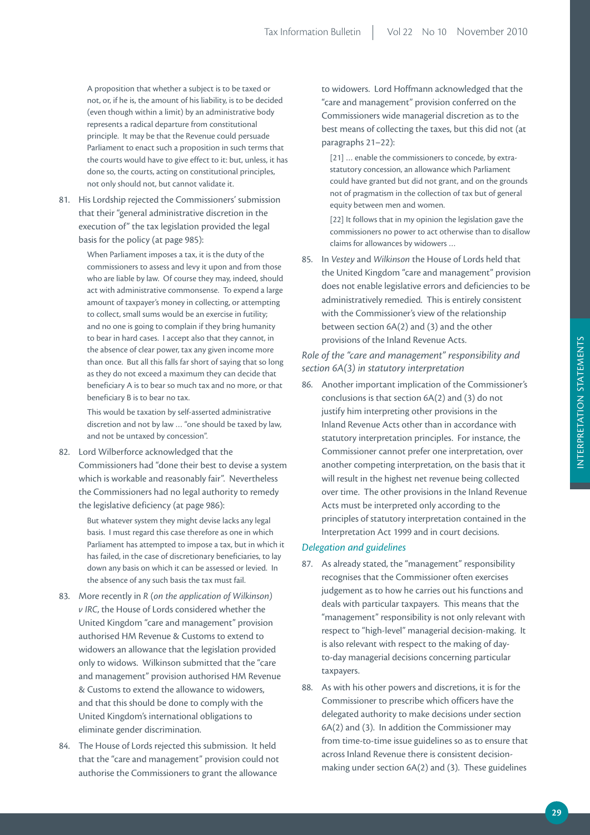A proposition that whether a subject is to be taxed or not, or, if he is, the amount of his liability, is to be decided (even though within a limit) by an administrative body represents a radical departure from constitutional principle. It may be that the Revenue could persuade Parliament to enact such a proposition in such terms that the courts would have to give effect to it: but, unless, it has done so, the courts, acting on constitutional principles, not only should not, but cannot validate it.

81. His Lordship rejected the Commissioners' submission that their "general administrative discretion in the execution of" the tax legislation provided the legal basis for the policy (at page 985):

> When Parliament imposes a tax, it is the duty of the commissioners to assess and levy it upon and from those who are liable by law. Of course they may, indeed, should act with administrative commonsense. To expend a large amount of taxpayer's money in collecting, or attempting to collect, small sums would be an exercise in futility; and no one is going to complain if they bring humanity to bear in hard cases. I accept also that they cannot, in the absence of clear power, tax any given income more than once. But all this falls far short of saying that so long as they do not exceed a maximum they can decide that beneficiary A is to bear so much tax and no more, or that beneficiary B is to bear no tax.

This would be taxation by self-asserted administrative discretion and not by law … "one should be taxed by law, and not be untaxed by concession".

82. Lord Wilberforce acknowledged that the Commissioners had "done their best to devise a system which is workable and reasonably fair". Nevertheless the Commissioners had no legal authority to remedy the legislative deficiency (at page 986):

> But whatever system they might devise lacks any legal basis. I must regard this case therefore as one in which Parliament has attempted to impose a tax, but in which it has failed, in the case of discretionary beneficiaries, to lay down any basis on which it can be assessed or levied. In the absence of any such basis the tax must fail.

- 83. More recently in *R* (*on the application of Wilkinson) v IRC*, the House of Lords considered whether the United Kingdom "care and management" provision authorised HM Revenue & Customs to extend to widowers an allowance that the legislation provided only to widows. Wilkinson submitted that the "care and management" provision authorised HM Revenue & Customs to extend the allowance to widowers, and that this should be done to comply with the United Kingdom's international obligations to eliminate gender discrimination.
- 84. The House of Lords rejected this submission. It held that the "care and management" provision could not authorise the Commissioners to grant the allowance

to widowers. Lord Hoffmann acknowledged that the "care and management" provision conferred on the Commissioners wide managerial discretion as to the best means of collecting the taxes, but this did not (at paragraphs 21–22):

[21] … enable the commissioners to concede, by extrastatutory concession, an allowance which Parliament could have granted but did not grant, and on the grounds not of pragmatism in the collection of tax but of general equity between men and women.

[22] It follows that in my opinion the legislation gave the commissioners no power to act otherwise than to disallow claims for allowances by widowers …

85. In *Vestey* and *Wilkinson* the House of Lords held that the United Kingdom "care and management" provision does not enable legislative errors and deficiencies to be administratively remedied. This is entirely consistent with the Commissioner's view of the relationship between section 6A(2) and (3) and the other provisions of the Inland Revenue Acts.

# *Role of the "care and management" responsibility and section 6A(3) in statutory interpretation*

86. Another important implication of the Commissioner's conclusions is that section 6A(2) and (3) do not justify him interpreting other provisions in the Inland Revenue Acts other than in accordance with statutory interpretation principles. For instance, the Commissioner cannot prefer one interpretation, over another competing interpretation, on the basis that it will result in the highest net revenue being collected over time. The other provisions in the Inland Revenue Acts must be interpreted only according to the principles of statutory interpretation contained in the Interpretation Act 1999 and in court decisions.

# *Delegation and guidelines*

- 87. As already stated, the "management" responsibility recognises that the Commissioner often exercises judgement as to how he carries out his functions and deals with particular taxpayers. This means that the "management" responsibility is not only relevant with respect to "high-level" managerial decision-making. It is also relevant with respect to the making of dayto-day managerial decisions concerning particular taxpayers.
- 88. As with his other powers and discretions, it is for the Commissioner to prescribe which officers have the delegated authority to make decisions under section 6A(2) and (3). In addition the Commissioner may from time-to-time issue guidelines so as to ensure that across Inland Revenue there is consistent decisionmaking under section 6A(2) and (3). These guidelines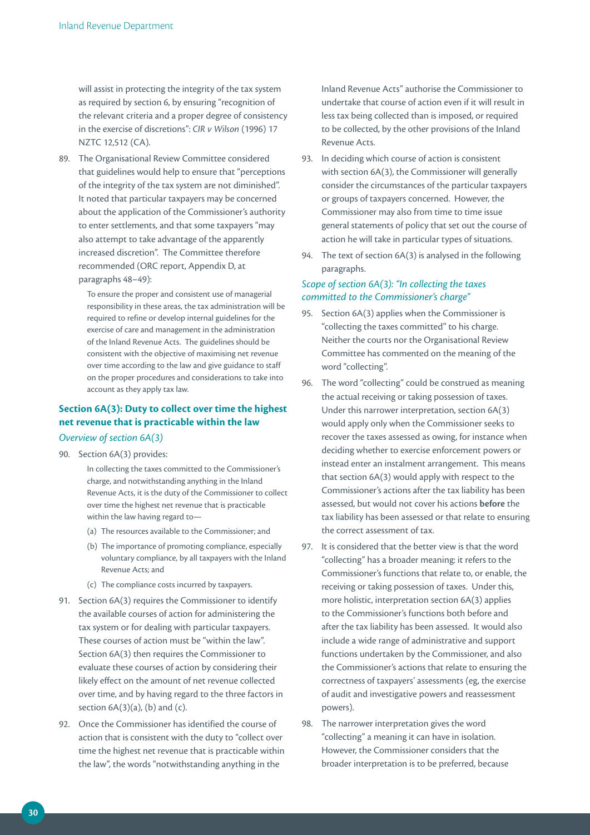will assist in protecting the integrity of the tax system as required by section 6, by ensuring "recognition of the relevant criteria and a proper degree of consistency in the exercise of discretions": *CIR v Wilson* (1996) 17 NZTC 12,512 (CA).

89. The Organisational Review Committee considered that guidelines would help to ensure that "perceptions of the integrity of the tax system are not diminished". It noted that particular taxpayers may be concerned about the application of the Commissioner's authority to enter settlements, and that some taxpayers "may also attempt to take advantage of the apparently increased discretion". The Committee therefore recommended (ORC report, Appendix D, at paragraphs 48–49):

> To ensure the proper and consistent use of managerial responsibility in these areas, the tax administration will be required to refine or develop internal guidelines for the exercise of care and management in the administration of the Inland Revenue Acts. The guidelines should be consistent with the objective of maximising net revenue over time according to the law and give guidance to staff on the proper procedures and considerations to take into account as they apply tax law.

# **Section 6A(3): Duty to collect over time the highest net revenue that is practicable within the law**

# *Overview of section 6A(3)*

90. Section 6A(3) provides:

In collecting the taxes committed to the Commissioner's charge, and notwithstanding anything in the Inland Revenue Acts, it is the duty of the Commissioner to collect over time the highest net revenue that is practicable within the law having regard to—

- (a) The resources available to the Commissioner; and
- (b) The importance of promoting compliance, especially voluntary compliance, by all taxpayers with the Inland Revenue Acts; and
- (c) The compliance costs incurred by taxpayers.
- 91. Section 6A(3) requires the Commissioner to identify the available courses of action for administering the tax system or for dealing with particular taxpayers. These courses of action must be "within the law". Section 6A(3) then requires the Commissioner to evaluate these courses of action by considering their likely effect on the amount of net revenue collected over time, and by having regard to the three factors in section  $6A(3)(a)$ , (b) and (c).
- 92. Once the Commissioner has identified the course of action that is consistent with the duty to "collect over time the highest net revenue that is practicable within the law", the words "notwithstanding anything in the

Inland Revenue Acts" authorise the Commissioner to undertake that course of action even if it will result in less tax being collected than is imposed, or required to be collected, by the other provisions of the Inland Revenue Acts.

- 93. In deciding which course of action is consistent with section 6A(3), the Commissioner will generally consider the circumstances of the particular taxpayers or groups of taxpayers concerned. However, the Commissioner may also from time to time issue general statements of policy that set out the course of action he will take in particular types of situations.
- 94. The text of section 6A(3) is analysed in the following paragraphs.

# *Scope of section 6A(3): "In collecting the taxes committed to the Commissioner's charge"*

- 95. Section 6A(3) applies when the Commissioner is "collecting the taxes committed" to his charge. Neither the courts nor the Organisational Review Committee has commented on the meaning of the word "collecting".
- 96. The word "collecting" could be construed as meaning the actual receiving or taking possession of taxes. Under this narrower interpretation, section 6A(3) would apply only when the Commissioner seeks to recover the taxes assessed as owing, for instance when deciding whether to exercise enforcement powers or instead enter an instalment arrangement. This means that section 6A(3) would apply with respect to the Commissioner's actions after the tax liability has been assessed, but would not cover his actions **before** the tax liability has been assessed or that relate to ensuring the correct assessment of tax.
- 97. It is considered that the better view is that the word "collecting" has a broader meaning: it refers to the Commissioner's functions that relate to, or enable, the receiving or taking possession of taxes. Under this, more holistic, interpretation section 6A(3) applies to the Commissioner's functions both before and after the tax liability has been assessed. It would also include a wide range of administrative and support functions undertaken by the Commissioner, and also the Commissioner's actions that relate to ensuring the correctness of taxpayers' assessments (eg, the exercise of audit and investigative powers and reassessment powers).
- 98. The narrower interpretation gives the word "collecting" a meaning it can have in isolation. However, the Commissioner considers that the broader interpretation is to be preferred, because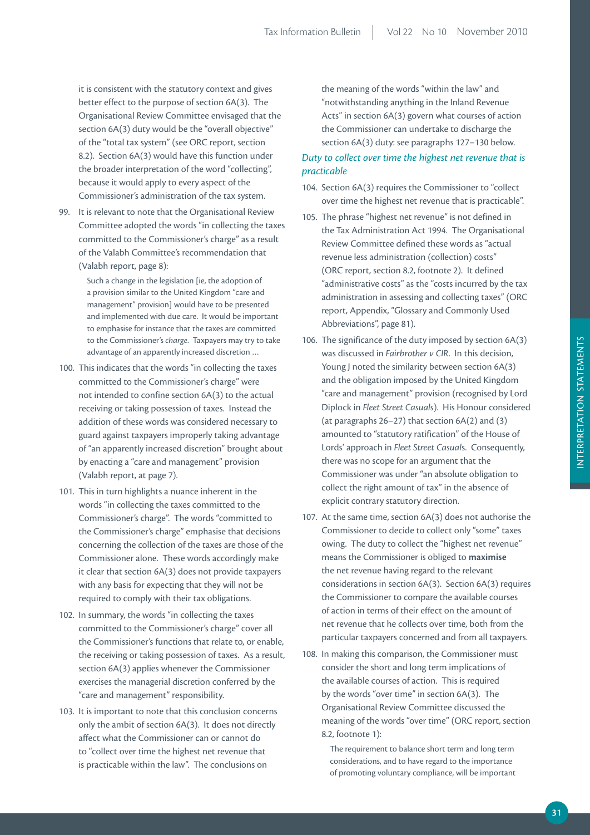it is consistent with the statutory context and gives better effect to the purpose of section 6A(3). The Organisational Review Committee envisaged that the section 6A(3) duty would be the "overall objective" of the "total tax system" (see ORC report, section 8.2). Section 6A(3) would have this function under the broader interpretation of the word "collecting", because it would apply to every aspect of the Commissioner's administration of the tax system.

99. It is relevant to note that the Organisational Review Committee adopted the words "in collecting the taxes committed to the Commissioner's charge" as a result of the Valabh Committee's recommendation that (Valabh report, page 8):

> Such a change in the legislation [ie, the adoption of a provision similar to the United Kingdom "care and management" provision] would have to be presented and implemented with due care. It would be important to emphasise for instance that the taxes are committed to the Commissioner's *charge*. Taxpayers may try to take advantage of an apparently increased discretion …

- 100. This indicates that the words "in collecting the taxes committed to the Commissioner's charge" were not intended to confine section 6A(3) to the actual receiving or taking possession of taxes. Instead the addition of these words was considered necessary to guard against taxpayers improperly taking advantage of "an apparently increased discretion" brought about by enacting a "care and management" provision (Valabh report, at page 7).
- 101. This in turn highlights a nuance inherent in the words "in collecting the taxes committed to the Commissioner's charge". The words "committed to the Commissioner's charge" emphasise that decisions concerning the collection of the taxes are those of the Commissioner alone. These words accordingly make it clear that section 6A(3) does not provide taxpayers with any basis for expecting that they will not be required to comply with their tax obligations.
- 102. In summary, the words "in collecting the taxes committed to the Commissioner's charge" cover all the Commissioner's functions that relate to, or enable, the receiving or taking possession of taxes. As a result, section 6A(3) applies whenever the Commissioner exercises the managerial discretion conferred by the "care and management" responsibility.
- 103. It is important to note that this conclusion concerns only the ambit of section 6A(3). It does not directly affect what the Commissioner can or cannot do to "collect over time the highest net revenue that is practicable within the law". The conclusions on

the meaning of the words "within the law" and "notwithstanding anything in the Inland Revenue Acts" in section 6A(3) govern what courses of action the Commissioner can undertake to discharge the section 6A(3) duty: see paragraphs 127–130 below.

# *Duty to collect over time the highest net revenue that is practicable*

- 104. Section 6A(3) requires the Commissioner to "collect over time the highest net revenue that is practicable".
- 105. The phrase "highest net revenue" is not defined in the Tax Administration Act 1994. The Organisational Review Committee defined these words as "actual revenue less administration (collection) costs" (ORC report, section 8.2, footnote 2). It defined "administrative costs" as the "costs incurred by the tax administration in assessing and collecting taxes" (ORC report, Appendix, "Glossary and Commonly Used Abbreviations", page 81).
- 106. The significance of the duty imposed by section 6A(3) was discussed in *Fairbrother v CIR*. In this decision, Young J noted the similarity between section 6A(3) and the obligation imposed by the United Kingdom "care and management" provision (recognised by Lord Diplock in *Fleet Street Casuals*). His Honour considered (at paragraphs 26–27) that section 6A(2) and (3) amounted to "statutory ratification" of the House of Lords' approach in *Fleet Street Casual*s. Consequently, there was no scope for an argument that the Commissioner was under "an absolute obligation to collect the right amount of tax" in the absence of explicit contrary statutory direction.
- 107. At the same time, section 6A(3) does not authorise the Commissioner to decide to collect only "some" taxes owing. The duty to collect the "highest net revenue" means the Commissioner is obliged to **maximise** the net revenue having regard to the relevant considerations in section 6A(3). Section 6A(3) requires the Commissioner to compare the available courses of action in terms of their effect on the amount of net revenue that he collects over time, both from the particular taxpayers concerned and from all taxpayers.
- 108. In making this comparison, the Commissioner must consider the short and long term implications of the available courses of action. This is required by the words "over time" in section 6A(3). The Organisational Review Committee discussed the meaning of the words "over time" (ORC report, section 8.2, footnote 1):

The requirement to balance short term and long term considerations, and to have regard to the importance of promoting voluntary compliance, will be important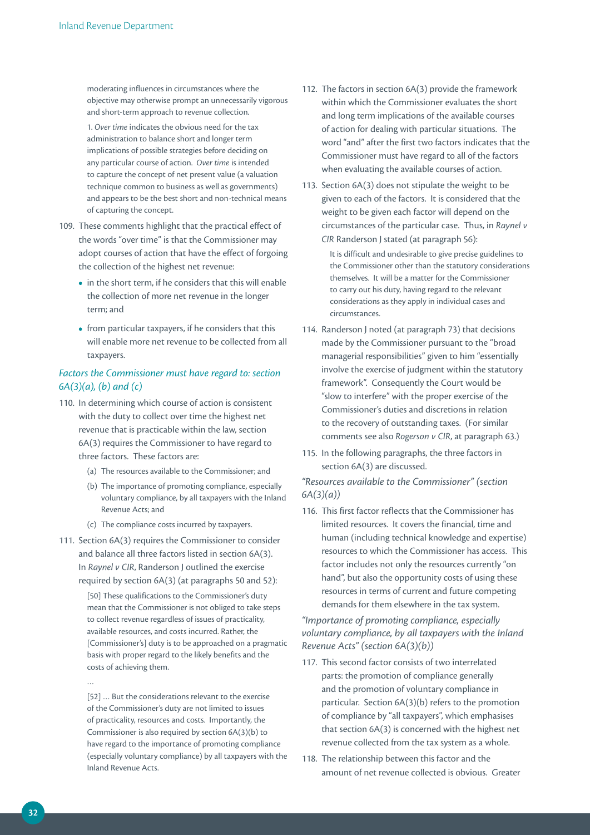moderating influences in circumstances where the objective may otherwise prompt an unnecessarily vigorous and short-term approach to revenue collection.

1. *Over time* indicates the obvious need for the tax administration to balance short and longer term implications of possible strategies before deciding on any particular course of action. *Over time* is intended to capture the concept of net present value (a valuation technique common to business as well as governments) and appears to be the best short and non-technical means of capturing the concept.

- 109. These comments highlight that the practical effect of the words "over time" is that the Commissioner may adopt courses of action that have the effect of forgoing the collection of the highest net revenue:
	- in the short term, if he considers that this will enable the collection of more net revenue in the longer term; and
	- from particular taxpayers, if he considers that this will enable more net revenue to be collected from all taxpayers.

# *Factors the Commissioner must have regard to: section 6A(3)(a), (b) and (c)*

- 110. In determining which course of action is consistent with the duty to collect over time the highest net revenue that is practicable within the law, section 6A(3) requires the Commissioner to have regard to three factors. These factors are:
	- (a) The resources available to the Commissioner; and
	- (b) The importance of promoting compliance, especially voluntary compliance, by all taxpayers with the Inland Revenue Acts; and
	- (c) The compliance costs incurred by taxpayers.
- 111. Section 6A(3) requires the Commissioner to consider and balance all three factors listed in section 6A(3). In *Raynel v CIR*, Randerson J outlined the exercise required by section 6A(3) (at paragraphs 50 and 52):

[50] These qualifications to the Commissioner's duty mean that the Commissioner is not obliged to take steps to collect revenue regardless of issues of practicality, available resources, and costs incurred. Rather, the [Commissioner's] duty is to be approached on a pragmatic basis with proper regard to the likely benefits and the costs of achieving them.

…

[52] … But the considerations relevant to the exercise of the Commissioner's duty are not limited to issues of practicality, resources and costs. Importantly, the Commissioner is also required by section 6A(3)(b) to have regard to the importance of promoting compliance (especially voluntary compliance) by all taxpayers with the Inland Revenue Acts.

- 112. The factors in section 6A(3) provide the framework within which the Commissioner evaluates the short and long term implications of the available courses of action for dealing with particular situations. The word "and" after the first two factors indicates that the Commissioner must have regard to all of the factors when evaluating the available courses of action.
- 113. Section 6A(3) does not stipulate the weight to be given to each of the factors. It is considered that the weight to be given each factor will depend on the circumstances of the particular case. Thus, in *Raynel v CIR* Randerson J stated (at paragraph 56):

It is difficult and undesirable to give precise guidelines to the Commissioner other than the statutory considerations themselves. It will be a matter for the Commissioner to carry out his duty, having regard to the relevant considerations as they apply in individual cases and circumstances.

- 114. Randerson J noted (at paragraph 73) that decisions made by the Commissioner pursuant to the "broad managerial responsibilities" given to him "essentially involve the exercise of judgment within the statutory framework". Consequently the Court would be "slow to interfere" with the proper exercise of the Commissioner's duties and discretions in relation to the recovery of outstanding taxes. (For similar comments see also *Rogerson v CIR*, at paragraph 63.)
- 115. In the following paragraphs, the three factors in section 6A(3) are discussed.

# *"Resources available to the Commissioner" (section 6A(3)(a))*

116. This first factor reflects that the Commissioner has limited resources. It covers the financial, time and human (including technical knowledge and expertise) resources to which the Commissioner has access. This factor includes not only the resources currently "on hand", but also the opportunity costs of using these resources in terms of current and future competing demands for them elsewhere in the tax system.

# *"Importance of promoting compliance, especially voluntary compliance, by all taxpayers with the Inland Revenue Acts" (section 6A(3)(b))*

- 117. This second factor consists of two interrelated parts: the promotion of compliance generally and the promotion of voluntary compliance in particular. Section 6A(3)(b) refers to the promotion of compliance by "all taxpayers", which emphasises that section 6A(3) is concerned with the highest net revenue collected from the tax system as a whole.
- 118. The relationship between this factor and the amount of net revenue collected is obvious. Greater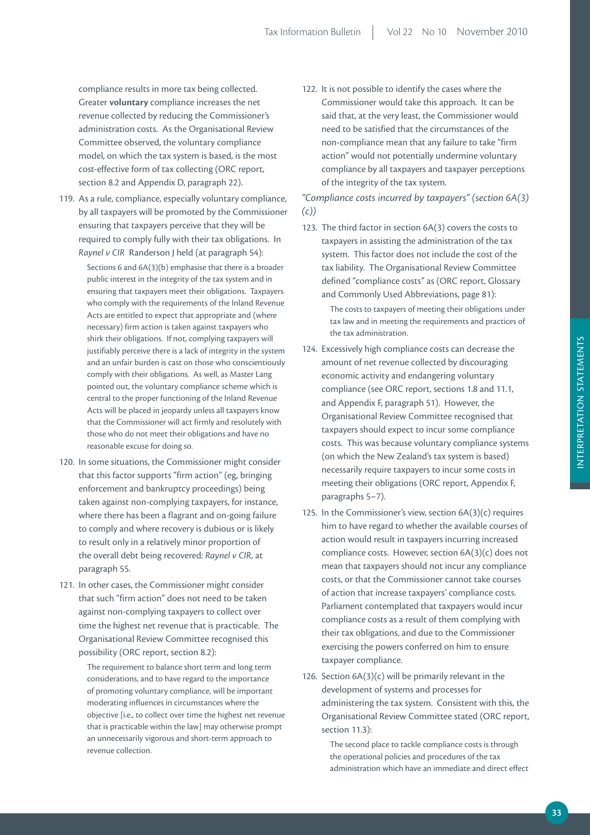compliance results in more tax being collected. Greater **voluntary** compliance increases the net revenue collected by reducing the Commissioner's administration costs. As the Organisational Review Committee observed, the voluntary compliance model, on which the tax system is based, is the most cost-effective form of tax collecting (ORC report, section 8.2 and Appendix D, paragraph 22).

119. As a rule, compliance, especially voluntary compliance, by all taxpayers will be promoted by the Commissioner ensuring that taxpayers perceive that they will be required to comply fully with their tax obligations. In *Raynel v CIR* Randerson J held (at paragraph 54):

> Sections 6 and 6A(3)(b) emphasise that there is a broader public interest in the integrity of the tax system and in ensuring that taxpayers meet their obligations. Taxpayers who comply with the requirements of the Inland Revenue Acts are entitled to expect that appropriate and (where necessary) firm action is taken against taxpayers who shirk their obligations. If not, complying taxpayers will justifiably perceive there is a lack of integrity in the system and an unfair burden is cast on those who conscientiously comply with their obligations. As well, as Master Lang pointed out, the voluntary compliance scheme which is central to the proper functioning of the Inland Revenue Acts will be placed in jeopardy unless all taxpayers know that the Commissioner will act firmly and resolutely with those who do not meet their obligations and have no reasonable excuse for doing so.

- 120. In some situations, the Commissioner might consider that this factor supports "firm action" (eg, bringing enforcement and bankruptcy proceedings) being taken against non-complying taxpayers, for instance, where there has been a flagrant and on-going failure to comply and where recovery is dubious or is likely to result only in a relatively minor proportion of the overall debt being recovered: *Raynel v CIR*, at paragraph 55.
- 121. In other cases, the Commissioner might consider that such "firm action" does not need to be taken against non-complying taxpayers to collect over time the highest net revenue that is practicable. The Organisational Review Committee recognised this possibility (ORC report, section 8.2):

The requirement to balance short term and long term considerations, and to have regard to the importance of promoting voluntary compliance, will be important moderating influences in circumstances where the objective [i.e., to collect over time the highest net revenue that is practicable within the law] may otherwise prompt an unnecessarily vigorous and short-term approach to revenue collection.

122. It is not possible to identify the cases where the Commissioner would take this approach. It can be said that, at the very least, the Commissioner would need to be satisfied that the circumstances of the non-compliance mean that any failure to take "firm action" would not potentially undermine voluntary compliance by all taxpayers and taxpayer perceptions of the integrity of the tax system.

*"Compliance costs incurred by taxpayers" (section 6A(3) (c))*

123. The third factor in section 6A(3) covers the costs to taxpayers in assisting the administration of the tax system. This factor does not include the cost of the tax liability. The Organisational Review Committee defined "compliance costs" as (ORC report, Glossary and Commonly Used Abbreviations, page 81):

> The costs to taxpayers of meeting their obligations under tax law and in meeting the requirements and practices of the tax administration.

- 124. Excessively high compliance costs can decrease the amount of net revenue collected by discouraging economic activity and endangering voluntary compliance (see ORC report, sections 1.8 and 11.1, and Appendix F, paragraph 51). However, the Organisational Review Committee recognised that taxpayers should expect to incur some compliance costs. This was because voluntary compliance systems (on which the New Zealand's tax system is based) necessarily require taxpayers to incur some costs in meeting their obligations (ORC report, Appendix F, paragraphs 5–7).
- 125. In the Commissioner's view, section 6A(3)(c) requires him to have regard to whether the available courses of action would result in taxpayers incurring increased compliance costs. However, section 6A(3)(c) does not mean that taxpayers should not incur any compliance costs, or that the Commissioner cannot take courses of action that increase taxpayers' compliance costs. Parliament contemplated that taxpayers would incur compliance costs as a result of them complying with their tax obligations, and due to the Commissioner exercising the powers conferred on him to ensure taxpayer compliance.
- 126. Section 6A(3)(c) will be primarily relevant in the development of systems and processes for administering the tax system. Consistent with this, the Organisational Review Committee stated (ORC report, section 11.3):

The second place to tackle compliance costs is through the operational policies and procedures of the tax administration which have an immediate and direct effect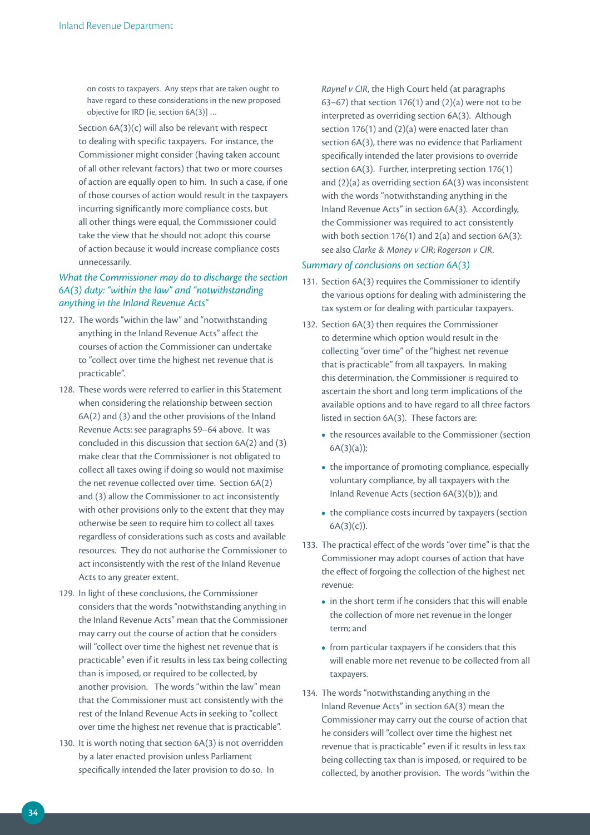on costs to taxpayers. Any steps that are taken ought to have regard to these considerations in the new proposed objective for IRD [ie, section 6A(3)] …

 Section 6A(3)(c) will also be relevant with respect to dealing with specific taxpayers. For instance, the Commissioner might consider (having taken account of all other relevant factors) that two or more courses of action are equally open to him. In such a case, if one of those courses of action would result in the taxpayers incurring significantly more compliance costs, but all other things were equal, the Commissioner could take the view that he should not adopt this course of action because it would increase compliance costs unnecessarily.

# *What the Commissioner may do to discharge the section 6A(3) duty: "within the law" and "notwithstanding anything in the Inland Revenue Acts"*

- 127. The words "within the law" and "notwithstanding anything in the Inland Revenue Acts" affect the courses of action the Commissioner can undertake to "collect over time the highest net revenue that is practicable".
- 128. These words were referred to earlier in this Statement when considering the relationship between section 6A(2) and (3) and the other provisions of the Inland Revenue Acts: see paragraphs 59–64 above. It was concluded in this discussion that section 6A(2) and (3) make clear that the Commissioner is not obligated to collect all taxes owing if doing so would not maximise the net revenue collected over time. Section 6A(2) and (3) allow the Commissioner to act inconsistently with other provisions only to the extent that they may otherwise be seen to require him to collect all taxes regardless of considerations such as costs and available resources. They do not authorise the Commissioner to act inconsistently with the rest of the Inland Revenue Acts to any greater extent.
- 129. In light of these conclusions, the Commissioner considers that the words "notwithstanding anything in the Inland Revenue Acts" mean that the Commissioner may carry out the course of action that he considers will "collect over time the highest net revenue that is practicable" even if it results in less tax being collecting than is imposed, or required to be collected, by another provision. The words "within the law" mean that the Commissioner must act consistently with the rest of the Inland Revenue Acts in seeking to "collect over time the highest net revenue that is practicable".
- 130. It is worth noting that section 6A(3) is not overridden by a later enacted provision unless Parliament specifically intended the later provision to do so. In

*Raynel v CIR*, the High Court held (at paragraphs 63–67) that section 176(1) and  $(2)(a)$  were not to be interpreted as overriding section 6A(3). Although section 176(1) and (2)(a) were enacted later than section 6A(3), there was no evidence that Parliament specifically intended the later provisions to override section 6A(3). Further, interpreting section 176(1) and (2)(a) as overriding section 6A(3) was inconsistent with the words "notwithstanding anything in the Inland Revenue Acts" in section 6A(3). Accordingly, the Commissioner was required to act consistently with both section 176(1) and  $2(a)$  and section 6A(3): see also *Clarke & Money v CIR*; *Rogerson v CIR*.

#### *Summary of conclusions on section 6A(3)*

- 131. Section 6A(3) requires the Commissioner to identify the various options for dealing with administering the tax system or for dealing with particular taxpayers.
- 132. Section 6A(3) then requires the Commissioner to determine which option would result in the collecting "over time" of the "highest net revenue that is practicable" from all taxpayers. In making this determination, the Commissioner is required to ascertain the short and long term implications of the available options and to have regard to all three factors listed in section 6A(3). These factors are:
	- the resources available to the Commissioner (section 6A(3)(a));
	- the importance of promoting compliance, especially voluntary compliance, by all taxpayers with the Inland Revenue Acts (section 6A(3)(b)); and
	- the compliance costs incurred by taxpayers (section  $6A(3)(c)$ ).
- 133. The practical effect of the words "over time" is that the Commissioner may adopt courses of action that have the effect of forgoing the collection of the highest net revenue:
	- in the short term if he considers that this will enable the collection of more net revenue in the longer term; and
	- from particular taxpayers if he considers that this will enable more net revenue to be collected from all taxpayers.
- 134. The words "notwithstanding anything in the Inland Revenue Acts" in section 6A(3) mean the Commissioner may carry out the course of action that he considers will "collect over time the highest net revenue that is practicable" even if it results in less tax being collecting tax than is imposed, or required to be collected, by another provision. The words "within the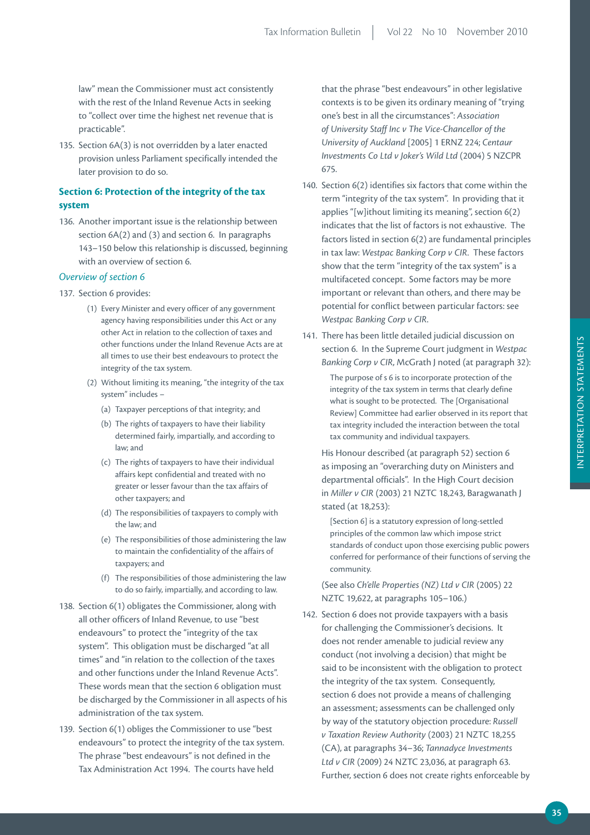law" mean the Commissioner must act consistently with the rest of the Inland Revenue Acts in seeking to "collect over time the highest net revenue that is practicable".

135. Section 6A(3) is not overridden by a later enacted provision unless Parliament specifically intended the later provision to do so.

## **Section 6: Protection of the integrity of the tax system**

136. Another important issue is the relationship between section 6A(2) and (3) and section 6. In paragraphs 143–150 below this relationship is discussed, beginning with an overview of section 6.

## *Overview of section 6*

#### 137. Section 6 provides:

- (1) Every Minister and every officer of any government agency having responsibilities under this Act or any other Act in relation to the collection of taxes and other functions under the Inland Revenue Acts are at all times to use their best endeavours to protect the integrity of the tax system.
- (2) Without limiting its meaning, "the integrity of the tax system" includes –
	- (a) Taxpayer perceptions of that integrity; and
	- (b) The rights of taxpayers to have their liability determined fairly, impartially, and according to law; and
	- (c) The rights of taxpayers to have their individual affairs kept confidential and treated with no greater or lesser favour than the tax affairs of other taxpayers; and
	- (d) The responsibilities of taxpayers to comply with the law; and
	- (e) The responsibilities of those administering the law to maintain the confidentiality of the affairs of taxpayers; and
	- (f) The responsibilities of those administering the law to do so fairly, impartially, and according to law.
- 138. Section 6(1) obligates the Commissioner, along with all other officers of Inland Revenue, to use "best endeavours" to protect the "integrity of the tax system". This obligation must be discharged "at all times" and "in relation to the collection of the taxes and other functions under the Inland Revenue Acts". These words mean that the section 6 obligation must be discharged by the Commissioner in all aspects of his administration of the tax system.
- 139. Section 6(1) obliges the Commissioner to use "best endeavours" to protect the integrity of the tax system. The phrase "best endeavours" is not defined in the Tax Administration Act 1994. The courts have held

that the phrase "best endeavours" in other legislative contexts is to be given its ordinary meaning of "trying one's best in all the circumstances": *Association of University Staff Inc v The Vice‑Chancellor of the University of Auckland* [2005] 1 ERNZ 224; *Centaur Investments Co Ltd v Joker's Wild Ltd* (2004) 5 NZCPR 675.

- 140. Section 6(2) identifies six factors that come within the term "integrity of the tax system". In providing that it applies "[w]ithout limiting its meaning", section 6(2) indicates that the list of factors is not exhaustive. The factors listed in section 6(2) are fundamental principles in tax law: *Westpac Banking Corp v CIR*. These factors show that the term "integrity of the tax system" is a multifaceted concept. Some factors may be more important or relevant than others, and there may be potential for conflict between particular factors: see *Westpac Banking Corp v CIR*.
- 141. There has been little detailed judicial discussion on section 6. In the Supreme Court judgment in *Westpac Banking Corp v CIR*, McGrath J noted (at paragraph 32):

The purpose of s 6 is to incorporate protection of the integrity of the tax system in terms that clearly define what is sought to be protected. The [Organisational Review] Committee had earlier observed in its report that tax integrity included the interaction between the total tax community and individual taxpayers.

 His Honour described (at paragraph 52) section 6 as imposing an "overarching duty on Ministers and departmental officials". In the High Court decision in *Miller v CIR* (2003) 21 NZTC 18,243, Baragwanath J stated (at 18,253):

[Section 6] is a statutory expression of long-settled principles of the common law which impose strict standards of conduct upon those exercising public powers conferred for performance of their functions of serving the community.

 (See also *Ch'elle Properties (NZ) Ltd v CIR* (2005) 22 NZTC 19,622, at paragraphs 105–106.)

142. Section 6 does not provide taxpayers with a basis for challenging the Commissioner's decisions. It does not render amenable to judicial review any conduct (not involving a decision) that might be said to be inconsistent with the obligation to protect the integrity of the tax system. Consequently, section 6 does not provide a means of challenging an assessment; assessments can be challenged only by way of the statutory objection procedure: *Russell v Taxation Review Authority* (2003) 21 NZTC 18,255 (CA), at paragraphs 34–36; *Tannadyce Investments Ltd v CIR* (2009) 24 NZTC 23,036, at paragraph 63. Further, section 6 does not create rights enforceable by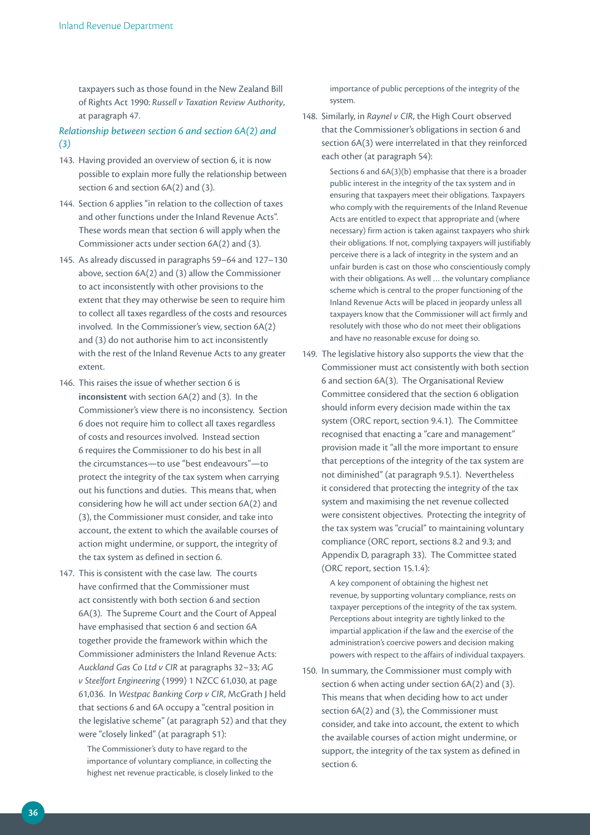taxpayers such as those found in the New Zealand Bill of Rights Act 1990: *Russell v Taxation Review Authority*, at paragraph 47.

## *Relationship between section 6 and section 6A(2) and (3)*

- 143. Having provided an overview of section 6, it is now possible to explain more fully the relationship between section 6 and section 6A(2) and (3).
- 144. Section 6 applies "in relation to the collection of taxes and other functions under the Inland Revenue Acts". These words mean that section 6 will apply when the Commissioner acts under section 6A(2) and (3).
- 145. As already discussed in paragraphs 59–64 and 127–130 above, section 6A(2) and (3) allow the Commissioner to act inconsistently with other provisions to the extent that they may otherwise be seen to require him to collect all taxes regardless of the costs and resources involved. In the Commissioner's view, section 6A(2) and (3) do not authorise him to act inconsistently with the rest of the Inland Revenue Acts to any greater extent.
- 146. This raises the issue of whether section 6 is **inconsistent** with section 6A(2) and (3). In the Commissioner's view there is no inconsistency. Section 6 does not require him to collect all taxes regardless of costs and resources involved. Instead section 6 requires the Commissioner to do his best in all the circumstances—to use "best endeavours"—to protect the integrity of the tax system when carrying out his functions and duties. This means that, when considering how he will act under section 6A(2) and (3), the Commissioner must consider, and take into account, the extent to which the available courses of action might undermine, or support, the integrity of the tax system as defined in section 6.
- 147. This is consistent with the case law. The courts have confirmed that the Commissioner must act consistently with both section 6 and section 6A(3). The Supreme Court and the Court of Appeal have emphasised that section 6 and section 6A together provide the framework within which the Commissioner administers the Inland Revenue Acts: *Auckland Gas Co Ltd v CIR* at paragraphs 32–33; *AG v Steelfort Engineering* (1999) 1 NZCC 61,030, at page 61,036. In *Westpac Banking Corp v CIR*, McGrath J held that sections 6 and 6A occupy a "central position in the legislative scheme" (at paragraph 52) and that they were "closely linked" (at paragraph 51):

The Commissioner's duty to have regard to the importance of voluntary compliance, in collecting the highest net revenue practicable, is closely linked to the importance of public perceptions of the integrity of the system.

148. Similarly, in *Raynel v CIR*, the High Court observed that the Commissioner's obligations in section 6 and section 6A(3) were interrelated in that they reinforced each other (at paragraph 54):

Sections 6 and 6A(3)(b) emphasise that there is a broader public interest in the integrity of the tax system and in ensuring that taxpayers meet their obligations. Taxpayers who comply with the requirements of the Inland Revenue Acts are entitled to expect that appropriate and (where necessary) firm action is taken against taxpayers who shirk their obligations. If not, complying taxpayers will justifiably perceive there is a lack of integrity in the system and an unfair burden is cast on those who conscientiously comply with their obligations. As well … the voluntary compliance scheme which is central to the proper functioning of the Inland Revenue Acts will be placed in jeopardy unless all taxpayers know that the Commissioner will act firmly and resolutely with those who do not meet their obligations and have no reasonable excuse for doing so.

149. The legislative history also supports the view that the Commissioner must act consistently with both section 6 and section 6A(3). The Organisational Review Committee considered that the section 6 obligation should inform every decision made within the tax system (ORC report, section 9.4.1). The Committee recognised that enacting a "care and management" provision made it "all the more important to ensure that perceptions of the integrity of the tax system are not diminished" (at paragraph 9.5.1). Nevertheless it considered that protecting the integrity of the tax system and maximising the net revenue collected were consistent objectives. Protecting the integrity of the tax system was "crucial" to maintaining voluntary compliance (ORC report, sections 8.2 and 9.3; and Appendix D, paragraph 33). The Committee stated (ORC report, section 15.1.4):

> A key component of obtaining the highest net revenue, by supporting voluntary compliance, rests on taxpayer perceptions of the integrity of the tax system. Perceptions about integrity are tightly linked to the impartial application if the law and the exercise of the administration's coercive powers and decision making powers with respect to the affairs of individual taxpayers.

150. In summary, the Commissioner must comply with section 6 when acting under section 6A(2) and (3). This means that when deciding how to act under section 6A(2) and (3), the Commissioner must consider, and take into account, the extent to which the available courses of action might undermine, or support, the integrity of the tax system as defined in section 6.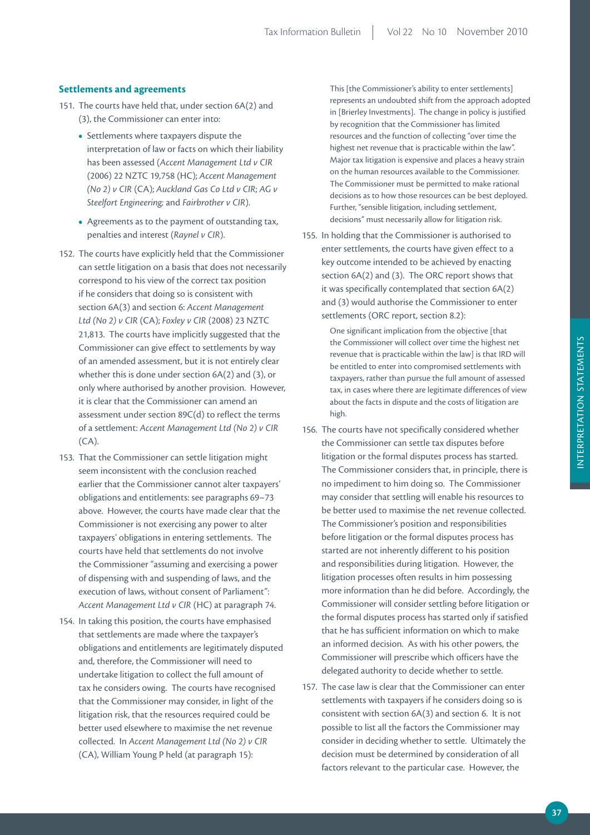## **Settlements and agreements**

- 151. The courts have held that, under section 6A(2) and (3), the Commissioner can enter into:
	- Settlements where taxpayers dispute the interpretation of law or facts on which their liability has been assessed (*Accent Management Ltd v CIR* (2006) 22 NZTC 19,758 (HC); *Accent Management (No 2) v CIR* (CA); *Auckland Gas Co Ltd v CIR*; *AG v Steelfort Engineering;* and *Fairbrother v CIR*).
	- Agreements as to the payment of outstanding tax, penalties and interest (*Raynel v CIR*).
- 152. The courts have explicitly held that the Commissioner can settle litigation on a basis that does not necessarily correspond to his view of the correct tax position if he considers that doing so is consistent with section 6A(3) and section 6: *Accent Management Ltd (No 2) v CIR* (CA); *Foxley v CIR* (2008) 23 NZTC 21,813. The courts have implicitly suggested that the Commissioner can give effect to settlements by way of an amended assessment, but it is not entirely clear whether this is done under section 6A(2) and (3), or only where authorised by another provision. However, it is clear that the Commissioner can amend an assessment under section 89C(d) to reflect the terms of a settlement: *Accent Management Ltd (No 2) v CIR*  (CA).
- 153. That the Commissioner can settle litigation might seem inconsistent with the conclusion reached earlier that the Commissioner cannot alter taxpayers' obligations and entitlements: see paragraphs 69–73 above. However, the courts have made clear that the Commissioner is not exercising any power to alter taxpayers' obligations in entering settlements. The courts have held that settlements do not involve the Commissioner "assuming and exercising a power of dispensing with and suspending of laws, and the execution of laws, without consent of Parliament": *Accent Management Ltd v CIR* (HC) at paragraph 74.
- 154. In taking this position, the courts have emphasised that settlements are made where the taxpayer's obligations and entitlements are legitimately disputed and, therefore, the Commissioner will need to undertake litigation to collect the full amount of tax he considers owing. The courts have recognised that the Commissioner may consider, in light of the litigation risk, that the resources required could be better used elsewhere to maximise the net revenue collected. In *Accent Management Ltd (No 2) v CIR* (CA), William Young P held (at paragraph 15):

This [the Commissioner's ability to enter settlements] represents an undoubted shift from the approach adopted in [Brierley Investments]. The change in policy is justified by recognition that the Commissioner has limited resources and the function of collecting "over time the highest net revenue that is practicable within the law". Major tax litigation is expensive and places a heavy strain on the human resources available to the Commissioner. The Commissioner must be permitted to make rational decisions as to how those resources can be best deployed. Further, "sensible litigation, including settlement, decisions" must necessarily allow for litigation risk.

155. In holding that the Commissioner is authorised to enter settlements, the courts have given effect to a key outcome intended to be achieved by enacting section 6A(2) and (3). The ORC report shows that it was specifically contemplated that section 6A(2) and (3) would authorise the Commissioner to enter settlements (ORC report, section 8.2):

> One significant implication from the objective [that the Commissioner will collect over time the highest net revenue that is practicable within the law] is that IRD will be entitled to enter into compromised settlements with taxpayers, rather than pursue the full amount of assessed tax, in cases where there are legitimate differences of view about the facts in dispute and the costs of litigation are high.

- 156. The courts have not specifically considered whether the Commissioner can settle tax disputes before litigation or the formal disputes process has started. The Commissioner considers that, in principle, there is no impediment to him doing so. The Commissioner may consider that settling will enable his resources to be better used to maximise the net revenue collected. The Commissioner's position and responsibilities before litigation or the formal disputes process has started are not inherently different to his position and responsibilities during litigation. However, the litigation processes often results in him possessing more information than he did before. Accordingly, the Commissioner will consider settling before litigation or the formal disputes process has started only if satisfied that he has sufficient information on which to make an informed decision. As with his other powers, the Commissioner will prescribe which officers have the delegated authority to decide whether to settle.
- 157. The case law is clear that the Commissioner can enter settlements with taxpayers if he considers doing so is consistent with section 6A(3) and section 6. It is not possible to list all the factors the Commissioner may consider in deciding whether to settle. Ultimately the decision must be determined by consideration of all factors relevant to the particular case. However, the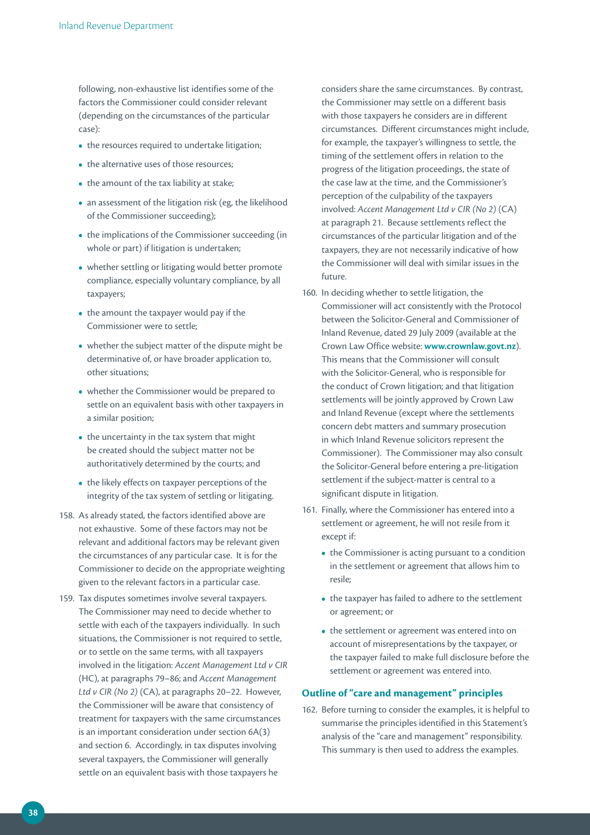following, non-exhaustive list identifies some of the factors the Commissioner could consider relevant (depending on the circumstances of the particular case):

- the resources required to undertake litigation;
- the alternative uses of those resources;
- the amount of the tax liability at stake;
- an assessment of the litigation risk (eg, the likelihood of the Commissioner succeeding);
- the implications of the Commissioner succeeding (in whole or part) if litigation is undertaken;
- whether settling or litigating would better promote compliance, especially voluntary compliance, by all taxpayers;
- the amount the taxpayer would pay if the Commissioner were to settle;
- whether the subject matter of the dispute might be determinative of, or have broader application to, other situations;
- whether the Commissioner would be prepared to settle on an equivalent basis with other taxpayers in a similar position;
- the uncertainty in the tax system that might be created should the subject matter not be authoritatively determined by the courts; and
- the likely effects on taxpayer perceptions of the integrity of the tax system of settling or litigating.
- 158. As already stated, the factors identified above are not exhaustive. Some of these factors may not be relevant and additional factors may be relevant given the circumstances of any particular case. It is for the Commissioner to decide on the appropriate weighting given to the relevant factors in a particular case.
- 159. Tax disputes sometimes involve several taxpayers. The Commissioner may need to decide whether to settle with each of the taxpayers individually. In such situations, the Commissioner is not required to settle, or to settle on the same terms, with all taxpayers involved in the litigation: *Accent Management Ltd v CIR* (HC), at paragraphs 79–86; and *Accent Management Ltd v CIR (No 2)* (CA), at paragraphs 20–22. However, the Commissioner will be aware that consistency of treatment for taxpayers with the same circumstances is an important consideration under section 6A(3) and section 6. Accordingly, in tax disputes involving several taxpayers, the Commissioner will generally settle on an equivalent basis with those taxpayers he

considers share the same circumstances. By contrast, the Commissioner may settle on a different basis with those taxpayers he considers are in different circumstances. Different circumstances might include, for example, the taxpayer's willingness to settle, the timing of the settlement offers in relation to the progress of the litigation proceedings, the state of the case law at the time, and the Commissioner's perception of the culpability of the taxpayers involved: *Accent Management Ltd v CIR (No 2)* (CA) at paragraph 21. Because settlements reflect the circumstances of the particular litigation and of the taxpayers, they are not necessarily indicative of how the Commissioner will deal with similar issues in the future.

- 160. In deciding whether to settle litigation, the Commissioner will act consistently with the Protocol between the Solicitor-General and Commissioner of Inland Revenue, dated 29 July 2009 (available at the Crown Law Office website: **www.crownlaw.govt.nz**). This means that the Commissioner will consult with the Solicitor-General, who is responsible for the conduct of Crown litigation; and that litigation settlements will be jointly approved by Crown Law and Inland Revenue (except where the settlements concern debt matters and summary prosecution in which Inland Revenue solicitors represent the Commissioner). The Commissioner may also consult the Solicitor-General before entering a pre-litigation settlement if the subject-matter is central to a significant dispute in litigation.
- 161. Finally, where the Commissioner has entered into a settlement or agreement, he will not resile from it except if:
	- the Commissioner is acting pursuant to a condition in the settlement or agreement that allows him to resile;
	- the taxpayer has failed to adhere to the settlement or agreement; or
	- the settlement or agreement was entered into on account of misrepresentations by the taxpayer, or the taxpayer failed to make full disclosure before the settlement or agreement was entered into.

## **Outline of "care and management" principles**

162. Before turning to consider the examples, it is helpful to summarise the principles identified in this Statement's analysis of the "care and management" responsibility. This summary is then used to address the examples.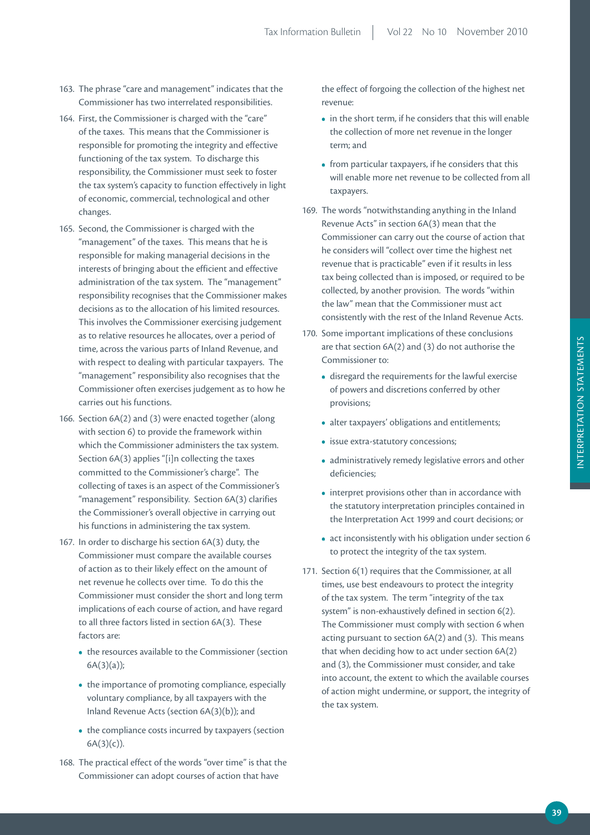- 163. The phrase "care and management" indicates that the Commissioner has two interrelated responsibilities.
- 164. First, the Commissioner is charged with the "care" of the taxes. This means that the Commissioner is responsible for promoting the integrity and effective functioning of the tax system. To discharge this responsibility, the Commissioner must seek to foster the tax system's capacity to function effectively in light of economic, commercial, technological and other changes.
- 165. Second, the Commissioner is charged with the "management" of the taxes. This means that he is responsible for making managerial decisions in the interests of bringing about the efficient and effective administration of the tax system. The "management" responsibility recognises that the Commissioner makes decisions as to the allocation of his limited resources. This involves the Commissioner exercising judgement as to relative resources he allocates, over a period of time, across the various parts of Inland Revenue, and with respect to dealing with particular taxpayers. The "management" responsibility also recognises that the Commissioner often exercises judgement as to how he carries out his functions.
- 166. Section 6A(2) and (3) were enacted together (along with section 6) to provide the framework within which the Commissioner administers the tax system. Section 6A(3) applies "[i]n collecting the taxes committed to the Commissioner's charge". The collecting of taxes is an aspect of the Commissioner's "management" responsibility. Section 6A(3) clarifies the Commissioner's overall objective in carrying out his functions in administering the tax system.
- 167. In order to discharge his section 6A(3) duty, the Commissioner must compare the available courses of action as to their likely effect on the amount of net revenue he collects over time. To do this the Commissioner must consider the short and long term implications of each course of action, and have regard to all three factors listed in section 6A(3). These factors are:
	- the resources available to the Commissioner (section 6A(3)(a));
	- the importance of promoting compliance, especially voluntary compliance, by all taxpayers with the Inland Revenue Acts (section 6A(3)(b)); and
	- the compliance costs incurred by taxpayers (section  $6A(3)(c)$ ).
- 168. The practical effect of the words "over time" is that the Commissioner can adopt courses of action that have

the effect of forgoing the collection of the highest net revenue:

- in the short term, if he considers that this will enable the collection of more net revenue in the longer term; and
- from particular taxpayers, if he considers that this will enable more net revenue to be collected from all taxpayers.
- 169. The words "notwithstanding anything in the Inland Revenue Acts" in section 6A(3) mean that the Commissioner can carry out the course of action that he considers will "collect over time the highest net revenue that is practicable" even if it results in less tax being collected than is imposed, or required to be collected, by another provision. The words "within the law" mean that the Commissioner must act consistently with the rest of the Inland Revenue Acts.
- 170. Some important implications of these conclusions are that section 6A(2) and (3) do not authorise the Commissioner to:
	- disregard the requirements for the lawful exercise of powers and discretions conferred by other provisions;
	- alter taxpayers' obligations and entitlements;
	- issue extra-statutory concessions;
	- administratively remedy legislative errors and other deficiencies;
	- interpret provisions other than in accordance with the statutory interpretation principles contained in the Interpretation Act 1999 and court decisions; or
	- act inconsistently with his obligation under section 6 to protect the integrity of the tax system.
- 171. Section 6(1) requires that the Commissioner, at all times, use best endeavours to protect the integrity of the tax system. The term "integrity of the tax system" is non-exhaustively defined in section 6(2). The Commissioner must comply with section 6 when acting pursuant to section 6A(2) and (3). This means that when deciding how to act under section 6A(2) and (3), the Commissioner must consider, and take into account, the extent to which the available courses of action might undermine, or support, the integrity of the tax system.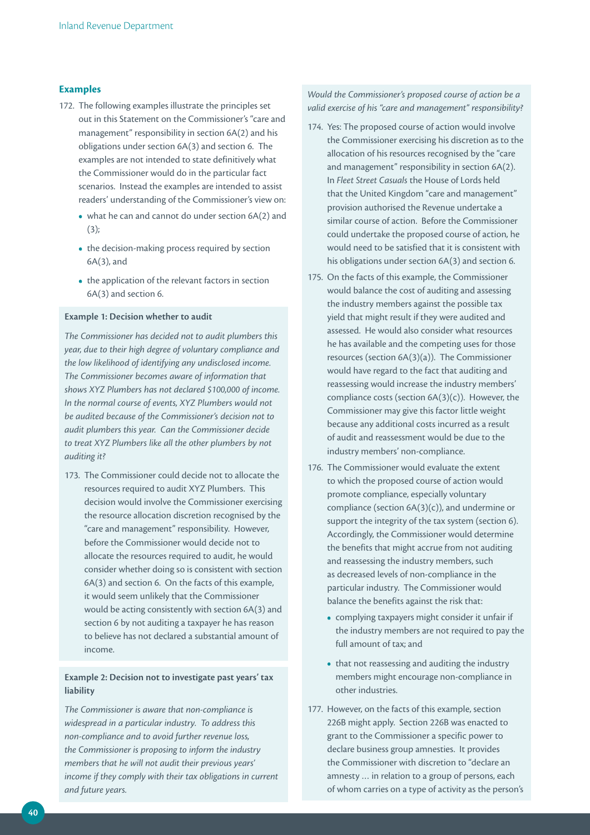#### **Examples**

- 172. The following examples illustrate the principles set out in this Statement on the Commissioner's "care and management" responsibility in section 6A(2) and his obligations under section 6A(3) and section 6. The examples are not intended to state definitively what the Commissioner would do in the particular fact scenarios. Instead the examples are intended to assist readers' understanding of the Commissioner's view on:
	- what he can and cannot do under section 6A(2) and (3);
	- the decision-making process required by section 6A(3), and
	- the application of the relevant factors in section 6A(3) and section 6.

#### **Example 1: Decision whether to audit**

*The Commissioner has decided not to audit plumbers this year, due to their high degree of voluntary compliance and the low likelihood of identifying any undisclosed income. The Commissioner becomes aware of information that shows XYZ Plumbers has not declared \$100,000 of income. In the normal course of events, XYZ Plumbers would not be audited because of the Commissioner's decision not to audit plumbers this year. Can the Commissioner decide to treat XYZ Plumbers like all the other plumbers by not auditing it?* 

173. The Commissioner could decide not to allocate the resources required to audit XYZ Plumbers. This decision would involve the Commissioner exercising the resource allocation discretion recognised by the "care and management" responsibility. However, before the Commissioner would decide not to allocate the resources required to audit, he would consider whether doing so is consistent with section 6A(3) and section 6. On the facts of this example, it would seem unlikely that the Commissioner would be acting consistently with section 6A(3) and section 6 by not auditing a taxpayer he has reason to believe has not declared a substantial amount of income.

## **Example 2: Decision not to investigate past years' tax liability**

*The Commissioner is aware that non‑compliance is widespread in a particular industry. To address this non‑compliance and to avoid further revenue loss, the Commissioner is proposing to inform the industry members that he will not audit their previous years' income if they comply with their tax obligations in current and future years.* 

*Would the Commissioner's proposed course of action be a valid exercise of his "care and management" responsibility?* 

- 174. Yes: The proposed course of action would involve the Commissioner exercising his discretion as to the allocation of his resources recognised by the "care and management" responsibility in section 6A(2). In *Fleet Street Casuals* the House of Lords held that the United Kingdom "care and management" provision authorised the Revenue undertake a similar course of action. Before the Commissioner could undertake the proposed course of action, he would need to be satisfied that it is consistent with his obligations under section 6A(3) and section 6.
- 175. On the facts of this example, the Commissioner would balance the cost of auditing and assessing the industry members against the possible tax yield that might result if they were audited and assessed. He would also consider what resources he has available and the competing uses for those resources (section 6A(3)(a)). The Commissioner would have regard to the fact that auditing and reassessing would increase the industry members' compliance costs (section 6A(3)(c)). However, the Commissioner may give this factor little weight because any additional costs incurred as a result of audit and reassessment would be due to the industry members' non-compliance.
- 176. The Commissioner would evaluate the extent to which the proposed course of action would promote compliance, especially voluntary compliance (section 6A(3)(c)), and undermine or support the integrity of the tax system (section 6). Accordingly, the Commissioner would determine the benefits that might accrue from not auditing and reassessing the industry members, such as decreased levels of non-compliance in the particular industry. The Commissioner would balance the benefits against the risk that:
	- complying taxpayers might consider it unfair if the industry members are not required to pay the full amount of tax; and
	- that not reassessing and auditing the industry members might encourage non-compliance in other industries.
- 177. However, on the facts of this example, section 226B might apply. Section 226B was enacted to grant to the Commissioner a specific power to declare business group amnesties. It provides the Commissioner with discretion to "declare an amnesty … in relation to a group of persons, each of whom carries on a type of activity as the person's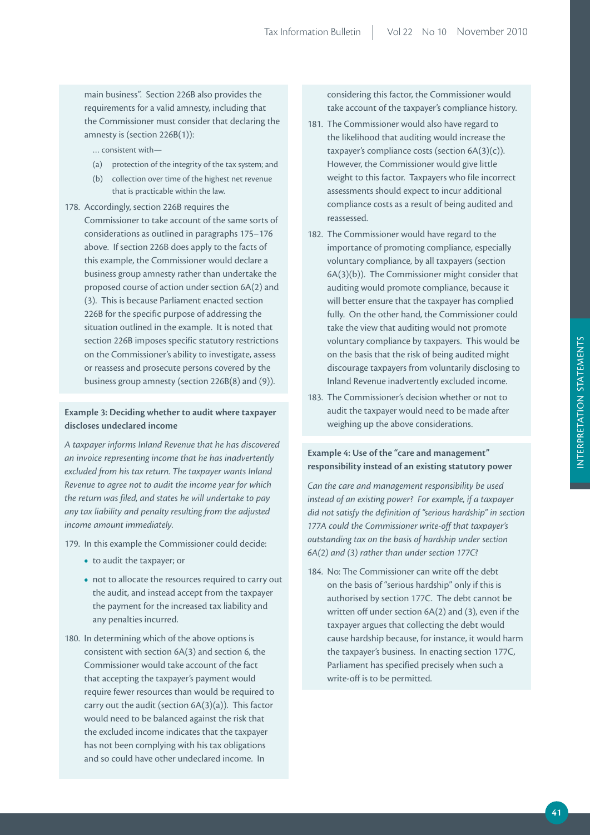main business". Section 226B also provides the requirements for a valid amnesty, including that the Commissioner must consider that declaring the amnesty is (section 226B(1)):

… consistent with—

- (a) protection of the integrity of the tax system; and
- (b) collection over time of the highest net revenue that is practicable within the law.
- 178. Accordingly, section 226B requires the Commissioner to take account of the same sorts of considerations as outlined in paragraphs 175–176 above. If section 226B does apply to the facts of this example, the Commissioner would declare a business group amnesty rather than undertake the proposed course of action under section 6A(2) and (3). This is because Parliament enacted section 226B for the specific purpose of addressing the situation outlined in the example. It is noted that section 226B imposes specific statutory restrictions on the Commissioner's ability to investigate, assess or reassess and prosecute persons covered by the business group amnesty (section 226B(8) and (9)).

## **Example 3: Deciding whether to audit where taxpayer discloses undeclared income**

*A taxpayer informs Inland Revenue that he has discovered an invoice representing income that he has inadvertently excluded from his tax return. The taxpayer wants Inland Revenue to agree not to audit the income year for which the return was filed, and states he will undertake to pay any tax liability and penalty resulting from the adjusted income amount immediately.* 

179. In this example the Commissioner could decide:

- to audit the taxpayer; or
- not to allocate the resources required to carry out the audit, and instead accept from the taxpayer the payment for the increased tax liability and any penalties incurred.
- 180. In determining which of the above options is consistent with section 6A(3) and section 6, the Commissioner would take account of the fact that accepting the taxpayer's payment would require fewer resources than would be required to carry out the audit (section 6A(3)(a)). This factor would need to be balanced against the risk that the excluded income indicates that the taxpayer has not been complying with his tax obligations and so could have other undeclared income. In

considering this factor, the Commissioner would take account of the taxpayer's compliance history.

- 181. The Commissioner would also have regard to the likelihood that auditing would increase the taxpayer's compliance costs (section 6A(3)(c)). However, the Commissioner would give little weight to this factor. Taxpayers who file incorrect assessments should expect to incur additional compliance costs as a result of being audited and reassessed.
- 182. The Commissioner would have regard to the importance of promoting compliance, especially voluntary compliance, by all taxpayers (section 6A(3)(b)). The Commissioner might consider that auditing would promote compliance, because it will better ensure that the taxpayer has complied fully. On the other hand, the Commissioner could take the view that auditing would not promote voluntary compliance by taxpayers. This would be on the basis that the risk of being audited might discourage taxpayers from voluntarily disclosing to Inland Revenue inadvertently excluded income.
- 183. The Commissioner's decision whether or not to audit the taxpayer would need to be made after weighing up the above considerations.

## Example 4: Use of the "care and management" **responsibility instead of an existing statutory power**

*Can the care and management responsibility be used instead of an existing power? For example, if a taxpayer did not satisfy the definition of "serious hardship" in section 177A could the Commissioner write‑off that taxpayer's outstanding tax on the basis of hardship under section 6A(2) and (3) rather than under section 177C?* 

184. No: The Commissioner can write off the debt on the basis of "serious hardship" only if this is authorised by section 177C. The debt cannot be written off under section 6A(2) and (3), even if the taxpayer argues that collecting the debt would cause hardship because, for instance, it would harm the taxpayer's business. In enacting section 177C, Parliament has specified precisely when such a write-off is to be permitted.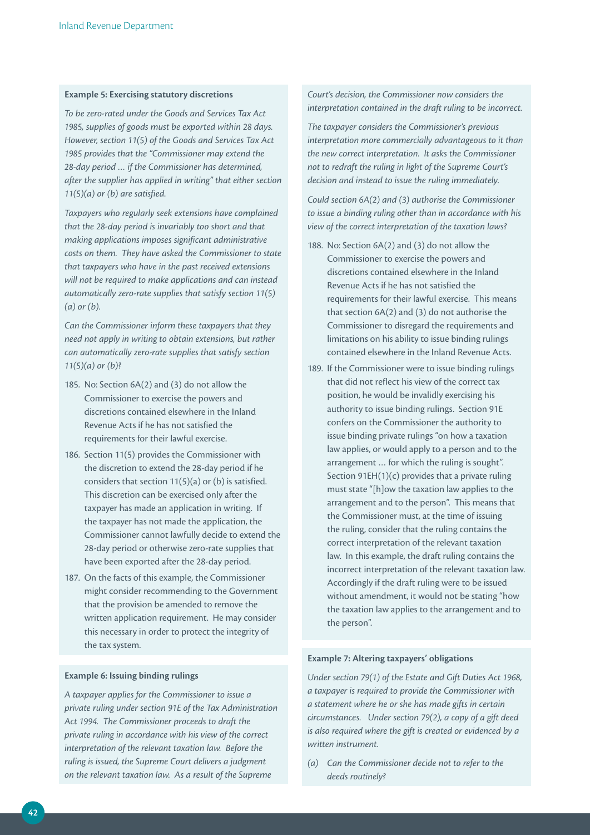#### **Example 5: Exercising statutory discretions**

*To be zero‑rated under the Goods and Services Tax Act 1985, supplies of goods must be exported within 28 days. However, section 11(5) of the Goods and Services Tax Act 1985 provides that the "Commissioner may extend the 28‑day period … if the Commissioner has determined, after the supplier has applied in writing" that either section 11(5)(a) or (b) are satisfied.* 

*Taxpayers who regularly seek extensions have complained that the 28‑day period is invariably too short and that making applications imposes significant administrative costs on them. They have asked the Commissioner to state that taxpayers who have in the past received extensions will not be required to make applications and can instead automatically zero‑rate supplies that satisfy section 11(5) (a) or (b).* 

*Can the Commissioner inform these taxpayers that they need not apply in writing to obtain extensions, but rather can automatically zero‑rate supplies that satisfy section 11(5)(a) or (b)?*

- 185. No: Section 6A(2) and (3) do not allow the Commissioner to exercise the powers and discretions contained elsewhere in the Inland Revenue Acts if he has not satisfied the requirements for their lawful exercise.
- 186. Section 11(5) provides the Commissioner with the discretion to extend the 28-day period if he considers that section 11(5)(a) or (b) is satisfied. This discretion can be exercised only after the taxpayer has made an application in writing. If the taxpayer has not made the application, the Commissioner cannot lawfully decide to extend the 28-day period or otherwise zero-rate supplies that have been exported after the 28-day period.
- 187. On the facts of this example, the Commissioner might consider recommending to the Government that the provision be amended to remove the written application requirement. He may consider this necessary in order to protect the integrity of the tax system.

#### **Example 6: issuing binding rulings**

*A taxpayer applies for the Commissioner to issue a private ruling under section 91E of the Tax Administration Act 1994. The Commissioner proceeds to draft the private ruling in accordance with his view of the correct interpretation of the relevant taxation law. Before the ruling is issued, the Supreme Court delivers a judgment on the relevant taxation law. As a result of the Supreme* 

## *Court's decision, the Commissioner now considers the interpretation contained in the draft ruling to be incorrect.*

*The taxpayer considers the Commissioner's previous interpretation more commercially advantageous to it than the new correct interpretation. It asks the Commissioner not to redraft the ruling in light of the Supreme Court's decision and instead to issue the ruling immediately.* 

*Could section 6A(2) and (3) authorise the Commissioner to issue a binding ruling other than in accordance with his view of the correct interpretation of the taxation laws?*

- 188. No: Section 6A(2) and (3) do not allow the Commissioner to exercise the powers and discretions contained elsewhere in the Inland Revenue Acts if he has not satisfied the requirements for their lawful exercise. This means that section 6A(2) and (3) do not authorise the Commissioner to disregard the requirements and limitations on his ability to issue binding rulings contained elsewhere in the Inland Revenue Acts.
- 189. If the Commissioner were to issue binding rulings that did not reflect his view of the correct tax position, he would be invalidly exercising his authority to issue binding rulings. Section 91E confers on the Commissioner the authority to issue binding private rulings "on how a taxation law applies, or would apply to a person and to the arrangement … for which the ruling is sought". Section 91EH(1)(c) provides that a private ruling must state "[h]ow the taxation law applies to the arrangement and to the person". This means that the Commissioner must, at the time of issuing the ruling, consider that the ruling contains the correct interpretation of the relevant taxation law. In this example, the draft ruling contains the incorrect interpretation of the relevant taxation law. Accordingly if the draft ruling were to be issued without amendment, it would not be stating "how the taxation law applies to the arrangement and to the person".

#### **Example 7: Altering taxpayers' obligations**

*Under section 79(1) of the Estate and Gift Duties Act 1968, a taxpayer is required to provide the Commissioner with a statement where he or she has made gifts in certain circumstances. Under section 79(2), a copy of a gift deed is also required where the gift is created or evidenced by a written instrument.* 

*(a) Can the Commissioner decide not to refer to the deeds routinely?*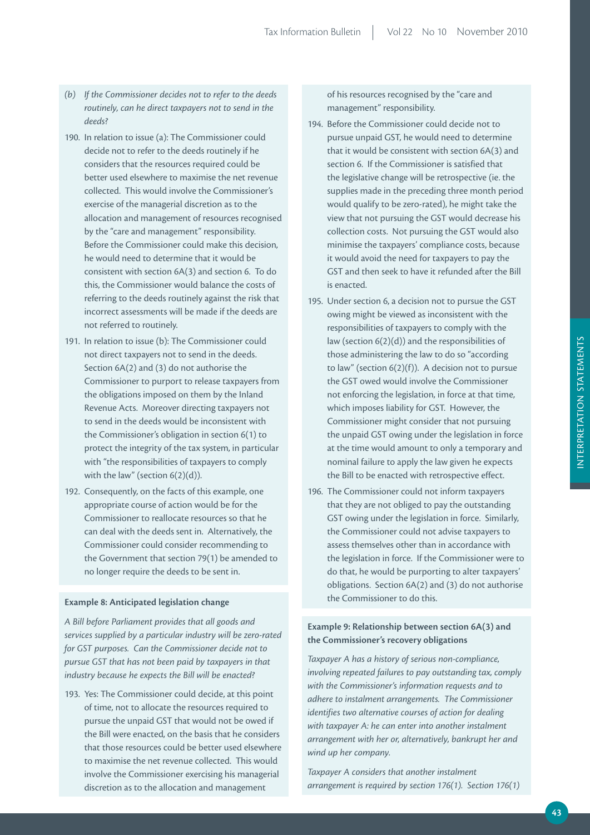- *(b) If the Commissioner decides not to refer to the deeds routinely, can he direct taxpayers not to send in the deeds?*
- 190. In relation to issue (a): The Commissioner could decide not to refer to the deeds routinely if he considers that the resources required could be better used elsewhere to maximise the net revenue collected. This would involve the Commissioner's exercise of the managerial discretion as to the allocation and management of resources recognised by the "care and management" responsibility. Before the Commissioner could make this decision, he would need to determine that it would be consistent with section 6A(3) and section 6. To do this, the Commissioner would balance the costs of referring to the deeds routinely against the risk that incorrect assessments will be made if the deeds are not referred to routinely.
- 191. In relation to issue (b): The Commissioner could not direct taxpayers not to send in the deeds. Section 6A(2) and (3) do not authorise the Commissioner to purport to release taxpayers from the obligations imposed on them by the Inland Revenue Acts. Moreover directing taxpayers not to send in the deeds would be inconsistent with the Commissioner's obligation in section 6(1) to protect the integrity of the tax system, in particular with "the responsibilities of taxpayers to comply with the law" (section 6(2)(d)).
- 192. Consequently, on the facts of this example, one appropriate course of action would be for the Commissioner to reallocate resources so that he can deal with the deeds sent in. Alternatively, the Commissioner could consider recommending to the Government that section 79(1) be amended to no longer require the deeds to be sent in.

#### **Example 8: Anticipated legislation change**

*A Bill before Parliament provides that all goods and services supplied by a particular industry will be zero‑rated for GST purposes. Can the Commissioner decide not to pursue GST that has not been paid by taxpayers in that industry because he expects the Bill will be enacted?* 

193. Yes: The Commissioner could decide, at this point of time, not to allocate the resources required to pursue the unpaid GST that would not be owed if the Bill were enacted, on the basis that he considers that those resources could be better used elsewhere to maximise the net revenue collected. This would involve the Commissioner exercising his managerial discretion as to the allocation and management

of his resources recognised by the "care and management" responsibility.

- 194. Before the Commissioner could decide not to pursue unpaid GST, he would need to determine that it would be consistent with section 6A(3) and section 6. If the Commissioner is satisfied that the legislative change will be retrospective (ie. the supplies made in the preceding three month period would qualify to be zero-rated), he might take the view that not pursuing the GST would decrease his collection costs. Not pursuing the GST would also minimise the taxpayers' compliance costs, because it would avoid the need for taxpayers to pay the GST and then seek to have it refunded after the Bill is enacted.
- 195. Under section 6, a decision not to pursue the GST owing might be viewed as inconsistent with the responsibilities of taxpayers to comply with the law (section 6(2)(d)) and the responsibilities of those administering the law to do so "according to law" (section 6(2)(f)). A decision not to pursue the GST owed would involve the Commissioner not enforcing the legislation, in force at that time, which imposes liability for GST. However, the Commissioner might consider that not pursuing the unpaid GST owing under the legislation in force at the time would amount to only a temporary and nominal failure to apply the law given he expects the Bill to be enacted with retrospective effect.
- 196. The Commissioner could not inform taxpayers that they are not obliged to pay the outstanding GST owing under the legislation in force. Similarly, the Commissioner could not advise taxpayers to assess themselves other than in accordance with the legislation in force. If the Commissioner were to do that, he would be purporting to alter taxpayers' obligations. Section 6A(2) and (3) do not authorise the Commissioner to do this.

## Example 9: Relationship between section 6A(3) and **the Commissioner's recovery obligations**

*Taxpayer A has a history of serious non‑compliance, involving repeated failures to pay outstanding tax, comply with the Commissioner's information requests and to adhere to instalment arrangements. The Commissioner identifies two alternative courses of action for dealing with taxpayer A: he can enter into another instalment arrangement with her or, alternatively, bankrupt her and wind up her company.*

*Taxpayer A considers that another instalment arrangement is required by section 176(1). Section 176(1)*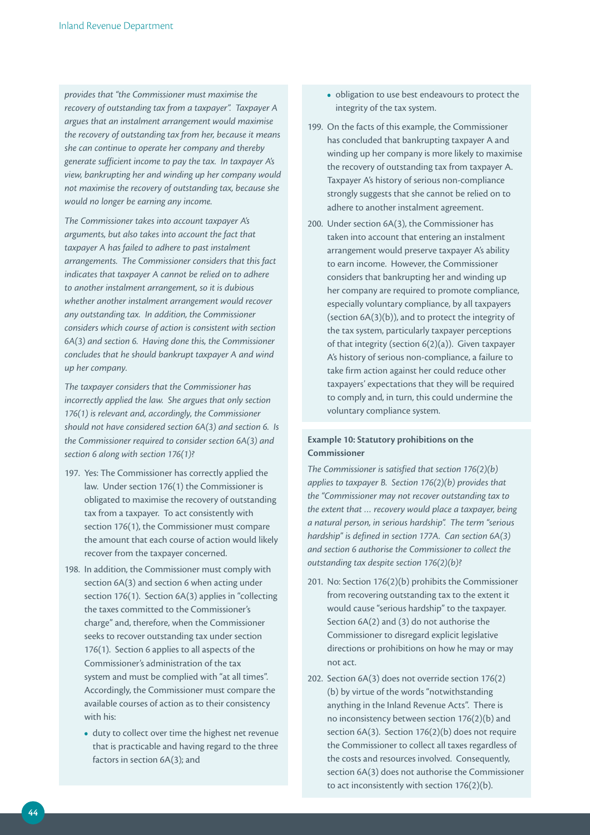*provides that "the Commissioner must maximise the recovery of outstanding tax from a taxpayer". Taxpayer A argues that an instalment arrangement would maximise the recovery of outstanding tax from her, because it means she can continue to operate her company and thereby generate sufficient income to pay the tax. In taxpayer A's view, bankrupting her and winding up her company would not maximise the recovery of outstanding tax, because she would no longer be earning any income.*

*The Commissioner takes into account taxpayer A's arguments, but also takes into account the fact that taxpayer A has failed to adhere to past instalment arrangements. The Commissioner considers that this fact indicates that taxpayer A cannot be relied on to adhere to another instalment arrangement, so it is dubious whether another instalment arrangement would recover any outstanding tax. In addition, the Commissioner considers which course of action is consistent with section 6A(3) and section 6. Having done this, the Commissioner concludes that he should bankrupt taxpayer A and wind up her company.* 

*The taxpayer considers that the Commissioner has incorrectly applied the law. She argues that only section 176(1) is relevant and, accordingly, the Commissioner should not have considered section 6A(3) and section 6. Is the Commissioner required to consider section 6A(3) and section 6 along with section 176(1)?*

- 197. Yes: The Commissioner has correctly applied the law. Under section 176(1) the Commissioner is obligated to maximise the recovery of outstanding tax from a taxpayer. To act consistently with section 176(1), the Commissioner must compare the amount that each course of action would likely recover from the taxpayer concerned.
- 198. In addition, the Commissioner must comply with section 6A(3) and section 6 when acting under section 176(1). Section 6A(3) applies in "collecting the taxes committed to the Commissioner's charge" and, therefore, when the Commissioner seeks to recover outstanding tax under section 176(1). Section 6 applies to all aspects of the Commissioner's administration of the tax system and must be complied with "at all times". Accordingly, the Commissioner must compare the available courses of action as to their consistency with his:
	- duty to collect over time the highest net revenue that is practicable and having regard to the three factors in section 6A(3); and
- obligation to use best endeavours to protect the integrity of the tax system.
- 199. On the facts of this example, the Commissioner has concluded that bankrupting taxpayer A and winding up her company is more likely to maximise the recovery of outstanding tax from taxpayer A. Taxpayer A's history of serious non-compliance strongly suggests that she cannot be relied on to adhere to another instalment agreement.
- 200. Under section 6A(3), the Commissioner has taken into account that entering an instalment arrangement would preserve taxpayer A's ability to earn income. However, the Commissioner considers that bankrupting her and winding up her company are required to promote compliance, especially voluntary compliance, by all taxpayers (section 6A(3)(b)), and to protect the integrity of the tax system, particularly taxpayer perceptions of that integrity (section 6(2)(a)). Given taxpayer A's history of serious non-compliance, a failure to take firm action against her could reduce other taxpayers' expectations that they will be required to comply and, in turn, this could undermine the voluntary compliance system.

## **Example 10: Statutory prohibitions on the Commissioner**

*The Commissioner is satisfied that section 176(2)(b) applies to taxpayer B. Section 176(2)(b) provides that the "Commissioner may not recover outstanding tax to the extent that … recovery would place a taxpayer, being a natural person, in serious hardship". The term "serious hardship" is defined in section 177A. Can section 6A(3) and section 6 authorise the Commissioner to collect the outstanding tax despite section 176(2)(b)?*

- 201. No: Section 176(2)(b) prohibits the Commissioner from recovering outstanding tax to the extent it would cause "serious hardship" to the taxpayer. Section 6A(2) and (3) do not authorise the Commissioner to disregard explicit legislative directions or prohibitions on how he may or may not act.
- 202. Section 6A(3) does not override section 176(2) (b) by virtue of the words "notwithstanding anything in the Inland Revenue Acts". There is no inconsistency between section 176(2)(b) and section 6A(3). Section 176(2)(b) does not require the Commissioner to collect all taxes regardless of the costs and resources involved. Consequently, section 6A(3) does not authorise the Commissioner to act inconsistently with section 176(2)(b).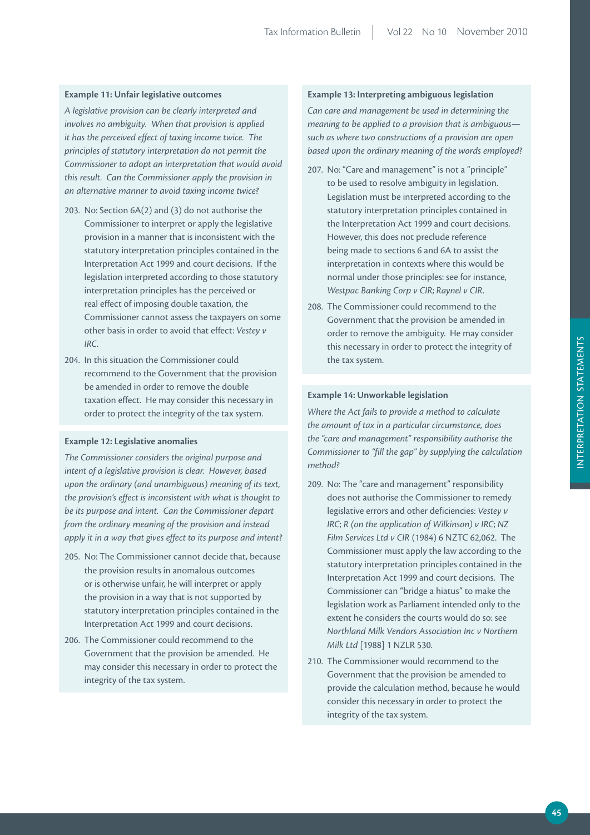#### **Example 11: Unfair legislative outcomes**

*A legislative provision can be clearly interpreted and involves no ambiguity. When that provision is applied it has the perceived effect of taxing income twice. The principles of statutory interpretation do not permit the Commissioner to adopt an interpretation that would avoid this result. Can the Commissioner apply the provision in an alternative manner to avoid taxing income twice?* 

- 203. No: Section 6A(2) and (3) do not authorise the Commissioner to interpret or apply the legislative provision in a manner that is inconsistent with the statutory interpretation principles contained in the Interpretation Act 1999 and court decisions. If the legislation interpreted according to those statutory interpretation principles has the perceived or real effect of imposing double taxation, the Commissioner cannot assess the taxpayers on some other basis in order to avoid that effect: *Vestey v IRC*.
- 204. In this situation the Commissioner could recommend to the Government that the provision be amended in order to remove the double taxation effect. He may consider this necessary in order to protect the integrity of the tax system.

#### **Example 12: Legislative anomalies**

*The Commissioner considers the original purpose and intent of a legislative provision is clear. However, based upon the ordinary (and unambiguous) meaning of its text, the provision's effect is inconsistent with what is thought to be its purpose and intent. Can the Commissioner depart from the ordinary meaning of the provision and instead apply it in a way that gives effect to its purpose and intent?* 

- 205. No: The Commissioner cannot decide that, because the provision results in anomalous outcomes or is otherwise unfair, he will interpret or apply the provision in a way that is not supported by statutory interpretation principles contained in the Interpretation Act 1999 and court decisions.
- 206. The Commissioner could recommend to the Government that the provision be amended. He may consider this necessary in order to protect the integrity of the tax system.

### **Example 13: interpreting ambiguous legislation**

*Can care and management be used in determining the meaning to be applied to a provision that is ambiguous such as where two constructions of a provision are open based upon the ordinary meaning of the words employed?* 

- 207. No: "Care and management" is not a "principle" to be used to resolve ambiguity in legislation. Legislation must be interpreted according to the statutory interpretation principles contained in the Interpretation Act 1999 and court decisions. However, this does not preclude reference being made to sections 6 and 6A to assist the interpretation in contexts where this would be normal under those principles: see for instance, *Westpac Banking Corp v CIR*; *Raynel v CIR*.
- 208. The Commissioner could recommend to the Government that the provision be amended in order to remove the ambiguity. He may consider this necessary in order to protect the integrity of the tax system.

## **Example 14: Unworkable legislation**

*Where the Act fails to provide a method to calculate the amount of tax in a particular circumstance, does the "care and management" responsibility authorise the Commissioner to "fill the gap" by supplying the calculation method?* 

- 209. No: The "care and management" responsibility does not authorise the Commissioner to remedy legislative errors and other deficiencies: *Vestey v IRC*; *R (on the application of Wilkinson) v IRC*; *NZ Film Services Ltd v CIR* (1984) 6 NZTC 62,062. The Commissioner must apply the law according to the statutory interpretation principles contained in the Interpretation Act 1999 and court decisions. The Commissioner can "bridge a hiatus" to make the legislation work as Parliament intended only to the extent he considers the courts would do so: see *Northland Milk Vendors Association Inc v Northern Milk Ltd* [1988] 1 NZLR 530.
- 210. The Commissioner would recommend to the Government that the provision be amended to provide the calculation method, because he would consider this necessary in order to protect the integrity of the tax system.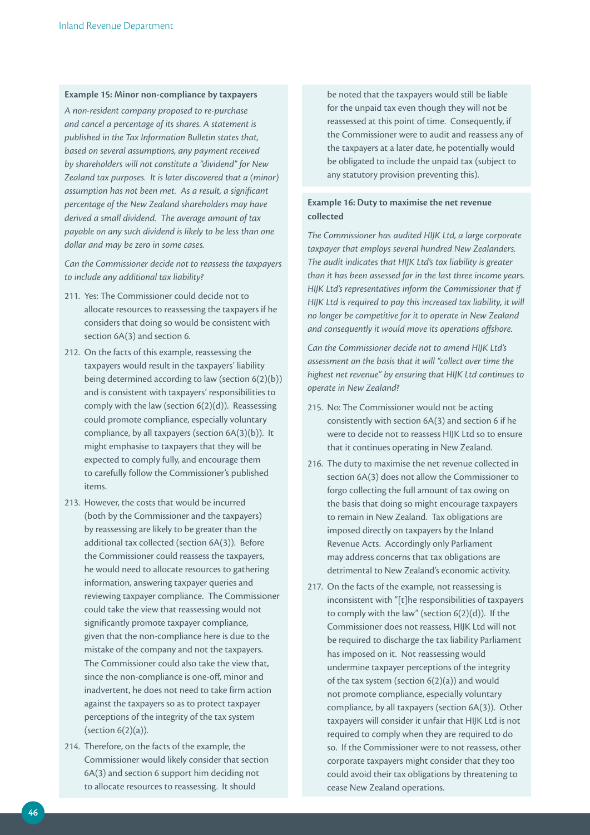#### **Example 15: minor non-compliance by taxpayers**

*A non‑resident company proposed to re‑purchase and cancel a percentage of its shares. A statement is published in the Tax Information Bulletin states that, based on several assumptions, any payment received by shareholders will not constitute a "dividend" for New Zealand tax purposes. It is later discovered that a (minor) assumption has not been met. As a result, a significant percentage of the New Zealand shareholders may have derived a small dividend. The average amount of tax payable on any such dividend is likely to be less than one dollar and may be zero in some cases.* 

*Can the Commissioner decide not to reassess the taxpayers to include any additional tax liability?*

- 211. Yes: The Commissioner could decide not to allocate resources to reassessing the taxpayers if he considers that doing so would be consistent with section 6A(3) and section 6.
- 212. On the facts of this example, reassessing the taxpayers would result in the taxpayers' liability being determined according to law (section 6(2)(b)) and is consistent with taxpayers' responsibilities to comply with the law (section 6(2)(d)). Reassessing could promote compliance, especially voluntary compliance, by all taxpayers (section 6A(3)(b)). It might emphasise to taxpayers that they will be expected to comply fully, and encourage them to carefully follow the Commissioner's published items.
- 213. However, the costs that would be incurred (both by the Commissioner and the taxpayers) by reassessing are likely to be greater than the additional tax collected (section 6A(3)). Before the Commissioner could reassess the taxpayers, he would need to allocate resources to gathering information, answering taxpayer queries and reviewing taxpayer compliance. The Commissioner could take the view that reassessing would not significantly promote taxpayer compliance, given that the non-compliance here is due to the mistake of the company and not the taxpayers. The Commissioner could also take the view that, since the non-compliance is one-off, minor and inadvertent, he does not need to take firm action against the taxpayers so as to protect taxpayer perceptions of the integrity of the tax system (section 6(2)(a)).
- 214. Therefore, on the facts of the example, the Commissioner would likely consider that section 6A(3) and section 6 support him deciding not to allocate resources to reassessing. It should

be noted that the taxpayers would still be liable for the unpaid tax even though they will not be reassessed at this point of time. Consequently, if the Commissioner were to audit and reassess any of the taxpayers at a later date, he potentially would be obligated to include the unpaid tax (subject to any statutory provision preventing this).

## **Example 16: Duty to maximise the net revenue collected**

*The Commissioner has audited HIJK Ltd, a large corporate taxpayer that employs several hundred New Zealanders. The audit indicates that HIJK Ltd's tax liability is greater than it has been assessed for in the last three income years. HIJK Ltd's representatives inform the Commissioner that if HIJK Ltd is required to pay this increased tax liability, it will no longer be competitive for it to operate in New Zealand and consequently it would move its operations offshore.* 

*Can the Commissioner decide not to amend HIJK Ltd's assessment on the basis that it will "collect over time the highest net revenue" by ensuring that HIJK Ltd continues to operate in New Zealand?*

- 215. No: The Commissioner would not be acting consistently with section 6A(3) and section 6 if he were to decide not to reassess HIJK Ltd so to ensure that it continues operating in New Zealand.
- 216. The duty to maximise the net revenue collected in section 6A(3) does not allow the Commissioner to forgo collecting the full amount of tax owing on the basis that doing so might encourage taxpayers to remain in New Zealand. Tax obligations are imposed directly on taxpayers by the Inland Revenue Acts. Accordingly only Parliament may address concerns that tax obligations are detrimental to New Zealand's economic activity.
- 217. On the facts of the example, not reassessing is inconsistent with "[t]he responsibilities of taxpayers to comply with the law" (section 6(2)(d)). If the Commissioner does not reassess, HIJK Ltd will not be required to discharge the tax liability Parliament has imposed on it. Not reassessing would undermine taxpayer perceptions of the integrity of the tax system (section 6(2)(a)) and would not promote compliance, especially voluntary compliance, by all taxpayers (section 6A(3)). Other taxpayers will consider it unfair that HIJK Ltd is not required to comply when they are required to do so. If the Commissioner were to not reassess, other corporate taxpayers might consider that they too could avoid their tax obligations by threatening to cease New Zealand operations.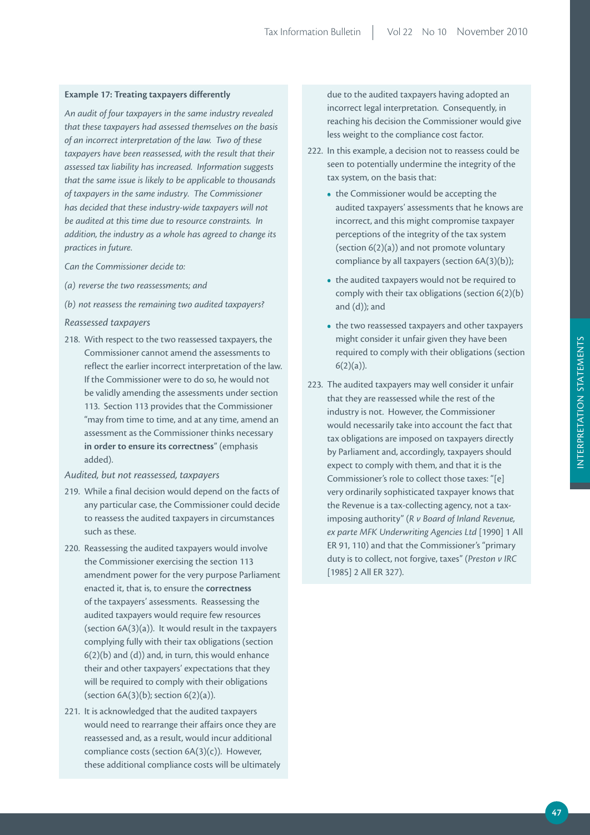#### **Example 17: Treating taxpayers differently**

*An audit of four taxpayers in the same industry revealed that these taxpayers had assessed themselves on the basis of an incorrect interpretation of the law. Two of these taxpayers have been reassessed, with the result that their assessed tax liability has increased. Information suggests that the same issue is likely to be applicable to thousands of taxpayers in the same industry. The Commissioner has decided that these industry‑wide taxpayers will not be audited at this time due to resource constraints. In addition, the industry as a whole has agreed to change its practices in future.* 

*Can the Commissioner decide to:*

- *(a) reverse the two reassessments; and*
- *(b) not reassess the remaining two audited taxpayers?*

#### *Reassessed taxpayers*

218. With respect to the two reassessed taxpayers, the Commissioner cannot amend the assessments to reflect the earlier incorrect interpretation of the law. If the Commissioner were to do so, he would not be validly amending the assessments under section 113. Section 113 provides that the Commissioner "may from time to time, and at any time, amend an assessment as the Commissioner thinks necessary **in order to ensure its correctness**" (emphasis added).

#### *Audited, but not reassessed, taxpayers*

- 219. While a final decision would depend on the facts of any particular case, the Commissioner could decide to reassess the audited taxpayers in circumstances such as these.
- 220. Reassessing the audited taxpayers would involve the Commissioner exercising the section 113 amendment power for the very purpose Parliament enacted it, that is, to ensure the **correctness** of the taxpayers' assessments. Reassessing the audited taxpayers would require few resources (section 6A(3)(a)). It would result in the taxpayers complying fully with their tax obligations (section  $6(2)(b)$  and  $(d)$ ) and, in turn, this would enhance their and other taxpayers' expectations that they will be required to comply with their obligations (section  $6A(3)(b)$ ; section  $6(2)(a)$ ).
- 221. It is acknowledged that the audited taxpayers would need to rearrange their affairs once they are reassessed and, as a result, would incur additional compliance costs (section 6A(3)(c)). However, these additional compliance costs will be ultimately

due to the audited taxpayers having adopted an incorrect legal interpretation. Consequently, in reaching his decision the Commissioner would give less weight to the compliance cost factor.

- 222. In this example, a decision not to reassess could be seen to potentially undermine the integrity of the tax system, on the basis that:
	- the Commissioner would be accepting the audited taxpayers' assessments that he knows are incorrect, and this might compromise taxpayer perceptions of the integrity of the tax system (section 6(2)(a)) and not promote voluntary compliance by all taxpayers (section 6A(3)(b));
	- the audited taxpayers would not be required to comply with their tax obligations (section 6(2)(b) and (d)); and
	- the two reassessed taxpayers and other taxpayers might consider it unfair given they have been required to comply with their obligations (section  $6(2)(a)$ ).
- 223. The audited taxpayers may well consider it unfair that they are reassessed while the rest of the industry is not. However, the Commissioner would necessarily take into account the fact that tax obligations are imposed on taxpayers directly by Parliament and, accordingly, taxpayers should expect to comply with them, and that it is the Commissioner's role to collect those taxes: "[e] very ordinarily sophisticated taxpayer knows that the Revenue is a tax-collecting agency, not a taximposing authority" (*R v Board of Inland Revenue, ex parte MFK Underwriting Agencies Ltd* [1990] 1 All ER 91, 110) and that the Commissioner's "primary duty is to collect, not forgive, taxes" (*Preston v IRC* [1985] 2 All ER 327).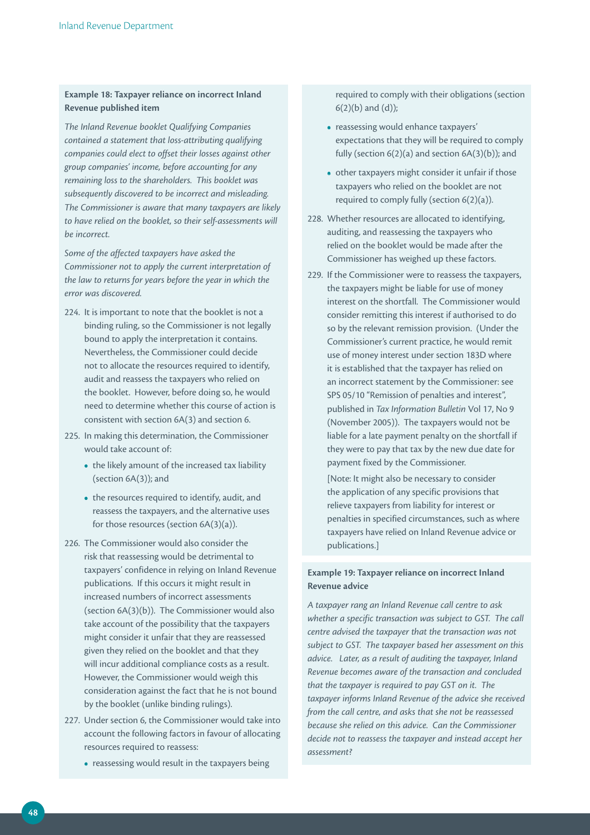## **Example 18: Taxpayer reliance on incorrect inland revenue published item**

*The Inland Revenue booklet Qualifying Companies contained a statement that loss‑attributing qualifying companies could elect to offset their losses against other group companies' income, before accounting for any remaining loss to the shareholders. This booklet was subsequently discovered to be incorrect and misleading. The Commissioner is aware that many taxpayers are likely to have relied on the booklet, so their self‑assessments will be incorrect.* 

*Some of the affected taxpayers have asked the Commissioner not to apply the current interpretation of the law to returns for years before the year in which the error was discovered.* 

- 224. It is important to note that the booklet is not a binding ruling, so the Commissioner is not legally bound to apply the interpretation it contains. Nevertheless, the Commissioner could decide not to allocate the resources required to identify, audit and reassess the taxpayers who relied on the booklet. However, before doing so, he would need to determine whether this course of action is consistent with section 6A(3) and section 6.
- 225. In making this determination, the Commissioner would take account of:
	- the likely amount of the increased tax liability (section 6A(3)); and
	- the resources required to identify, audit, and reassess the taxpayers, and the alternative uses for those resources (section 6A(3)(a)).
- 226. The Commissioner would also consider the risk that reassessing would be detrimental to taxpayers' confidence in relying on Inland Revenue publications. If this occurs it might result in increased numbers of incorrect assessments (section 6A(3)(b)). The Commissioner would also take account of the possibility that the taxpayers might consider it unfair that they are reassessed given they relied on the booklet and that they will incur additional compliance costs as a result. However, the Commissioner would weigh this consideration against the fact that he is not bound by the booklet (unlike binding rulings).
- 227. Under section 6, the Commissioner would take into account the following factors in favour of allocating resources required to reassess:
	- reassessing would result in the taxpayers being

required to comply with their obligations (section  $6(2)(b)$  and  $(d)$ );

- reassessing would enhance taxpayers' expectations that they will be required to comply fully (section  $6(2)(a)$  and section  $6A(3)(b)$ ); and
- other taxpayers might consider it unfair if those taxpayers who relied on the booklet are not required to comply fully (section 6(2)(a)).
- 228. Whether resources are allocated to identifying, auditing, and reassessing the taxpayers who relied on the booklet would be made after the Commissioner has weighed up these factors.
- 229. If the Commissioner were to reassess the taxpayers, the taxpayers might be liable for use of money interest on the shortfall. The Commissioner would consider remitting this interest if authorised to do so by the relevant remission provision. (Under the Commissioner's current practice, he would remit use of money interest under section 183D where it is established that the taxpayer has relied on an incorrect statement by the Commissioner: see SPS 05/10 "Remission of penalties and interest", published in *Tax Information Bulletin* Vol 17, No 9 (November 2005)). The taxpayers would not be liable for a late payment penalty on the shortfall if they were to pay that tax by the new due date for payment fixed by the Commissioner.

 [Note: It might also be necessary to consider the application of any specific provisions that relieve taxpayers from liability for interest or penalties in specified circumstances, such as where taxpayers have relied on Inland Revenue advice or publications.]

## **Example 19: Taxpayer reliance on incorrect inland Revenue advice**

*A taxpayer rang an Inland Revenue call centre to ask whether a specific transaction was subject to GST. The call centre advised the taxpayer that the transaction was not subject to GST. The taxpayer based her assessment on this advice. Later, as a result of auditing the taxpayer, Inland Revenue becomes aware of the transaction and concluded that the taxpayer is required to pay GST on it. The taxpayer informs Inland Revenue of the advice she received from the call centre, and asks that she not be reassessed because she relied on this advice. Can the Commissioner decide not to reassess the taxpayer and instead accept her assessment?*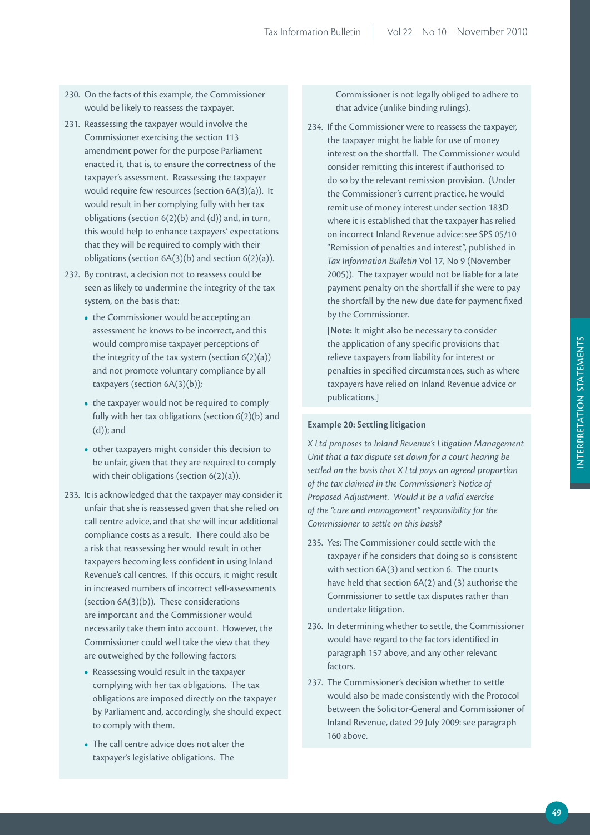- 230. On the facts of this example, the Commissioner would be likely to reassess the taxpayer.
- 231. Reassessing the taxpayer would involve the Commissioner exercising the section 113 amendment power for the purpose Parliament enacted it, that is, to ensure the **correctness** of the taxpayer's assessment. Reassessing the taxpayer would require few resources (section 6A(3)(a)). It would result in her complying fully with her tax obligations (section 6(2)(b) and (d)) and, in turn, this would help to enhance taxpayers' expectations that they will be required to comply with their obligations (section 6A(3)(b) and section 6(2)(a)).
- 232. By contrast, a decision not to reassess could be seen as likely to undermine the integrity of the tax system, on the basis that:
	- the Commissioner would be accepting an assessment he knows to be incorrect, and this would compromise taxpayer perceptions of the integrity of the tax system (section  $6(2)(a)$ ) and not promote voluntary compliance by all taxpayers (section 6A(3)(b));
	- the taxpayer would not be required to comply fully with her tax obligations (section 6(2)(b) and (d)); and
	- other taxpayers might consider this decision to be unfair, given that they are required to comply with their obligations (section 6(2)(a)).
- 233. It is acknowledged that the taxpayer may consider it unfair that she is reassessed given that she relied on call centre advice, and that she will incur additional compliance costs as a result. There could also be a risk that reassessing her would result in other taxpayers becoming less confident in using Inland Revenue's call centres. If this occurs, it might result in increased numbers of incorrect self-assessments (section 6A(3)(b)). These considerations are important and the Commissioner would necessarily take them into account. However, the Commissioner could well take the view that they are outweighed by the following factors:
	- Reassessing would result in the taxpayer complying with her tax obligations. The tax obligations are imposed directly on the taxpayer by Parliament and, accordingly, she should expect to comply with them.
	- The call centre advice does not alter the taxpayer's legislative obligations. The

Commissioner is not legally obliged to adhere to that advice (unlike binding rulings).

234. If the Commissioner were to reassess the taxpayer, the taxpayer might be liable for use of money interest on the shortfall. The Commissioner would consider remitting this interest if authorised to do so by the relevant remission provision. (Under the Commissioner's current practice, he would remit use of money interest under section 183D where it is established that the taxpayer has relied on incorrect Inland Revenue advice: see SPS 05/10 "Remission of penalties and interest", published in *Tax Information Bulletin* Vol 17, No 9 (November 2005)). The taxpayer would not be liable for a late payment penalty on the shortfall if she were to pay the shortfall by the new due date for payment fixed by the Commissioner.

 [**Note:** It might also be necessary to consider the application of any specific provisions that relieve taxpayers from liability for interest or penalties in specified circumstances, such as where taxpayers have relied on Inland Revenue advice or publications.]

#### **Example 20: Settling litigation**

*X Ltd proposes to Inland Revenue's Litigation Management Unit that a tax dispute set down for a court hearing be settled on the basis that X Ltd pays an agreed proportion of the tax claimed in the Commissioner's Notice of Proposed Adjustment. Would it be a valid exercise of the "care and management" responsibility for the Commissioner to settle on this basis?* 

- 235. Yes: The Commissioner could settle with the taxpayer if he considers that doing so is consistent with section 6A(3) and section 6. The courts have held that section 6A(2) and (3) authorise the Commissioner to settle tax disputes rather than undertake litigation.
- 236. In determining whether to settle, the Commissioner would have regard to the factors identified in paragraph 157 above, and any other relevant factors.
- 237. The Commissioner's decision whether to settle would also be made consistently with the Protocol between the Solicitor-General and Commissioner of Inland Revenue, dated 29 July 2009: see paragraph 160 above.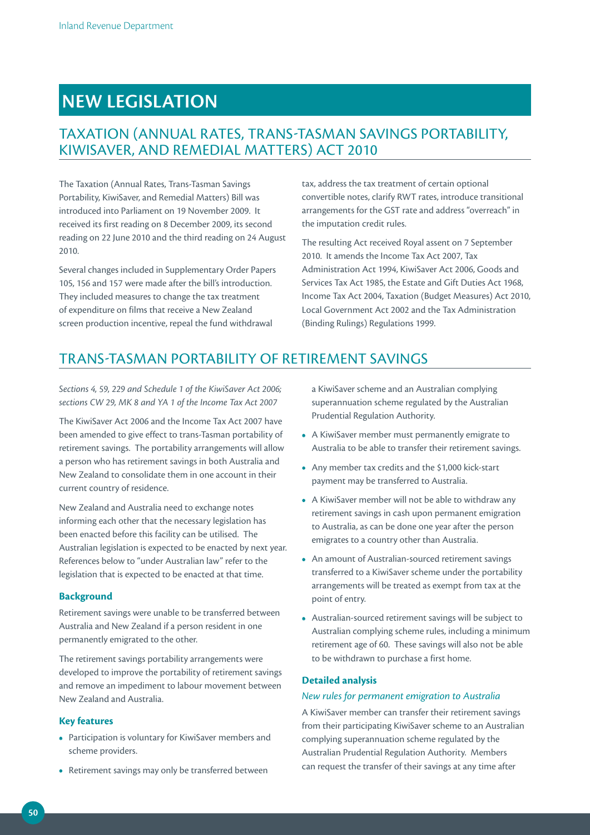# **NEW LEGiSLATiON**

# TAXATION (ANNUAL RATES, TRANS-TASMAN SAVINGS PORTABILITY, KIWISAVER, AND REMEDIAL MATTERS) ACT 2010

The Taxation (Annual Rates, Trans-Tasman Savings Portability, KiwiSaver, and Remedial Matters) Bill was introduced into Parliament on 19 November 2009. It received its first reading on 8 December 2009, its second reading on 22 June 2010 and the third reading on 24 August 2010.

Several changes included in Supplementary Order Papers 105, 156 and 157 were made after the bill's introduction. They included measures to change the tax treatment of expenditure on films that receive a New Zealand screen production incentive, repeal the fund withdrawal

tax, address the tax treatment of certain optional convertible notes, clarify RWT rates, introduce transitional arrangements for the GST rate and address "overreach" in the imputation credit rules.

The resulting Act received Royal assent on 7 September 2010. It amends the Income Tax Act 2007, Tax Administration Act 1994, KiwiSaver Act 2006, Goods and Services Tax Act 1985, the Estate and Gift Duties Act 1968, Income Tax Act 2004, Taxation (Budget Measures) Act 2010, Local Government Act 2002 and the Tax Administration (Binding Rulings) Regulations 1999.

# TRANS-TASMAN PORTABILITY OF RETIREMENT SAVINGS

*Sections 4, 59, 229 and Schedule 1 of the KiwiSaver Act 2006; sections CW 29, MK 8 and YA 1 of the Income Tax Act 2007*

The KiwiSaver Act 2006 and the Income Tax Act 2007 have been amended to give effect to trans-Tasman portability of retirement savings. The portability arrangements will allow a person who has retirement savings in both Australia and New Zealand to consolidate them in one account in their current country of residence.

New Zealand and Australia need to exchange notes informing each other that the necessary legislation has been enacted before this facility can be utilised. The Australian legislation is expected to be enacted by next year. References below to "under Australian law" refer to the legislation that is expected to be enacted at that time.

## **Background**

Retirement savings were unable to be transferred between Australia and New Zealand if a person resident in one permanently emigrated to the other.

The retirement savings portability arrangements were developed to improve the portability of retirement savings and remove an impediment to labour movement between New Zealand and Australia.

## **Key features**

- Participation is voluntary for KiwiSaver members and scheme providers.
- Retirement savings may only be transferred between

a KiwiSaver scheme and an Australian complying superannuation scheme regulated by the Australian Prudential Regulation Authority.

- A KiwiSaver member must permanently emigrate to Australia to be able to transfer their retirement savings.
- Any member tax credits and the \$1,000 kick-start payment may be transferred to Australia.
- A KiwiSaver member will not be able to withdraw any retirement savings in cash upon permanent emigration to Australia, as can be done one year after the person emigrates to a country other than Australia.
- An amount of Australian-sourced retirement savings transferred to a KiwiSaver scheme under the portability arrangements will be treated as exempt from tax at the point of entry.
- Australian-sourced retirement savings will be subject to Australian complying scheme rules, including a minimum retirement age of 60. These savings will also not be able to be withdrawn to purchase a first home.

### **Detailed analysis**

### *New rules for permanent emigration to Australia*

A KiwiSaver member can transfer their retirement savings from their participating KiwiSaver scheme to an Australian complying superannuation scheme regulated by the Australian Prudential Regulation Authority. Members can request the transfer of their savings at any time after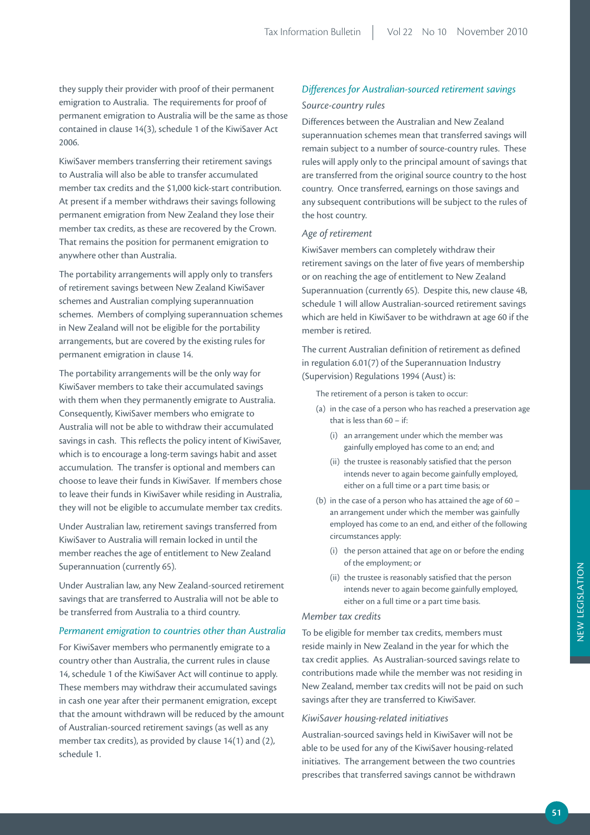they supply their provider with proof of their permanent emigration to Australia. The requirements for proof of permanent emigration to Australia will be the same as those contained in clause 14(3), schedule 1 of the KiwiSaver Act 2006.

KiwiSaver members transferring their retirement savings to Australia will also be able to transfer accumulated member tax credits and the \$1,000 kick-start contribution. At present if a member withdraws their savings following permanent emigration from New Zealand they lose their member tax credits, as these are recovered by the Crown. That remains the position for permanent emigration to anywhere other than Australia.

The portability arrangements will apply only to transfers of retirement savings between New Zealand KiwiSaver schemes and Australian complying superannuation schemes. Members of complying superannuation schemes in New Zealand will not be eligible for the portability arrangements, but are covered by the existing rules for permanent emigration in clause 14.

The portability arrangements will be the only way for KiwiSaver members to take their accumulated savings with them when they permanently emigrate to Australia. Consequently, KiwiSaver members who emigrate to Australia will not be able to withdraw their accumulated savings in cash. This reflects the policy intent of KiwiSaver, which is to encourage a long-term savings habit and asset accumulation. The transfer is optional and members can choose to leave their funds in KiwiSaver. If members chose to leave their funds in KiwiSaver while residing in Australia, they will not be eligible to accumulate member tax credits.

Under Australian law, retirement savings transferred from KiwiSaver to Australia will remain locked in until the member reaches the age of entitlement to New Zealand Superannuation (currently 65).

Under Australian law, any New Zealand-sourced retirement savings that are transferred to Australia will not be able to be transferred from Australia to a third country.

#### *Permanent emigration to countries other than Australia*

For KiwiSaver members who permanently emigrate to a country other than Australia, the current rules in clause 14, schedule 1 of the KiwiSaver Act will continue to apply. These members may withdraw their accumulated savings in cash one year after their permanent emigration, except that the amount withdrawn will be reduced by the amount of Australian-sourced retirement savings (as well as any member tax credits), as provided by clause 14(1) and (2), schedule 1.

# *Differences for Australian‑sourced retirement savings Source‑country rules*

Differences between the Australian and New Zealand superannuation schemes mean that transferred savings will remain subject to a number of source-country rules. These rules will apply only to the principal amount of savings that are transferred from the original source country to the host country. Once transferred, earnings on those savings and any subsequent contributions will be subject to the rules of the host country.

#### *Age of retirement*

KiwiSaver members can completely withdraw their retirement savings on the later of five years of membership or on reaching the age of entitlement to New Zealand Superannuation (currently 65). Despite this, new clause 4B, schedule 1 will allow Australian-sourced retirement savings which are held in KiwiSaver to be withdrawn at age 60 if the member is retired.

The current Australian definition of retirement as defined in regulation 6.01(7) of the Superannuation Industry (Supervision) Regulations 1994 (Aust) is:

The retirement of a person is taken to occur:

- (a) in the case of a person who has reached a preservation age that is less than 60 – if:
	- (i) an arrangement under which the member was gainfully employed has come to an end; and
	- (ii) the trustee is reasonably satisfied that the person intends never to again become gainfully employed, either on a full time or a part time basis; or
- (b) in the case of a person who has attained the age of 60 an arrangement under which the member was gainfully employed has come to an end, and either of the following circumstances apply:
	- (i) the person attained that age on or before the ending of the employment; or
	- (ii) the trustee is reasonably satisfied that the person intends never to again become gainfully employed, either on a full time or a part time basis.

#### *Member tax credits*

To be eligible for member tax credits, members must reside mainly in New Zealand in the year for which the tax credit applies. As Australian-sourced savings relate to contributions made while the member was not residing in New Zealand, member tax credits will not be paid on such savings after they are transferred to KiwiSaver.

#### *KiwiSaver housing‑related initiatives*

Australian-sourced savings held in KiwiSaver will not be able to be used for any of the KiwiSaver housing-related initiatives. The arrangement between the two countries prescribes that transferred savings cannot be withdrawn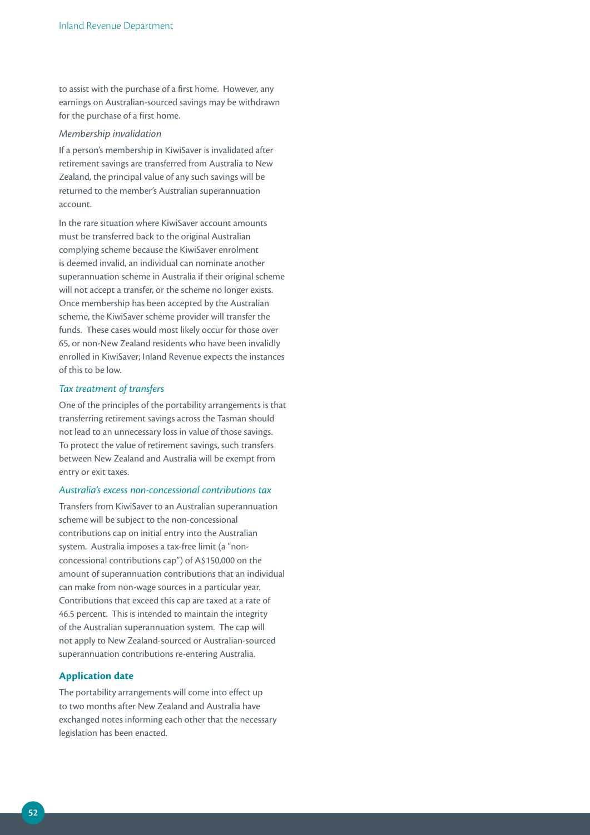to assist with the purchase of a first home. However, any earnings on Australian-sourced savings may be withdrawn for the purchase of a first home.

#### *Membership invalidation*

If a person's membership in KiwiSaver is invalidated after retirement savings are transferred from Australia to New Zealand, the principal value of any such savings will be returned to the member's Australian superannuation account.

In the rare situation where KiwiSaver account amounts must be transferred back to the original Australian complying scheme because the KiwiSaver enrolment is deemed invalid, an individual can nominate another superannuation scheme in Australia if their original scheme will not accept a transfer, or the scheme no longer exists. Once membership has been accepted by the Australian scheme, the KiwiSaver scheme provider will transfer the funds. These cases would most likely occur for those over 65, or non-New Zealand residents who have been invalidly enrolled in KiwiSaver; Inland Revenue expects the instances of this to be low.

#### *Tax treatment of transfers*

One of the principles of the portability arrangements is that transferring retirement savings across the Tasman should not lead to an unnecessary loss in value of those savings. To protect the value of retirement savings, such transfers between New Zealand and Australia will be exempt from entry or exit taxes.

#### *Australia's excess non‑concessional contributions tax*

Transfers from KiwiSaver to an Australian superannuation scheme will be subject to the non-concessional contributions cap on initial entry into the Australian system. Australia imposes a tax-free limit (a "nonconcessional contributions cap") of A\$150,000 on the amount of superannuation contributions that an individual can make from non-wage sources in a particular year. Contributions that exceed this cap are taxed at a rate of 46.5 percent. This is intended to maintain the integrity of the Australian superannuation system. The cap will not apply to New Zealand-sourced or Australian-sourced superannuation contributions re-entering Australia.

#### **Application date**

The portability arrangements will come into effect up to two months after New Zealand and Australia have exchanged notes informing each other that the necessary legislation has been enacted.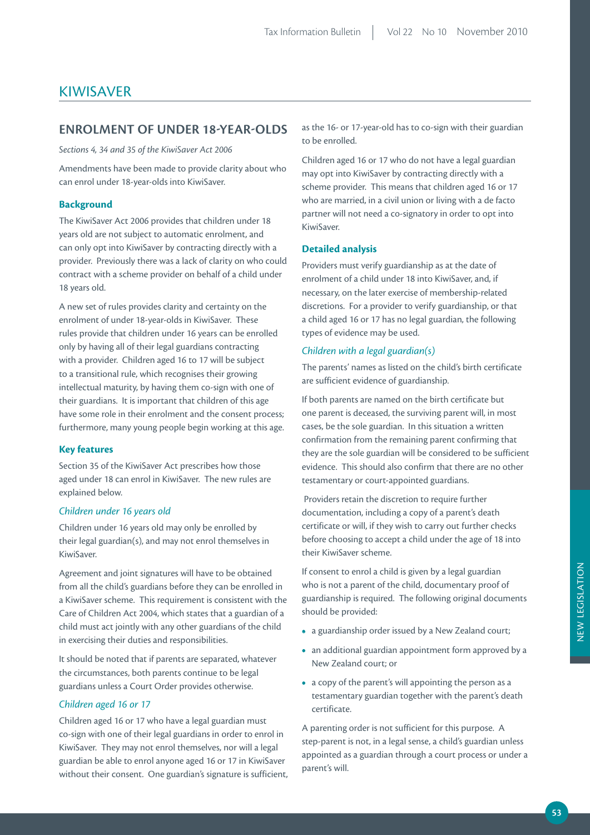# KIWISAVER

## **ENrOLmENT OF uNDEr 18-YEAr-OLDS**

*Sections 4, 34 and 35 of the KiwiSaver Act 2006*

Amendments have been made to provide clarity about who can enrol under 18-year-olds into KiwiSaver.

### **Background**

The KiwiSaver Act 2006 provides that children under 18 years old are not subject to automatic enrolment, and can only opt into KiwiSaver by contracting directly with a provider. Previously there was a lack of clarity on who could contract with a scheme provider on behalf of a child under 18 years old.

A new set of rules provides clarity and certainty on the enrolment of under 18-year-olds in KiwiSaver. These rules provide that children under 16 years can be enrolled only by having all of their legal guardians contracting with a provider. Children aged 16 to 17 will be subject to a transitional rule, which recognises their growing intellectual maturity, by having them co-sign with one of their guardians. It is important that children of this age have some role in their enrolment and the consent process; furthermore, many young people begin working at this age.

#### **Key features**

Section 35 of the KiwiSaver Act prescribes how those aged under 18 can enrol in KiwiSaver. The new rules are explained below.

#### *Children under 16 years old*

Children under 16 years old may only be enrolled by their legal guardian(s), and may not enrol themselves in KiwiSaver.

Agreement and joint signatures will have to be obtained from all the child's guardians before they can be enrolled in a KiwiSaver scheme. This requirement is consistent with the Care of Children Act 2004, which states that a guardian of a child must act jointly with any other guardians of the child in exercising their duties and responsibilities.

It should be noted that if parents are separated, whatever the circumstances, both parents continue to be legal guardians unless a Court Order provides otherwise.

#### *Children aged 16 or 17*

Children aged 16 or 17 who have a legal guardian must co-sign with one of their legal guardians in order to enrol in KiwiSaver. They may not enrol themselves, nor will a legal guardian be able to enrol anyone aged 16 or 17 in KiwiSaver without their consent. One guardian's signature is sufficient, as the 16- or 17-year-old has to co-sign with their guardian to be enrolled.

Children aged 16 or 17 who do not have a legal guardian may opt into KiwiSaver by contracting directly with a scheme provider. This means that children aged 16 or 17 who are married, in a civil union or living with a de facto partner will not need a co-signatory in order to opt into KiwiSaver.

### **Detailed analysis**

Providers must verify guardianship as at the date of enrolment of a child under 18 into KiwiSaver, and, if necessary, on the later exercise of membership-related discretions. For a provider to verify guardianship, or that a child aged 16 or 17 has no legal guardian, the following types of evidence may be used.

#### *Children with a legal guardian(s)*

The parents' names as listed on the child's birth certificate are sufficient evidence of guardianship.

If both parents are named on the birth certificate but one parent is deceased, the surviving parent will, in most cases, be the sole guardian. In this situation a written confirmation from the remaining parent confirming that they are the sole guardian will be considered to be sufficient evidence. This should also confirm that there are no other testamentary or court-appointed guardians.

 Providers retain the discretion to require further documentation, including a copy of a parent's death certificate or will, if they wish to carry out further checks before choosing to accept a child under the age of 18 into their KiwiSaver scheme.

If consent to enrol a child is given by a legal guardian who is not a parent of the child, documentary proof of guardianship is required. The following original documents should be provided:

- a guardianship order issued by a New Zealand court;
- an additional guardian appointment form approved by a New Zealand court; or
- a copy of the parent's will appointing the person as a testamentary guardian together with the parent's death certificate.

A parenting order is not sufficient for this purpose. A step-parent is not, in a legal sense, a child's guardian unless appointed as a guardian through a court process or under a parent's will.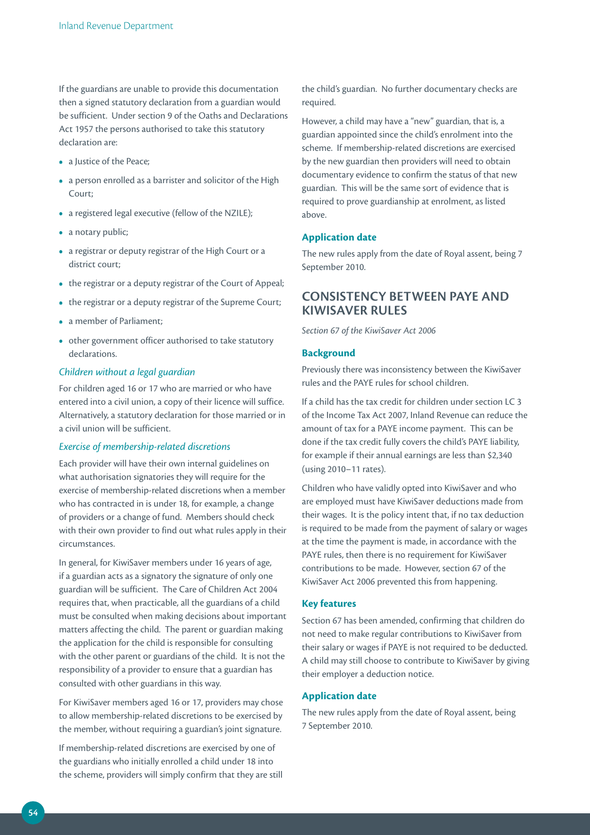If the guardians are unable to provide this documentation then a signed statutory declaration from a guardian would be sufficient. Under section 9 of the Oaths and Declarations Act 1957 the persons authorised to take this statutory declaration are:

- a Justice of the Peace;
- a person enrolled as a barrister and solicitor of the High Court;
- a registered legal executive (fellow of the NZILE);
- a notary public;
- a registrar or deputy registrar of the High Court or a district court;
- the registrar or a deputy registrar of the Court of Appeal;
- the registrar or a deputy registrar of the Supreme Court;
- a member of Parliament;
- other government officer authorised to take statutory declarations.

#### *Children without a legal guardian*

For children aged 16 or 17 who are married or who have entered into a civil union, a copy of their licence will suffice. Alternatively, a statutory declaration for those married or in a civil union will be sufficient.

#### *Exercise of membership‑related discretions*

Each provider will have their own internal guidelines on what authorisation signatories they will require for the exercise of membership-related discretions when a member who has contracted in is under 18, for example, a change of providers or a change of fund. Members should check with their own provider to find out what rules apply in their circumstances.

In general, for KiwiSaver members under 16 years of age, if a guardian acts as a signatory the signature of only one guardian will be sufficient. The Care of Children Act 2004 requires that, when practicable, all the guardians of a child must be consulted when making decisions about important matters affecting the child. The parent or guardian making the application for the child is responsible for consulting with the other parent or guardians of the child. It is not the responsibility of a provider to ensure that a guardian has consulted with other guardians in this way.

For KiwiSaver members aged 16 or 17, providers may chose to allow membership-related discretions to be exercised by the member, without requiring a guardian's joint signature.

If membership-related discretions are exercised by one of the guardians who initially enrolled a child under 18 into the scheme, providers will simply confirm that they are still the child's guardian. No further documentary checks are required.

However, a child may have a "new" guardian, that is, a guardian appointed since the child's enrolment into the scheme. If membership-related discretions are exercised by the new guardian then providers will need to obtain documentary evidence to confirm the status of that new guardian. This will be the same sort of evidence that is required to prove guardianship at enrolment, as listed above.

#### **Application date**

The new rules apply from the date of Royal assent, being 7 September 2010.

# **CONSiSTENCY BETWEEN pAYE AND KiWiSAVEr ruLES**

*Section 67 of the KiwiSaver Act 2006*

#### **Background**

Previously there was inconsistency between the KiwiSaver rules and the PAYE rules for school children.

If a child has the tax credit for children under section LC 3 of the Income Tax Act 2007, Inland Revenue can reduce the amount of tax for a PAYE income payment. This can be done if the tax credit fully covers the child's PAYE liability, for example if their annual earnings are less than \$2,340 (using 2010–11 rates).

Children who have validly opted into KiwiSaver and who are employed must have KiwiSaver deductions made from their wages. It is the policy intent that, if no tax deduction is required to be made from the payment of salary or wages at the time the payment is made, in accordance with the PAYE rules, then there is no requirement for KiwiSaver contributions to be made. However, section 67 of the KiwiSaver Act 2006 prevented this from happening.

#### **Key features**

Section 67 has been amended, confirming that children do not need to make regular contributions to KiwiSaver from their salary or wages if PAYE is not required to be deducted. A child may still choose to contribute to KiwiSaver by giving their employer a deduction notice.

### **Application date**

The new rules apply from the date of Royal assent, being 7 September 2010.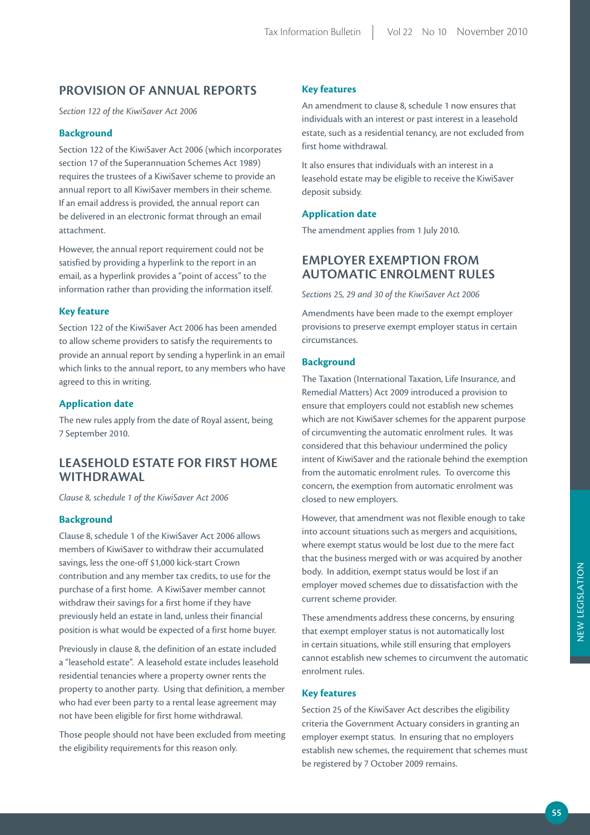# **prOViSiON OF ANNuAL rEpOrTS**

*Section 122 of the KiwiSaver Act 2006*

#### **Background**

Section 122 of the KiwiSaver Act 2006 (which incorporates section 17 of the Superannuation Schemes Act 1989) requires the trustees of a KiwiSaver scheme to provide an annual report to all KiwiSaver members in their scheme. If an email address is provided, the annual report can be delivered in an electronic format through an email attachment.

However, the annual report requirement could not be satisfied by providing a hyperlink to the report in an email, as a hyperlink provides a "point of access" to the information rather than providing the information itself.

### **Key feature**

Section 122 of the KiwiSaver Act 2006 has been amended to allow scheme providers to satisfy the requirements to provide an annual report by sending a hyperlink in an email which links to the annual report, to any members who have agreed to this in writing.

#### **Application date**

The new rules apply from the date of Royal assent, being 7 September 2010.

# **LEASEHOLD ESTATE FOr FirST HOmE WiTHDrAWAL**

*Clause 8, schedule 1 of the KiwiSaver Act 2006*

## **Background**

Clause 8, schedule 1 of the KiwiSaver Act 2006 allows members of KiwiSaver to withdraw their accumulated savings, less the one-off \$1,000 kick-start Crown contribution and any member tax credits, to use for the purchase of a first home. A KiwiSaver member cannot withdraw their savings for a first home if they have previously held an estate in land, unless their financial position is what would be expected of a first home buyer.

Previously in clause 8, the definition of an estate included a "leasehold estate". A leasehold estate includes leasehold residential tenancies where a property owner rents the property to another party. Using that definition, a member who had ever been party to a rental lease agreement may not have been eligible for first home withdrawal.

Those people should not have been excluded from meeting the eligibility requirements for this reason only.

#### **Key features**

An amendment to clause 8, schedule 1 now ensures that individuals with an interest or past interest in a leasehold estate, such as a residential tenancy, are not excluded from first home withdrawal.

It also ensures that individuals with an interest in a leasehold estate may be eligible to receive the KiwiSaver deposit subsidy.

#### **Application date**

The amendment applies from 1 July 2010.

## **EmpLOYEr EXEmpTiON FrOm AuTOmATiC ENrOLmENT ruLES**

*Sections 25, 29 and 30 of the KiwiSaver Act 2006*

Amendments have been made to the exempt employer provisions to preserve exempt employer status in certain circumstances.

## **Background**

The Taxation (International Taxation, Life Insurance, and Remedial Matters) Act 2009 introduced a provision to ensure that employers could not establish new schemes which are not KiwiSaver schemes for the apparent purpose of circumventing the automatic enrolment rules. It was considered that this behaviour undermined the policy intent of KiwiSaver and the rationale behind the exemption from the automatic enrolment rules. To overcome this concern, the exemption from automatic enrolment was closed to new employers.

However, that amendment was not flexible enough to take into account situations such as mergers and acquisitions, where exempt status would be lost due to the mere fact that the business merged with or was acquired by another body. In addition, exempt status would be lost if an employer moved schemes due to dissatisfaction with the current scheme provider.

These amendments address these concerns, by ensuring that exempt employer status is not automatically lost in certain situations, while still ensuring that employers cannot establish new schemes to circumvent the automatic enrolment rules.

## **Key features**

Section 25 of the KiwiSaver Act describes the eligibility criteria the Government Actuary considers in granting an employer exempt status. In ensuring that no employers establish new schemes, the requirement that schemes must be registered by 7 October 2009 remains.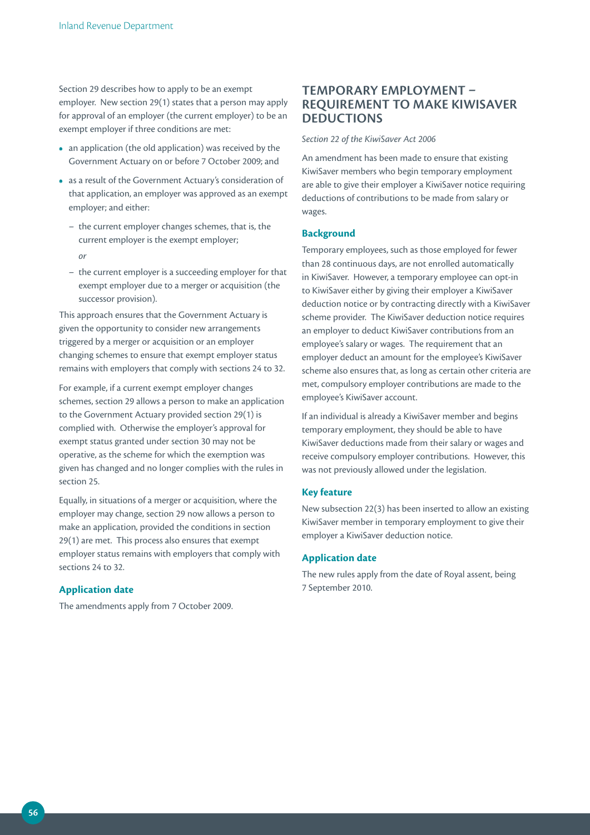Section 29 describes how to apply to be an exempt employer. New section 29(1) states that a person may apply for approval of an employer (the current employer) to be an exempt employer if three conditions are met:

- an application (the old application) was received by the Government Actuary on or before 7 October 2009; and
- as a result of the Government Actuary's consideration of that application, an employer was approved as an exempt employer; and either:
	- the current employer changes schemes, that is, the current employer is the exempt employer; *or*
	- the current employer is a succeeding employer for that exempt employer due to a merger or acquisition (the successor provision).

This approach ensures that the Government Actuary is given the opportunity to consider new arrangements triggered by a merger or acquisition or an employer changing schemes to ensure that exempt employer status remains with employers that comply with sections 24 to 32.

For example, if a current exempt employer changes schemes, section 29 allows a person to make an application to the Government Actuary provided section 29(1) is complied with. Otherwise the employer's approval for exempt status granted under section 30 may not be operative, as the scheme for which the exemption was given has changed and no longer complies with the rules in section 25.

Equally, in situations of a merger or acquisition, where the employer may change, section 29 now allows a person to make an application, provided the conditions in section 29(1) are met. This process also ensures that exempt employer status remains with employers that comply with sections 24 to 32.

## **Application date**

The amendments apply from 7 October 2009.

# **TEmpOrArY EmpLOYmENT – rEQuirEmENT TO mAKE KiWiSAVEr DEDuCTiONS**

#### *Section 22 of the KiwiSaver Act 2006*

An amendment has been made to ensure that existing KiwiSaver members who begin temporary employment are able to give their employer a KiwiSaver notice requiring deductions of contributions to be made from salary or wages.

#### **Background**

Temporary employees, such as those employed for fewer than 28 continuous days, are not enrolled automatically in KiwiSaver. However, a temporary employee can opt-in to KiwiSaver either by giving their employer a KiwiSaver deduction notice or by contracting directly with a KiwiSaver scheme provider. The KiwiSaver deduction notice requires an employer to deduct KiwiSaver contributions from an employee's salary or wages. The requirement that an employer deduct an amount for the employee's KiwiSaver scheme also ensures that, as long as certain other criteria are met, compulsory employer contributions are made to the employee's KiwiSaver account.

If an individual is already a KiwiSaver member and begins temporary employment, they should be able to have KiwiSaver deductions made from their salary or wages and receive compulsory employer contributions. However, this was not previously allowed under the legislation.

#### **Key feature**

New subsection 22(3) has been inserted to allow an existing KiwiSaver member in temporary employment to give their employer a KiwiSaver deduction notice.

### **Application date**

The new rules apply from the date of Royal assent, being 7 September 2010.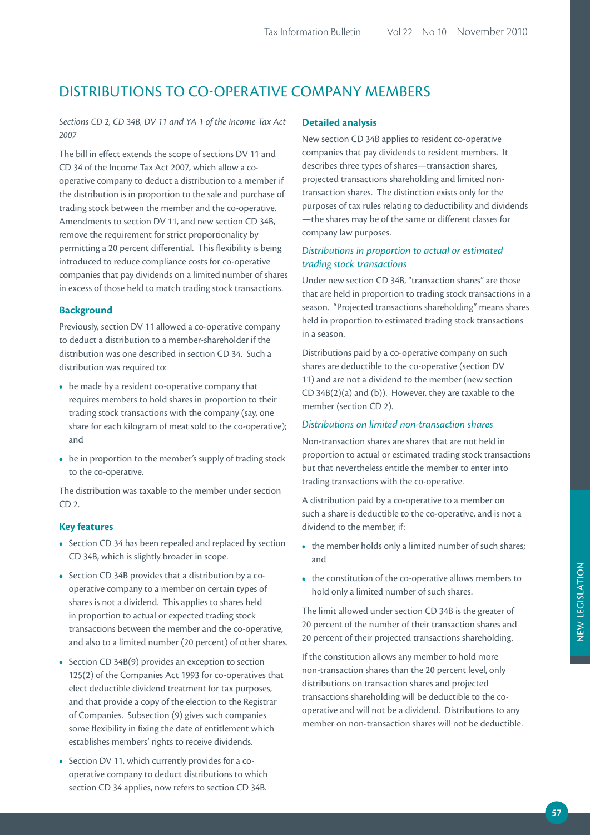# DISTRIBUTIONS TO CO-OPERATIVE COMPANY MEMBERS

*Sections CD 2, CD 34B, DV 11 and YA 1 of the Income Tax Act 2007*

The bill in effect extends the scope of sections DV 11 and CD 34 of the Income Tax Act 2007, which allow a cooperative company to deduct a distribution to a member if the distribution is in proportion to the sale and purchase of trading stock between the member and the co-operative. Amendments to section DV 11, and new section CD 34B, remove the requirement for strict proportionality by permitting a 20 percent differential. This flexibility is being introduced to reduce compliance costs for co-operative companies that pay dividends on a limited number of shares in excess of those held to match trading stock transactions.

## **Background**

Previously, section DV 11 allowed a co-operative company to deduct a distribution to a member-shareholder if the distribution was one described in section CD 34. Such a distribution was required to:

- be made by a resident co-operative company that requires members to hold shares in proportion to their trading stock transactions with the company (say, one share for each kilogram of meat sold to the co-operative); and
- be in proportion to the member's supply of trading stock to the co-operative.

The distribution was taxable to the member under section CD 2.

## **Key features**

- Section CD 34 has been repealed and replaced by section CD 34B, which is slightly broader in scope.
- Section CD 34B provides that a distribution by a cooperative company to a member on certain types of shares is not a dividend. This applies to shares held in proportion to actual or expected trading stock transactions between the member and the co-operative, and also to a limited number (20 percent) of other shares.
- Section CD 34B(9) provides an exception to section 125(2) of the Companies Act 1993 for co-operatives that elect deductible dividend treatment for tax purposes, and that provide a copy of the election to the Registrar of Companies. Subsection (9) gives such companies some flexibility in fixing the date of entitlement which establishes members' rights to receive dividends.
- Section DV 11, which currently provides for a cooperative company to deduct distributions to which section CD 34 applies, now refers to section CD 34B.

#### **Detailed analysis**

New section CD 34B applies to resident co-operative companies that pay dividends to resident members. It describes three types of shares—transaction shares, projected transactions shareholding and limited nontransaction shares. The distinction exists only for the purposes of tax rules relating to deductibility and dividends —the shares may be of the same or different classes for company law purposes.

## *Distributions in proportion to actual or estimated trading stock transactions*

Under new section CD 34B, "transaction shares" are those that are held in proportion to trading stock transactions in a season. "Projected transactions shareholding" means shares held in proportion to estimated trading stock transactions in a season.

Distributions paid by a co-operative company on such shares are deductible to the co-operative (section DV 11) and are not a dividend to the member (new section CD 34B(2)(a) and (b)). However, they are taxable to the member (section CD 2).

#### *Distributions on limited non‑transaction shares*

Non-transaction shares are shares that are not held in proportion to actual or estimated trading stock transactions but that nevertheless entitle the member to enter into trading transactions with the co-operative.

A distribution paid by a co-operative to a member on such a share is deductible to the co-operative, and is not a dividend to the member, if:

- the member holds only a limited number of such shares; and
- the constitution of the co-operative allows members to hold only a limited number of such shares.

The limit allowed under section CD 34B is the greater of 20 percent of the number of their transaction shares and 20 percent of their projected transactions shareholding.

If the constitution allows any member to hold more non-transaction shares than the 20 percent level, only distributions on transaction shares and projected transactions shareholding will be deductible to the cooperative and will not be a dividend. Distributions to any member on non-transaction shares will not be deductible.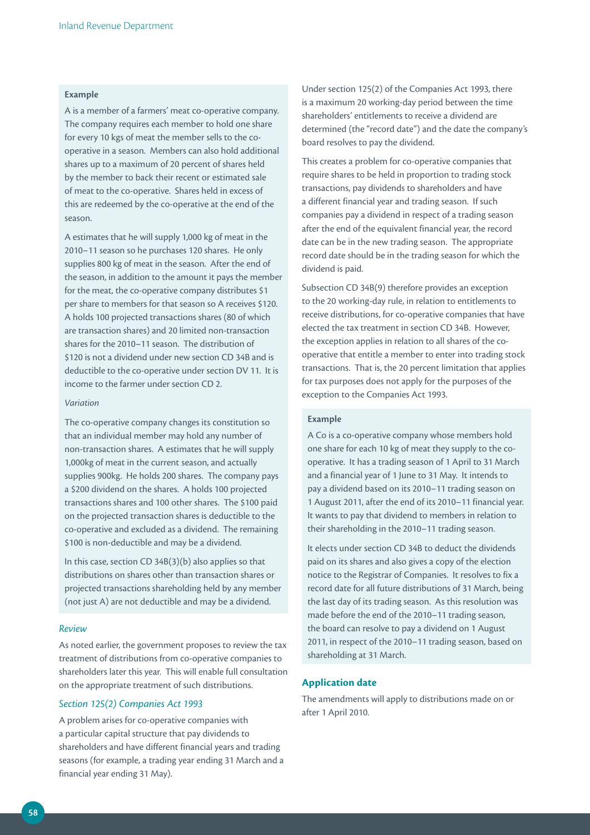## **Example**

A is a member of a farmers' meat co-operative company. The company requires each member to hold one share for every 10 kgs of meat the member sells to the cooperative in a season. Members can also hold additional shares up to a maximum of 20 percent of shares held by the member to back their recent or estimated sale of meat to the co-operative. Shares held in excess of this are redeemed by the co-operative at the end of the season.

A estimates that he will supply 1,000 kg of meat in the 2010–11 season so he purchases 120 shares. He only supplies 800 kg of meat in the season. After the end of the season, in addition to the amount it pays the member for the meat, the co-operative company distributes \$1 per share to members for that season so A receives \$120. A holds 100 projected transactions shares (80 of which are transaction shares) and 20 limited non-transaction shares for the 2010–11 season. The distribution of \$120 is not a dividend under new section CD 34B and is deductible to the co-operative under section DV 11. It is income to the farmer under section CD 2.

#### *Variation*

The co-operative company changes its constitution so that an individual member may hold any number of non-transaction shares. A estimates that he will supply 1,000kg of meat in the current season, and actually supplies 900kg. He holds 200 shares. The company pays a \$200 dividend on the shares. A holds 100 projected transactions shares and 100 other shares. The \$100 paid on the projected transaction shares is deductible to the co-operative and excluded as a dividend. The remaining \$100 is non-deductible and may be a dividend.

In this case, section CD 34B(3)(b) also applies so that distributions on shares other than transaction shares or projected transactions shareholding held by any member (not just A) are not deductible and may be a dividend.

#### *Review*

As noted earlier, the government proposes to review the tax treatment of distributions from co-operative companies to shareholders later this year. This will enable full consultation on the appropriate treatment of such distributions.

#### *Section 125(2) Companies Act 1993*

A problem arises for co-operative companies with a particular capital structure that pay dividends to shareholders and have different financial years and trading seasons (for example, a trading year ending 31 March and a financial year ending 31 May).

Under section 125(2) of the Companies Act 1993, there is a maximum 20 working-day period between the time shareholders' entitlements to receive a dividend are determined (the "record date") and the date the company's board resolves to pay the dividend.

This creates a problem for co-operative companies that require shares to be held in proportion to trading stock transactions, pay dividends to shareholders and have a different financial year and trading season. If such companies pay a dividend in respect of a trading season after the end of the equivalent financial year, the record date can be in the new trading season. The appropriate record date should be in the trading season for which the dividend is paid.

Subsection CD 34B(9) therefore provides an exception to the 20 working-day rule, in relation to entitlements to receive distributions, for co-operative companies that have elected the tax treatment in section CD 34B. However, the exception applies in relation to all shares of the cooperative that entitle a member to enter into trading stock transactions. That is, the 20 percent limitation that applies for tax purposes does not apply for the purposes of the exception to the Companies Act 1993.

#### **Example**

A Co is a co-operative company whose members hold one share for each 10 kg of meat they supply to the cooperative. It has a trading season of 1 April to 31 March and a financial year of 1 June to 31 May. It intends to pay a dividend based on its 2010–11 trading season on 1 August 2011, after the end of its 2010–11 financial year. It wants to pay that dividend to members in relation to their shareholding in the 2010–11 trading season.

It elects under section CD 34B to deduct the dividends paid on its shares and also gives a copy of the election notice to the Registrar of Companies. It resolves to fix a record date for all future distributions of 31 March, being the last day of its trading season. As this resolution was made before the end of the 2010–11 trading season, the board can resolve to pay a dividend on 1 August 2011, in respect of the 2010–11 trading season, based on shareholding at 31 March.

## **Application date**

The amendments will apply to distributions made on or after 1 April 2010.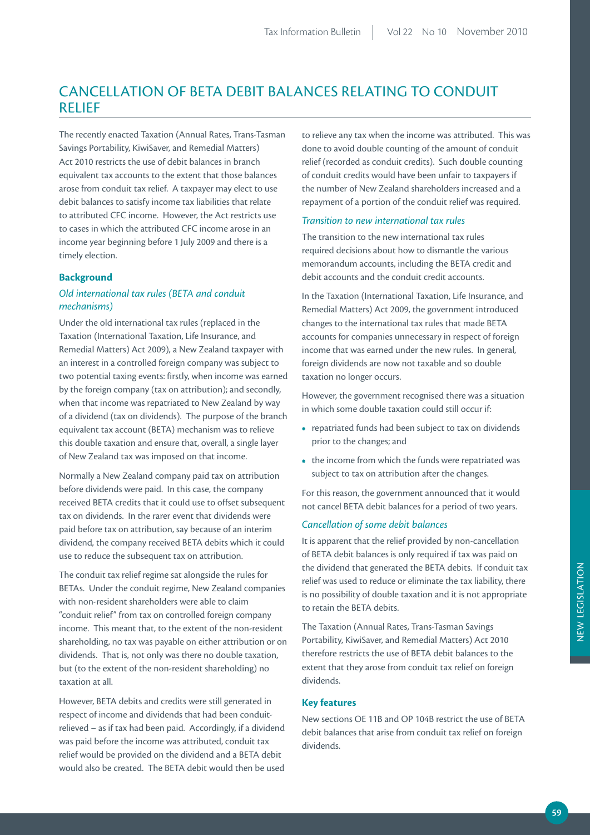# CANCELLATION OF BETA DEBIT BALANCES RELATING TO CONDUIT RELIEF

The recently enacted Taxation (Annual Rates, Trans-Tasman Savings Portability, KiwiSaver, and Remedial Matters) Act 2010 restricts the use of debit balances in branch equivalent tax accounts to the extent that those balances arose from conduit tax relief. A taxpayer may elect to use debit balances to satisfy income tax liabilities that relate to attributed CFC income. However, the Act restricts use to cases in which the attributed CFC income arose in an income year beginning before 1 July 2009 and there is a timely election.

## **Background**

## *Old international tax rules (BETA and conduit mechanisms)*

Under the old international tax rules (replaced in the Taxation (International Taxation, Life Insurance, and Remedial Matters) Act 2009), a New Zealand taxpayer with an interest in a controlled foreign company was subject to two potential taxing events: firstly, when income was earned by the foreign company (tax on attribution); and secondly, when that income was repatriated to New Zealand by way of a dividend (tax on dividends). The purpose of the branch equivalent tax account (BETA) mechanism was to relieve this double taxation and ensure that, overall, a single layer of New Zealand tax was imposed on that income.

Normally a New Zealand company paid tax on attribution before dividends were paid. In this case, the company received BETA credits that it could use to offset subsequent tax on dividends. In the rarer event that dividends were paid before tax on attribution, say because of an interim dividend, the company received BETA debits which it could use to reduce the subsequent tax on attribution.

The conduit tax relief regime sat alongside the rules for BETAs. Under the conduit regime, New Zealand companies with non-resident shareholders were able to claim "conduit relief" from tax on controlled foreign company income. This meant that, to the extent of the non-resident shareholding, no tax was payable on either attribution or on dividends. That is, not only was there no double taxation, but (to the extent of the non-resident shareholding) no taxation at all.

However, BETA debits and credits were still generated in respect of income and dividends that had been conduitrelieved – as if tax had been paid. Accordingly, if a dividend was paid before the income was attributed, conduit tax relief would be provided on the dividend and a BETA debit would also be created. The BETA debit would then be used

to relieve any tax when the income was attributed. This was done to avoid double counting of the amount of conduit relief (recorded as conduit credits). Such double counting of conduit credits would have been unfair to taxpayers if the number of New Zealand shareholders increased and a repayment of a portion of the conduit relief was required.

#### *Transition to new international tax rules*

The transition to the new international tax rules required decisions about how to dismantle the various memorandum accounts, including the BETA credit and debit accounts and the conduit credit accounts.

In the Taxation (International Taxation, Life Insurance, and Remedial Matters) Act 2009, the government introduced changes to the international tax rules that made BETA accounts for companies unnecessary in respect of foreign income that was earned under the new rules. In general, foreign dividends are now not taxable and so double taxation no longer occurs.

However, the government recognised there was a situation in which some double taxation could still occur if:

- repatriated funds had been subject to tax on dividends prior to the changes; and
- the income from which the funds were repatriated was subject to tax on attribution after the changes.

For this reason, the government announced that it would not cancel BETA debit balances for a period of two years.

#### *Cancellation of some debit balances*

It is apparent that the relief provided by non-cancellation of BETA debit balances is only required if tax was paid on the dividend that generated the BETA debits. If conduit tax relief was used to reduce or eliminate the tax liability, there is no possibility of double taxation and it is not appropriate to retain the BETA debits.

The Taxation (Annual Rates, Trans-Tasman Savings Portability, KiwiSaver, and Remedial Matters) Act 2010 therefore restricts the use of BETA debit balances to the extent that they arose from conduit tax relief on foreign dividends.

## **Key features**

New sections OE 11B and OP 104B restrict the use of BETA debit balances that arise from conduit tax relief on foreign dividends.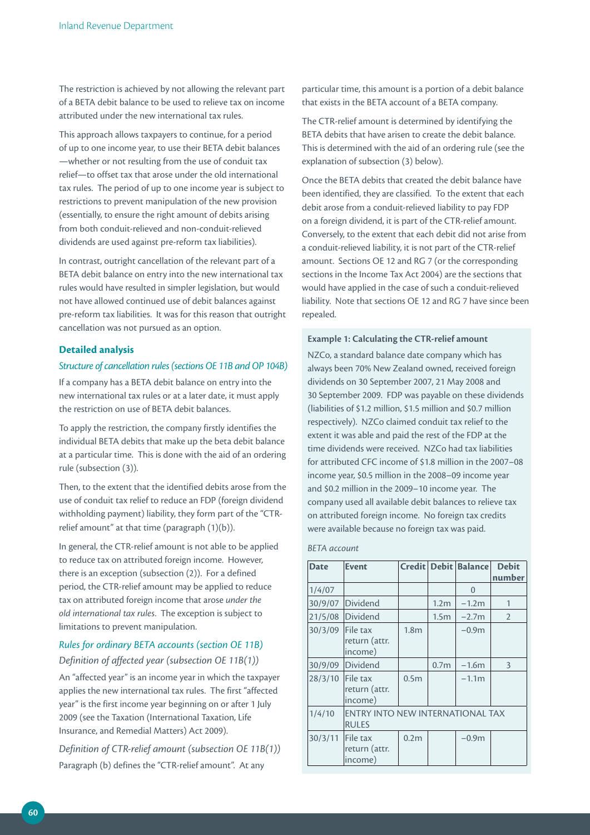The restriction is achieved by not allowing the relevant part of a BETA debit balance to be used to relieve tax on income attributed under the new international tax rules.

This approach allows taxpayers to continue, for a period of up to one income year, to use their BETA debit balances —whether or not resulting from the use of conduit tax relief—to offset tax that arose under the old international tax rules. The period of up to one income year is subject to restrictions to prevent manipulation of the new provision (essentially, to ensure the right amount of debits arising from both conduit-relieved and non-conduit-relieved dividends are used against pre-reform tax liabilities).

In contrast, outright cancellation of the relevant part of a BETA debit balance on entry into the new international tax rules would have resulted in simpler legislation, but would not have allowed continued use of debit balances against pre-reform tax liabilities. It was for this reason that outright cancellation was not pursued as an option.

#### **Detailed analysis**

#### *Structure of cancellation rules (sections OE 11B and OP 104B)*

If a company has a BETA debit balance on entry into the new international tax rules or at a later date, it must apply the restriction on use of BETA debit balances.

To apply the restriction, the company firstly identifies the individual BETA debits that make up the beta debit balance at a particular time. This is done with the aid of an ordering rule (subsection (3)).

Then, to the extent that the identified debits arose from the use of conduit tax relief to reduce an FDP (foreign dividend withholding payment) liability, they form part of the "CTRrelief amount" at that time (paragraph (1)(b)).

In general, the CTR-relief amount is not able to be applied to reduce tax on attributed foreign income. However, there is an exception (subsection (2)). For a defined period, the CTR-relief amount may be applied to reduce tax on attributed foreign income that arose *under the old international tax rules*. The exception is subject to limitations to prevent manipulation.

## *Rules for ordinary BETA accounts (section OE 11B) Definition of affected year (subsection OE 11B(1))*

An "affected year" is an income year in which the taxpayer applies the new international tax rules. The first "affected year" is the first income year beginning on or after 1 July 2009 (see the Taxation (International Taxation, Life Insurance, and Remedial Matters) Act 2009).

*Definition of CTR‑relief amount (subsection OE 11B(1))* Paragraph (b) defines the "CTR-relief amount". At any

particular time, this amount is a portion of a debit balance that exists in the BETA account of a BETA company.

The CTR-relief amount is determined by identifying the BETA debits that have arisen to create the debit balance. This is determined with the aid of an ordering rule (see the explanation of subsection (3) below).

Once the BETA debits that created the debit balance have been identified, they are classified. To the extent that each debit arose from a conduit-relieved liability to pay FDP on a foreign dividend, it is part of the CTR-relief amount. Conversely, to the extent that each debit did not arise from a conduit-relieved liability, it is not part of the CTR-relief amount. Sections OE 12 and RG 7 (or the corresponding sections in the Income Tax Act 2004) are the sections that would have applied in the case of such a conduit-relieved liability. Note that sections OE 12 and RG 7 have since been repealed.

#### **Example 1: Calculating the CTR-relief amount**

NZCo, a standard balance date company which has always been 70% New Zealand owned, received foreign dividends on 30 September 2007, 21 May 2008 and 30 September 2009. FDP was payable on these dividends (liabilities of \$1.2 million, \$1.5 million and \$0.7 million respectively). NZCo claimed conduit tax relief to the extent it was able and paid the rest of the FDP at the time dividends were received. NZCo had tax liabilities for attributed CFC income of \$1.8 million in the 2007–08 income year, \$0.5 million in the 2008–09 income year and \$0.2 million in the 2009–10 income year. The company used all available debit balances to relieve tax on attributed foreign income. No foreign tax credits were available because no foreign tax was paid.

#### *BETA account*

| <b>Date</b> | <b>Event</b>                                     |                  |                  | Credit Debit Balance | <b>Debit</b>   |  |  |
|-------------|--------------------------------------------------|------------------|------------------|----------------------|----------------|--|--|
|             |                                                  |                  |                  |                      | number         |  |  |
| 1/4/07      |                                                  |                  |                  | $\Omega$             |                |  |  |
| 30/9/07     | Dividend                                         |                  | 1.2 <sub>m</sub> | $-1.2m$              | $\mathbf 1$    |  |  |
| 21/5/08     | Dividend                                         |                  | 1.5 <sub>m</sub> | $-2.7m$              | $\overline{2}$ |  |  |
| 30/3/09     | File tax<br>return (attr.<br>income)             | 1.8 <sub>m</sub> |                  | $-0.9m$              |                |  |  |
| 30/9/09     | Dividend                                         |                  | 0.7 <sub>m</sub> | $-1.6m$              | 3              |  |  |
| 28/3/10     | File tax<br>return (attr.<br>income)             | 0.5m             |                  | $-1.1m$              |                |  |  |
| 1/4/10      | ENTRY INTO NEW INTERNATIONAL TAX<br><b>RULES</b> |                  |                  |                      |                |  |  |
| 30/3/11     | File tax<br>return (attr.<br>income)             | 0.2 <sub>m</sub> |                  | $-0.9m$              |                |  |  |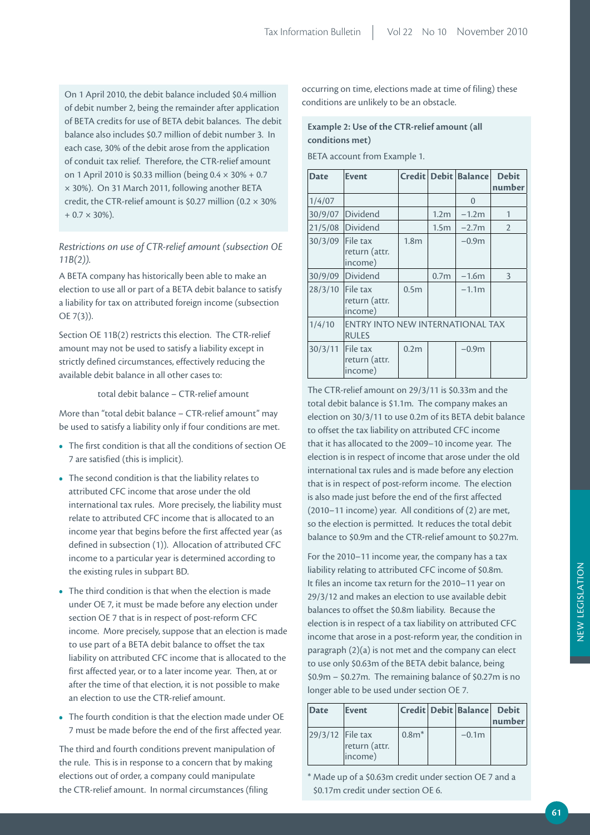On 1 April 2010, the debit balance included \$0.4 million of debit number 2, being the remainder after application of BETA credits for use of BETA debit balances. The debit balance also includes \$0.7 million of debit number 3. In each case, 30% of the debit arose from the application of conduit tax relief. Therefore, the CTR-relief amount on 1 April 2010 is \$0.33 million (being 0.4 × 30% + 0.7 × 30%). On 31 March 2011, following another BETA credit, the CTR-relief amount is \$0.27 million (0.2 × 30%  $+ 0.7 \times 30\%$ ).

*Restrictions on use of CTR‑relief amount (subsection OE 11B(2)).*

A BETA company has historically been able to make an election to use all or part of a BETA debit balance to satisfy a liability for tax on attributed foreign income (subsection OE 7(3)).

Section OE 11B(2) restricts this election. The CTR-relief amount may not be used to satisfy a liability except in strictly defined circumstances, effectively reducing the available debit balance in all other cases to:

total debit balance – CTR-relief amount

More than "total debit balance – CTR-relief amount" may be used to satisfy a liability only if four conditions are met.

- The first condition is that all the conditions of section OE 7 are satisfied (this is implicit).
- The second condition is that the liability relates to attributed CFC income that arose under the old international tax rules. More precisely, the liability must relate to attributed CFC income that is allocated to an income year that begins before the first affected year (as defined in subsection (1)). Allocation of attributed CFC income to a particular year is determined according to the existing rules in subpart BD.
- The third condition is that when the election is made under OE 7, it must be made before any election under section OE 7 that is in respect of post-reform CFC income. More precisely, suppose that an election is made to use part of a BETA debit balance to offset the tax liability on attributed CFC income that is allocated to the first affected year, or to a later income year. Then, at or after the time of that election, it is not possible to make an election to use the CTR-relief amount.
- The fourth condition is that the election made under OE 7 must be made before the end of the first affected year.

The third and fourth conditions prevent manipulation of the rule. This is in response to a concern that by making elections out of order, a company could manipulate the CTR-relief amount. In normal circumstances (filing

occurring on time, elections made at time of filing) these conditions are unlikely to be an obstacle.

## **Example 2: Use of the CTR-relief amount (all conditions met)**

BETA account from Example 1.

| <b>Date</b> | <b>Event</b>                                     |                  |                  | Credit Debit Balance | <b>Debit</b><br>number |  |  |
|-------------|--------------------------------------------------|------------------|------------------|----------------------|------------------------|--|--|
| 1/4/07      |                                                  |                  |                  | $\Omega$             |                        |  |  |
| 30/9/07     | Dividend                                         |                  | 1.2 <sub>m</sub> | $-1.2m$              | 1                      |  |  |
| 21/5/08     | Dividend                                         |                  | 1.5 <sub>m</sub> | $-2.7m$              | $\overline{2}$         |  |  |
| 30/3/09     | File tax<br>return (attr.<br>income)             | 1.8 <sub>m</sub> |                  | $-0.9m$              |                        |  |  |
| 30/9/09     | Dividend                                         |                  | 0.7 <sub>m</sub> | $-1.6m$              | 3                      |  |  |
| 28/3/10     | File tax<br>return (attr.<br>income)             | 0.5 <sub>m</sub> |                  | $-1.1m$              |                        |  |  |
| 1/4/10      | ENTRY INTO NEW INTERNATIONAL TAX<br><b>RULES</b> |                  |                  |                      |                        |  |  |
| 30/3/11     | File tax<br>return (attr.<br>income)             | 0.2 <sub>m</sub> |                  | $-0.9m$              |                        |  |  |

The CTR-relief amount on 29/3/11 is \$0.33m and the total debit balance is \$1.1m. The company makes an election on 30/3/11 to use 0.2m of its BETA debit balance to offset the tax liability on attributed CFC income that it has allocated to the 2009–10 income year. The election is in respect of income that arose under the old international tax rules and is made before any election that is in respect of post-reform income. The election is also made just before the end of the first affected (2010–11 income) year. All conditions of (2) are met, so the election is permitted. It reduces the total debit balance to \$0.9m and the CTR-relief amount to \$0.27m.

For the 2010–11 income year, the company has a tax liability relating to attributed CFC income of \$0.8m. It files an income tax return for the 2010–11 year on 29/3/12 and makes an election to use available debit balances to offset the \$0.8m liability. Because the election is in respect of a tax liability on attributed CFC income that arose in a post-reform year, the condition in paragraph (2)(a) is not met and the company can elect to use only \$0.63m of the BETA debit balance, being \$0.9m – \$0.27m. The remaining balance of \$0.27m is no longer able to be used under section OE 7.

| Date               | Event                    |         | Credit Debit Balance Debit | number |
|--------------------|--------------------------|---------|----------------------------|--------|
| 29/3/12   File tax | return (attr.<br>(income | $0.8**$ | $-0.1m$                    |        |

\* Made up of a \$0.63m credit under section OE 7 and a \$0.17m credit under section OE 6.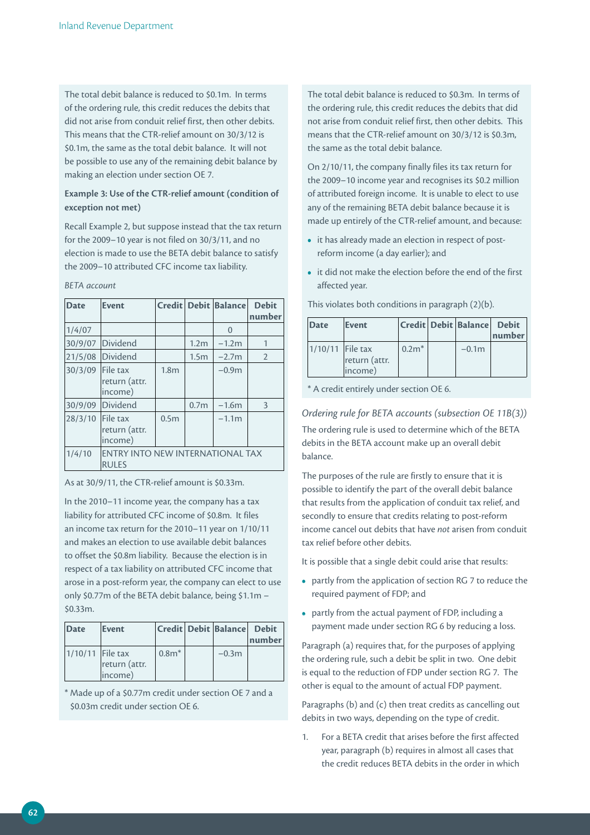The total debit balance is reduced to \$0.1m. In terms of the ordering rule, this credit reduces the debits that did not arise from conduit relief first, then other debits. This means that the CTR-relief amount on 30/3/12 is \$0.1m, the same as the total debit balance. It will not be possible to use any of the remaining debit balance by making an election under section OE 7.

## Example 3: Use of the CTR-relief amount (condition of **exception not met)**

Recall Example 2, but suppose instead that the tax return for the 2009–10 year is not filed on 30/3/11, and no election is made to use the BETA debit balance to satisfy the 2009–10 attributed CFC income tax liability.

| <b>Date</b> | <b>Event</b>                                            |                  |                  | Credit   Debit   Balance | <b>Debit</b><br>number |  |  |
|-------------|---------------------------------------------------------|------------------|------------------|--------------------------|------------------------|--|--|
| 1/4/07      |                                                         |                  |                  | $\mathbf{0}$             |                        |  |  |
| 30/9/07     | Dividend                                                |                  | 1.2 <sub>m</sub> | $-1.2m$                  |                        |  |  |
| 21/5/08     | Dividend                                                |                  | 1.5 <sub>m</sub> | $-2.7m$                  | $\mathcal{P}$          |  |  |
| 30/3/09     | File tax<br>return (attr.<br>income)                    | 1.8 <sub>m</sub> |                  | $-0.9m$                  |                        |  |  |
| 30/9/09     | Dividend                                                |                  | 0.7 <sub>m</sub> | $-1.6m$                  | 3                      |  |  |
| 28/3/10     | File tax<br>return (attr.<br>income)                    | 0.5 <sub>m</sub> |                  | $-1.1m$                  |                        |  |  |
| 1/4/10      | <b>ENTRY INTO NEW INTERNATIONAL TAX</b><br><b>RULES</b> |                  |                  |                          |                        |  |  |

As at 30/9/11, the CTR-relief amount is \$0.33m.

In the 2010–11 income year, the company has a tax liability for attributed CFC income of \$0.8m. It files an income tax return for the 2010–11 year on 1/10/11 and makes an election to use available debit balances to offset the \$0.8m liability. Because the election is in respect of a tax liability on attributed CFC income that arose in a post-reform year, the company can elect to use only \$0.77m of the BETA debit balance, being \$1.1m – \$0.33m.

| Date               | Event                    |         | Credit Debit Balance Debit | number |
|--------------------|--------------------------|---------|----------------------------|--------|
| $1/10/11$ File tax | return (attr.<br>income) | $0.8**$ | $-0.3m$                    |        |

\* Made up of a \$0.77m credit under section OE 7 and a \$0.03m credit under section OE 6.

The total debit balance is reduced to \$0.3m. In terms of the ordering rule, this credit reduces the debits that did not arise from conduit relief first, then other debits. This means that the CTR-relief amount on 30/3/12 is \$0.3m, the same as the total debit balance.

On 2/10/11, the company finally files its tax return for the 2009–10 income year and recognises its \$0.2 million of attributed foreign income. It is unable to elect to use any of the remaining BETA debit balance because it is made up entirely of the CTR-relief amount, and because:

- it has already made an election in respect of postreform income (a day earlier); and
- it did not make the election before the end of the first affected year.

| Date               | Event                    |         | Credit Debit Balance | Debit<br>number |
|--------------------|--------------------------|---------|----------------------|-----------------|
| $1/10/11$ File tax | return (attr.<br>income) | $0.2**$ | $-0.1m$              |                 |

This violates both conditions in paragraph (2)(b).

\* A credit entirely under section OE 6.

#### *Ordering rule for BETA accounts (subsection OE 11B(3))*

The ordering rule is used to determine which of the BETA debits in the BETA account make up an overall debit balance.

The purposes of the rule are firstly to ensure that it is possible to identify the part of the overall debit balance that results from the application of conduit tax relief, and secondly to ensure that credits relating to post-reform income cancel out debits that have *not* arisen from conduit tax relief before other debits.

It is possible that a single debit could arise that results:

- partly from the application of section RG 7 to reduce the required payment of FDP; and
- partly from the actual payment of FDP, including a payment made under section RG 6 by reducing a loss.

Paragraph (a) requires that, for the purposes of applying the ordering rule, such a debit be split in two. One debit is equal to the reduction of FDP under section RG 7. The other is equal to the amount of actual FDP payment.

Paragraphs (b) and (c) then treat credits as cancelling out debits in two ways, depending on the type of credit.

1. For a BETA credit that arises before the first affected year, paragraph (b) requires in almost all cases that the credit reduces BETA debits in the order in which

*BETA account*

**62**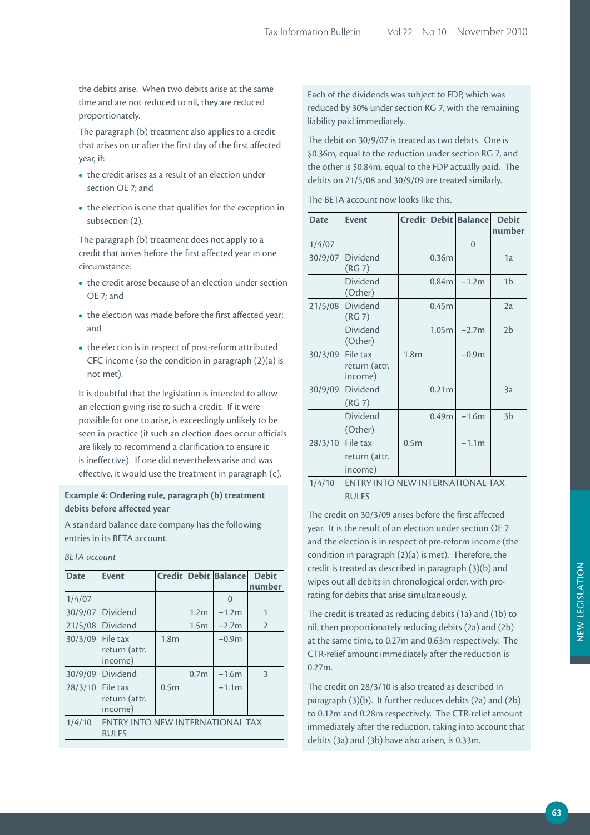the debits arise. When two debits arise at the same time and are not reduced to nil, they are reduced proportionately.

The paragraph (b) treatment also applies to a credit that arises on or after the first day of the first affected year, if:

- the credit arises as a result of an election under section OE 7; and
- the election is one that qualifies for the exception in subsection (2).

The paragraph (b) treatment does not apply to a credit that arises before the first affected year in one circumstance:

- the credit arose because of an election under section OE 7; and
- the election was made before the first affected year; and
- the election is in respect of post-reform attributed CFC income (so the condition in paragraph (2)(a) is not met).

It is doubtful that the legislation is intended to allow an election giving rise to such a credit. If it were possible for one to arise, is exceedingly unlikely to be seen in practice (if such an election does occur officials are likely to recommend a clarification to ensure it is ineffective). If one did nevertheless arise and was effective, it would use the treatment in paragraph (c).

## **Example 4: Ordering rule, paragraph (b) treatment debits before affected year**

A standard balance date company has the following entries in its BETA account.

*BETA account*

| <b>Date</b> | <b>Event</b>                                     |                  |                  | Credit   Debit   Balance | <b>Debit</b><br>number |  |  |
|-------------|--------------------------------------------------|------------------|------------------|--------------------------|------------------------|--|--|
| 1/4/07      |                                                  |                  |                  | $\Omega$                 |                        |  |  |
| 30/9/07     | Dividend                                         |                  | 1.2 <sub>m</sub> | $-1.2m$                  |                        |  |  |
| 21/5/08     | Dividend                                         |                  | 1.5 <sub>m</sub> | $-2.7m$                  | $\overline{2}$         |  |  |
| 30/3/09     | File tax<br>return (attr.<br>income)             | 1.8 <sub>m</sub> |                  | $-0.9m$                  |                        |  |  |
| 30/9/09     | Dividend                                         |                  | 0.7 <sub>m</sub> | $-1.6m$                  | 3                      |  |  |
| 28/3/10     | File tax<br>return (attr.<br>income)             | 0.5 <sub>m</sub> |                  | $-1.1m$                  |                        |  |  |
| 1/4/10      | ENTRY INTO NEW INTERNATIONAL TAX<br><b>RULES</b> |                  |                  |                          |                        |  |  |

Each of the dividends was subject to FDP, which was reduced by 30% under section RG 7, with the remaining liability paid immediately.

The debit on 30/9/07 is treated as two debits. One is \$0.36m, equal to the reduction under section RG 7, and the other is \$0.84m, equal to the FDP actually paid. The debits on 21/5/08 and 30/9/09 are treated similarly.

The BETA account now looks like this.

| <b>Date</b> | <b>Event</b>                         |                                  |                   | Credit Debit Balance | <b>Debit</b><br>number |  |  |  |
|-------------|--------------------------------------|----------------------------------|-------------------|----------------------|------------------------|--|--|--|
| 1/4/07      |                                      |                                  |                   | $\mathbf{0}$         |                        |  |  |  |
| 30/9/07     | Dividend<br>(RG7)                    |                                  | 0.36 <sub>m</sub> |                      | 1a                     |  |  |  |
|             | Dividend<br>(Other)                  |                                  | 0.84 <sub>m</sub> | $-1.2m$              | 1 <sub>b</sub>         |  |  |  |
| 21/5/08     | <b>Dividend</b><br>(RG7)             |                                  | 0.45m             |                      | 2a                     |  |  |  |
|             | Dividend<br>(Other)                  |                                  | 1.05 <sub>m</sub> | $-2.7m$              | 2 <sub>b</sub>         |  |  |  |
| 30/3/09     | File tax<br>return (attr.<br>income) | 1.8 <sub>m</sub>                 |                   | $-0.9m$              |                        |  |  |  |
| 30/9/09     | <b>Dividend</b><br>(RG7)             |                                  | 0.21m             |                      | 3a                     |  |  |  |
|             | Dividend<br>(Other)                  |                                  | 0.49 <sub>m</sub> | $-1.6m$              | 3 <sub>b</sub>         |  |  |  |
| 28/3/10     | File tax<br>return (attr.<br>income) | 0.5 <sub>m</sub>                 |                   | $-1.1m$              |                        |  |  |  |
| 1/4/10      | <b>RULES</b>                         | ENTRY INTO NEW INTERNATIONAL TAX |                   |                      |                        |  |  |  |

The credit on 30/3/09 arises before the first affected year. It is the result of an election under section OE 7 and the election is in respect of pre-reform income (the condition in paragraph (2)(a) is met). Therefore, the credit is treated as described in paragraph (3)(b) and wipes out all debits in chronological order, with prorating for debits that arise simultaneously.

The credit is treated as reducing debits (1a) and (1b) to nil, then proportionately reducing debits (2a) and (2b) at the same time, to 0.27m and 0.63m respectively. The CTR-relief amount immediately after the reduction is 0.27m.

The credit on 28/3/10 is also treated as described in paragraph (3)(b). It further reduces debits (2a) and (2b) to 0.12m and 0.28m respectively. The CTR-relief amount immediately after the reduction, taking into account that debits (3a) and (3b) have also arisen, is 0.33m.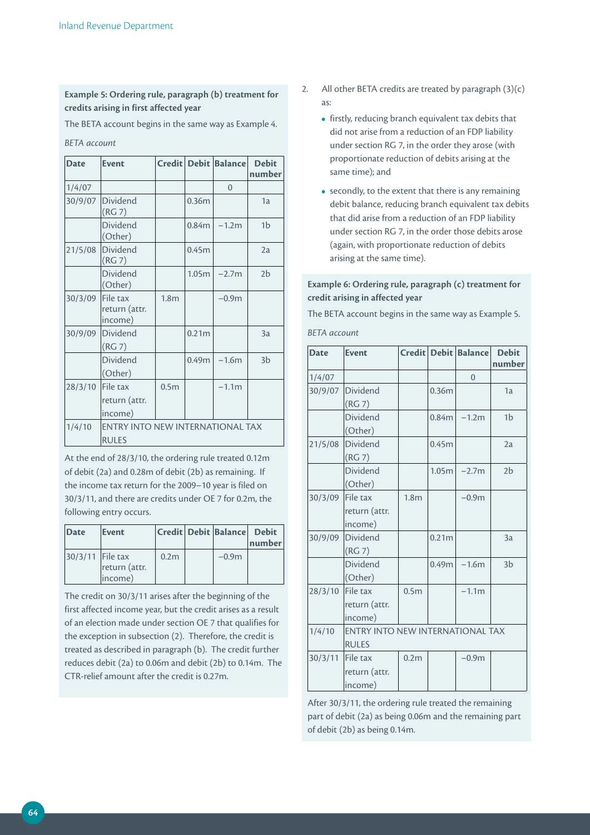## **Example 5: Ordering rule, paragraph (b) treatment for credits arising in first affected year**

The BETA account begins in the same way as Example 4.

*BETA account*

| <b>Date</b> | <b>Event</b>                                     |                  |                   | Credit Debit Balance | <b>Debit</b><br>number |
|-------------|--------------------------------------------------|------------------|-------------------|----------------------|------------------------|
| 1/4/07      |                                                  |                  |                   | $\overline{0}$       |                        |
| 30/9/07     | Dividend<br>(RG7)                                |                  | 0.36m             |                      | 1a                     |
|             | Dividend<br>(Other)                              |                  | 0.84 <sub>m</sub> | $-1.2m$              | 1 <sub>b</sub>         |
| 21/5/08     | <b>Dividend</b><br>(RG7)                         |                  | 0.45m             |                      | 2a                     |
|             | Dividend<br>(Other)                              |                  | 1.05m             | $-2.7m$              | 2 <sub>b</sub>         |
| 30/3/09     | File tax<br>return (attr.<br>income)             | 1.8 <sub>m</sub> |                   | $-0.9m$              |                        |
| 30/9/09     | Dividend<br>(RG7)                                |                  | 0.21 <sub>m</sub> |                      | 3a                     |
|             | Dividend<br>(Other)                              |                  | 0.49m             | $-1.6m$              | 3 <sub>b</sub>         |
| 28/3/10     | File tax<br>return (attr.<br>income)             | 0.5 <sub>m</sub> |                   | $-1.1m$              |                        |
| 1/4/10      | ENTRY INTO NEW INTERNATIONAL TAX<br><b>RULES</b> |                  |                   |                      |                        |

At the end of 28/3/10, the ordering rule treated 0.12m of debit (2a) and 0.28m of debit (2b) as remaining. If the income tax return for the 2009–10 year is filed on 30/3/11, and there are credits under OE 7 for 0.2m, the following entry occurs.

| Date               | Event                    |                  | <b>Credit Debit Balance</b> | <b>Debit</b><br>number |
|--------------------|--------------------------|------------------|-----------------------------|------------------------|
| 30/3/11   File tax | return (attr.<br>(income | 0.2 <sub>m</sub> | $-0.9m$                     |                        |

The credit on 30/3/11 arises after the beginning of the first affected income year, but the credit arises as a result of an election made under section OE 7 that qualifies for the exception in subsection (2). Therefore, the credit is treated as described in paragraph (b). The credit further reduces debit (2a) to 0.06m and debit (2b) to 0.14m. The CTR-relief amount after the credit is 0.27m.

- 2. All other BETA credits are treated by paragraph  $(3)(c)$ as:
	- firstly, reducing branch equivalent tax debits that did not arise from a reduction of an FDP liability under section RG 7, in the order they arose (with proportionate reduction of debits arising at the same time); and
	- secondly, to the extent that there is any remaining debit balance, reducing branch equivalent tax debits that did arise from a reduction of an FDP liability under section RG 7, in the order those debits arose (again, with proportionate reduction of debits arising at the same time).

## **Example 6: Ordering rule, paragraph (c) treatment for credit arising in affected year**

The BETA account begins in the same way as Example 5.

*BETA account*

| <b>Date</b> | <b>Event</b>                            |                  |                   | <b>Credit Debit Balance</b> | <b>Debit</b><br>number |
|-------------|-----------------------------------------|------------------|-------------------|-----------------------------|------------------------|
| 1/4/07      |                                         |                  |                   | $\overline{0}$              |                        |
| 30/9/07     | <b>Dividend</b>                         |                  | 0.36m             |                             | 1a                     |
|             | (RG7)                                   |                  |                   |                             |                        |
|             | Dividend                                |                  | 0.84 <sub>m</sub> | $-1.2m$                     | 1 <sub>b</sub>         |
|             | (Other)                                 |                  |                   |                             |                        |
| 21/5/08     | Dividend                                |                  | 0.45m             |                             | 2a                     |
|             | (RG7)                                   |                  |                   |                             |                        |
|             | <b>Dividend</b>                         |                  | 1.05 <sub>m</sub> | $-2.7m$                     | 2 <sub>b</sub>         |
|             | (Other)                                 |                  |                   |                             |                        |
| 30/3/09     | File tax                                | 1.8 <sub>m</sub> |                   | $-0.9m$                     |                        |
|             | return (attr.                           |                  |                   |                             |                        |
|             | income)                                 |                  |                   |                             |                        |
| 30/9/09     | Dividend                                |                  | 0.21 <sub>m</sub> |                             | 3a                     |
|             | (RG7)                                   |                  |                   |                             |                        |
|             | Dividend                                |                  | 0.49 <sub>m</sub> | $-1.6m$                     | 3 <sub>b</sub>         |
|             | (Other)                                 |                  |                   |                             |                        |
| 28/3/10     | File tax                                | 0.5 <sub>m</sub> |                   | $-1.1m$                     |                        |
|             | return (attr.                           |                  |                   |                             |                        |
|             | income)                                 |                  |                   |                             |                        |
| 1/4/10      | <b>ENTRY INTO NEW INTERNATIONAL TAX</b> |                  |                   |                             |                        |
|             | <b>RULES</b>                            |                  |                   |                             |                        |
| 30/3/11     | File tax                                | 0.2 <sub>m</sub> |                   | $-0.9m$                     |                        |
|             | return (attr.                           |                  |                   |                             |                        |
|             | income)                                 |                  |                   |                             |                        |

After 30/3/11, the ordering rule treated the remaining part of debit (2a) as being 0.06m and the remaining part of debit (2b) as being 0.14m.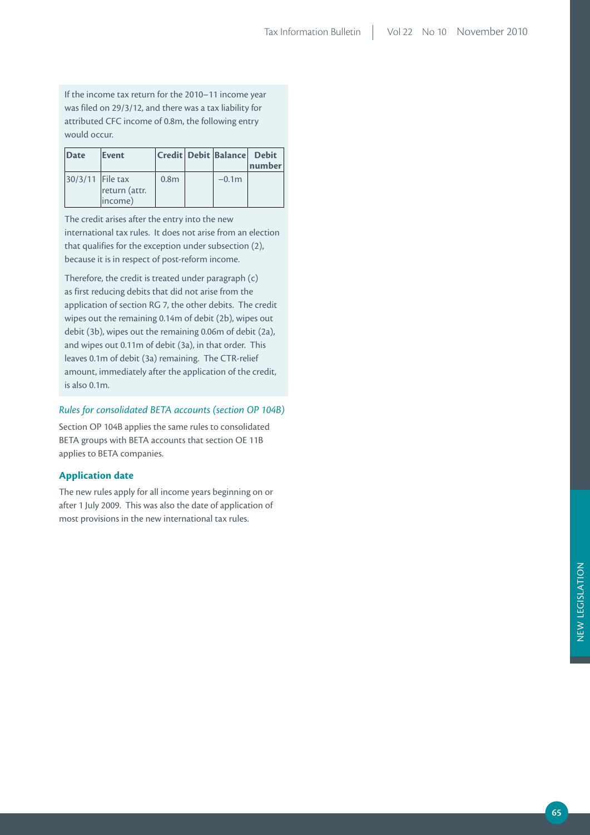If the income tax return for the 2010–11 income year was filed on 29/3/12, and there was a tax liability for attributed CFC income of 0.8m, the following entry would occur.

| Date             | Event                    |                  | Credit Debit Balance Debit | number |
|------------------|--------------------------|------------------|----------------------------|--------|
| 30/3/11 File tax | return (attr.<br>income) | 0.8 <sub>m</sub> | $-0.1m$                    |        |

The credit arises after the entry into the new international tax rules. It does not arise from an election that qualifies for the exception under subsection (2), because it is in respect of post-reform income.

Therefore, the credit is treated under paragraph (c) as first reducing debits that did not arise from the application of section RG 7, the other debits. The credit wipes out the remaining 0.14m of debit (2b), wipes out debit (3b), wipes out the remaining 0.06m of debit (2a), and wipes out 0.11m of debit (3a), in that order. This leaves 0.1m of debit (3a) remaining. The CTR-relief amount, immediately after the application of the credit, is also 0.1m.

# *Rules for consolidated BETA accounts (section OP 104B)*

Section OP 104B applies the same rules to consolidated BETA groups with BETA accounts that section OE 11B applies to BETA companies.

## **Application date**

The new rules apply for all income years beginning on or after 1 July 2009. This was also the date of application of most provisions in the new international tax rules.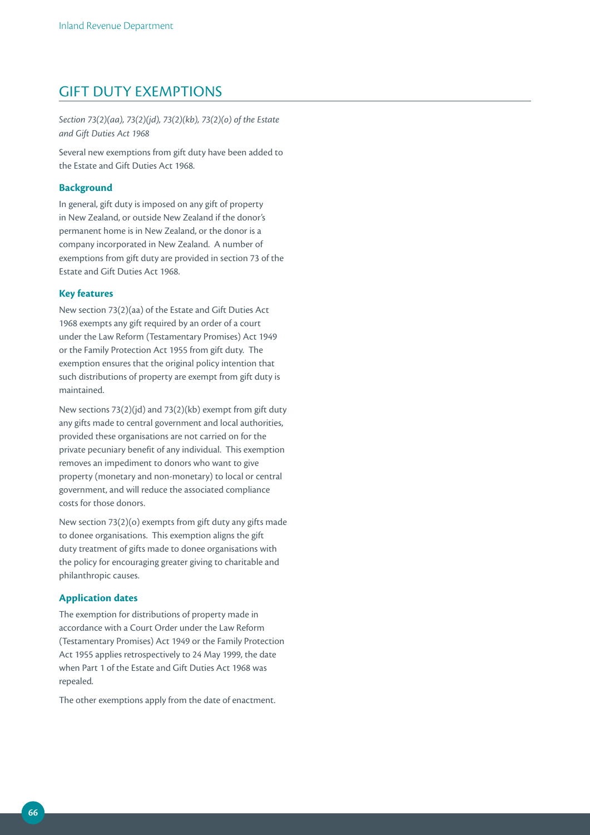# GIFT DUTY EXEMPTIONS

*Section 73(2)(aa), 73(2)(jd), 73(2)(kb), 73(2)(o) of the Estate and Gift Duties Act 1968*

Several new exemptions from gift duty have been added to the Estate and Gift Duties Act 1968.

### **Background**

In general, gift duty is imposed on any gift of property in New Zealand, or outside New Zealand if the donor's permanent home is in New Zealand, or the donor is a company incorporated in New Zealand. A number of exemptions from gift duty are provided in section 73 of the Estate and Gift Duties Act 1968.

## **Key features**

New section 73(2)(aa) of the Estate and Gift Duties Act 1968 exempts any gift required by an order of a court under the Law Reform (Testamentary Promises) Act 1949 or the Family Protection Act 1955 from gift duty. The exemption ensures that the original policy intention that such distributions of property are exempt from gift duty is maintained.

New sections 73(2)(jd) and 73(2)(kb) exempt from gift duty any gifts made to central government and local authorities, provided these organisations are not carried on for the private pecuniary benefit of any individual. This exemption removes an impediment to donors who want to give property (monetary and non-monetary) to local or central government, and will reduce the associated compliance costs for those donors.

New section 73(2)(o) exempts from gift duty any gifts made to donee organisations. This exemption aligns the gift duty treatment of gifts made to donee organisations with the policy for encouraging greater giving to charitable and philanthropic causes.

#### **Application dates**

The exemption for distributions of property made in accordance with a Court Order under the Law Reform (Testamentary Promises) Act 1949 or the Family Protection Act 1955 applies retrospectively to 24 May 1999, the date when Part 1 of the Estate and Gift Duties Act 1968 was repealed.

The other exemptions apply from the date of enactment.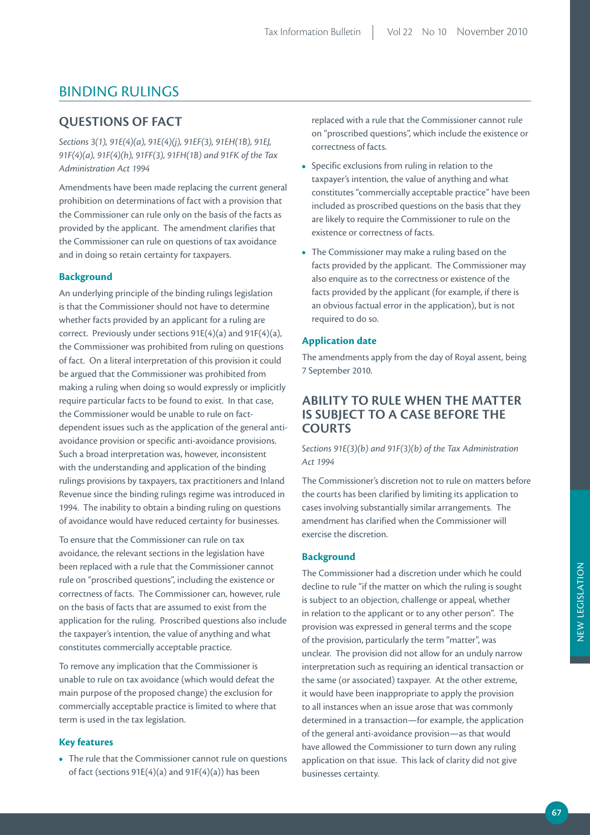# BINDING RULINGS

# **QuESTiONS OF FACT**

*Sections 3(1), 91E(4)(a), 91E(4)(j), 91EF(3), 91EH(1B), 91EJ, 91F(4)(a), 91F(4)(h), 91FF(3), 91FH(1B) and 91FK of the Tax Administration Act 1994*

Amendments have been made replacing the current general prohibition on determinations of fact with a provision that the Commissioner can rule only on the basis of the facts as provided by the applicant. The amendment clarifies that the Commissioner can rule on questions of tax avoidance and in doing so retain certainty for taxpayers.

## **Background**

An underlying principle of the binding rulings legislation is that the Commissioner should not have to determine whether facts provided by an applicant for a ruling are correct. Previously under sections 91E(4)(a) and 91F(4)(a), the Commissioner was prohibited from ruling on questions of fact. On a literal interpretation of this provision it could be argued that the Commissioner was prohibited from making a ruling when doing so would expressly or implicitly require particular facts to be found to exist. In that case, the Commissioner would be unable to rule on factdependent issues such as the application of the general antiavoidance provision or specific anti-avoidance provisions. Such a broad interpretation was, however, inconsistent with the understanding and application of the binding rulings provisions by taxpayers, tax practitioners and Inland Revenue since the binding rulings regime was introduced in 1994. The inability to obtain a binding ruling on questions of avoidance would have reduced certainty for businesses.

To ensure that the Commissioner can rule on tax avoidance, the relevant sections in the legislation have been replaced with a rule that the Commissioner cannot rule on "proscribed questions", including the existence or correctness of facts. The Commissioner can, however, rule on the basis of facts that are assumed to exist from the application for the ruling. Proscribed questions also include the taxpayer's intention, the value of anything and what constitutes commercially acceptable practice.

To remove any implication that the Commissioner is unable to rule on tax avoidance (which would defeat the main purpose of the proposed change) the exclusion for commercially acceptable practice is limited to where that term is used in the tax legislation.

## **Key features**

**•** The rule that the Commissioner cannot rule on questions of fact (sections 91E(4)(a) and 91F(4)(a)) has been

replaced with a rule that the Commissioner cannot rule on "proscribed questions", which include the existence or correctness of facts.

- Specific exclusions from ruling in relation to the taxpayer's intention, the value of anything and what constitutes "commercially acceptable practice" have been included as proscribed questions on the basis that they are likely to require the Commissioner to rule on the existence or correctness of facts.
- The Commissioner may make a ruling based on the facts provided by the applicant. The Commissioner may also enquire as to the correctness or existence of the facts provided by the applicant (for example, if there is an obvious factual error in the application), but is not required to do so.

## **Application date**

The amendments apply from the day of Royal assent, being 7 September 2010.

# **ABiLiTY TO ruLE WHEN THE mATTEr iS SuBJECT TO A CASE BEFOrE THE COurTS**

*Sections 91E(3)(b) and 91F(3)(b) of the Tax Administration Act 1994*

The Commissioner's discretion not to rule on matters before the courts has been clarified by limiting its application to cases involving substantially similar arrangements. The amendment has clarified when the Commissioner will exercise the discretion.

### **Background**

The Commissioner had a discretion under which he could decline to rule "if the matter on which the ruling is sought is subject to an objection, challenge or appeal, whether in relation to the applicant or to any other person". The provision was expressed in general terms and the scope of the provision, particularly the term "matter", was unclear. The provision did not allow for an unduly narrow interpretation such as requiring an identical transaction or the same (or associated) taxpayer. At the other extreme, it would have been inappropriate to apply the provision to all instances when an issue arose that was commonly determined in a transaction—for example, the application of the general anti-avoidance provision—as that would have allowed the Commissioner to turn down any ruling application on that issue. This lack of clarity did not give businesses certainty.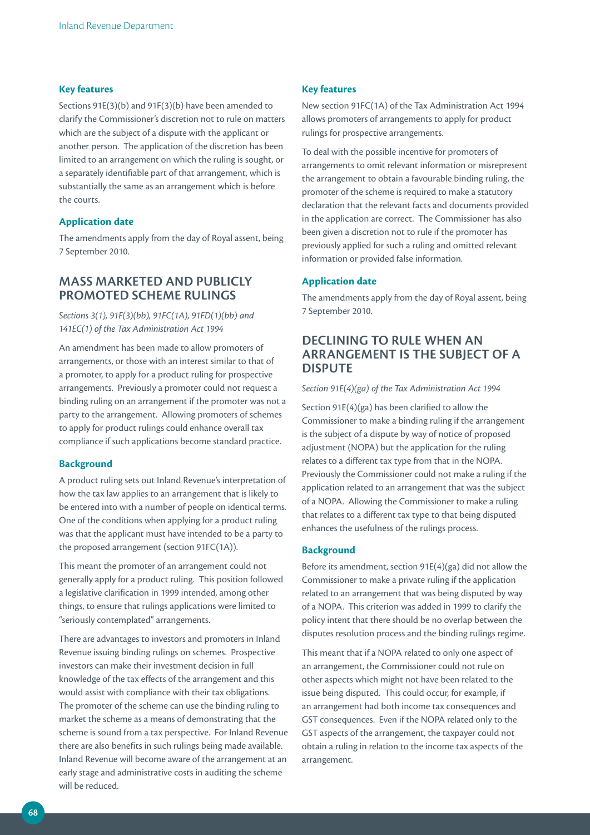#### **Key features**

Sections 91E(3)(b) and 91F(3)(b) have been amended to clarify the Commissioner's discretion not to rule on matters which are the subject of a dispute with the applicant or another person. The application of the discretion has been limited to an arrangement on which the ruling is sought, or a separately identifiable part of that arrangement, which is substantially the same as an arrangement which is before the courts.

## **Application date**

The amendments apply from the day of Royal assent, being 7 September 2010.

# **mASS mArKETED AND puBLiCLY prOmOTED SCHEmE ruLiNGS**

*Sections 3(1), 91F(3)(bb), 91FC(1A), 91FD(1)(bb) and 141EC(1) of the Tax Administration Act 1994*

An amendment has been made to allow promoters of arrangements, or those with an interest similar to that of a promoter, to apply for a product ruling for prospective arrangements. Previously a promoter could not request a binding ruling on an arrangement if the promoter was not a party to the arrangement. Allowing promoters of schemes to apply for product rulings could enhance overall tax compliance if such applications become standard practice.

#### **Background**

A product ruling sets out Inland Revenue's interpretation of how the tax law applies to an arrangement that is likely to be entered into with a number of people on identical terms. One of the conditions when applying for a product ruling was that the applicant must have intended to be a party to the proposed arrangement (section 91FC(1A)).

This meant the promoter of an arrangement could not generally apply for a product ruling. This position followed a legislative clarification in 1999 intended, among other things, to ensure that rulings applications were limited to "seriously contemplated" arrangements.

There are advantages to investors and promoters in Inland Revenue issuing binding rulings on schemes. Prospective investors can make their investment decision in full knowledge of the tax effects of the arrangement and this would assist with compliance with their tax obligations. The promoter of the scheme can use the binding ruling to market the scheme as a means of demonstrating that the scheme is sound from a tax perspective. For Inland Revenue there are also benefits in such rulings being made available. Inland Revenue will become aware of the arrangement at an early stage and administrative costs in auditing the scheme will be reduced.

#### **Key features**

New section 91FC(1A) of the Tax Administration Act 1994 allows promoters of arrangements to apply for product rulings for prospective arrangements.

To deal with the possible incentive for promoters of arrangements to omit relevant information or misrepresent the arrangement to obtain a favourable binding ruling, the promoter of the scheme is required to make a statutory declaration that the relevant facts and documents provided in the application are correct. The Commissioner has also been given a discretion not to rule if the promoter has previously applied for such a ruling and omitted relevant information or provided false information.

## **Application date**

The amendments apply from the day of Royal assent, being 7 September 2010.

# **DECLiNiNG TO ruLE WHEN AN ArrANGEmENT iS THE SuBJECT OF A DiSpuTE**

#### *Section 91E(4)(ga) of the Tax Administration Act 1994*

Section 91E(4)(ga) has been clarified to allow the Commissioner to make a binding ruling if the arrangement is the subject of a dispute by way of notice of proposed adjustment (NOPA) but the application for the ruling relates to a different tax type from that in the NOPA. Previously the Commissioner could not make a ruling if the application related to an arrangement that was the subject of a NOPA. Allowing the Commissioner to make a ruling that relates to a different tax type to that being disputed enhances the usefulness of the rulings process.

#### **Background**

Before its amendment, section 91E(4)(ga) did not allow the Commissioner to make a private ruling if the application related to an arrangement that was being disputed by way of a NOPA. This criterion was added in 1999 to clarify the policy intent that there should be no overlap between the disputes resolution process and the binding rulings regime.

This meant that if a NOPA related to only one aspect of an arrangement, the Commissioner could not rule on other aspects which might not have been related to the issue being disputed. This could occur, for example, if an arrangement had both income tax consequences and GST consequences. Even if the NOPA related only to the GST aspects of the arrangement, the taxpayer could not obtain a ruling in relation to the income tax aspects of the arrangement.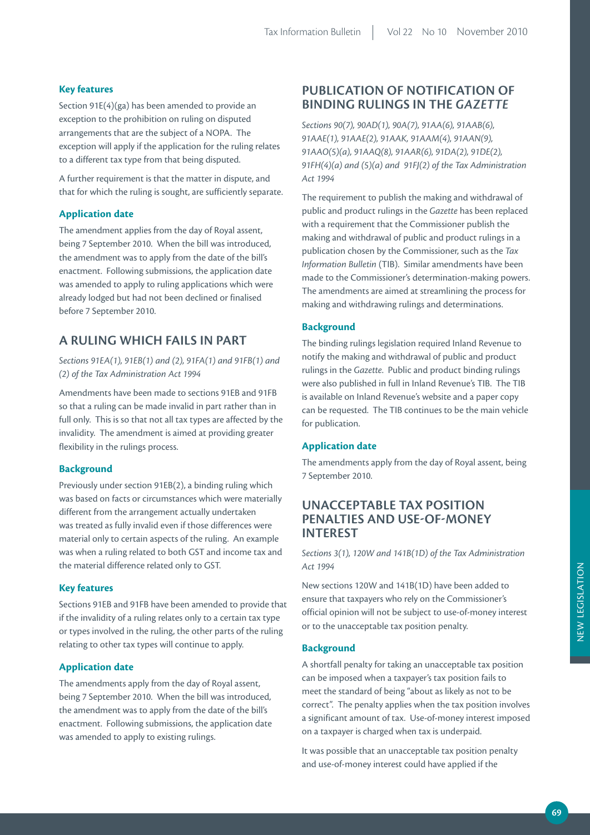## **Key features**

Section 91E(4)(ga) has been amended to provide an exception to the prohibition on ruling on disputed arrangements that are the subject of a NOPA. The exception will apply if the application for the ruling relates to a different tax type from that being disputed.

A further requirement is that the matter in dispute, and that for which the ruling is sought, are sufficiently separate.

## **Application date**

The amendment applies from the day of Royal assent, being 7 September 2010. When the bill was introduced, the amendment was to apply from the date of the bill's enactment. Following submissions, the application date was amended to apply to ruling applications which were already lodged but had not been declined or finalised before 7 September 2010.

# **A ruLiNG WHiCH FAiLS iN pArT**

*Sections 91EA(1), 91EB(1) and (2), 91FA(1) and 91FB(1) and (2) of the Tax Administration Act 1994*

Amendments have been made to sections 91EB and 91FB so that a ruling can be made invalid in part rather than in full only. This is so that not all tax types are affected by the invalidity. The amendment is aimed at providing greater flexibility in the rulings process.

## **Background**

Previously under section 91EB(2), a binding ruling which was based on facts or circumstances which were materially different from the arrangement actually undertaken was treated as fully invalid even if those differences were material only to certain aspects of the ruling. An example was when a ruling related to both GST and income tax and the material difference related only to GST.

### **Key features**

Sections 91EB and 91FB have been amended to provide that if the invalidity of a ruling relates only to a certain tax type or types involved in the ruling, the other parts of the ruling relating to other tax types will continue to apply.

## **Application date**

The amendments apply from the day of Royal assent, being 7 September 2010. When the bill was introduced, the amendment was to apply from the date of the bill's enactment. Following submissions, the application date was amended to apply to existing rulings.

# **puBLiCATiON OF NOTiFiCATiON OF BiNDiNG ruLiNGS iN THE** *GAZETTE*

*Sections 90(7), 90AD(1), 90A(7), 91AA(6), 91AAB(6), 91AAE(1), 91AAE(2), 91AAK, 91AAM(4), 91AAN(9), 91AAO(5)(a), 91AAQ(8), 91AAR(6), 91DA(2), 91DE(2), 91FH(4)(a) and (5)(a) and 91FJ(2) of the Tax Administration Act 1994*

The requirement to publish the making and withdrawal of public and product rulings in the *Gazette* has been replaced with a requirement that the Commissioner publish the making and withdrawal of public and product rulings in a publication chosen by the Commissioner, such as the *Tax Information Bulletin* (TIB). Similar amendments have been made to the Commissioner's determination-making powers. The amendments are aimed at streamlining the process for making and withdrawing rulings and determinations.

## **Background**

The binding rulings legislation required Inland Revenue to notify the making and withdrawal of public and product rulings in the *Gazette*. Public and product binding rulings were also published in full in Inland Revenue's TIB. The TIB is available on Inland Revenue's website and a paper copy can be requested. The TIB continues to be the main vehicle for publication.

### **Application date**

The amendments apply from the day of Royal assent, being 7 September 2010.

# **uNACCEpTABLE TAX pOSiTiON pENALTiES AND uSE-OF-mONEY INTEREST**

*Sections 3(1), 120W and 141B(1D) of the Tax Administration Act 1994*

New sections 120W and 141B(1D) have been added to ensure that taxpayers who rely on the Commissioner's official opinion will not be subject to use-of-money interest or to the unacceptable tax position penalty.

### **Background**

A shortfall penalty for taking an unacceptable tax position can be imposed when a taxpayer's tax position fails to meet the standard of being "about as likely as not to be correct". The penalty applies when the tax position involves a significant amount of tax. Use-of-money interest imposed on a taxpayer is charged when tax is underpaid.

It was possible that an unacceptable tax position penalty and use-of-money interest could have applied if the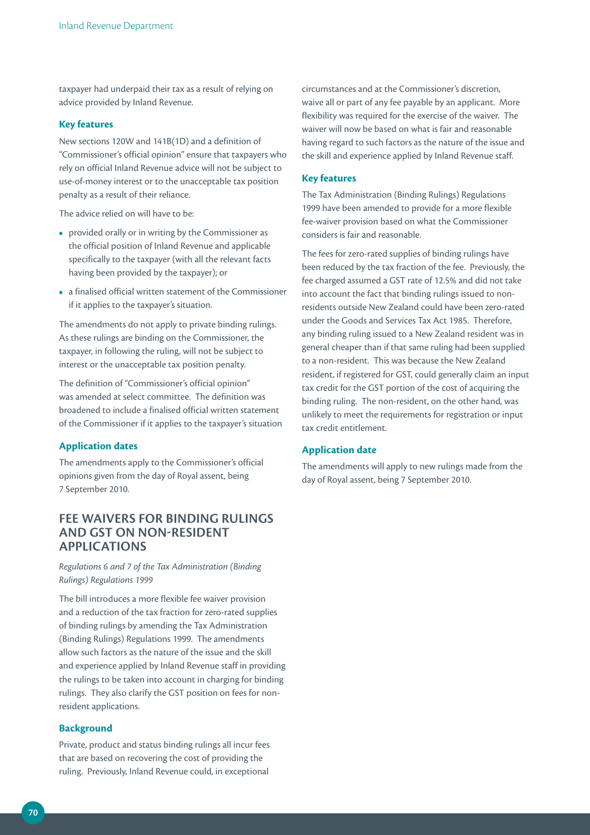taxpayer had underpaid their tax as a result of relying on advice provided by Inland Revenue.

#### **Key features**

New sections 120W and 141B(1D) and a definition of "Commissioner's official opinion" ensure that taxpayers who rely on official Inland Revenue advice will not be subject to use-of-money interest or to the unacceptable tax position penalty as a result of their reliance.

The advice relied on will have to be:

- provided orally or in writing by the Commissioner as the official position of Inland Revenue and applicable specifically to the taxpayer (with all the relevant facts having been provided by the taxpayer); or
- a finalised official written statement of the Commissioner if it applies to the taxpayer's situation.

The amendments do not apply to private binding rulings. As these rulings are binding on the Commissioner, the taxpayer, in following the ruling, will not be subject to interest or the unacceptable tax position penalty.

The definition of "Commissioner's official opinion" was amended at select committee. The definition was broadened to include a finalised official written statement of the Commissioner if it applies to the taxpayer's situation

#### **Application dates**

The amendments apply to the Commissioner's official opinions given from the day of Royal assent, being 7 September 2010.

# **FEE WAIVERS FOR BINDING RULINGS AND GST ON NON-rESiDENT AppLiCATiONS**

*Regulations 6 and 7 of the Tax Administration (Binding Rulings) Regulations 1999*

The bill introduces a more flexible fee waiver provision and a reduction of the tax fraction for zero-rated supplies of binding rulings by amending the Tax Administration (Binding Rulings) Regulations 1999. The amendments allow such factors as the nature of the issue and the skill and experience applied by Inland Revenue staff in providing the rulings to be taken into account in charging for binding rulings. They also clarify the GST position on fees for nonresident applications.

#### **Background**

Private, product and status binding rulings all incur fees that are based on recovering the cost of providing the ruling. Previously, Inland Revenue could, in exceptional

circumstances and at the Commissioner's discretion, waive all or part of any fee payable by an applicant. More flexibility was required for the exercise of the waiver. The waiver will now be based on what is fair and reasonable having regard to such factors as the nature of the issue and the skill and experience applied by Inland Revenue staff.

### **Key features**

The Tax Administration (Binding Rulings) Regulations 1999 have been amended to provide for a more flexible fee-waiver provision based on what the Commissioner considers is fair and reasonable.

The fees for zero-rated supplies of binding rulings have been reduced by the tax fraction of the fee. Previously, the fee charged assumed a GST rate of 12.5% and did not take into account the fact that binding rulings issued to nonresidents outside New Zealand could have been zero-rated under the Goods and Services Tax Act 1985. Therefore, any binding ruling issued to a New Zealand resident was in general cheaper than if that same ruling had been supplied to a non-resident. This was because the New Zealand resident, if registered for GST, could generally claim an input tax credit for the GST portion of the cost of acquiring the binding ruling. The non-resident, on the other hand, was unlikely to meet the requirements for registration or input tax credit entitlement.

#### **Application date**

The amendments will apply to new rulings made from the day of Royal assent, being 7 September 2010.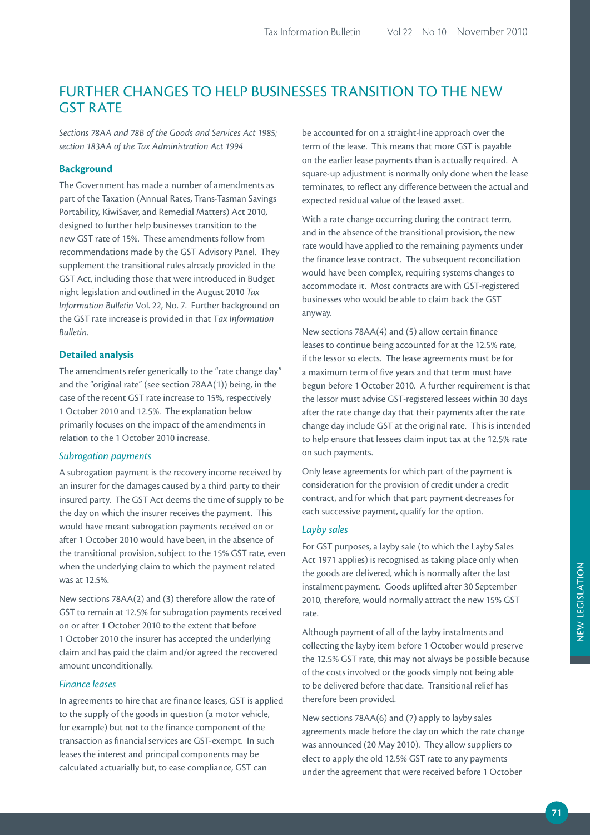## FURTHER CHANGES TO HELP BUSINESSES TRANSITION TO THE NEW GST RATE

*Sections 78AA and 78B of the Goods and Services Act 1985; section 183AA of the Tax Administration Act 1994*

### **Background**

The Government has made a number of amendments as part of the Taxation (Annual Rates, Trans-Tasman Savings Portability, KiwiSaver, and Remedial Matters) Act 2010, designed to further help businesses transition to the new GST rate of 15%. These amendments follow from recommendations made by the GST Advisory Panel. They supplement the transitional rules already provided in the GST Act, including those that were introduced in Budget night legislation and outlined in the August 2010 *Tax Information Bulletin* Vol. 22, No. 7. Further background on the GST rate increase is provided in that T*ax Information Bulletin*.

#### **Detailed analysis**

The amendments refer generically to the "rate change day" and the "original rate" (see section 78AA(1)) being, in the case of the recent GST rate increase to 15%, respectively 1 October 2010 and 12.5%. The explanation below primarily focuses on the impact of the amendments in relation to the 1 October 2010 increase.

#### *Subrogation payments*

A subrogation payment is the recovery income received by an insurer for the damages caused by a third party to their insured party. The GST Act deems the time of supply to be the day on which the insurer receives the payment. This would have meant subrogation payments received on or after 1 October 2010 would have been, in the absence of the transitional provision, subject to the 15% GST rate, even when the underlying claim to which the payment related was at 12.5%.

New sections 78AA(2) and (3) therefore allow the rate of GST to remain at 12.5% for subrogation payments received on or after 1 October 2010 to the extent that before 1 October 2010 the insurer has accepted the underlying claim and has paid the claim and/or agreed the recovered amount unconditionally.

#### *Finance leases*

In agreements to hire that are finance leases, GST is applied to the supply of the goods in question (a motor vehicle, for example) but not to the finance component of the transaction as financial services are GST-exempt. In such leases the interest and principal components may be calculated actuarially but, to ease compliance, GST can

be accounted for on a straight-line approach over the term of the lease. This means that more GST is payable on the earlier lease payments than is actually required. A square-up adjustment is normally only done when the lease terminates, to reflect any difference between the actual and expected residual value of the leased asset.

With a rate change occurring during the contract term, and in the absence of the transitional provision, the new rate would have applied to the remaining payments under the finance lease contract. The subsequent reconciliation would have been complex, requiring systems changes to accommodate it. Most contracts are with GST-registered businesses who would be able to claim back the GST anyway.

New sections 78AA(4) and (5) allow certain finance leases to continue being accounted for at the 12.5% rate, if the lessor so elects. The lease agreements must be for a maximum term of five years and that term must have begun before 1 October 2010. A further requirement is that the lessor must advise GST-registered lessees within 30 days after the rate change day that their payments after the rate change day include GST at the original rate. This is intended to help ensure that lessees claim input tax at the 12.5% rate on such payments.

Only lease agreements for which part of the payment is consideration for the provision of credit under a credit contract, and for which that part payment decreases for each successive payment, qualify for the option.

#### *Layby sales*

For GST purposes, a layby sale (to which the Layby Sales Act 1971 applies) is recognised as taking place only when the goods are delivered, which is normally after the last instalment payment. Goods uplifted after 30 September 2010, therefore, would normally attract the new 15% GST rate.

Although payment of all of the layby instalments and collecting the layby item before 1 October would preserve the 12.5% GST rate, this may not always be possible because of the costs involved or the goods simply not being able to be delivered before that date. Transitional relief has therefore been provided.

New sections 78AA(6) and (7) apply to layby sales agreements made before the day on which the rate change was announced (20 May 2010). They allow suppliers to elect to apply the old 12.5% GST rate to any payments under the agreement that were received before 1 October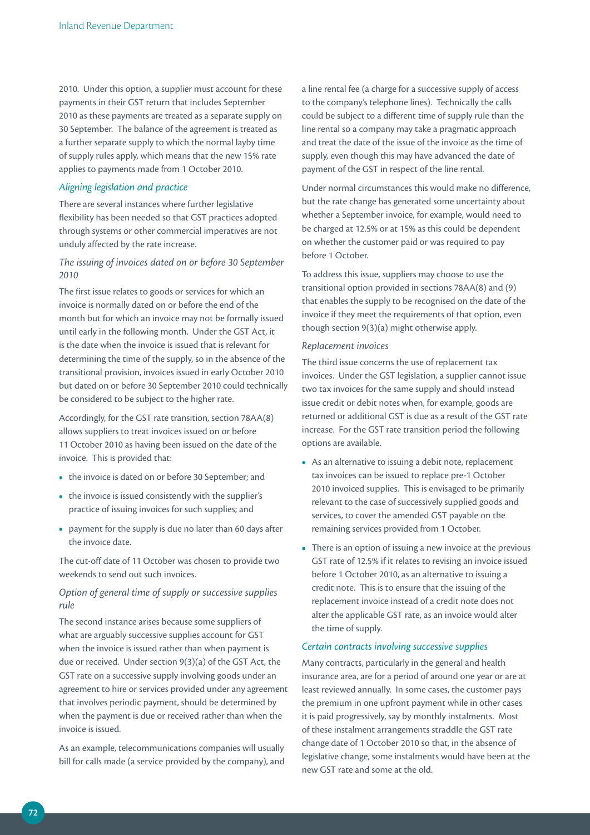2010. Under this option, a supplier must account for these payments in their GST return that includes September 2010 as these payments are treated as a separate supply on 30 September. The balance of the agreement is treated as a further separate supply to which the normal layby time of supply rules apply, which means that the new 15% rate applies to payments made from 1 October 2010.

#### *Aligning legislation and practice*

There are several instances where further legislative flexibility has been needed so that GST practices adopted through systems or other commercial imperatives are not unduly affected by the rate increase.

## *The issuing of invoices dated on or before 30 September 2010*

The first issue relates to goods or services for which an invoice is normally dated on or before the end of the month but for which an invoice may not be formally issued until early in the following month. Under the GST Act, it is the date when the invoice is issued that is relevant for determining the time of the supply, so in the absence of the transitional provision, invoices issued in early October 2010 but dated on or before 30 September 2010 could technically be considered to be subject to the higher rate.

Accordingly, for the GST rate transition, section 78AA(8) allows suppliers to treat invoices issued on or before 11 October 2010 as having been issued on the date of the invoice. This is provided that:

- the invoice is dated on or before 30 September; and
- the invoice is issued consistently with the supplier's practice of issuing invoices for such supplies; and
- payment for the supply is due no later than 60 days after the invoice date.

The cut-off date of 11 October was chosen to provide two weekends to send out such invoices.

## *Option of general time of supply or successive supplies rule*

The second instance arises because some suppliers of what are arguably successive supplies account for GST when the invoice is issued rather than when payment is due or received. Under section 9(3)(a) of the GST Act, the GST rate on a successive supply involving goods under an agreement to hire or services provided under any agreement that involves periodic payment, should be determined by when the payment is due or received rather than when the invoice is issued.

As an example, telecommunications companies will usually bill for calls made (a service provided by the company), and a line rental fee (a charge for a successive supply of access to the company's telephone lines). Technically the calls could be subject to a different time of supply rule than the line rental so a company may take a pragmatic approach and treat the date of the issue of the invoice as the time of supply, even though this may have advanced the date of payment of the GST in respect of the line rental.

Under normal circumstances this would make no difference, but the rate change has generated some uncertainty about whether a September invoice, for example, would need to be charged at 12.5% or at 15% as this could be dependent on whether the customer paid or was required to pay before 1 October.

To address this issue, suppliers may choose to use the transitional option provided in sections 78AA(8) and (9) that enables the supply to be recognised on the date of the invoice if they meet the requirements of that option, even though section 9(3)(a) might otherwise apply.

#### *Replacement invoices*

The third issue concerns the use of replacement tax invoices. Under the GST legislation, a supplier cannot issue two tax invoices for the same supply and should instead issue credit or debit notes when, for example, goods are returned or additional GST is due as a result of the GST rate increase. For the GST rate transition period the following options are available.

- As an alternative to issuing a debit note, replacement tax invoices can be issued to replace pre-1 October 2010 invoiced supplies. This is envisaged to be primarily relevant to the case of successively supplied goods and services, to cover the amended GST payable on the remaining services provided from 1 October.
- There is an option of issuing a new invoice at the previous GST rate of 12.5% if it relates to revising an invoice issued before 1 October 2010, as an alternative to issuing a credit note. This is to ensure that the issuing of the replacement invoice instead of a credit note does not alter the applicable GST rate, as an invoice would alter the time of supply.

#### *Certain contracts involving successive supplies*

Many contracts, particularly in the general and health insurance area, are for a period of around one year or are at least reviewed annually. In some cases, the customer pays the premium in one upfront payment while in other cases it is paid progressively, say by monthly instalments. Most of these instalment arrangements straddle the GST rate change date of 1 October 2010 so that, in the absence of legislative change, some instalments would have been at the new GST rate and some at the old.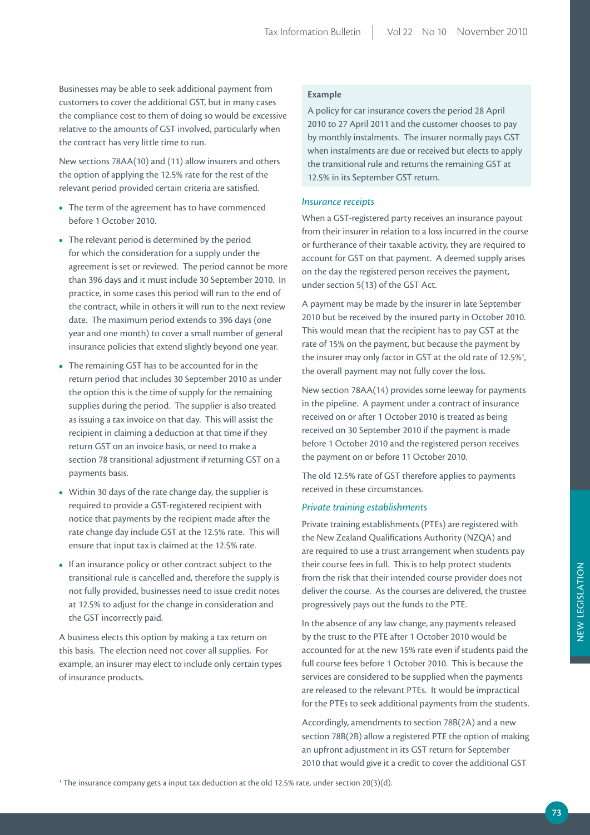Businesses may be able to seek additional payment from customers to cover the additional GST, but in many cases the compliance cost to them of doing so would be excessive relative to the amounts of GST involved, particularly when the contract has very little time to run.

New sections 78AA(10) and (11) allow insurers and others the option of applying the 12.5% rate for the rest of the relevant period provided certain criteria are satisfied.

- The term of the agreement has to have commenced before 1 October 2010.
- The relevant period is determined by the period for which the consideration for a supply under the agreement is set or reviewed. The period cannot be more than 396 days and it must include 30 September 2010. In practice, in some cases this period will run to the end of the contract, while in others it will run to the next review date. The maximum period extends to 396 days (one year and one month) to cover a small number of general insurance policies that extend slightly beyond one year.
- The remaining GST has to be accounted for in the return period that includes 30 September 2010 as under the option this is the time of supply for the remaining supplies during the period. The supplier is also treated as issuing a tax invoice on that day. This will assist the recipient in claiming a deduction at that time if they return GST on an invoice basis, or need to make a section 78 transitional adjustment if returning GST on a payments basis.
- Within 30 days of the rate change day, the supplier is required to provide a GST-registered recipient with notice that payments by the recipient made after the rate change day include GST at the 12.5% rate. This will ensure that input tax is claimed at the 12.5% rate.
- If an insurance policy or other contract subject to the transitional rule is cancelled and, therefore the supply is not fully provided, businesses need to issue credit notes at 12.5% to adjust for the change in consideration and the GST incorrectly paid.

A business elects this option by making a tax return on this basis. The election need not cover all supplies. For example, an insurer may elect to include only certain types of insurance products.

### **Example**

A policy for car insurance covers the period 28 April 2010 to 27 April 2011 and the customer chooses to pay by monthly instalments. The insurer normally pays GST when instalments are due or received but elects to apply the transitional rule and returns the remaining GST at 12.5% in its September GST return.

#### *Insurance receipts*

When a GST-registered party receives an insurance payout from their insurer in relation to a loss incurred in the course or furtherance of their taxable activity, they are required to account for GST on that payment. A deemed supply arises on the day the registered person receives the payment, under section 5(13) of the GST Act.

A payment may be made by the insurer in late September 2010 but be received by the insured party in October 2010. This would mean that the recipient has to pay GST at the rate of 15% on the payment, but because the payment by the insurer may only factor in GST at the old rate of 12.5%<sup>1</sup>, the overall payment may not fully cover the loss.

New section 78AA(14) provides some leeway for payments in the pipeline. A payment under a contract of insurance received on or after 1 October 2010 is treated as being received on 30 September 2010 if the payment is made before 1 October 2010 and the registered person receives the payment on or before 11 October 2010.

The old 12.5% rate of GST therefore applies to payments received in these circumstances.

#### *Private training establishments*

Private training establishments (PTEs) are registered with the New Zealand Qualifications Authority (NZQA) and are required to use a trust arrangement when students pay their course fees in full. This is to help protect students from the risk that their intended course provider does not deliver the course. As the courses are delivered, the trustee progressively pays out the funds to the PTE.

In the absence of any law change, any payments released by the trust to the PTE after 1 October 2010 would be accounted for at the new 15% rate even if students paid the full course fees before 1 October 2010. This is because the services are considered to be supplied when the payments are released to the relevant PTEs. It would be impractical for the PTEs to seek additional payments from the students.

Accordingly, amendments to section 78B(2A) and a new section 78B(2B) allow a registered PTE the option of making an upfront adjustment in its GST return for September 2010 that would give it a credit to cover the additional GST

 $^1$  The insurance company gets a input tax deduction at the old 12.5% rate, under section 20(3)(d).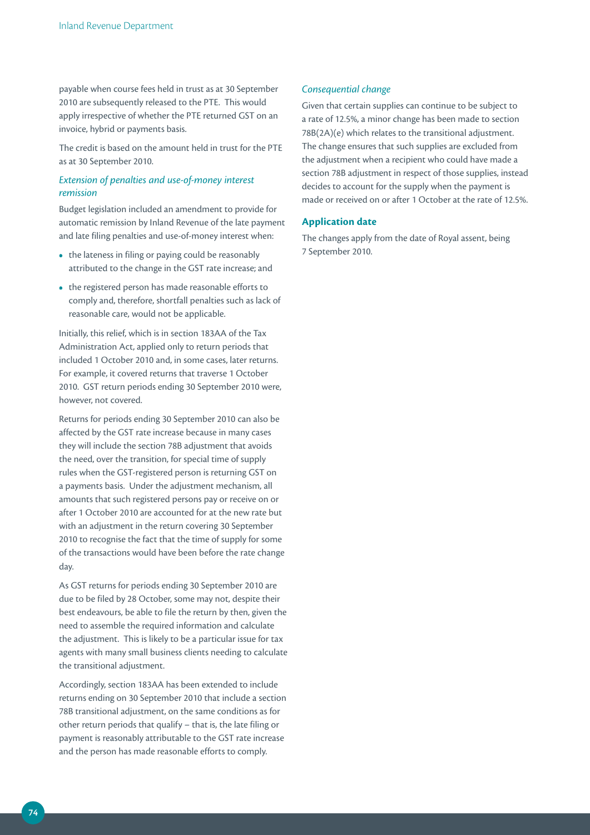payable when course fees held in trust as at 30 September 2010 are subsequently released to the PTE. This would apply irrespective of whether the PTE returned GST on an invoice, hybrid or payments basis.

The credit is based on the amount held in trust for the PTE as at 30 September 2010.

### *Extension of penalties and use‑of‑money interest remission*

Budget legislation included an amendment to provide for automatic remission by Inland Revenue of the late payment and late filing penalties and use-of-money interest when:

- the lateness in filing or paying could be reasonably attributed to the change in the GST rate increase; and
- the registered person has made reasonable efforts to comply and, therefore, shortfall penalties such as lack of reasonable care, would not be applicable.

Initially, this relief, which is in section 183AA of the Tax Administration Act, applied only to return periods that included 1 October 2010 and, in some cases, later returns. For example, it covered returns that traverse 1 October 2010. GST return periods ending 30 September 2010 were, however, not covered.

Returns for periods ending 30 September 2010 can also be affected by the GST rate increase because in many cases they will include the section 78B adjustment that avoids the need, over the transition, for special time of supply rules when the GST-registered person is returning GST on a payments basis. Under the adjustment mechanism, all amounts that such registered persons pay or receive on or after 1 October 2010 are accounted for at the new rate but with an adjustment in the return covering 30 September 2010 to recognise the fact that the time of supply for some of the transactions would have been before the rate change day.

As GST returns for periods ending 30 September 2010 are due to be filed by 28 October, some may not, despite their best endeavours, be able to file the return by then, given the need to assemble the required information and calculate the adjustment. This is likely to be a particular issue for tax agents with many small business clients needing to calculate the transitional adjustment.

Accordingly, section 183AA has been extended to include returns ending on 30 September 2010 that include a section 78B transitional adjustment, on the same conditions as for other return periods that qualify – that is, the late filing or payment is reasonably attributable to the GST rate increase and the person has made reasonable efforts to comply.

#### *Consequential change*

Given that certain supplies can continue to be subject to a rate of 12.5%, a minor change has been made to section 78B(2A)(e) which relates to the transitional adjustment. The change ensures that such supplies are excluded from the adjustment when a recipient who could have made a section 78B adjustment in respect of those supplies, instead decides to account for the supply when the payment is made or received on or after 1 October at the rate of 12.5%.

### **Application date**

The changes apply from the date of Royal assent, being 7 September 2010.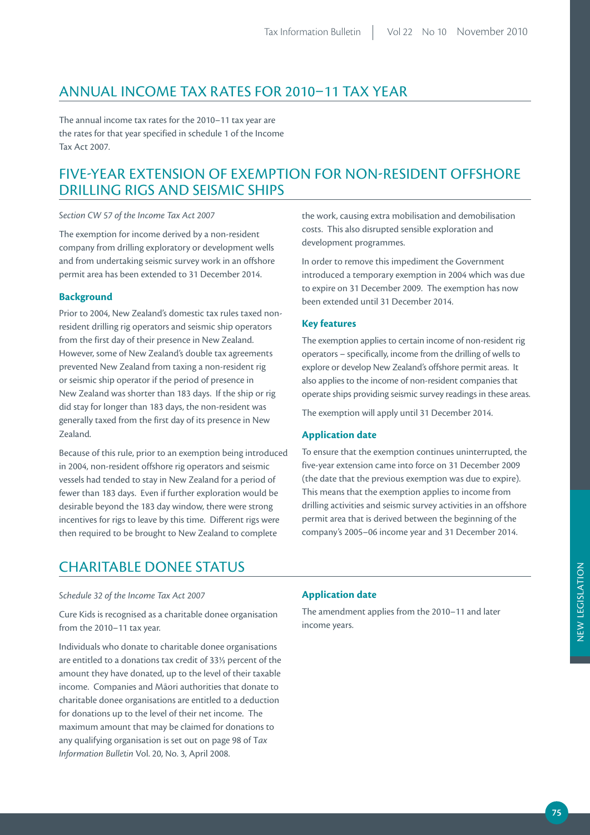## ANNUAL INCOME TAX RATES FOR 2010–11 TAX YEAR

The annual income tax rates for the 2010–11 tax year are the rates for that year specified in schedule 1 of the Income Tax Act 2007.

## FIVE-YEAR EXTENSION OF EXEMPTION FOR NON-RESIDENT OFFSHORE DRILLING RIGS AND SEISMIC SHIPS

### *Section CW 57 of the Income Tax Act 2007*

The exemption for income derived by a non-resident company from drilling exploratory or development wells and from undertaking seismic survey work in an offshore permit area has been extended to 31 December 2014.

#### **Background**

Prior to 2004, New Zealand's domestic tax rules taxed nonresident drilling rig operators and seismic ship operators from the first day of their presence in New Zealand. However, some of New Zealand's double tax agreements prevented New Zealand from taxing a non-resident rig or seismic ship operator if the period of presence in New Zealand was shorter than 183 days. If the ship or rig did stay for longer than 183 days, the non-resident was generally taxed from the first day of its presence in New Zealand.

Because of this rule, prior to an exemption being introduced in 2004, non-resident offshore rig operators and seismic vessels had tended to stay in New Zealand for a period of fewer than 183 days. Even if further exploration would be desirable beyond the 183 day window, there were strong incentives for rigs to leave by this time. Different rigs were then required to be brought to New Zealand to complete

the work, causing extra mobilisation and demobilisation costs. This also disrupted sensible exploration and development programmes.

In order to remove this impediment the Government introduced a temporary exemption in 2004 which was due to expire on 31 December 2009. The exemption has now been extended until 31 December 2014.

#### **Key features**

The exemption applies to certain income of non-resident rig operators – specifically, income from the drilling of wells to explore or develop New Zealand's offshore permit areas. It also applies to the income of non-resident companies that operate ships providing seismic survey readings in these areas.

The exemption will apply until 31 December 2014.

#### **Application date**

To ensure that the exemption continues uninterrupted, the five-year extension came into force on 31 December 2009 (the date that the previous exemption was due to expire). This means that the exemption applies to income from drilling activities and seismic survey activities in an offshore permit area that is derived between the beginning of the company's 2005–06 income year and 31 December 2014.

## CHARITABLE DONEE STATUS

#### *Schedule 32 of the Income Tax Act 2007*

Cure Kids is recognised as a charitable donee organisation from the 2010–11 tax year.

Individuals who donate to charitable donee organisations are entitled to a donations tax credit of 33⅓ percent of the amount they have donated, up to the level of their taxable income. Companies and Māori authorities that donate to charitable donee organisations are entitled to a deduction for donations up to the level of their net income. The maximum amount that may be claimed for donations to any qualifying organisation is set out on page 98 of T*ax Information Bulletin* Vol. 20, No. 3, April 2008.

#### **Application date**

The amendment applies from the 2010–11 and later income years.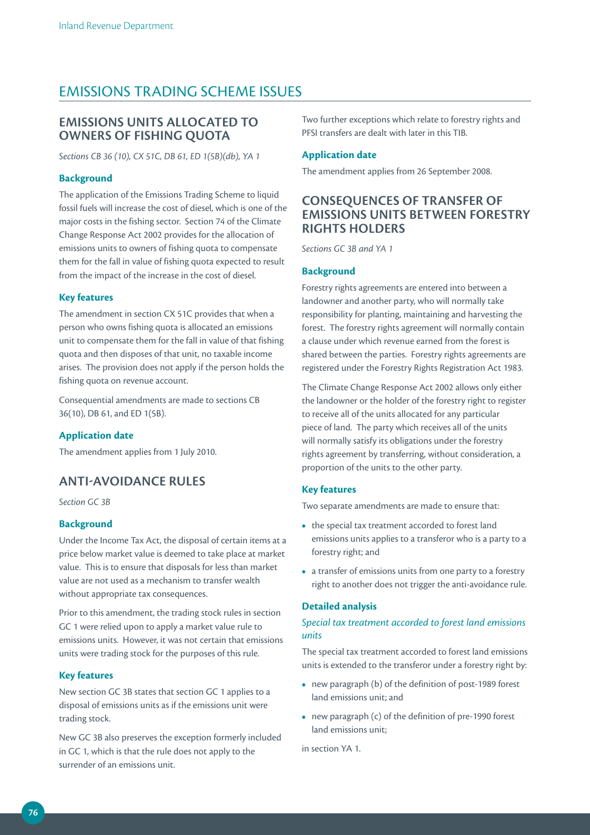## EMISSIONS TRADING SCHEME ISSUES

## **EmiSSiONS uNiTS ALLOCATED TO OWNErS OF FiSHiNG QuOTA**

*Sections CB 36 (10), CX 51C, DB 61, ED 1(5B)(db), YA 1*

### **Background**

The application of the Emissions Trading Scheme to liquid fossil fuels will increase the cost of diesel, which is one of the major costs in the fishing sector. Section 74 of the Climate Change Response Act 2002 provides for the allocation of emissions units to owners of fishing quota to compensate them for the fall in value of fishing quota expected to result from the impact of the increase in the cost of diesel.

#### **Key features**

The amendment in section CX 51C provides that when a person who owns fishing quota is allocated an emissions unit to compensate them for the fall in value of that fishing quota and then disposes of that unit, no taxable income arises. The provision does not apply if the person holds the fishing quota on revenue account.

Consequential amendments are made to sections CB 36(10), DB 61, and ED 1(5B).

#### **Application date**

The amendment applies from 1 July 2010.

## **ANTi-AVOiDANCE ruLES**

*Section GC 3B*

#### **Background**

Under the Income Tax Act, the disposal of certain items at a price below market value is deemed to take place at market value. This is to ensure that disposals for less than market value are not used as a mechanism to transfer wealth without appropriate tax consequences.

Prior to this amendment, the trading stock rules in section GC 1 were relied upon to apply a market value rule to emissions units. However, it was not certain that emissions units were trading stock for the purposes of this rule.

#### **Key features**

New section GC 3B states that section GC 1 applies to a disposal of emissions units as if the emissions unit were trading stock.

New GC 3B also preserves the exception formerly included in GC 1, which is that the rule does not apply to the surrender of an emissions unit.

Two further exceptions which relate to forestry rights and PFSI transfers are dealt with later in this TIB.

### **Application date**

The amendment applies from 26 September 2008.

## **CONSEQuENCES OF TrANSFEr OF EmiSSiONS uNiTS BETWEEN FOrESTrY riGHTS HOLDErS**

*Sections GC 3B and YA 1*

#### **Background**

Forestry rights agreements are entered into between a landowner and another party, who will normally take responsibility for planting, maintaining and harvesting the forest. The forestry rights agreement will normally contain a clause under which revenue earned from the forest is shared between the parties. Forestry rights agreements are registered under the Forestry Rights Registration Act 1983.

The Climate Change Response Act 2002 allows only either the landowner or the holder of the forestry right to register to receive all of the units allocated for any particular piece of land. The party which receives all of the units will normally satisfy its obligations under the forestry rights agreement by transferring, without consideration, a proportion of the units to the other party.

#### **Key features**

Two separate amendments are made to ensure that:

- the special tax treatment accorded to forest land emissions units applies to a transferor who is a party to a forestry right; and
- a transfer of emissions units from one party to a forestry right to another does not trigger the anti-avoidance rule.

#### **Detailed analysis**

### *Special tax treatment accorded to forest land emissions units*

The special tax treatment accorded to forest land emissions units is extended to the transferor under a forestry right by:

- new paragraph (b) of the definition of post-1989 forest land emissions unit; and
- new paragraph (c) of the definition of pre-1990 forest land emissions unit;

in section YA 1.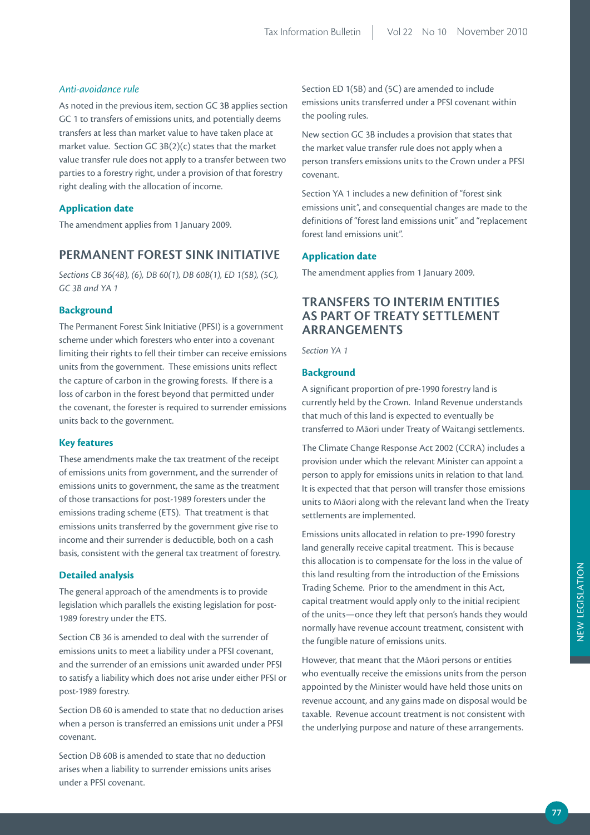#### *Anti‑avoidance rule*

As noted in the previous item, section GC 3B applies section GC 1 to transfers of emissions units, and potentially deems transfers at less than market value to have taken place at market value. Section GC 3B(2)(c) states that the market value transfer rule does not apply to a transfer between two parties to a forestry right, under a provision of that forestry right dealing with the allocation of income.

#### **Application date**

The amendment applies from 1 January 2009.

## **pErmANENT FOrEST SiNK iNiTiATiVE**

*Sections CB 36(4B), (6), DB 60(1), DB 60B(1), ED 1(5B), (5C), GC 3B and YA 1*

### **Background**

The Permanent Forest Sink Initiative (PFSI) is a government scheme under which foresters who enter into a covenant limiting their rights to fell their timber can receive emissions units from the government. These emissions units reflect the capture of carbon in the growing forests. If there is a loss of carbon in the forest beyond that permitted under the covenant, the forester is required to surrender emissions units back to the government.

#### **Key features**

These amendments make the tax treatment of the receipt of emissions units from government, and the surrender of emissions units to government, the same as the treatment of those transactions for post-1989 foresters under the emissions trading scheme (ETS). That treatment is that emissions units transferred by the government give rise to income and their surrender is deductible, both on a cash basis, consistent with the general tax treatment of forestry.

#### **Detailed analysis**

The general approach of the amendments is to provide legislation which parallels the existing legislation for post-1989 forestry under the ETS.

Section CB 36 is amended to deal with the surrender of emissions units to meet a liability under a PFSI covenant, and the surrender of an emissions unit awarded under PFSI to satisfy a liability which does not arise under either PFSI or post-1989 forestry.

Section DB 60 is amended to state that no deduction arises when a person is transferred an emissions unit under a PFSI covenant.

Section DB 60B is amended to state that no deduction arises when a liability to surrender emissions units arises under a PFSI covenant.

Section ED 1(5B) and (5C) are amended to include emissions units transferred under a PFSI covenant within the pooling rules.

New section GC 3B includes a provision that states that the market value transfer rule does not apply when a person transfers emissions units to the Crown under a PFSI covenant.

Section YA 1 includes a new definition of "forest sink emissions unit", and consequential changes are made to the definitions of "forest land emissions unit" and "replacement forest land emissions unit".

### **Application date**

The amendment applies from 1 January 2009.

## **TrANSFErS TO iNTErim ENTiTiES AS pArT OF TrEATY SETTLEmENT ArrANGEmENTS**

*Section YA 1*

#### **Background**

A significant proportion of pre-1990 forestry land is currently held by the Crown. Inland Revenue understands that much of this land is expected to eventually be transferred to Māori under Treaty of Waitangi settlements.

The Climate Change Response Act 2002 (CCRA) includes a provision under which the relevant Minister can appoint a person to apply for emissions units in relation to that land. It is expected that that person will transfer those emissions units to Māori along with the relevant land when the Treaty settlements are implemented.

Emissions units allocated in relation to pre-1990 forestry land generally receive capital treatment. This is because this allocation is to compensate for the loss in the value of this land resulting from the introduction of the Emissions Trading Scheme. Prior to the amendment in this Act, capital treatment would apply only to the initial recipient of the units—once they left that person's hands they would normally have revenue account treatment, consistent with the fungible nature of emissions units.

However, that meant that the Māori persons or entities who eventually receive the emissions units from the person appointed by the Minister would have held those units on revenue account, and any gains made on disposal would be taxable. Revenue account treatment is not consistent with the underlying purpose and nature of these arrangements.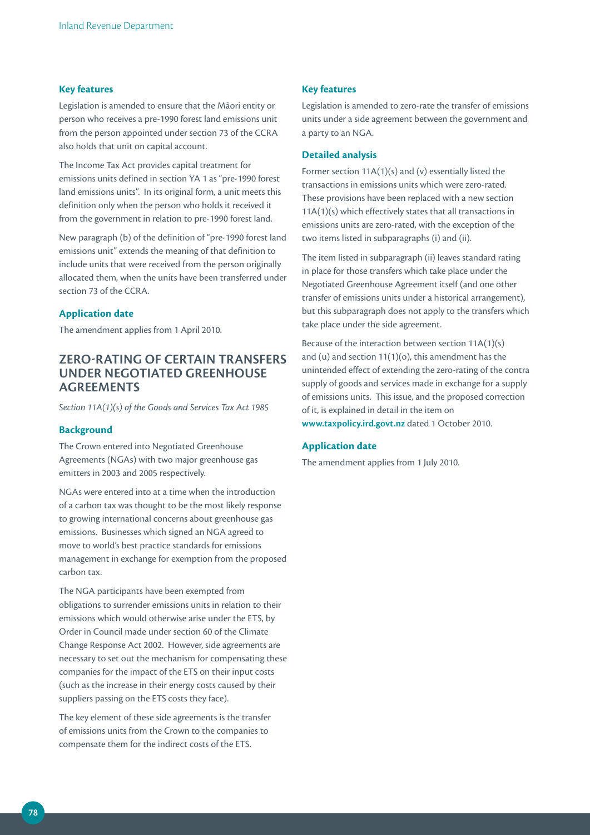#### **Key features**

Legislation is amended to ensure that the Māori entity or person who receives a pre-1990 forest land emissions unit from the person appointed under section 73 of the CCRA also holds that unit on capital account.

The Income Tax Act provides capital treatment for emissions units defined in section YA 1 as "pre-1990 forest land emissions units". In its original form, a unit meets this definition only when the person who holds it received it from the government in relation to pre-1990 forest land.

New paragraph (b) of the definition of "pre-1990 forest land emissions unit" extends the meaning of that definition to include units that were received from the person originally allocated them, when the units have been transferred under section 73 of the CCRA

#### **Application date**

The amendment applies from 1 April 2010.

## **ZErO-rATiNG OF CErTAiN TrANSFErS uNDEr NEGOTiATED GrEENHOuSE AGrEEmENTS**

*Section 11A(1)(s) of the Goods and Services Tax Act 1985*

#### **Background**

The Crown entered into Negotiated Greenhouse Agreements (NGAs) with two major greenhouse gas emitters in 2003 and 2005 respectively.

NGAs were entered into at a time when the introduction of a carbon tax was thought to be the most likely response to growing international concerns about greenhouse gas emissions. Businesses which signed an NGA agreed to move to world's best practice standards for emissions management in exchange for exemption from the proposed carbon tax.

The NGA participants have been exempted from obligations to surrender emissions units in relation to their emissions which would otherwise arise under the ETS, by Order in Council made under section 60 of the Climate Change Response Act 2002. However, side agreements are necessary to set out the mechanism for compensating these companies for the impact of the ETS on their input costs (such as the increase in their energy costs caused by their suppliers passing on the ETS costs they face).

The key element of these side agreements is the transfer of emissions units from the Crown to the companies to compensate them for the indirect costs of the ETS.

#### **Key features**

Legislation is amended to zero-rate the transfer of emissions units under a side agreement between the government and a party to an NGA.

#### **Detailed analysis**

Former section 11A(1)(s) and (v) essentially listed the transactions in emissions units which were zero-rated. These provisions have been replaced with a new section 11A(1)(s) which effectively states that all transactions in emissions units are zero-rated, with the exception of the two items listed in subparagraphs (i) and (ii).

The item listed in subparagraph (ii) leaves standard rating in place for those transfers which take place under the Negotiated Greenhouse Agreement itself (and one other transfer of emissions units under a historical arrangement), but this subparagraph does not apply to the transfers which take place under the side agreement.

Because of the interaction between section 11A(1)(s) and (u) and section 11(1)(o), this amendment has the unintended effect of extending the zero-rating of the contra supply of goods and services made in exchange for a supply of emissions units. This issue, and the proposed correction of it, is explained in detail in the item on **www.taxpolicy.ird.govt.nz** dated 1 October 2010.

#### **Application date**

The amendment applies from 1 July 2010.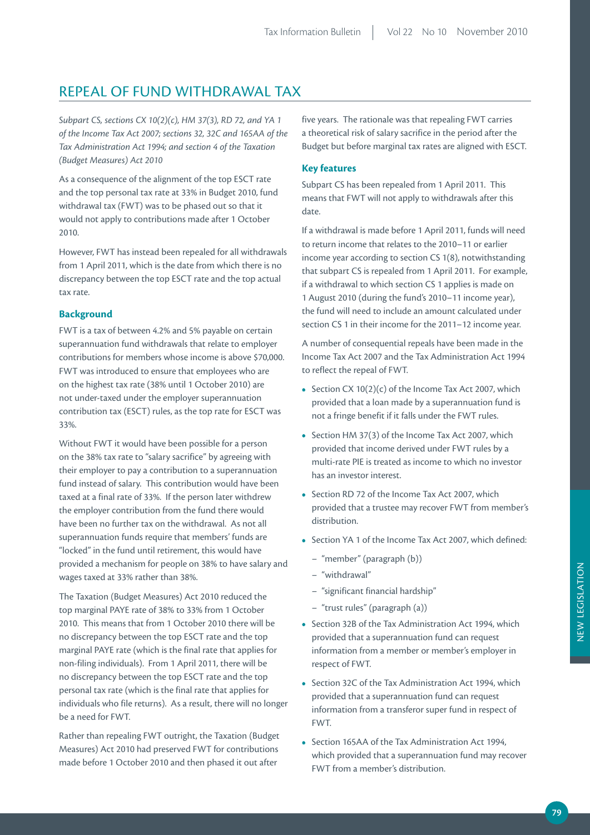## REPEAL OF FUND WITHDRAWAL TAX

*Subpart CS, sections CX 10(2)(c), HM 37(3), RD 72, and YA 1 of the Income Tax Act 2007; sections 32, 32C and 165AA of the Tax Administration Act 1994; and section 4 of the Taxation (Budget Measures) Act 2010*

As a consequence of the alignment of the top ESCT rate and the top personal tax rate at 33% in Budget 2010, fund withdrawal tax (FWT) was to be phased out so that it would not apply to contributions made after 1 October 2010.

However, FWT has instead been repealed for all withdrawals from 1 April 2011, which is the date from which there is no discrepancy between the top ESCT rate and the top actual tax rate.

#### **Background**

FWT is a tax of between 4.2% and 5% payable on certain superannuation fund withdrawals that relate to employer contributions for members whose income is above \$70,000. FWT was introduced to ensure that employees who are on the highest tax rate (38% until 1 October 2010) are not under-taxed under the employer superannuation contribution tax (ESCT) rules, as the top rate for ESCT was 33%.

Without FWT it would have been possible for a person on the 38% tax rate to "salary sacrifice" by agreeing with their employer to pay a contribution to a superannuation fund instead of salary. This contribution would have been taxed at a final rate of 33%. If the person later withdrew the employer contribution from the fund there would have been no further tax on the withdrawal. As not all superannuation funds require that members' funds are "locked" in the fund until retirement, this would have provided a mechanism for people on 38% to have salary and wages taxed at 33% rather than 38%.

The Taxation (Budget Measures) Act 2010 reduced the top marginal PAYE rate of 38% to 33% from 1 October 2010. This means that from 1 October 2010 there will be no discrepancy between the top ESCT rate and the top marginal PAYE rate (which is the final rate that applies for non-filing individuals). From 1 April 2011, there will be no discrepancy between the top ESCT rate and the top personal tax rate (which is the final rate that applies for individuals who file returns). As a result, there will no longer be a need for FWT.

Rather than repealing FWT outright, the Taxation (Budget Measures) Act 2010 had preserved FWT for contributions made before 1 October 2010 and then phased it out after

five years. The rationale was that repealing FWT carries a theoretical risk of salary sacrifice in the period after the Budget but before marginal tax rates are aligned with ESCT.

### **Key features**

Subpart CS has been repealed from 1 April 2011. This means that FWT will not apply to withdrawals after this date.

If a withdrawal is made before 1 April 2011, funds will need to return income that relates to the 2010–11 or earlier income year according to section CS 1(8), notwithstanding that subpart CS is repealed from 1 April 2011. For example, if a withdrawal to which section CS 1 applies is made on 1 August 2010 (during the fund's 2010–11 income year), the fund will need to include an amount calculated under section CS 1 in their income for the 2011–12 income year.

A number of consequential repeals have been made in the Income Tax Act 2007 and the Tax Administration Act 1994 to reflect the repeal of FWT.

- Section CX 10(2)(c) of the Income Tax Act 2007, which provided that a loan made by a superannuation fund is not a fringe benefit if it falls under the FWT rules.
- Section HM 37(3) of the Income Tax Act 2007, which provided that income derived under FWT rules by a multi-rate PIE is treated as income to which no investor has an investor interest.
- Section RD 72 of the Income Tax Act 2007, which provided that a trustee may recover FWT from member's distribution.
- Section YA 1 of the Income Tax Act 2007, which defined:
	- "member" (paragraph (b))
	- "withdrawal"
	- "significant financial hardship"
	- "trust rules" (paragraph (a))
- Section 32B of the Tax Administration Act 1994, which provided that a superannuation fund can request information from a member or member's employer in respect of FWT.
- Section 32C of the Tax Administration Act 1994, which provided that a superannuation fund can request information from a transferor super fund in respect of FWT.
- Section 165AA of the Tax Administration Act 1994, which provided that a superannuation fund may recover FWT from a member's distribution.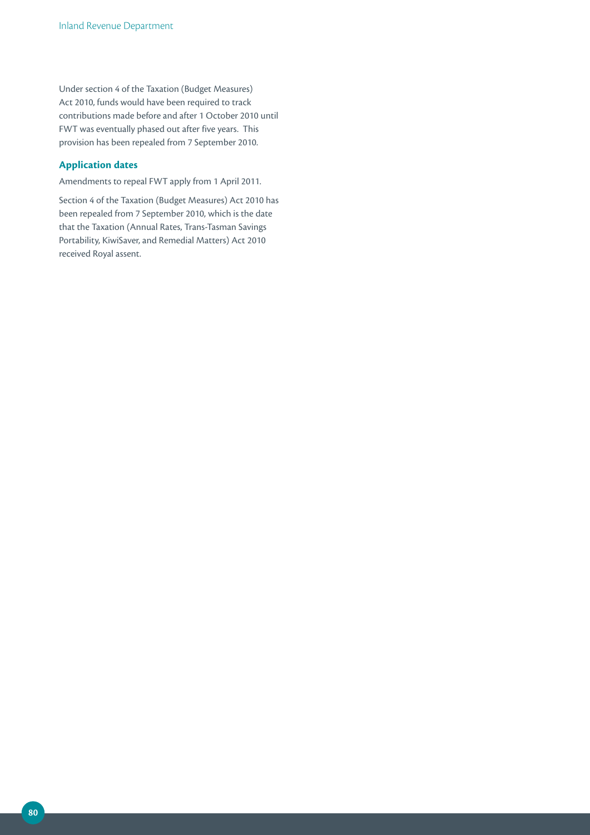Under section 4 of the Taxation (Budget Measures) Act 2010, funds would have been required to track contributions made before and after 1 October 2010 until FWT was eventually phased out after five years. This provision has been repealed from 7 September 2010.

## **Application dates**

Amendments to repeal FWT apply from 1 April 2011.

Section 4 of the Taxation (Budget Measures) Act 2010 has been repealed from 7 September 2010, which is the date that the Taxation (Annual Rates, Trans-Tasman Savings Portability, KiwiSaver, and Remedial Matters) Act 2010 received Royal assent.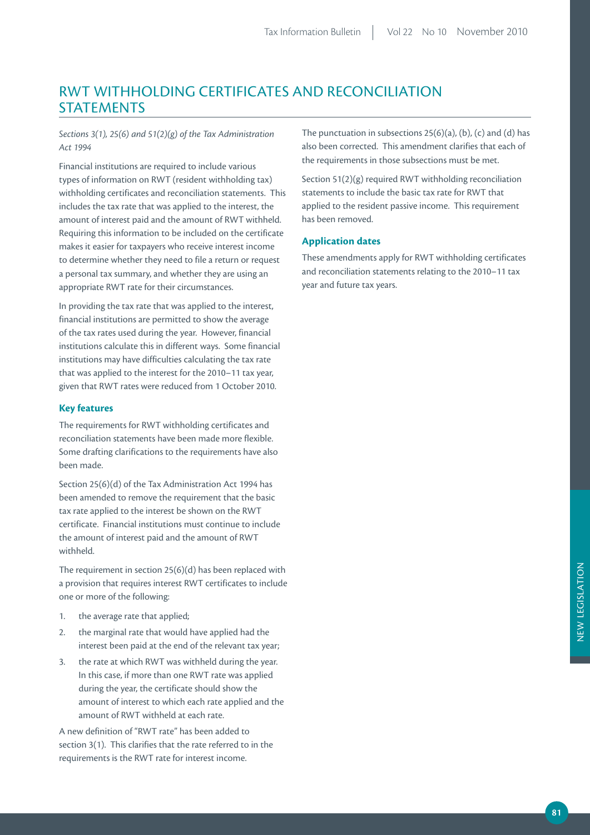## RWT WITHHOLDING CERTIFICATES AND RECONCILIATION **STATEMENTS**

*Sections 3(1), 25(6) and 51(2)(g) of the Tax Administration Act 1994*

Financial institutions are required to include various types of information on RWT (resident withholding tax) withholding certificates and reconciliation statements. This includes the tax rate that was applied to the interest, the amount of interest paid and the amount of RWT withheld. Requiring this information to be included on the certificate makes it easier for taxpayers who receive interest income to determine whether they need to file a return or request a personal tax summary, and whether they are using an appropriate RWT rate for their circumstances.

In providing the tax rate that was applied to the interest, financial institutions are permitted to show the average of the tax rates used during the year. However, financial institutions calculate this in different ways. Some financial institutions may have difficulties calculating the tax rate that was applied to the interest for the 2010–11 tax year, given that RWT rates were reduced from 1 October 2010.

#### **Key features**

The requirements for RWT withholding certificates and reconciliation statements have been made more flexible. Some drafting clarifications to the requirements have also been made.

Section 25(6)(d) of the Tax Administration Act 1994 has been amended to remove the requirement that the basic tax rate applied to the interest be shown on the RWT certificate. Financial institutions must continue to include the amount of interest paid and the amount of RWT withheld.

The requirement in section 25(6)(d) has been replaced with a provision that requires interest RWT certificates to include one or more of the following:

- 1. the average rate that applied;
- 2. the marginal rate that would have applied had the interest been paid at the end of the relevant tax year;
- 3. the rate at which RWT was withheld during the year. In this case, if more than one RWT rate was applied during the year, the certificate should show the amount of interest to which each rate applied and the amount of RWT withheld at each rate.

A new definition of "RWT rate" has been added to section 3(1). This clarifies that the rate referred to in the requirements is the RWT rate for interest income.

The punctuation in subsections  $25(6)(a)$ , (b), (c) and (d) has also been corrected. This amendment clarifies that each of the requirements in those subsections must be met.

Section 51(2)(g) required RWT withholding reconciliation statements to include the basic tax rate for RWT that applied to the resident passive income. This requirement has been removed.

#### **Application dates**

These amendments apply for RWT withholding certificates and reconciliation statements relating to the 2010–11 tax year and future tax years.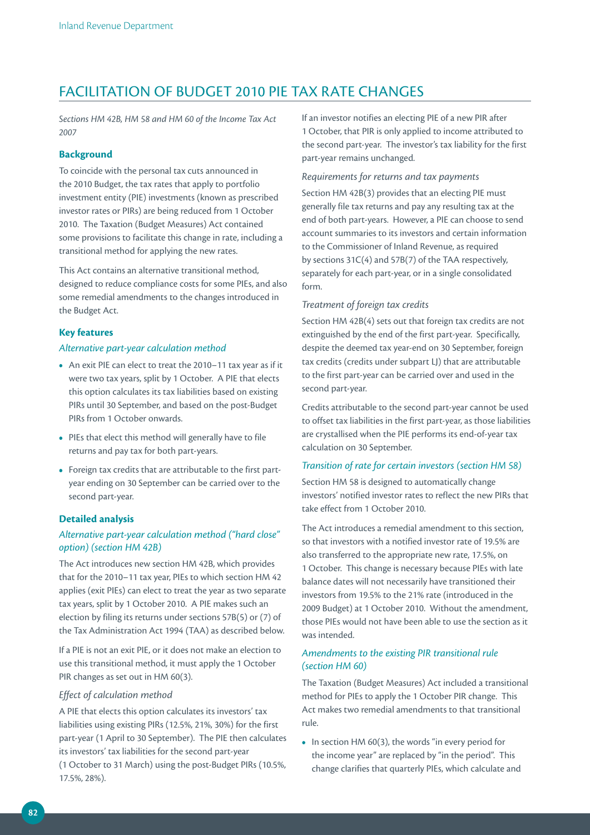## FACILITATION OF BUDGET 2010 PIE TAX RATE CHANGES

*Sections HM 42B, HM 58 and HM 60 of the Income Tax Act 2007*

### **Background**

To coincide with the personal tax cuts announced in the 2010 Budget, the tax rates that apply to portfolio investment entity (PIE) investments (known as prescribed investor rates or PIRs) are being reduced from 1 October 2010. The Taxation (Budget Measures) Act contained some provisions to facilitate this change in rate, including a transitional method for applying the new rates.

This Act contains an alternative transitional method, designed to reduce compliance costs for some PIEs, and also some remedial amendments to the changes introduced in the Budget Act.

#### **Key features**

#### *Alternative part‑year calculation method*

- An exit PIE can elect to treat the 2010–11 tax year as if it were two tax years, split by 1 October. A PIE that elects this option calculates its tax liabilities based on existing PIRs until 30 September, and based on the post-Budget PIRs from 1 October onwards.
- PIEs that elect this method will generally have to file returns and pay tax for both part-years.
- Foreign tax credits that are attributable to the first partyear ending on 30 September can be carried over to the second part-year.

#### **Detailed analysis**

## *Alternative part‑year calculation method ("hard close" option) (section HM 42B)*

The Act introduces new section HM 42B, which provides that for the 2010–11 tax year, PIEs to which section HM 42 applies (exit PIEs) can elect to treat the year as two separate tax years, split by 1 October 2010. A PIE makes such an election by filing its returns under sections 57B(5) or (7) of the Tax Administration Act 1994 (TAA) as described below.

If a PIE is not an exit PIE, or it does not make an election to use this transitional method, it must apply the 1 October PIR changes as set out in HM 60(3).

#### *Effect of calculation method*

A PIE that elects this option calculates its investors' tax liabilities using existing PIRs (12.5%, 21%, 30%) for the first part-year (1 April to 30 September). The PIE then calculates its investors' tax liabilities for the second part-year (1 October to 31 March) using the post-Budget PIRs (10.5%, 17.5%, 28%).

If an investor notifies an electing PIE of a new PIR after 1 October, that PIR is only applied to income attributed to the second part-year. The investor's tax liability for the first part-year remains unchanged.

#### *Requirements for returns and tax payments*

Section HM 42B(3) provides that an electing PIE must generally file tax returns and pay any resulting tax at the end of both part-years. However, a PIE can choose to send account summaries to its investors and certain information to the Commissioner of Inland Revenue, as required by sections 31C(4) and 57B(7) of the TAA respectively, separately for each part-year, or in a single consolidated form.

#### *Treatment of foreign tax credits*

Section HM 42B(4) sets out that foreign tax credits are not extinguished by the end of the first part-year. Specifically, despite the deemed tax year-end on 30 September, foreign tax credits (credits under subpart LJ) that are attributable to the first part-year can be carried over and used in the second part-year.

Credits attributable to the second part-year cannot be used to offset tax liabilities in the first part-year, as those liabilities are crystallised when the PIE performs its end-of-year tax calculation on 30 September.

#### *Transition of rate for certain investors (section HM 58)*

Section HM 58 is designed to automatically change investors' notified investor rates to reflect the new PIRs that take effect from 1 October 2010.

The Act introduces a remedial amendment to this section, so that investors with a notified investor rate of 19.5% are also transferred to the appropriate new rate, 17.5%, on 1 October. This change is necessary because PIEs with late balance dates will not necessarily have transitioned their investors from 19.5% to the 21% rate (introduced in the 2009 Budget) at 1 October 2010. Without the amendment, those PIEs would not have been able to use the section as it was intended.

### *Amendments to the existing PIR transitional rule (section HM 60)*

The Taxation (Budget Measures) Act included a transitional method for PIEs to apply the 1 October PIR change. This Act makes two remedial amendments to that transitional rule.

**•** In section HM 60(3), the words "in every period for the income year" are replaced by "in the period". This change clarifies that quarterly PIEs, which calculate and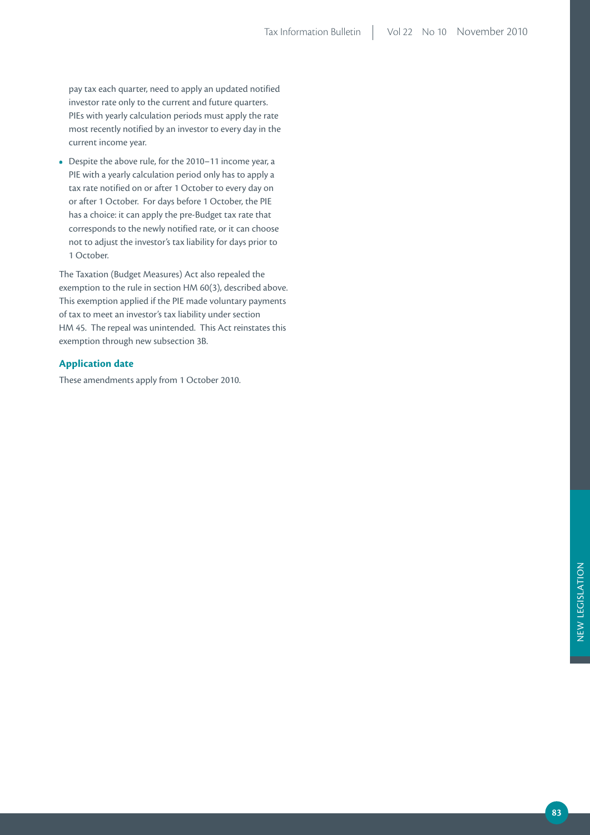pay tax each quarter, need to apply an updated notified investor rate only to the current and future quarters. PIEs with yearly calculation periods must apply the rate most recently notified by an investor to every day in the current income year.

**•** Despite the above rule, for the 2010–11 income year, a PIE with a yearly calculation period only has to apply a tax rate notified on or after 1 October to every day on or after 1 October. For days before 1 October, the PIE has a choice: it can apply the pre-Budget tax rate that corresponds to the newly notified rate, or it can choose not to adjust the investor's tax liability for days prior to 1 October.

The Taxation (Budget Measures) Act also repealed the exemption to the rule in section HM 60(3), described above. This exemption applied if the PIE made voluntary payments of tax to meet an investor's tax liability under section HM 45. The repeal was unintended. This Act reinstates this exemption through new subsection 3B.

## **Application date**

These amendments apply from 1 October 2010.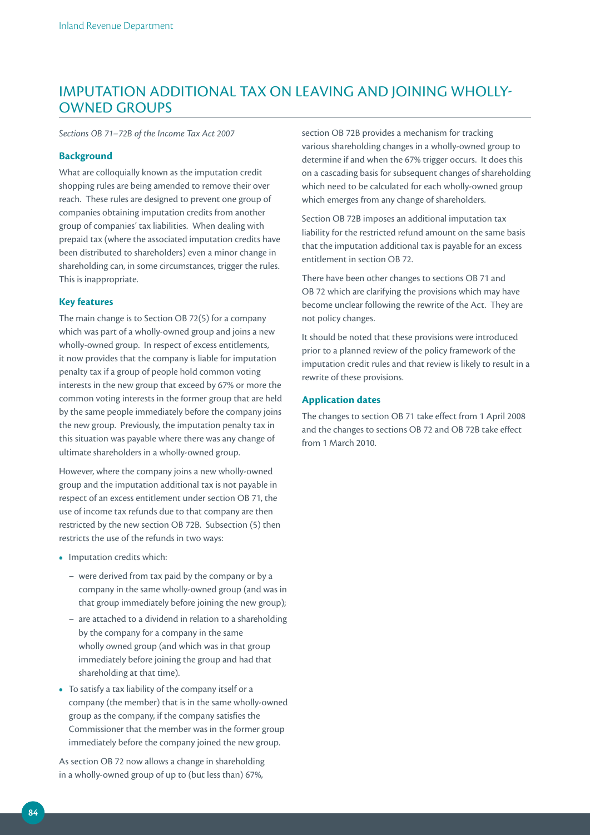## IMPUTATION ADDITIONAL TAX ON LEAVING AND JOINING WHOLLY-OWNED GROUPS

*Sections OB 71–72B of the Income Tax Act 2007*

#### **Background**

What are colloquially known as the imputation credit shopping rules are being amended to remove their over reach. These rules are designed to prevent one group of companies obtaining imputation credits from another group of companies' tax liabilities. When dealing with prepaid tax (where the associated imputation credits have been distributed to shareholders) even a minor change in shareholding can, in some circumstances, trigger the rules. This is inappropriate.

### **Key features**

The main change is to Section OB 72(5) for a company which was part of a wholly-owned group and joins a new wholly-owned group. In respect of excess entitlements, it now provides that the company is liable for imputation penalty tax if a group of people hold common voting interests in the new group that exceed by 67% or more the common voting interests in the former group that are held by the same people immediately before the company joins the new group. Previously, the imputation penalty tax in this situation was payable where there was any change of ultimate shareholders in a wholly-owned group.

However, where the company joins a new wholly-owned group and the imputation additional tax is not payable in respect of an excess entitlement under section OB 71, the use of income tax refunds due to that company are then restricted by the new section OB 72B. Subsection (5) then restricts the use of the refunds in two ways:

- Imputation credits which:
	- were derived from tax paid by the company or by a company in the same wholly-owned group (and was in that group immediately before joining the new group);
	- are attached to a dividend in relation to a shareholding by the company for a company in the same wholly owned group (and which was in that group immediately before joining the group and had that shareholding at that time).
- To satisfy a tax liability of the company itself or a company (the member) that is in the same wholly-owned group as the company, if the company satisfies the Commissioner that the member was in the former group immediately before the company joined the new group.

As section OB 72 now allows a change in shareholding in a wholly-owned group of up to (but less than) 67%,

section OB 72B provides a mechanism for tracking various shareholding changes in a wholly-owned group to determine if and when the 67% trigger occurs. It does this on a cascading basis for subsequent changes of shareholding which need to be calculated for each wholly-owned group which emerges from any change of shareholders.

Section OB 72B imposes an additional imputation tax liability for the restricted refund amount on the same basis that the imputation additional tax is payable for an excess entitlement in section OB 72.

There have been other changes to sections OB 71 and OB 72 which are clarifying the provisions which may have become unclear following the rewrite of the Act. They are not policy changes.

It should be noted that these provisions were introduced prior to a planned review of the policy framework of the imputation credit rules and that review is likely to result in a rewrite of these provisions.

#### **Application dates**

The changes to section OB 71 take effect from 1 April 2008 and the changes to sections OB 72 and OB 72B take effect from 1 March 2010.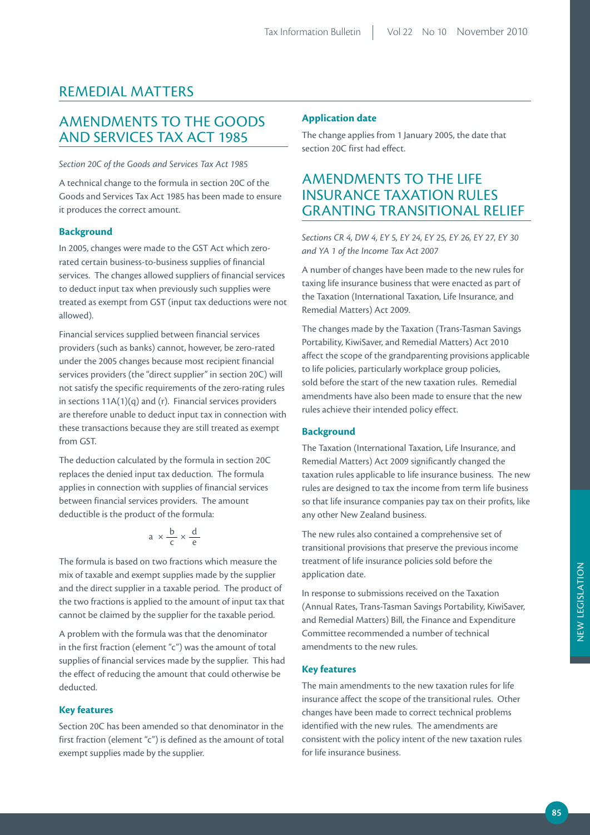## REMEDIAL MATTERS

## AMENDMENTS TO THE GOODS AND SERVICES TAX ACT 1985

*Section 20C of the Goods and Services Tax Act 1985*

A technical change to the formula in section 20C of the Goods and Services Tax Act 1985 has been made to ensure it produces the correct amount.

#### **Background**

In 2005, changes were made to the GST Act which zerorated certain business-to-business supplies of financial services. The changes allowed suppliers of financial services to deduct input tax when previously such supplies were treated as exempt from GST (input tax deductions were not allowed).

Financial services supplied between financial services providers (such as banks) cannot, however, be zero-rated under the 2005 changes because most recipient financial services providers (the "direct supplier" in section 20C) will not satisfy the specific requirements of the zero-rating rules in sections  $11A(1)(q)$  and (r). Financial services providers are therefore unable to deduct input tax in connection with these transactions because they are still treated as exempt from GST.

The deduction calculated by the formula in section 20C replaces the denied input tax deduction. The formula applies in connection with supplies of financial services between financial services providers. The amount deductible is the product of the formula:

$$
a \times \frac{b}{c} \times \frac{d}{e}
$$

The formula is based on two fractions which measure the mix of taxable and exempt supplies made by the supplier and the direct supplier in a taxable period. The product of the two fractions is applied to the amount of input tax that cannot be claimed by the supplier for the taxable period.

A problem with the formula was that the denominator in the first fraction (element "c") was the amount of total supplies of financial services made by the supplier. This had the effect of reducing the amount that could otherwise be deducted.

#### **Key features**

Section 20C has been amended so that denominator in the first fraction (element "c") is defined as the amount of total exempt supplies made by the supplier.

#### **Application date**

The change applies from 1 January 2005, the date that section 20C first had effect.

## AMENDMENTS TO THE LIFE INSURANCE TAXATION RULES GRANTING TRANSITIONAL RELIEF

*Sections CR 4, DW 4, EY 5, EY 24, EY 25, EY 26, EY 27, EY 30 and YA 1 of the Income Tax Act 2007*

A number of changes have been made to the new rules for taxing life insurance business that were enacted as part of the Taxation (International Taxation, Life Insurance, and Remedial Matters) Act 2009.

The changes made by the Taxation (Trans-Tasman Savings Portability, KiwiSaver, and Remedial Matters) Act 2010 affect the scope of the grandparenting provisions applicable to life policies, particularly workplace group policies, sold before the start of the new taxation rules. Remedial amendments have also been made to ensure that the new rules achieve their intended policy effect.

#### **Background**

The Taxation (International Taxation, Life Insurance, and Remedial Matters) Act 2009 significantly changed the taxation rules applicable to life insurance business. The new rules are designed to tax the income from term life business so that life insurance companies pay tax on their profits, like any other New Zealand business.

The new rules also contained a comprehensive set of transitional provisions that preserve the previous income treatment of life insurance policies sold before the application date.

In response to submissions received on the Taxation (Annual Rates, Trans-Tasman Savings Portability, KiwiSaver, and Remedial Matters) Bill, the Finance and Expenditure Committee recommended a number of technical amendments to the new rules.

#### **Key features**

The main amendments to the new taxation rules for life insurance affect the scope of the transitional rules. Other changes have been made to correct technical problems identified with the new rules. The amendments are consistent with the policy intent of the new taxation rules for life insurance business.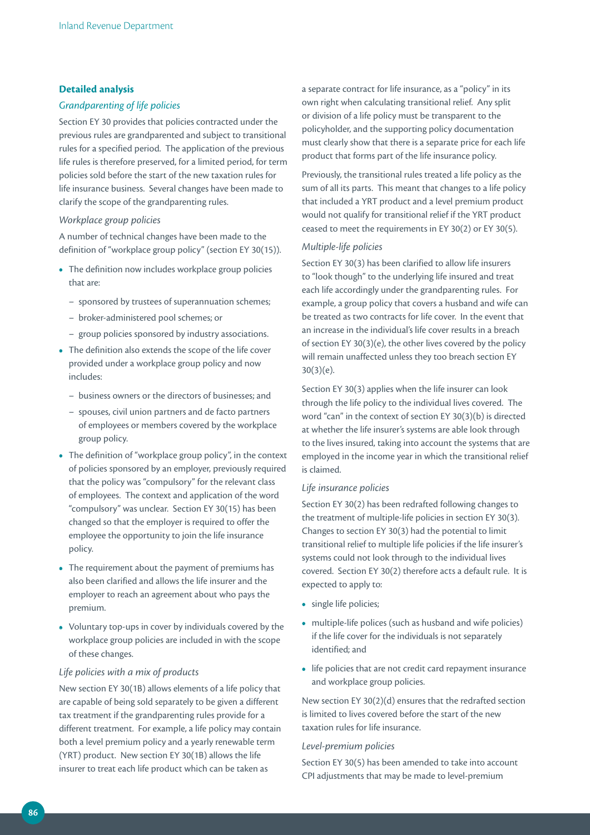#### **Detailed analysis**

#### *Grandparenting of life policies*

Section EY 30 provides that policies contracted under the previous rules are grandparented and subject to transitional rules for a specified period. The application of the previous life rules is therefore preserved, for a limited period, for term policies sold before the start of the new taxation rules for life insurance business. Several changes have been made to clarify the scope of the grandparenting rules.

#### *Workplace group policies*

A number of technical changes have been made to the definition of "workplace group policy" (section EY 30(15)).

- The definition now includes workplace group policies that are:
	- sponsored by trustees of superannuation schemes;
	- broker-administered pool schemes; or
	- group policies sponsored by industry associations.
- The definition also extends the scope of the life cover provided under a workplace group policy and now includes:
	- business owners or the directors of businesses; and
	- spouses, civil union partners and de facto partners of employees or members covered by the workplace group policy.
- The definition of "workplace group policy", in the context of policies sponsored by an employer, previously required that the policy was "compulsory" for the relevant class of employees. The context and application of the word "compulsory" was unclear. Section EY 30(15) has been changed so that the employer is required to offer the employee the opportunity to join the life insurance policy.
- The requirement about the payment of premiums has also been clarified and allows the life insurer and the employer to reach an agreement about who pays the premium.
- Voluntary top-ups in cover by individuals covered by the workplace group policies are included in with the scope of these changes.

#### *Life policies with a mix of products*

New section EY 30(1B) allows elements of a life policy that are capable of being sold separately to be given a different tax treatment if the grandparenting rules provide for a different treatment. For example, a life policy may contain both a level premium policy and a yearly renewable term (YRT) product. New section EY 30(1B) allows the life insurer to treat each life product which can be taken as

a separate contract for life insurance, as a "policy" in its own right when calculating transitional relief. Any split or division of a life policy must be transparent to the policyholder, and the supporting policy documentation must clearly show that there is a separate price for each life product that forms part of the life insurance policy.

Previously, the transitional rules treated a life policy as the sum of all its parts. This meant that changes to a life policy that included a YRT product and a level premium product would not qualify for transitional relief if the YRT product ceased to meet the requirements in EY 30(2) or EY 30(5).

#### *Multiple‑life policies*

Section EY 30(3) has been clarified to allow life insurers to "look though" to the underlying life insured and treat each life accordingly under the grandparenting rules. For example, a group policy that covers a husband and wife can be treated as two contracts for life cover. In the event that an increase in the individual's life cover results in a breach of section EY 30(3)(e), the other lives covered by the policy will remain unaffected unless they too breach section EY 30(3)(e).

Section EY 30(3) applies when the life insurer can look through the life policy to the individual lives covered. The word "can" in the context of section EY 30(3)(b) is directed at whether the life insurer's systems are able look through to the lives insured, taking into account the systems that are employed in the income year in which the transitional relief is claimed.

#### *Life insurance policies*

Section EY 30(2) has been redrafted following changes to the treatment of multiple-life policies in section EY 30(3). Changes to section EY 30(3) had the potential to limit transitional relief to multiple life policies if the life insurer's systems could not look through to the individual lives covered. Section EY 30(2) therefore acts a default rule. It is expected to apply to:

- single life policies;
- multiple-life polices (such as husband and wife policies) if the life cover for the individuals is not separately identified; and
- life policies that are not credit card repayment insurance and workplace group policies.

New section EY 30(2)(d) ensures that the redrafted section is limited to lives covered before the start of the new taxation rules for life insurance.

#### *Level‑premium policies*

Section EY 30(5) has been amended to take into account CPI adjustments that may be made to level-premium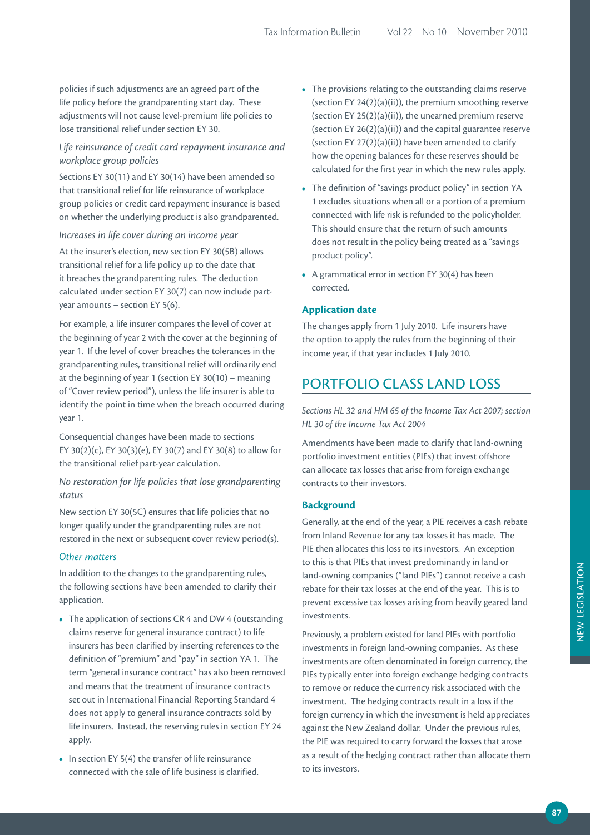policies if such adjustments are an agreed part of the life policy before the grandparenting start day. These adjustments will not cause level-premium life policies to lose transitional relief under section EY 30.

## *Life reinsurance of credit card repayment insurance and workplace group policies*

Sections EY 30(11) and EY 30(14) have been amended so that transitional relief for life reinsurance of workplace group policies or credit card repayment insurance is based on whether the underlying product is also grandparented.

#### *Increases in life cover during an income year*

At the insurer's election, new section EY 30(5B) allows transitional relief for a life policy up to the date that it breaches the grandparenting rules. The deduction calculated under section EY 30(7) can now include partyear amounts – section EY 5(6).

For example, a life insurer compares the level of cover at the beginning of year 2 with the cover at the beginning of year 1. If the level of cover breaches the tolerances in the grandparenting rules, transitional relief will ordinarily end at the beginning of year 1 (section EY 30(10) – meaning of "Cover review period"), unless the life insurer is able to identify the point in time when the breach occurred during year 1.

Consequential changes have been made to sections EY 30(2)(c), EY 30(3)(e), EY 30(7) and EY 30(8) to allow for the transitional relief part-year calculation.

### *No restoration for life policies that lose grandparenting status*

New section EY 30(5C) ensures that life policies that no longer qualify under the grandparenting rules are not restored in the next or subsequent cover review period(s).

#### *Other matters*

In addition to the changes to the grandparenting rules, the following sections have been amended to clarify their application.

- The application of sections CR 4 and DW 4 (outstanding claims reserve for general insurance contract) to life insurers has been clarified by inserting references to the definition of "premium" and "pay" in section YA 1. The term "general insurance contract" has also been removed and means that the treatment of insurance contracts set out in International Financial Reporting Standard 4 does not apply to general insurance contracts sold by life insurers. Instead, the reserving rules in section EY 24 apply.
- In section EY 5(4) the transfer of life reinsurance connected with the sale of life business is clarified.
- The provisions relating to the outstanding claims reserve (section EY 24(2)(a)(ii)), the premium smoothing reserve (section EY 25(2)(a)(ii)), the unearned premium reserve (section EY 26(2)(a)(ii)) and the capital guarantee reserve (section EY  $27(2)(a)(ii)$ ) have been amended to clarify how the opening balances for these reserves should be calculated for the first year in which the new rules apply.
- The definition of "savings product policy" in section YA 1 excludes situations when all or a portion of a premium connected with life risk is refunded to the policyholder. This should ensure that the return of such amounts does not result in the policy being treated as a "savings product policy".
- A grammatical error in section EY 30(4) has been corrected.

#### **Application date**

The changes apply from 1 July 2010. Life insurers have the option to apply the rules from the beginning of their income year, if that year includes 1 July 2010.

## PORTFOLIO CLASS LAND LOSS

*Sections HL 32 and HM 65 of the Income Tax Act 2007; section HL 30 of the Income Tax Act 2004*

Amendments have been made to clarify that land-owning portfolio investment entities (PIEs) that invest offshore can allocate tax losses that arise from foreign exchange contracts to their investors.

### **Background**

Generally, at the end of the year, a PIE receives a cash rebate from Inland Revenue for any tax losses it has made. The PIE then allocates this loss to its investors. An exception to this is that PIEs that invest predominantly in land or land-owning companies ("land PIEs") cannot receive a cash rebate for their tax losses at the end of the year. This is to prevent excessive tax losses arising from heavily geared land investments.

Previously, a problem existed for land PIEs with portfolio investments in foreign land-owning companies. As these investments are often denominated in foreign currency, the PIEs typically enter into foreign exchange hedging contracts to remove or reduce the currency risk associated with the investment. The hedging contracts result in a loss if the foreign currency in which the investment is held appreciates against the New Zealand dollar. Under the previous rules, the PIE was required to carry forward the losses that arose as a result of the hedging contract rather than allocate them to its investors.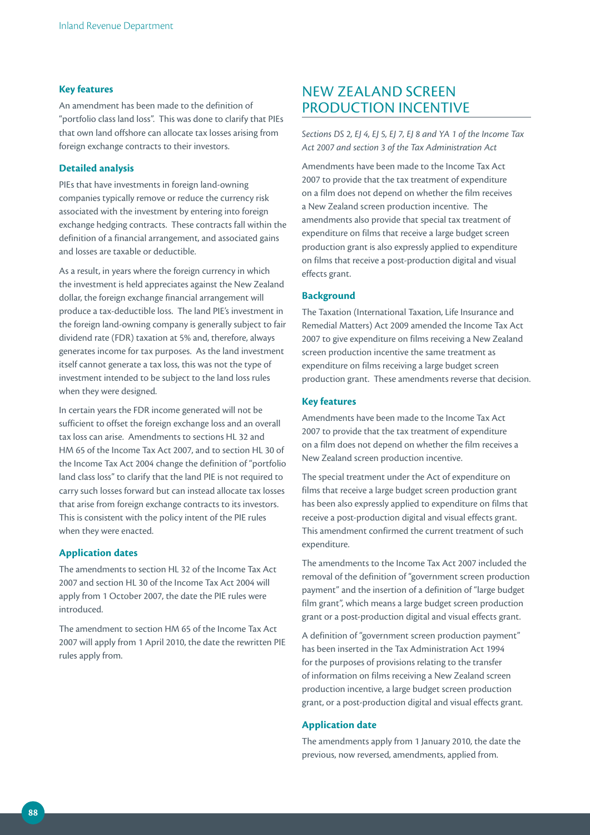#### **Key features**

An amendment has been made to the definition of "portfolio class land loss". This was done to clarify that PIEs that own land offshore can allocate tax losses arising from foreign exchange contracts to their investors.

#### **Detailed analysis**

PIEs that have investments in foreign land-owning companies typically remove or reduce the currency risk associated with the investment by entering into foreign exchange hedging contracts. These contracts fall within the definition of a financial arrangement, and associated gains and losses are taxable or deductible.

As a result, in years where the foreign currency in which the investment is held appreciates against the New Zealand dollar, the foreign exchange financial arrangement will produce a tax-deductible loss. The land PIE's investment in the foreign land-owning company is generally subject to fair dividend rate (FDR) taxation at 5% and, therefore, always generates income for tax purposes. As the land investment itself cannot generate a tax loss, this was not the type of investment intended to be subject to the land loss rules when they were designed.

In certain years the FDR income generated will not be sufficient to offset the foreign exchange loss and an overall tax loss can arise. Amendments to sections HL 32 and HM 65 of the Income Tax Act 2007, and to section HL 30 of the Income Tax Act 2004 change the definition of "portfolio land class loss" to clarify that the land PIE is not required to carry such losses forward but can instead allocate tax losses that arise from foreign exchange contracts to its investors. This is consistent with the policy intent of the PIE rules when they were enacted.

#### **Application dates**

The amendments to section HL 32 of the Income Tax Act 2007 and section HL 30 of the Income Tax Act 2004 will apply from 1 October 2007, the date the PIE rules were introduced.

The amendment to section HM 65 of the Income Tax Act 2007 will apply from 1 April 2010, the date the rewritten PIE rules apply from.

## NEW ZEALAND SCREEN PRODUCTION INCENTIVE

*Sections DS 2, EJ 4, EJ 5, EJ 7, EJ 8 and YA 1 of the Income Tax Act 2007 and section 3 of the Tax Administration Act*

Amendments have been made to the Income Tax Act 2007 to provide that the tax treatment of expenditure on a film does not depend on whether the film receives a New Zealand screen production incentive. The amendments also provide that special tax treatment of expenditure on films that receive a large budget screen production grant is also expressly applied to expenditure on films that receive a post-production digital and visual effects grant.

#### **Background**

The Taxation (International Taxation, Life Insurance and Remedial Matters) Act 2009 amended the Income Tax Act 2007 to give expenditure on films receiving a New Zealand screen production incentive the same treatment as expenditure on films receiving a large budget screen production grant. These amendments reverse that decision.

#### **Key features**

Amendments have been made to the Income Tax Act 2007 to provide that the tax treatment of expenditure on a film does not depend on whether the film receives a New Zealand screen production incentive.

The special treatment under the Act of expenditure on films that receive a large budget screen production grant has been also expressly applied to expenditure on films that receive a post-production digital and visual effects grant. This amendment confirmed the current treatment of such expenditure.

The amendments to the Income Tax Act 2007 included the removal of the definition of "government screen production payment" and the insertion of a definition of "large budget film grant", which means a large budget screen production grant or a post-production digital and visual effects grant.

A definition of "government screen production payment" has been inserted in the Tax Administration Act 1994 for the purposes of provisions relating to the transfer of information on films receiving a New Zealand screen production incentive, a large budget screen production grant, or a post-production digital and visual effects grant.

#### **Application date**

The amendments apply from 1 January 2010, the date the previous, now reversed, amendments, applied from.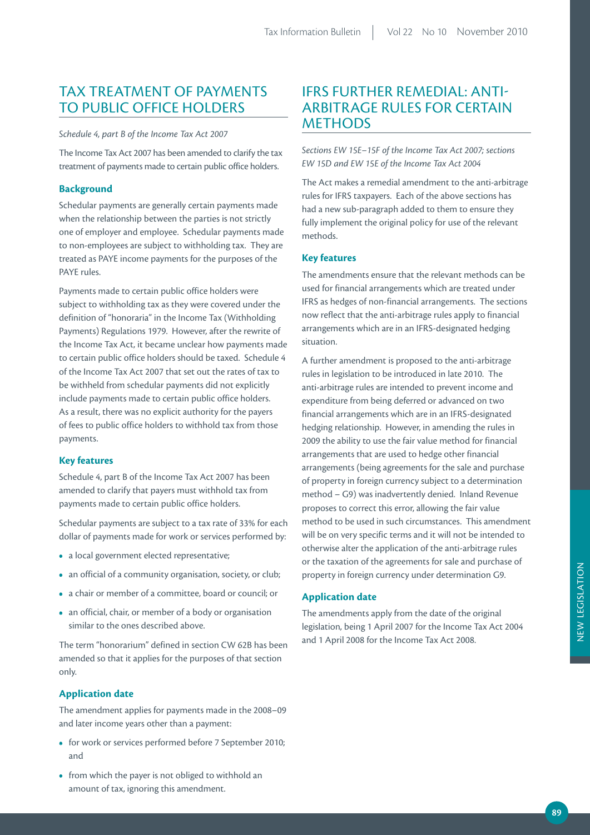## TAX TREATMENT OF PAYMENTS TO PUBLIC OFFICE HOLDERS

*Schedule 4, part B of the Income Tax Act 2007*

The Income Tax Act 2007 has been amended to clarify the tax treatment of payments made to certain public office holders.

### **Background**

Schedular payments are generally certain payments made when the relationship between the parties is not strictly one of employer and employee. Schedular payments made to non-employees are subject to withholding tax. They are treated as PAYE income payments for the purposes of the PAYE rules.

Payments made to certain public office holders were subject to withholding tax as they were covered under the definition of "honoraria" in the Income Tax (Withholding Payments) Regulations 1979. However, after the rewrite of the Income Tax Act, it became unclear how payments made to certain public office holders should be taxed. Schedule 4 of the Income Tax Act 2007 that set out the rates of tax to be withheld from schedular payments did not explicitly include payments made to certain public office holders. As a result, there was no explicit authority for the payers of fees to public office holders to withhold tax from those payments.

#### **Key features**

Schedule 4, part B of the Income Tax Act 2007 has been amended to clarify that payers must withhold tax from payments made to certain public office holders.

Schedular payments are subject to a tax rate of 33% for each dollar of payments made for work or services performed by:

- a local government elected representative;
- an official of a community organisation, society, or club;
- a chair or member of a committee, board or council; or
- an official, chair, or member of a body or organisation similar to the ones described above.

The term "honorarium" defined in section CW 62B has been amended so that it applies for the purposes of that section only.

### **Application date**

The amendment applies for payments made in the 2008–09 and later income years other than a payment:

- for work or services performed before 7 September 2010; and
- from which the payer is not obliged to withhold an amount of tax, ignoring this amendment.

## IFRS FURTHER REMEDIAL: ANTI-ARBITRAGE RULES FOR CERTAIN **METHODS**

*Sections EW 15E–15F of the Income Tax Act 2007; sections EW 15D and EW 15E of the Income Tax Act 2004*

The Act makes a remedial amendment to the anti-arbitrage rules for IFRS taxpayers. Each of the above sections has had a new sub-paragraph added to them to ensure they fully implement the original policy for use of the relevant methods.

### **Key features**

The amendments ensure that the relevant methods can be used for financial arrangements which are treated under IFRS as hedges of non-financial arrangements. The sections now reflect that the anti-arbitrage rules apply to financial arrangements which are in an IFRS-designated hedging situation.

A further amendment is proposed to the anti-arbitrage rules in legislation to be introduced in late 2010. The anti-arbitrage rules are intended to prevent income and expenditure from being deferred or advanced on two financial arrangements which are in an IFRS-designated hedging relationship. However, in amending the rules in 2009 the ability to use the fair value method for financial arrangements that are used to hedge other financial arrangements (being agreements for the sale and purchase of property in foreign currency subject to a determination method – G9) was inadvertently denied. Inland Revenue proposes to correct this error, allowing the fair value method to be used in such circumstances. This amendment will be on very specific terms and it will not be intended to otherwise alter the application of the anti-arbitrage rules or the taxation of the agreements for sale and purchase of property in foreign currency under determination G9.

### **Application date**

The amendments apply from the date of the original legislation, being 1 April 2007 for the Income Tax Act 2004 and 1 April 2008 for the Income Tax Act 2008.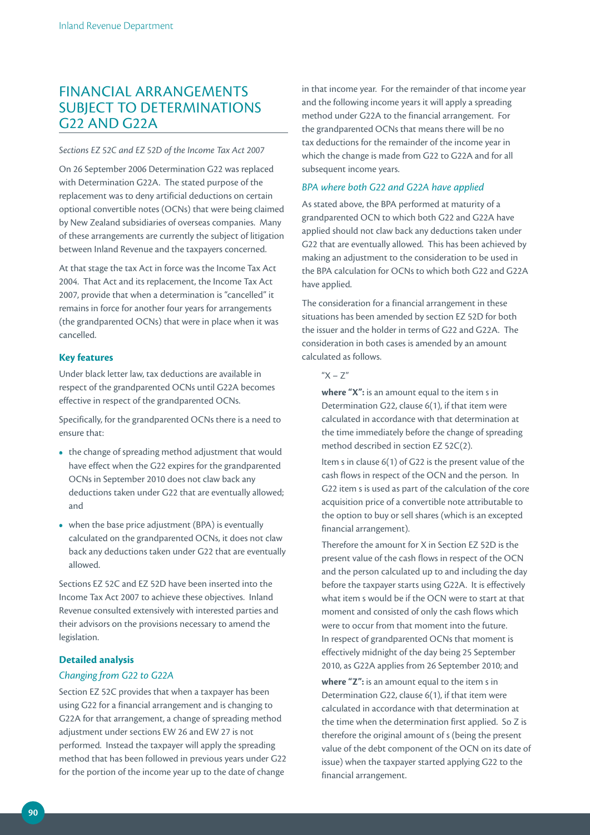## FINANCIAL ARRANGEMENTS SUBJECT TO DETERMINATIONS G22 AND G22A

#### *Sections EZ 52C and EZ 52D of the Income Tax Act 2007*

On 26 September 2006 Determination G22 was replaced with Determination G22A. The stated purpose of the replacement was to deny artificial deductions on certain optional convertible notes (OCNs) that were being claimed by New Zealand subsidiaries of overseas companies. Many of these arrangements are currently the subject of litigation between Inland Revenue and the taxpayers concerned.

At that stage the tax Act in force was the Income Tax Act 2004. That Act and its replacement, the Income Tax Act 2007, provide that when a determination is "cancelled" it remains in force for another four years for arrangements (the grandparented OCNs) that were in place when it was cancelled.

#### **Key features**

Under black letter law, tax deductions are available in respect of the grandparented OCNs until G22A becomes effective in respect of the grandparented OCNs.

Specifically, for the grandparented OCNs there is a need to ensure that:

- the change of spreading method adjustment that would have effect when the G22 expires for the grandparented OCNs in September 2010 does not claw back any deductions taken under G22 that are eventually allowed; and
- when the base price adjustment (BPA) is eventually calculated on the grandparented OCNs, it does not claw back any deductions taken under G22 that are eventually allowed.

Sections EZ 52C and EZ 52D have been inserted into the Income Tax Act 2007 to achieve these objectives. Inland Revenue consulted extensively with interested parties and their advisors on the provisions necessary to amend the legislation.

## **Detailed analysis**

#### *Changing from G22 to G22A*

Section EZ 52C provides that when a taxpayer has been using G22 for a financial arrangement and is changing to G22A for that arrangement, a change of spreading method adjustment under sections EW 26 and EW 27 is not performed. Instead the taxpayer will apply the spreading method that has been followed in previous years under G22 for the portion of the income year up to the date of change

in that income year. For the remainder of that income year and the following income years it will apply a spreading method under G22A to the financial arrangement. For the grandparented OCNs that means there will be no tax deductions for the remainder of the income year in which the change is made from G22 to G22A and for all subsequent income years.

#### *BPA where both G22 and G22A have applied*

As stated above, the BPA performed at maturity of a grandparented OCN to which both G22 and G22A have applied should not claw back any deductions taken under G22 that are eventually allowed. This has been achieved by making an adjustment to the consideration to be used in the BPA calculation for OCNs to which both G22 and G22A have applied.

The consideration for a financial arrangement in these situations has been amended by section EZ 52D for both the issuer and the holder in terms of G22 and G22A. The consideration in both cases is amended by an amount calculated as follows.

### " $X - Z''$

**where "X":** is an amount equal to the item s in Determination G22, clause 6(1), if that item were calculated in accordance with that determination at the time immediately before the change of spreading method described in section EZ 52C(2).

Item s in clause 6(1) of G22 is the present value of the cash flows in respect of the OCN and the person. In G22 item s is used as part of the calculation of the core acquisition price of a convertible note attributable to the option to buy or sell shares (which is an excepted financial arrangement).

Therefore the amount for X in Section EZ 52D is the present value of the cash flows in respect of the OCN and the person calculated up to and including the day before the taxpayer starts using G22A. It is effectively what item s would be if the OCN were to start at that moment and consisted of only the cash flows which were to occur from that moment into the future. In respect of grandparented OCNs that moment is effectively midnight of the day being 25 September 2010, as G22A applies from 26 September 2010; and

**where "Z":** is an amount equal to the item s in Determination G22, clause 6(1), if that item were calculated in accordance with that determination at the time when the determination first applied. So Z is therefore the original amount of s (being the present value of the debt component of the OCN on its date of issue) when the taxpayer started applying G22 to the financial arrangement.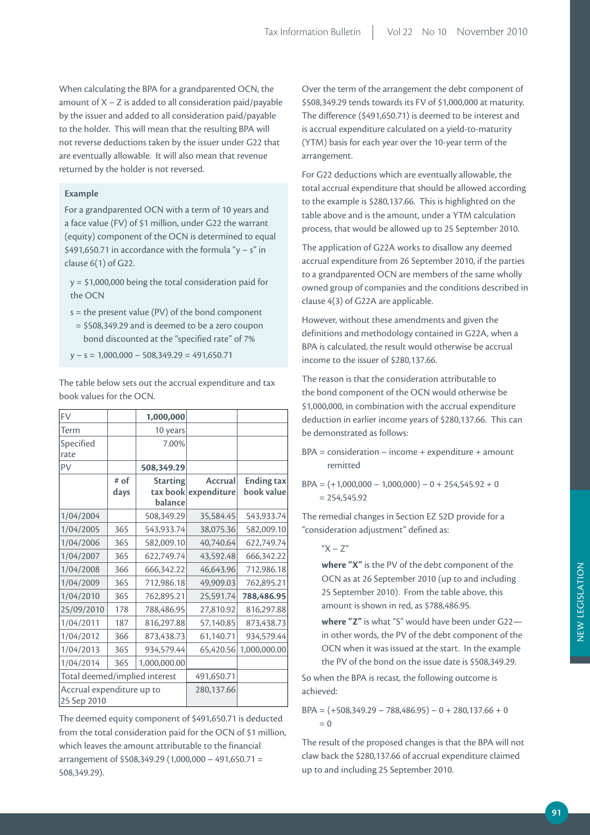When calculating the BPA for a grandparented OCN, the amount of  $X - Z$  is added to all consideration paid/payable by the issuer and added to all consideration paid/payable to the holder. This will mean that the resulting BPA will not reverse deductions taken by the issuer under G22 that are eventually allowable. It will also mean that revenue returned by the holder is not reversed.

#### **Example**

For a grandparented OCN with a term of 10 years and a face value (FV) of \$1 million, under G22 the warrant (equity) component of the OCN is determined to equal \$491,650.71 in accordance with the formula "y – s" in clause 6(1) of G22.

y = \$1,000,000 being the total consideration paid for the OCN

- s = the present value (PV) of the bond component
- = \$508,349.29 and is deemed to be a zero coupon bond discounted at the "specified rate" of 7%
- $y s = 1,000,000 508,349.29 = 491,650.71$

The table below sets out the accrual expenditure and tax book values for the OCN.

| <b>FV</b>                                |      | 1,000,000           |             |                   |
|------------------------------------------|------|---------------------|-------------|-------------------|
| Term                                     |      | 10 years            |             |                   |
| Specified<br>rate                        |      | 7.00%               |             |                   |
| PV                                       |      | 508,349.29          |             |                   |
|                                          | # of | <b>Starting</b>     | Accrual     | <b>Ending tax</b> |
|                                          | days | tax book<br>balance | expenditure | book value        |
| 1/04/2004                                |      | 508,349.29          | 35,584.45   | 543,933.74        |
| 1/04/2005                                | 365  | 543,933.74          | 38,075.36   | 582,009.10        |
| 1/04/2006                                | 365  | 582,009.10          | 40,740.64   | 622,749.74        |
| 1/04/2007                                | 365  | 622,749.74          | 43,592.48   | 666,342.22        |
| 1/04/2008                                | 366  | 666,342.22          | 46,643.96   | 712,986.18        |
| 1/04/2009                                | 365  | 712,986.18          | 49,909.03   | 762,895.21        |
| 1/04/2010                                | 365  | 762,895.21          | 25,591.74   | 788,486.95        |
| 25/09/2010                               | 178  | 788,486.95          | 27,810.92   | 816,297.88        |
| 1/04/2011                                | 187  | 816,297.88          | 57,140.85   | 873,438.73        |
| 1/04/2012                                | 366  | 873,438.73          | 61,140.71   | 934,579.44        |
| 1/04/2013                                | 365  | 934,579.44          | 65,420.56   | 1,000,000.00      |
| 1/04/2014                                | 365  | 1,000,000.00        |             |                   |
| Total deemed/implied interest            |      |                     | 491,650.71  |                   |
| Accrual expenditure up to<br>25 Sep 2010 |      |                     | 280,137.66  |                   |

The deemed equity component of \$491,650.71 is deducted from the total consideration paid for the OCN of \$1 million, which leaves the amount attributable to the financial arrangement of \$508,349.29 (1,000,000 – 491,650.71 = 508,349.29).

Over the term of the arrangement the debt component of \$508,349.29 tends towards its FV of \$1,000,000 at maturity. The difference (\$491,650.71) is deemed to be interest and is accrual expenditure calculated on a yield-to-maturity (YTM) basis for each year over the 10-year term of the arrangement.

For G22 deductions which are eventually allowable, the total accrual expenditure that should be allowed according to the example is \$280,137.66. This is highlighted on the table above and is the amount, under a YTM calculation process, that would be allowed up to 25 September 2010.

The application of G22A works to disallow any deemed accrual expenditure from 26 September 2010, if the parties to a grandparented OCN are members of the same wholly owned group of companies and the conditions described in clause 4(3) of G22A are applicable.

However, without these amendments and given the definitions and methodology contained in G22A, when a BPA is calculated, the result would otherwise be accrual income to the issuer of \$280,137.66.

The reason is that the consideration attributable to the bond component of the OCN would otherwise be \$1,000,000, in combination with the accrual expenditure deduction in earlier income years of \$280,137.66. This can be demonstrated as follows:

- BPA = consideration income + expenditure + amount remitted
- $BPA = (+1,000,000 1,000,000) 0 + 254,545.92 + 0$  $= 254,545.92$

The remedial changes in Section EZ 52D provide for a "consideration adjustment" defined as:

### $''X - Z''$

**where "X"** is the PV of the debt component of the OCN as at 26 September 2010 (up to and including 25 September 2010). From the table above, this amount is shown in red, as \$788,486.95.

**where "Z"** is what "S" would have been under G22 in other words, the PV of the debt component of the OCN when it was issued at the start. In the example the PV of the bond on the issue date is \$508,349.29.

So when the BPA is recast, the following outcome is achieved:

 $BPA = (+508,349.29 - 788,486.95) - 0 + 280,137.66 + 0$  $= 0$ 

The result of the proposed changes is that the BPA will not claw back the \$280,137.66 of accrual expenditure claimed up to and including 25 September 2010.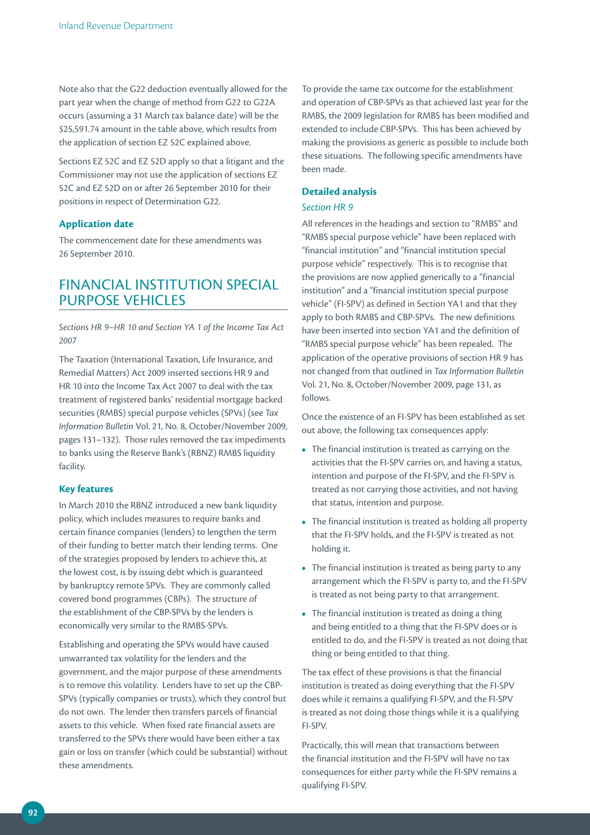Note also that the G22 deduction eventually allowed for the part year when the change of method from G22 to G22A occurs (assuming a 31 March tax balance date) will be the \$25,591.74 amount in the table above, which results from the application of section EZ 52C explained above.

Sections EZ 52C and EZ 52D apply so that a litigant and the Commissioner may not use the application of sections EZ 52C and EZ 52D on or after 26 September 2010 for their positions in respect of Determination G22.

#### **Application date**

The commencement date for these amendments was 26 September 2010.

## FINANCIAL INSTITUTION SPECIAL PURPOSE VEHICLES

*Sections HR 9–HR 10 and Section YA 1 of the Income Tax Act 2007*

The Taxation (International Taxation, Life Insurance, and Remedial Matters) Act 2009 inserted sections HR 9 and HR 10 into the Income Tax Act 2007 to deal with the tax treatment of registered banks' residential mortgage backed securities (RMBS) special purpose vehicles (SPVs) (see *Tax Information Bulletin* Vol. 21, No. 8, October/November 2009, pages 131–132). Those rules removed the tax impediments to banks using the Reserve Bank's (RBNZ) RMBS liquidity facility.

#### **Key features**

In March 2010 the RBNZ introduced a new bank liquidity policy, which includes measures to require banks and certain finance companies (lenders) to lengthen the term of their funding to better match their lending terms. One of the strategies proposed by lenders to achieve this, at the lowest cost, is by issuing debt which is guaranteed by bankruptcy remote SPVs. They are commonly called covered bond programmes (CBPs). The structure of the establishment of the CBP-SPVs by the lenders is economically very similar to the RMBS-SPVs.

Establishing and operating the SPVs would have caused unwarranted tax volatility for the lenders and the government, and the major purpose of these amendments is to remove this volatility. Lenders have to set up the CBP-SPVs (typically companies or trusts), which they control but do not own. The lender then transfers parcels of financial assets to this vehicle. When fixed rate financial assets are transferred to the SPVs there would have been either a tax gain or loss on transfer (which could be substantial) without these amendments.

To provide the same tax outcome for the establishment and operation of CBP-SPVs as that achieved last year for the RMBS, the 2009 legislation for RMBS has been modified and extended to include CBP-SPVs. This has been achieved by making the provisions as generic as possible to include both these situations. The following specific amendments have been made.

### **Detailed analysis**

### *Section HR 9*

All references in the headings and section to "RMBS" and "RMBS special purpose vehicle" have been replaced with "financial institution" and "financial institution special purpose vehicle" respectively. This is to recognise that the provisions are now applied generically to a "financial institution" and a "financial institution special purpose vehicle" (FI-SPV) as defined in Section YA1 and that they apply to both RMBS and CBP-SPVs. The new definitions have been inserted into section YA1 and the definition of "RMBS special purpose vehicle" has been repealed. The application of the operative provisions of section HR 9 has not changed from that outlined in *Tax Information Bulletin* Vol. 21, No. 8, October/November 2009, page 131, as follows.

Once the existence of an FI-SPV has been established as set out above, the following tax consequences apply:

- The financial institution is treated as carrying on the activities that the FI-SPV carries on, and having a status, intention and purpose of the FI-SPV, and the FI-SPV is treated as not carrying those activities, and not having that status, intention and purpose.
- The financial institution is treated as holding all property that the FI-SPV holds, and the FI-SPV is treated as not holding it.
- The financial institution is treated as being party to any arrangement which the FI-SPV is party to, and the FI-SPV is treated as not being party to that arrangement.
- The financial institution is treated as doing a thing and being entitled to a thing that the FI-SPV does or is entitled to do, and the FI-SPV is treated as not doing that thing or being entitled to that thing.

The tax effect of these provisions is that the financial institution is treated as doing everything that the FI-SPV does while it remains a qualifying FI-SPV, and the FI-SPV is treated as not doing those things while it is a qualifying FI-SPV.

Practically, this will mean that transactions between the financial institution and the FI-SPV will have no tax consequences for either party while the FI-SPV remains a qualifying FI-SPV.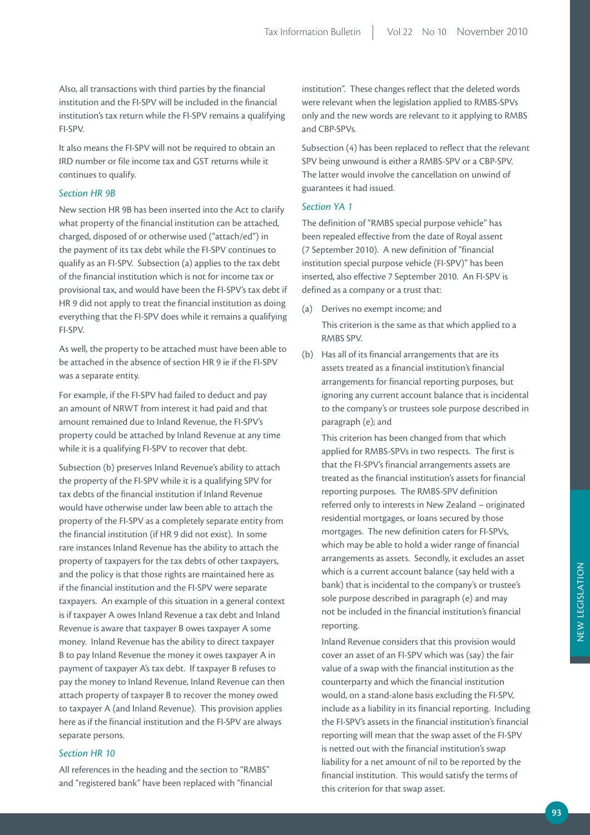Also, all transactions with third parties by the financial institution and the FI-SPV will be included in the financial institution's tax return while the FI-SPV remains a qualifying FI-SPV.

It also means the FI-SPV will not be required to obtain an IRD number or file income tax and GST returns while it continues to qualify.

### *Section HR 9B*

New section HR 9B has been inserted into the Act to clarify what property of the financial institution can be attached, charged, disposed of or otherwise used ("attach/ed") in the payment of its tax debt while the FI-SPV continues to qualify as an FI-SPV. Subsection (a) applies to the tax debt of the financial institution which is not for income tax or provisional tax, and would have been the FI-SPV's tax debt if HR 9 did not apply to treat the financial institution as doing everything that the FI-SPV does while it remains a qualifying FI-SPV.

As well, the property to be attached must have been able to be attached in the absence of section HR 9 ie if the FI-SPV was a separate entity.

For example, if the FI-SPV had failed to deduct and pay an amount of NRWT from interest it had paid and that amount remained due to Inland Revenue, the FI-SPV's property could be attached by Inland Revenue at any time while it is a qualifying FI-SPV to recover that debt.

Subsection (b) preserves Inland Revenue's ability to attach the property of the FI-SPV while it is a qualifying SPV for tax debts of the financial institution if Inland Revenue would have otherwise under law been able to attach the property of the FI-SPV as a completely separate entity from the financial institution (if HR 9 did not exist). In some rare instances Inland Revenue has the ability to attach the property of taxpayers for the tax debts of other taxpayers, and the policy is that those rights are maintained here as if the financial institution and the FI-SPV were separate taxpayers. An example of this situation in a general context is if taxpayer A owes Inland Revenue a tax debt and Inland Revenue is aware that taxpayer B owes taxpayer A some money. Inland Revenue has the ability to direct taxpayer B to pay Inland Revenue the money it owes taxpayer A in payment of taxpayer A's tax debt. If taxpayer B refuses to pay the money to Inland Revenue, Inland Revenue can then attach property of taxpayer B to recover the money owed to taxpayer A (and Inland Revenue). This provision applies here as if the financial institution and the FI-SPV are always separate persons.

#### *Section HR 10*

All references in the heading and the section to "RMBS" and "registered bank" have been replaced with "financial institution". These changes reflect that the deleted words were relevant when the legislation applied to RMBS-SPVs only and the new words are relevant to it applying to RMBS and CBP-SPVs.

Subsection (4) has been replaced to reflect that the relevant SPV being unwound is either a RMBS-SPV or a CBP-SPV. The latter would involve the cancellation on unwind of guarantees it had issued.

#### *Section YA 1*

The definition of "RMBS special purpose vehicle" has been repealed effective from the date of Royal assent (7 September 2010). A new definition of "financial institution special purpose vehicle (FI-SPV)" has been inserted, also effective 7 September 2010. An FI-SPV is defined as a company or a trust that:

(a) Derives no exempt income; and

 This criterion is the same as that which applied to a RMBS SPV.

(b) Has all of its financial arrangements that are its assets treated as a financial institution's financial arrangements for financial reporting purposes, but ignoring any current account balance that is incidental to the company's or trustees sole purpose described in paragraph (e); and

 This criterion has been changed from that which applied for RMBS-SPVs in two respects. The first is that the FI-SPV's financial arrangements assets are treated as the financial institution's assets for financial reporting purposes. The RMBS-SPV definition referred only to interests in New Zealand – originated residential mortgages, or loans secured by those mortgages. The new definition caters for FI-SPVs, which may be able to hold a wider range of financial arrangements as assets. Secondly, it excludes an asset which is a current account balance (say held with a bank) that is incidental to the company's or trustee's sole purpose described in paragraph (e) and may not be included in the financial institution's financial reporting.

 Inland Revenue considers that this provision would cover an asset of an FI-SPV which was (say) the fair value of a swap with the financial institution as the counterparty and which the financial institution would, on a stand-alone basis excluding the FI-SPV, include as a liability in its financial reporting. Including the FI-SPV's assets in the financial institution's financial reporting will mean that the swap asset of the FI-SPV is netted out with the financial institution's swap liability for a net amount of nil to be reported by the financial institution. This would satisfy the terms of this criterion for that swap asset.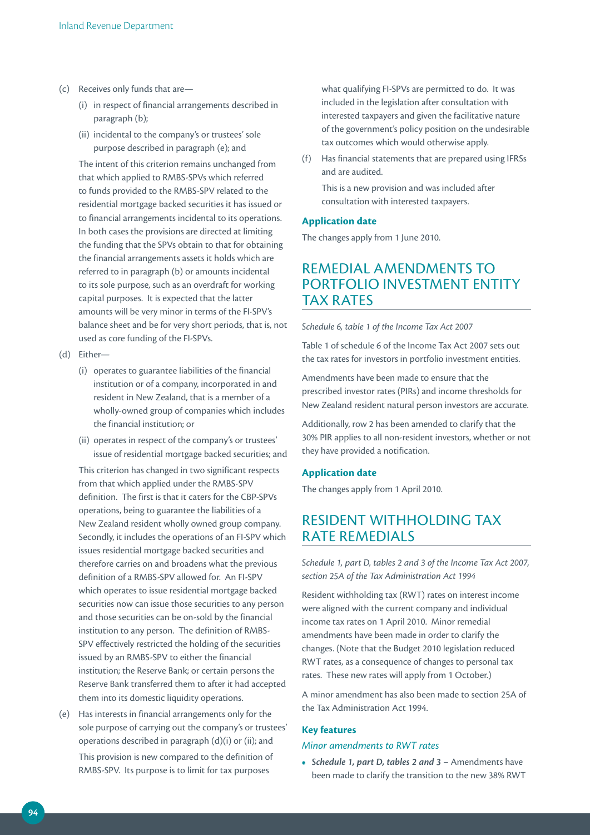- (c) Receives only funds that are—
	- (i) in respect of financial arrangements described in paragraph (b);
	- (ii) incidental to the company's or trustees' sole purpose described in paragraph (e); and

The intent of this criterion remains unchanged from that which applied to RMBS-SPVs which referred to funds provided to the RMBS-SPV related to the residential mortgage backed securities it has issued or to financial arrangements incidental to its operations. In both cases the provisions are directed at limiting the funding that the SPVs obtain to that for obtaining the financial arrangements assets it holds which are referred to in paragraph (b) or amounts incidental to its sole purpose, such as an overdraft for working capital purposes. It is expected that the latter amounts will be very minor in terms of the FI-SPV's balance sheet and be for very short periods, that is, not used as core funding of the FI-SPVs.

- (d) Either—
	- (i) operates to guarantee liabilities of the financial institution or of a company, incorporated in and resident in New Zealand, that is a member of a wholly-owned group of companies which includes the financial institution; or
	- (ii) operates in respect of the company's or trustees' issue of residential mortgage backed securities; and

This criterion has changed in two significant respects from that which applied under the RMBS-SPV definition. The first is that it caters for the CBP-SPVs operations, being to guarantee the liabilities of a New Zealand resident wholly owned group company. Secondly, it includes the operations of an FI-SPV which issues residential mortgage backed securities and therefore carries on and broadens what the previous definition of a RMBS-SPV allowed for. An FI-SPV which operates to issue residential mortgage backed securities now can issue those securities to any person and those securities can be on-sold by the financial institution to any person. The definition of RMBS-SPV effectively restricted the holding of the securities issued by an RMBS-SPV to either the financial institution; the Reserve Bank; or certain persons the Reserve Bank transferred them to after it had accepted them into its domestic liquidity operations.

(e) Has interests in financial arrangements only for the sole purpose of carrying out the company's or trustees' operations described in paragraph (d)(i) or (ii); and This provision is new compared to the definition of RMBS-SPV. Its purpose is to limit for tax purposes

what qualifying FI-SPVs are permitted to do. It was included in the legislation after consultation with interested taxpayers and given the facilitative nature of the government's policy position on the undesirable tax outcomes which would otherwise apply.

(f) Has financial statements that are prepared using IFRSs and are audited.

 This is a new provision and was included after consultation with interested taxpayers.

#### **Application date**

The changes apply from 1 June 2010.

## REMEDIAL AMENDMENTS TO PORTFOLIO INVESTMENT ENTITY TAX RATES

#### *Schedule 6, table 1 of the Income Tax Act 2007*

Table 1 of schedule 6 of the Income Tax Act 2007 sets out the tax rates for investors in portfolio investment entities.

Amendments have been made to ensure that the prescribed investor rates (PIRs) and income thresholds for New Zealand resident natural person investors are accurate.

Additionally, row 2 has been amended to clarify that the 30% PIR applies to all non-resident investors, whether or not they have provided a notification.

#### **Application date**

The changes apply from 1 April 2010.

## RESIDENT WITHHOLDING TAX RATE REMEDIALS

*Schedule 1, part D, tables 2 and 3 of the Income Tax Act 2007, section 25A of the Tax Administration Act 1994*

Resident withholding tax (RWT) rates on interest income were aligned with the current company and individual income tax rates on 1 April 2010. Minor remedial amendments have been made in order to clarify the changes. (Note that the Budget 2010 legislation reduced RWT rates, as a consequence of changes to personal tax rates. These new rates will apply from 1 October.)

A minor amendment has also been made to section 25A of the Tax Administration Act 1994.

### **Key features**

#### *Minor amendments to RWT rates*

**•** *Schedule 1, part D, tables 2 and 3* – Amendments have been made to clarify the transition to the new 38% RWT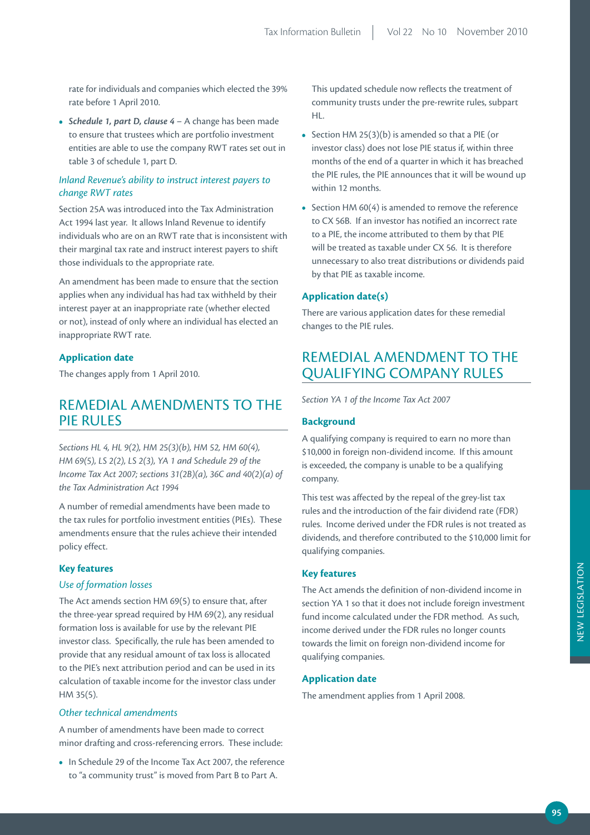rate for individuals and companies which elected the 39% rate before 1 April 2010.

**•** *Schedule 1, part D, clause 4* – A change has been made to ensure that trustees which are portfolio investment entities are able to use the company RWT rates set out in table 3 of schedule 1, part D.

## *Inland Revenue's ability to instruct interest payers to change RWT rates*

Section 25A was introduced into the Tax Administration Act 1994 last year. It allows Inland Revenue to identify individuals who are on an RWT rate that is inconsistent with their marginal tax rate and instruct interest payers to shift those individuals to the appropriate rate.

An amendment has been made to ensure that the section applies when any individual has had tax withheld by their interest payer at an inappropriate rate (whether elected or not), instead of only where an individual has elected an inappropriate RWT rate.

### **Application date**

The changes apply from 1 April 2010.

## REMEDIAL AMENDMENTS TO THE PIE RULES

*Sections HL 4, HL 9(2), HM 25(3)(b), HM 52, HM 60(4), HM 69(5), LS 2(2), LS 2(3), YA 1 and Schedule 29 of the Income Tax Act 2007; sections 31(2B)(a), 36C and 40(2)(a) of the Tax Administration Act 1994* 

A number of remedial amendments have been made to the tax rules for portfolio investment entities (PIEs). These amendments ensure that the rules achieve their intended policy effect.

#### **Key features**

#### *Use of formation losses*

The Act amends section HM 69(5) to ensure that, after the three-year spread required by HM 69(2), any residual formation loss is available for use by the relevant PIE investor class. Specifically, the rule has been amended to provide that any residual amount of tax loss is allocated to the PIE's next attribution period and can be used in its calculation of taxable income for the investor class under HM 35(5).

#### *Other technical amendments*

A number of amendments have been made to correct minor drafting and cross-referencing errors. These include:

**•** In Schedule 29 of the Income Tax Act 2007, the reference to "a community trust" is moved from Part B to Part A.

This updated schedule now reflects the treatment of community trusts under the pre-rewrite rules, subpart HL.

- Section HM 25(3)(b) is amended so that a PIE (or investor class) does not lose PIE status if, within three months of the end of a quarter in which it has breached the PIE rules, the PIE announces that it will be wound up within 12 months.
- Section HM 60(4) is amended to remove the reference to CX 56B. If an investor has notified an incorrect rate to a PIE, the income attributed to them by that PIE will be treated as taxable under CX 56. It is therefore unnecessary to also treat distributions or dividends paid by that PIE as taxable income.

#### **Application date(s)**

There are various application dates for these remedial changes to the PIE rules.

## REMEDIAL AMENDMENT TO THE QUALIFYING COMPANY RULES

*Section YA 1 of the Income Tax Act 2007*

#### **Background**

A qualifying company is required to earn no more than \$10,000 in foreign non-dividend income. If this amount is exceeded, the company is unable to be a qualifying company.

This test was affected by the repeal of the grey-list tax rules and the introduction of the fair dividend rate (FDR) rules. Income derived under the FDR rules is not treated as dividends, and therefore contributed to the \$10,000 limit for qualifying companies.

#### **Key features**

The Act amends the definition of non-dividend income in section YA 1 so that it does not include foreign investment fund income calculated under the FDR method. As such, income derived under the FDR rules no longer counts towards the limit on foreign non-dividend income for qualifying companies.

#### **Application date**

The amendment applies from 1 April 2008.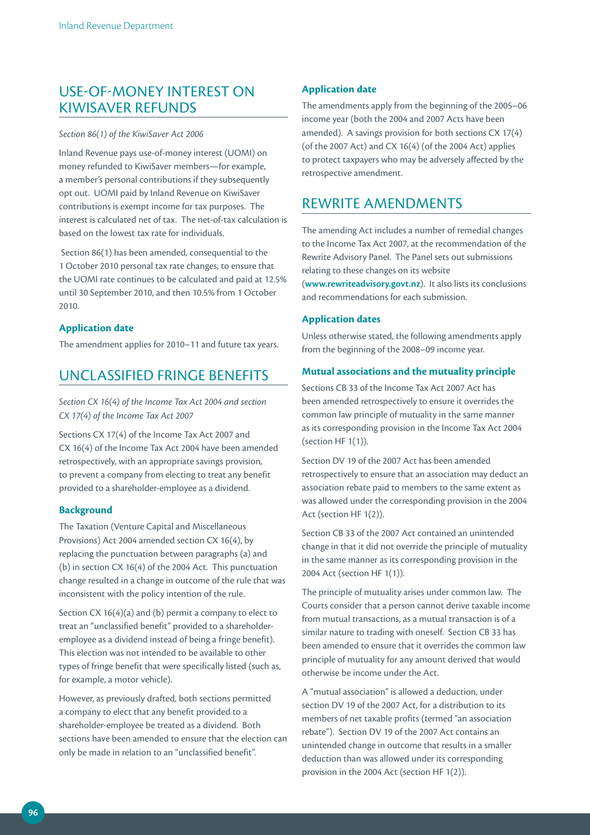## USE-OF-MONEY INTEREST ON KIWISAVER REFUNDS

#### *Section 86(1) of the KiwiSaver Act 2006*

Inland Revenue pays use-of-money interest (UOMI) on money refunded to KiwiSaver members—for example, a member's personal contributions if they subsequently opt out. UOMI paid by Inland Revenue on KiwiSaver contributions is exempt income for tax purposes. The interest is calculated net of tax. The net-of-tax calculation is based on the lowest tax rate for individuals.

 Section 86(1) has been amended, consequential to the 1 October 2010 personal tax rate changes, to ensure that the UOMI rate continues to be calculated and paid at 12.5% until 30 September 2010, and then 10.5% from 1 October 2010.

### **Application date**

The amendment applies for 2010–11 and future tax years.

## UNCLASSIFIED FRINGE BENEFITS

*Section CX 16(4) of the Income Tax Act 2004 and section CX 17(4) of the Income Tax Act 2007* 

Sections CX 17(4) of the Income Tax Act 2007 and CX 16(4) of the Income Tax Act 2004 have been amended retrospectively, with an appropriate savings provision, to prevent a company from electing to treat any benefit provided to a shareholder-employee as a dividend.

#### **Background**

The Taxation (Venture Capital and Miscellaneous Provisions) Act 2004 amended section CX 16(4), by replacing the punctuation between paragraphs (a) and (b) in section CX 16(4) of the 2004 Act. This punctuation change resulted in a change in outcome of the rule that was inconsistent with the policy intention of the rule.

Section CX 16(4)(a) and (b) permit a company to elect to treat an "unclassified benefit" provided to a shareholderemployee as a dividend instead of being a fringe benefit). This election was not intended to be available to other types of fringe benefit that were specifically listed (such as, for example, a motor vehicle).

However, as previously drafted, both sections permitted a company to elect that any benefit provided to a shareholder-employee be treated as a dividend. Both sections have been amended to ensure that the election can only be made in relation to an "unclassified benefit".

### **Application date**

The amendments apply from the beginning of the 2005–06 income year (both the 2004 and 2007 Acts have been amended). A savings provision for both sections CX 17(4) (of the 2007 Act) and CX 16(4) (of the 2004 Act) applies to protect taxpayers who may be adversely affected by the retrospective amendment.

## REWRITE AMENDMENTS

The amending Act includes a number of remedial changes to the Income Tax Act 2007, at the recommendation of the Rewrite Advisory Panel. The Panel sets out submissions relating to these changes on its website (**www.rewriteadvisory.govt.nz**). It also lists its conclusions and recommendations for each submission.

### **Application dates**

Unless otherwise stated, the following amendments apply from the beginning of the 2008–09 income year.

### **Mutual associations and the mutuality principle**

Sections CB 33 of the Income Tax Act 2007 Act has been amended retrospectively to ensure it overrides the common law principle of mutuality in the same manner as its corresponding provision in the Income Tax Act 2004 (section HF 1(1)).

Section DV 19 of the 2007 Act has been amended retrospectively to ensure that an association may deduct an association rebate paid to members to the same extent as was allowed under the corresponding provision in the 2004 Act (section HF 1(2)).

Section CB 33 of the 2007 Act contained an unintended change in that it did not override the principle of mutuality in the same manner as its corresponding provision in the 2004 Act (section HF 1(1)).

The principle of mutuality arises under common law. The Courts consider that a person cannot derive taxable income from mutual transactions, as a mutual transaction is of a similar nature to trading with oneself. Section CB 33 has been amended to ensure that it overrides the common law principle of mutuality for any amount derived that would otherwise be income under the Act.

A "mutual association" is allowed a deduction, under section DV 19 of the 2007 Act, for a distribution to its members of net taxable profits (termed "an association rebate"). Section DV 19 of the 2007 Act contains an unintended change in outcome that results in a smaller deduction than was allowed under its corresponding provision in the 2004 Act (section HF 1(2)).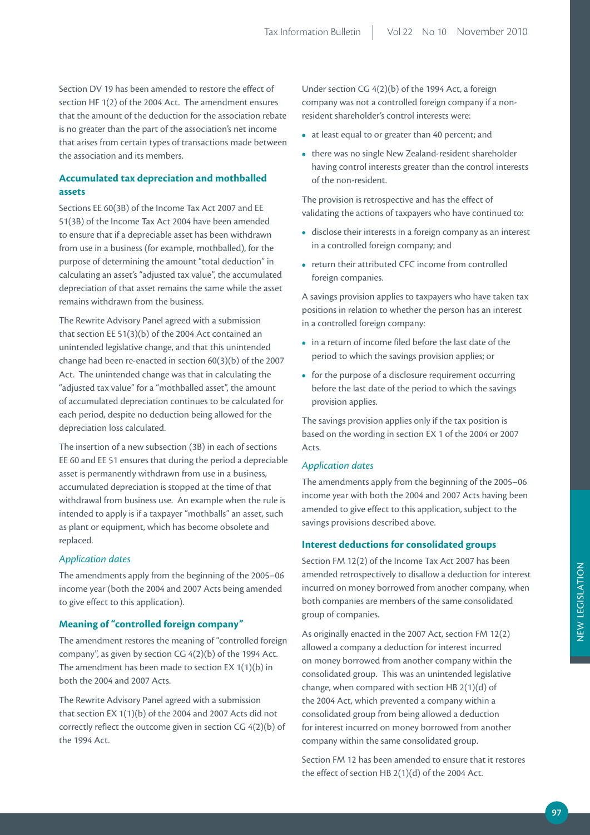Section DV 19 has been amended to restore the effect of section HF 1(2) of the 2004 Act. The amendment ensures that the amount of the deduction for the association rebate is no greater than the part of the association's net income that arises from certain types of transactions made between the association and its members.

## **Accumulated tax depreciation and mothballed assets**

Sections EE 60(3B) of the Income Tax Act 2007 and EE 51(3B) of the Income Tax Act 2004 have been amended to ensure that if a depreciable asset has been withdrawn from use in a business (for example, mothballed), for the purpose of determining the amount "total deduction" in calculating an asset's "adjusted tax value", the accumulated depreciation of that asset remains the same while the asset remains withdrawn from the business.

The Rewrite Advisory Panel agreed with a submission that section EE 51(3)(b) of the 2004 Act contained an unintended legislative change, and that this unintended change had been re-enacted in section 60(3)(b) of the 2007 Act. The unintended change was that in calculating the "adjusted tax value" for a "mothballed asset", the amount of accumulated depreciation continues to be calculated for each period, despite no deduction being allowed for the depreciation loss calculated.

The insertion of a new subsection (3B) in each of sections EE 60 and EE 51 ensures that during the period a depreciable asset is permanently withdrawn from use in a business, accumulated depreciation is stopped at the time of that withdrawal from business use. An example when the rule is intended to apply is if a taxpayer "mothballs" an asset, such as plant or equipment, which has become obsolete and replaced.

#### *Application dates*

The amendments apply from the beginning of the 2005–06 income year (both the 2004 and 2007 Acts being amended to give effect to this application).

#### **Meaning of "controlled foreign company"**

The amendment restores the meaning of "controlled foreign company", as given by section CG 4(2)(b) of the 1994 Act. The amendment has been made to section EX 1(1)(b) in both the 2004 and 2007 Acts.

The Rewrite Advisory Panel agreed with a submission that section EX 1(1)(b) of the 2004 and 2007 Acts did not correctly reflect the outcome given in section CG 4(2)(b) of the 1994 Act.

Under section CG 4(2)(b) of the 1994 Act, a foreign company was not a controlled foreign company if a nonresident shareholder's control interests were:

- at least equal to or greater than 40 percent; and
- there was no single New Zealand-resident shareholder having control interests greater than the control interests of the non-resident.

The provision is retrospective and has the effect of validating the actions of taxpayers who have continued to:

- disclose their interests in a foreign company as an interest in a controlled foreign company; and
- return their attributed CFC income from controlled foreign companies.

A savings provision applies to taxpayers who have taken tax positions in relation to whether the person has an interest in a controlled foreign company:

- in a return of income filed before the last date of the period to which the savings provision applies; or
- for the purpose of a disclosure requirement occurring before the last date of the period to which the savings provision applies.

The savings provision applies only if the tax position is based on the wording in section EX 1 of the 2004 or 2007 Acts.

#### *Application dates*

The amendments apply from the beginning of the 2005–06 income year with both the 2004 and 2007 Acts having been amended to give effect to this application, subject to the savings provisions described above.

#### **Interest deductions for consolidated groups**

Section FM 12(2) of the Income Tax Act 2007 has been amended retrospectively to disallow a deduction for interest incurred on money borrowed from another company, when both companies are members of the same consolidated group of companies.

As originally enacted in the 2007 Act, section FM 12(2) allowed a company a deduction for interest incurred on money borrowed from another company within the consolidated group. This was an unintended legislative change, when compared with section HB 2(1)(d) of the 2004 Act, which prevented a company within a consolidated group from being allowed a deduction for interest incurred on money borrowed from another company within the same consolidated group.

Section FM 12 has been amended to ensure that it restores the effect of section HB 2(1)(d) of the 2004 Act.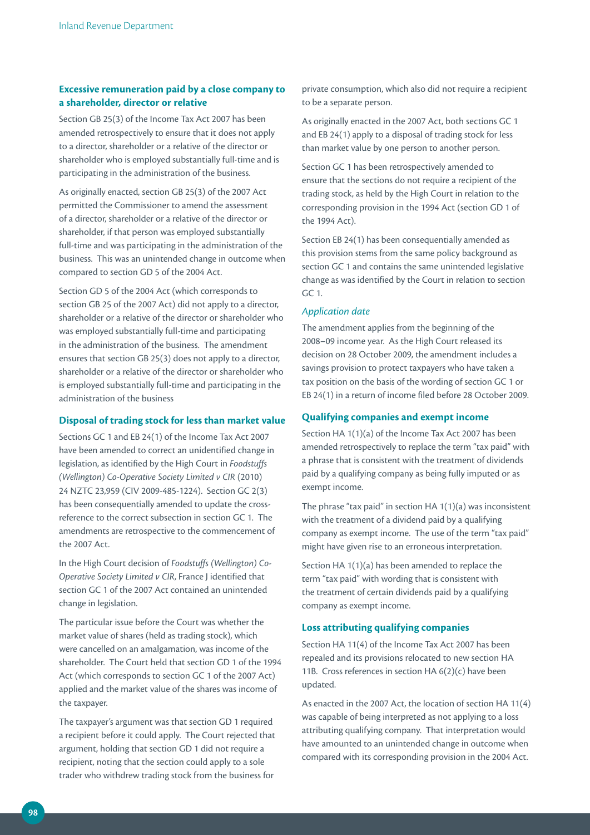## **Excessive remuneration paid by a close company to a shareholder, director or relative**

Section GB 25(3) of the Income Tax Act 2007 has been amended retrospectively to ensure that it does not apply to a director, shareholder or a relative of the director or shareholder who is employed substantially full-time and is participating in the administration of the business.

As originally enacted, section GB 25(3) of the 2007 Act permitted the Commissioner to amend the assessment of a director, shareholder or a relative of the director or shareholder, if that person was employed substantially full-time and was participating in the administration of the business. This was an unintended change in outcome when compared to section GD 5 of the 2004 Act.

Section GD 5 of the 2004 Act (which corresponds to section GB 25 of the 2007 Act) did not apply to a director, shareholder or a relative of the director or shareholder who was employed substantially full-time and participating in the administration of the business. The amendment ensures that section GB 25(3) does not apply to a director, shareholder or a relative of the director or shareholder who is employed substantially full-time and participating in the administration of the business

### **Disposal of trading stock for less than market value**

Sections GC 1 and EB 24(1) of the Income Tax Act 2007 have been amended to correct an unidentified change in legislation, as identified by the High Court in *Foodstuffs (Wellington) Co‑Operative Society Limited v CIR* (2010) 24 NZTC 23,959 (CIV 2009-485-1224). Section GC 2(3) has been consequentially amended to update the crossreference to the correct subsection in section GC 1. The amendments are retrospective to the commencement of the 2007 Act.

In the High Court decision of *Foodstuffs (Wellington) Co‑ Operative Society Limited v CIR*, France J identified that section GC 1 of the 2007 Act contained an unintended change in legislation.

The particular issue before the Court was whether the market value of shares (held as trading stock), which were cancelled on an amalgamation, was income of the shareholder. The Court held that section GD 1 of the 1994 Act (which corresponds to section GC 1 of the 2007 Act) applied and the market value of the shares was income of the taxpayer.

The taxpayer's argument was that section GD 1 required a recipient before it could apply. The Court rejected that argument, holding that section GD 1 did not require a recipient, noting that the section could apply to a sole trader who withdrew trading stock from the business for

private consumption, which also did not require a recipient to be a separate person.

As originally enacted in the 2007 Act, both sections GC 1 and EB 24(1) apply to a disposal of trading stock for less than market value by one person to another person.

Section GC 1 has been retrospectively amended to ensure that the sections do not require a recipient of the trading stock, as held by the High Court in relation to the corresponding provision in the 1994 Act (section GD 1 of the 1994 Act).

Section EB 24(1) has been consequentially amended as this provision stems from the same policy background as section GC 1 and contains the same unintended legislative change as was identified by the Court in relation to section GC 1.

#### *Application date*

The amendment applies from the beginning of the 2008–09 income year. As the High Court released its decision on 28 October 2009, the amendment includes a savings provision to protect taxpayers who have taken a tax position on the basis of the wording of section GC 1 or EB 24(1) in a return of income filed before 28 October 2009.

#### **Qualifying companies and exempt income**

Section HA 1(1)(a) of the Income Tax Act 2007 has been amended retrospectively to replace the term "tax paid" with a phrase that is consistent with the treatment of dividends paid by a qualifying company as being fully imputed or as exempt income.

The phrase "tax paid" in section HA 1(1)(a) was inconsistent with the treatment of a dividend paid by a qualifying company as exempt income. The use of the term "tax paid" might have given rise to an erroneous interpretation.

Section HA 1(1)(a) has been amended to replace the term "tax paid" with wording that is consistent with the treatment of certain dividends paid by a qualifying company as exempt income.

#### **Loss attributing qualifying companies**

Section HA 11(4) of the Income Tax Act 2007 has been repealed and its provisions relocated to new section HA 11B. Cross references in section HA 6(2)(c) have been updated.

As enacted in the 2007 Act, the location of section HA 11(4) was capable of being interpreted as not applying to a loss attributing qualifying company. That interpretation would have amounted to an unintended change in outcome when compared with its corresponding provision in the 2004 Act.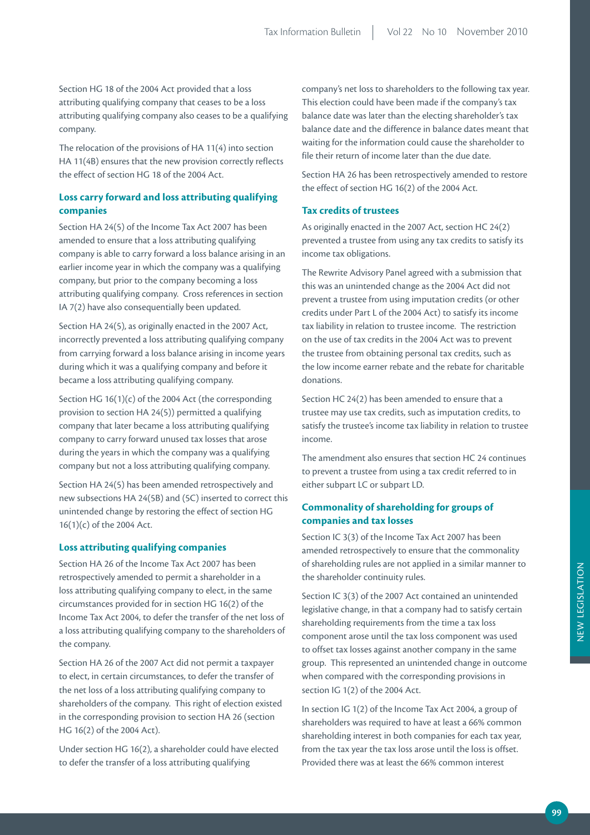Section HG 18 of the 2004 Act provided that a loss attributing qualifying company that ceases to be a loss attributing qualifying company also ceases to be a qualifying company.

The relocation of the provisions of HA 11(4) into section HA 11(4B) ensures that the new provision correctly reflects the effect of section HG 18 of the 2004 Act.

## **Loss carry forward and loss attributing qualifying companies**

Section HA 24(5) of the Income Tax Act 2007 has been amended to ensure that a loss attributing qualifying company is able to carry forward a loss balance arising in an earlier income year in which the company was a qualifying company, but prior to the company becoming a loss attributing qualifying company. Cross references in section IA 7(2) have also consequentially been updated.

Section HA 24(5), as originally enacted in the 2007 Act, incorrectly prevented a loss attributing qualifying company from carrying forward a loss balance arising in income years during which it was a qualifying company and before it became a loss attributing qualifying company.

Section HG 16(1)(c) of the 2004 Act (the corresponding provision to section HA 24(5)) permitted a qualifying company that later became a loss attributing qualifying company to carry forward unused tax losses that arose during the years in which the company was a qualifying company but not a loss attributing qualifying company.

Section HA 24(5) has been amended retrospectively and new subsections HA 24(5B) and (5C) inserted to correct this unintended change by restoring the effect of section HG 16(1)(c) of the 2004 Act.

#### **Loss attributing qualifying companies**

Section HA 26 of the Income Tax Act 2007 has been retrospectively amended to permit a shareholder in a loss attributing qualifying company to elect, in the same circumstances provided for in section HG 16(2) of the Income Tax Act 2004, to defer the transfer of the net loss of a loss attributing qualifying company to the shareholders of the company.

Section HA 26 of the 2007 Act did not permit a taxpayer to elect, in certain circumstances, to defer the transfer of the net loss of a loss attributing qualifying company to shareholders of the company. This right of election existed in the corresponding provision to section HA 26 (section HG 16(2) of the 2004 Act).

Under section HG 16(2), a shareholder could have elected to defer the transfer of a loss attributing qualifying

company's net loss to shareholders to the following tax year. This election could have been made if the company's tax balance date was later than the electing shareholder's tax balance date and the difference in balance dates meant that waiting for the information could cause the shareholder to file their return of income later than the due date.

Section HA 26 has been retrospectively amended to restore the effect of section HG 16(2) of the 2004 Act.

#### **Tax credits of trustees**

As originally enacted in the 2007 Act, section HC 24(2) prevented a trustee from using any tax credits to satisfy its income tax obligations.

The Rewrite Advisory Panel agreed with a submission that this was an unintended change as the 2004 Act did not prevent a trustee from using imputation credits (or other credits under Part L of the 2004 Act) to satisfy its income tax liability in relation to trustee income. The restriction on the use of tax credits in the 2004 Act was to prevent the trustee from obtaining personal tax credits, such as the low income earner rebate and the rebate for charitable donations.

Section HC 24(2) has been amended to ensure that a trustee may use tax credits, such as imputation credits, to satisfy the trustee's income tax liability in relation to trustee income.

The amendment also ensures that section HC 24 continues to prevent a trustee from using a tax credit referred to in either subpart LC or subpart LD.

## **Commonality of shareholding for groups of companies and tax losses**

Section IC 3(3) of the Income Tax Act 2007 has been amended retrospectively to ensure that the commonality of shareholding rules are not applied in a similar manner to the shareholder continuity rules.

Section IC 3(3) of the 2007 Act contained an unintended legislative change, in that a company had to satisfy certain shareholding requirements from the time a tax loss component arose until the tax loss component was used to offset tax losses against another company in the same group. This represented an unintended change in outcome when compared with the corresponding provisions in section IG 1(2) of the 2004 Act.

In section IG 1(2) of the Income Tax Act 2004, a group of shareholders was required to have at least a 66% common shareholding interest in both companies for each tax year, from the tax year the tax loss arose until the loss is offset. Provided there was at least the 66% common interest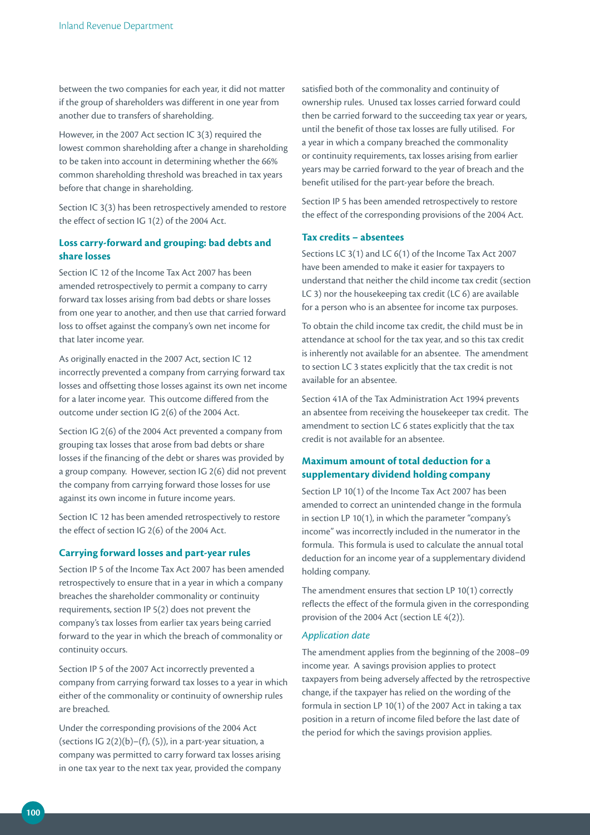between the two companies for each year, it did not matter if the group of shareholders was different in one year from another due to transfers of shareholding.

However, in the 2007 Act section IC 3(3) required the lowest common shareholding after a change in shareholding to be taken into account in determining whether the 66% common shareholding threshold was breached in tax years before that change in shareholding.

Section IC 3(3) has been retrospectively amended to restore the effect of section IG 1(2) of the 2004 Act.

## **Loss carry-forward and grouping: bad debts and share losses**

Section IC 12 of the Income Tax Act 2007 has been amended retrospectively to permit a company to carry forward tax losses arising from bad debts or share losses from one year to another, and then use that carried forward loss to offset against the company's own net income for that later income year.

As originally enacted in the 2007 Act, section IC 12 incorrectly prevented a company from carrying forward tax losses and offsetting those losses against its own net income for a later income year. This outcome differed from the outcome under section IG 2(6) of the 2004 Act.

Section IG 2(6) of the 2004 Act prevented a company from grouping tax losses that arose from bad debts or share losses if the financing of the debt or shares was provided by a group company. However, section IG 2(6) did not prevent the company from carrying forward those losses for use against its own income in future income years.

Section IC 12 has been amended retrospectively to restore the effect of section IG 2(6) of the 2004 Act.

#### **Carrying forward losses and part-year rules**

Section IP 5 of the Income Tax Act 2007 has been amended retrospectively to ensure that in a year in which a company breaches the shareholder commonality or continuity requirements, section IP 5(2) does not prevent the company's tax losses from earlier tax years being carried forward to the year in which the breach of commonality or continuity occurs.

Section IP 5 of the 2007 Act incorrectly prevented a company from carrying forward tax losses to a year in which either of the commonality or continuity of ownership rules are breached.

Under the corresponding provisions of the 2004 Act (sections IG  $2(2)(b)$ –(f), (5)), in a part-year situation, a company was permitted to carry forward tax losses arising in one tax year to the next tax year, provided the company

satisfied both of the commonality and continuity of ownership rules. Unused tax losses carried forward could then be carried forward to the succeeding tax year or years, until the benefit of those tax losses are fully utilised. For a year in which a company breached the commonality or continuity requirements, tax losses arising from earlier years may be carried forward to the year of breach and the benefit utilised for the part-year before the breach.

Section IP 5 has been amended retrospectively to restore the effect of the corresponding provisions of the 2004 Act.

#### **Tax credits – absentees**

Sections LC 3(1) and LC 6(1) of the Income Tax Act 2007 have been amended to make it easier for taxpayers to understand that neither the child income tax credit (section LC 3) nor the housekeeping tax credit (LC 6) are available for a person who is an absentee for income tax purposes.

To obtain the child income tax credit, the child must be in attendance at school for the tax year, and so this tax credit is inherently not available for an absentee. The amendment to section LC 3 states explicitly that the tax credit is not available for an absentee.

Section 41A of the Tax Administration Act 1994 prevents an absentee from receiving the housekeeper tax credit. The amendment to section LC 6 states explicitly that the tax credit is not available for an absentee.

## **Maximum amount of total deduction for a supplementary dividend holding company**

Section LP 10(1) of the Income Tax Act 2007 has been amended to correct an unintended change in the formula in section LP 10(1), in which the parameter "company's income" was incorrectly included in the numerator in the formula. This formula is used to calculate the annual total deduction for an income year of a supplementary dividend holding company.

The amendment ensures that section LP 10(1) correctly reflects the effect of the formula given in the corresponding provision of the 2004 Act (section LE 4(2)).

### *Application date*

The amendment applies from the beginning of the 2008–09 income year. A savings provision applies to protect taxpayers from being adversely affected by the retrospective change, if the taxpayer has relied on the wording of the formula in section LP 10(1) of the 2007 Act in taking a tax position in a return of income filed before the last date of the period for which the savings provision applies.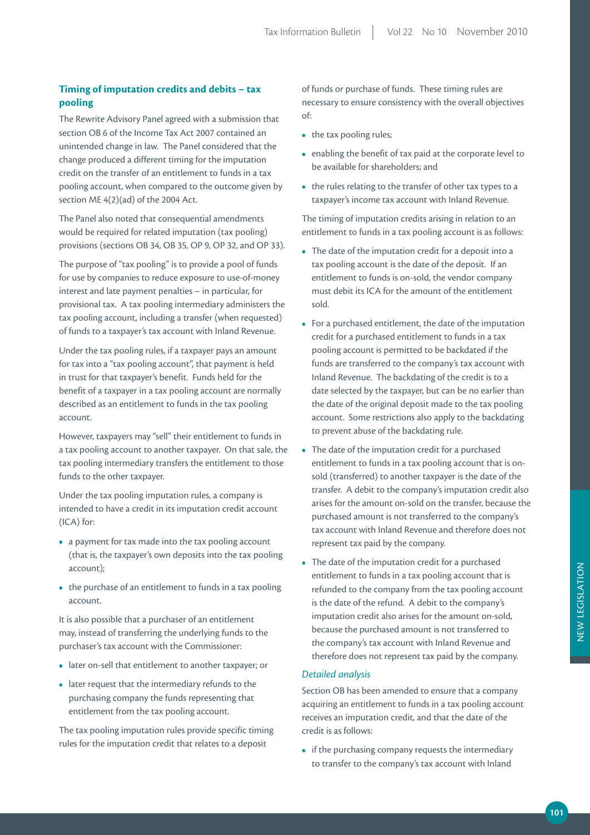## **Timing of imputation credits and debits – tax pooling**

The Rewrite Advisory Panel agreed with a submission that section OB 6 of the Income Tax Act 2007 contained an unintended change in law. The Panel considered that the change produced a different timing for the imputation credit on the transfer of an entitlement to funds in a tax pooling account, when compared to the outcome given by section ME 4(2)(ad) of the 2004 Act.

The Panel also noted that consequential amendments would be required for related imputation (tax pooling) provisions (sections OB 34, OB 35, OP 9, OP 32, and OP 33).

The purpose of "tax pooling" is to provide a pool of funds for use by companies to reduce exposure to use-of-money interest and late payment penalties – in particular, for provisional tax. A tax pooling intermediary administers the tax pooling account, including a transfer (when requested) of funds to a taxpayer's tax account with Inland Revenue.

Under the tax pooling rules, if a taxpayer pays an amount for tax into a "tax pooling account", that payment is held in trust for that taxpayer's benefit. Funds held for the benefit of a taxpayer in a tax pooling account are normally described as an entitlement to funds in the tax pooling account.

However, taxpayers may "sell" their entitlement to funds in a tax pooling account to another taxpayer. On that sale, the tax pooling intermediary transfers the entitlement to those funds to the other taxpayer.

Under the tax pooling imputation rules, a company is intended to have a credit in its imputation credit account (ICA) for:

- a payment for tax made into the tax pooling account (that is, the taxpayer's own deposits into the tax pooling account);
- the purchase of an entitlement to funds in a tax pooling account.

It is also possible that a purchaser of an entitlement may, instead of transferring the underlying funds to the purchaser's tax account with the Commissioner:

- later on-sell that entitlement to another taxpayer; or
- later request that the intermediary refunds to the purchasing company the funds representing that entitlement from the tax pooling account.

The tax pooling imputation rules provide specific timing rules for the imputation credit that relates to a deposit

of funds or purchase of funds. These timing rules are necessary to ensure consistency with the overall objectives of:

- the tax pooling rules;
- enabling the benefit of tax paid at the corporate level to be available for shareholders; and
- the rules relating to the transfer of other tax types to a taxpayer's income tax account with Inland Revenue.

The timing of imputation credits arising in relation to an entitlement to funds in a tax pooling account is as follows:

- The date of the imputation credit for a deposit into a tax pooling account is the date of the deposit. If an entitlement to funds is on-sold, the vendor company must debit its ICA for the amount of the entitlement sold.
- For a purchased entitlement, the date of the imputation credit for a purchased entitlement to funds in a tax pooling account is permitted to be backdated if the funds are transferred to the company's tax account with Inland Revenue. The backdating of the credit is to a date selected by the taxpayer, but can be no earlier than the date of the original deposit made to the tax pooling account. Some restrictions also apply to the backdating to prevent abuse of the backdating rule.
- The date of the imputation credit for a purchased entitlement to funds in a tax pooling account that is onsold (transferred) to another taxpayer is the date of the transfer. A debit to the company's imputation credit also arises for the amount on-sold on the transfer, because the purchased amount is not transferred to the company's tax account with Inland Revenue and therefore does not represent tax paid by the company.
- The date of the imputation credit for a purchased entitlement to funds in a tax pooling account that is refunded to the company from the tax pooling account is the date of the refund. A debit to the company's imputation credit also arises for the amount on-sold, because the purchased amount is not transferred to the company's tax account with Inland Revenue and therefore does not represent tax paid by the company.

#### *Detailed analysis*

Section OB has been amended to ensure that a company acquiring an entitlement to funds in a tax pooling account receives an imputation credit, and that the date of the credit is as follows:

**•** if the purchasing company requests the intermediary to transfer to the company's tax account with Inland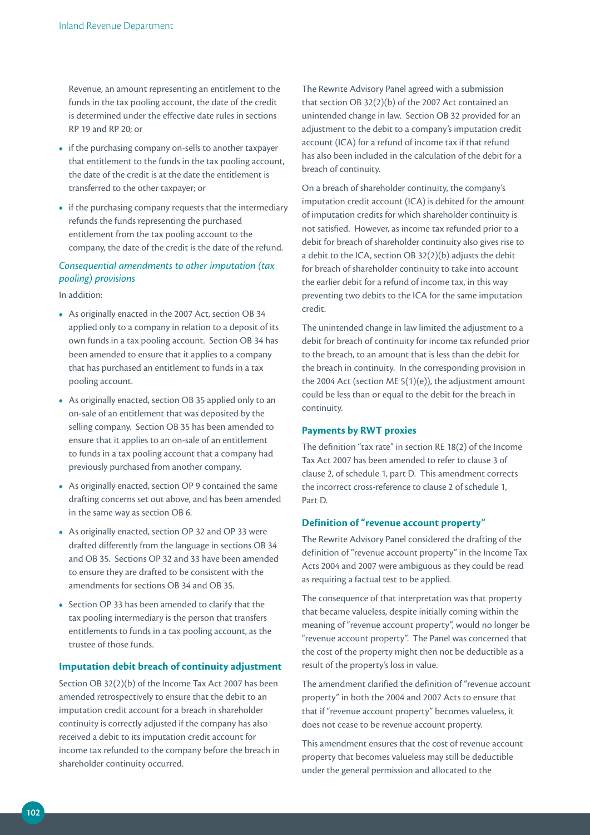Revenue, an amount representing an entitlement to the funds in the tax pooling account, the date of the credit is determined under the effective date rules in sections RP 19 and RP 20; or

- if the purchasing company on-sells to another taxpayer that entitlement to the funds in the tax pooling account, the date of the credit is at the date the entitlement is transferred to the other taxpayer; or
- if the purchasing company requests that the intermediary refunds the funds representing the purchased entitlement from the tax pooling account to the company, the date of the credit is the date of the refund.

## *Consequential amendments to other imputation (tax pooling) provisions*

In addition:

- As originally enacted in the 2007 Act, section OB 34 applied only to a company in relation to a deposit of its own funds in a tax pooling account. Section OB 34 has been amended to ensure that it applies to a company that has purchased an entitlement to funds in a tax pooling account.
- As originally enacted, section OB 35 applied only to an on-sale of an entitlement that was deposited by the selling company. Section OB 35 has been amended to ensure that it applies to an on-sale of an entitlement to funds in a tax pooling account that a company had previously purchased from another company.
- As originally enacted, section OP 9 contained the same drafting concerns set out above, and has been amended in the same way as section OB 6.
- As originally enacted, section OP 32 and OP 33 were drafted differently from the language in sections OB 34 and OB 35. Sections OP 32 and 33 have been amended to ensure they are drafted to be consistent with the amendments for sections OB 34 and OB 35.
- Section OP 33 has been amended to clarify that the tax pooling intermediary is the person that transfers entitlements to funds in a tax pooling account, as the trustee of those funds.

#### **Imputation debit breach of continuity adjustment**

Section OB 32(2)(b) of the Income Tax Act 2007 has been amended retrospectively to ensure that the debit to an imputation credit account for a breach in shareholder continuity is correctly adjusted if the company has also received a debit to its imputation credit account for income tax refunded to the company before the breach in shareholder continuity occurred.

The Rewrite Advisory Panel agreed with a submission that section OB 32(2)(b) of the 2007 Act contained an unintended change in law. Section OB 32 provided for an adjustment to the debit to a company's imputation credit account (ICA) for a refund of income tax if that refund has also been included in the calculation of the debit for a breach of continuity.

On a breach of shareholder continuity, the company's imputation credit account (ICA) is debited for the amount of imputation credits for which shareholder continuity is not satisfied. However, as income tax refunded prior to a debit for breach of shareholder continuity also gives rise to a debit to the ICA, section OB 32(2)(b) adjusts the debit for breach of shareholder continuity to take into account the earlier debit for a refund of income tax, in this way preventing two debits to the ICA for the same imputation credit.

The unintended change in law limited the adjustment to a debit for breach of continuity for income tax refunded prior to the breach, to an amount that is less than the debit for the breach in continuity. In the corresponding provision in the 2004 Act (section ME 5(1)(e)), the adjustment amount could be less than or equal to the debit for the breach in continuity.

#### **Payments by RWT proxies**

The definition "tax rate" in section RE 18(2) of the Income Tax Act 2007 has been amended to refer to clause 3 of clause 2, of schedule 1, part D. This amendment corrects the incorrect cross-reference to clause 2 of schedule 1, Part D.

#### **Definition of "revenue account property"**

The Rewrite Advisory Panel considered the drafting of the definition of "revenue account property" in the Income Tax Acts 2004 and 2007 were ambiguous as they could be read as requiring a factual test to be applied.

The consequence of that interpretation was that property that became valueless, despite initially coming within the meaning of "revenue account property", would no longer be "revenue account property". The Panel was concerned that the cost of the property might then not be deductible as a result of the property's loss in value.

The amendment clarified the definition of "revenue account property" in both the 2004 and 2007 Acts to ensure that that if "revenue account property" becomes valueless, it does not cease to be revenue account property.

This amendment ensures that the cost of revenue account property that becomes valueless may still be deductible under the general permission and allocated to the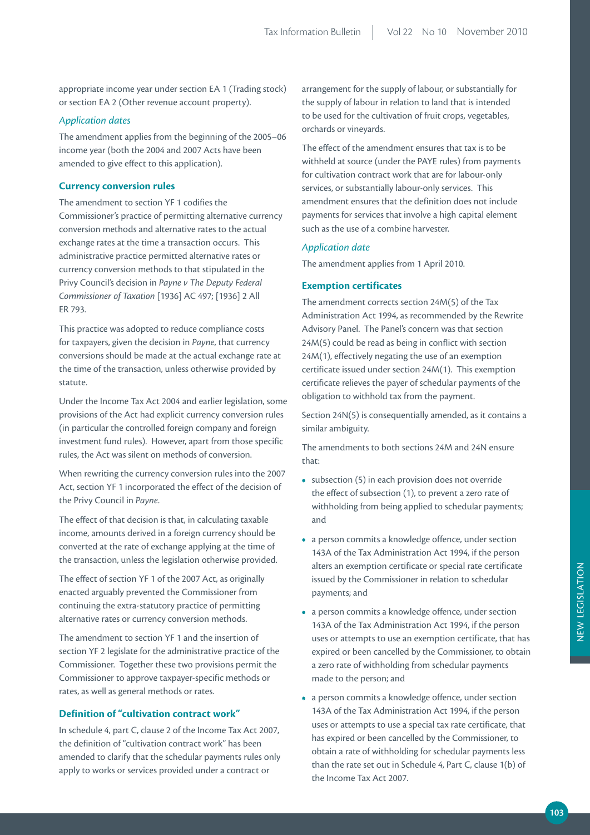appropriate income year under section EA 1 (Trading stock) or section EA 2 (Other revenue account property).

### *Application dates*

The amendment applies from the beginning of the 2005–06 income year (both the 2004 and 2007 Acts have been amended to give effect to this application).

#### **Currency conversion rules**

The amendment to section YF 1 codifies the Commissioner's practice of permitting alternative currency conversion methods and alternative rates to the actual exchange rates at the time a transaction occurs. This administrative practice permitted alternative rates or currency conversion methods to that stipulated in the Privy Council's decision in *Payne v The Deputy Federal Commissioner of Taxation* [1936] AC 497; [1936] 2 All ER 793.

This practice was adopted to reduce compliance costs for taxpayers, given the decision in *Payne*, that currency conversions should be made at the actual exchange rate at the time of the transaction, unless otherwise provided by statute.

Under the Income Tax Act 2004 and earlier legislation, some provisions of the Act had explicit currency conversion rules (in particular the controlled foreign company and foreign investment fund rules). However, apart from those specific rules, the Act was silent on methods of conversion.

When rewriting the currency conversion rules into the 2007 Act, section YF 1 incorporated the effect of the decision of the Privy Council in *Payne*.

The effect of that decision is that, in calculating taxable income, amounts derived in a foreign currency should be converted at the rate of exchange applying at the time of the transaction, unless the legislation otherwise provided.

The effect of section YF 1 of the 2007 Act, as originally enacted arguably prevented the Commissioner from continuing the extra-statutory practice of permitting alternative rates or currency conversion methods.

The amendment to section YF 1 and the insertion of section YF 2 legislate for the administrative practice of the Commissioner. Together these two provisions permit the Commissioner to approve taxpayer-specific methods or rates, as well as general methods or rates.

## **Definition of "cultivation contract work"**

In schedule 4, part C, clause 2 of the Income Tax Act 2007, the definition of "cultivation contract work" has been amended to clarify that the schedular payments rules only apply to works or services provided under a contract or

arrangement for the supply of labour, or substantially for the supply of labour in relation to land that is intended to be used for the cultivation of fruit crops, vegetables, orchards or vineyards.

The effect of the amendment ensures that tax is to be withheld at source (under the PAYE rules) from payments for cultivation contract work that are for labour-only services, or substantially labour-only services. This amendment ensures that the definition does not include payments for services that involve a high capital element such as the use of a combine harvester.

#### *Application date*

The amendment applies from 1 April 2010.

#### **Exemption certificates**

The amendment corrects section 24M(5) of the Tax Administration Act 1994, as recommended by the Rewrite Advisory Panel. The Panel's concern was that section 24M(5) could be read as being in conflict with section 24M(1), effectively negating the use of an exemption certificate issued under section 24M(1). This exemption certificate relieves the payer of schedular payments of the obligation to withhold tax from the payment.

Section 24N(5) is consequentially amended, as it contains a similar ambiguity.

The amendments to both sections 24M and 24N ensure that:

- subsection (5) in each provision does not override the effect of subsection (1), to prevent a zero rate of withholding from being applied to schedular payments; and
- a person commits a knowledge offence, under section 143A of the Tax Administration Act 1994, if the person alters an exemption certificate or special rate certificate issued by the Commissioner in relation to schedular payments; and
- a person commits a knowledge offence, under section 143A of the Tax Administration Act 1994, if the person uses or attempts to use an exemption certificate, that has expired or been cancelled by the Commissioner, to obtain a zero rate of withholding from schedular payments made to the person; and
- a person commits a knowledge offence, under section 143A of the Tax Administration Act 1994, if the person uses or attempts to use a special tax rate certificate, that has expired or been cancelled by the Commissioner, to obtain a rate of withholding for schedular payments less than the rate set out in Schedule 4, Part C, clause 1(b) of the Income Tax Act 2007.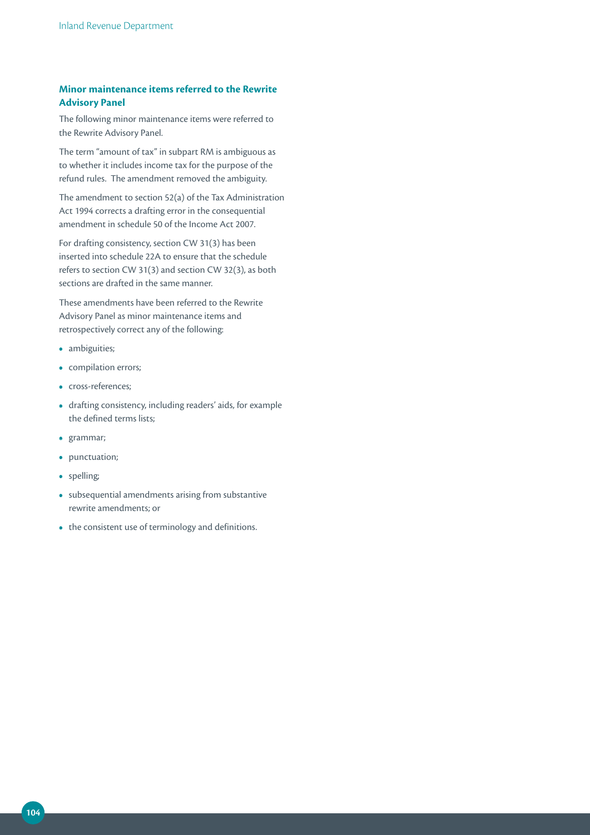## **Minor maintenance items referred to the Rewrite Advisory Panel**

The following minor maintenance items were referred to the Rewrite Advisory Panel.

The term "amount of tax" in subpart RM is ambiguous as to whether it includes income tax for the purpose of the refund rules. The amendment removed the ambiguity.

The amendment to section 52(a) of the Tax Administration Act 1994 corrects a drafting error in the consequential amendment in schedule 50 of the Income Act 2007.

For drafting consistency, section CW 31(3) has been inserted into schedule 22A to ensure that the schedule refers to section CW 31(3) and section CW 32(3), as both sections are drafted in the same manner.

These amendments have been referred to the Rewrite Advisory Panel as minor maintenance items and retrospectively correct any of the following:

- ambiguities;
- compilation errors;
- cross-references;
- drafting consistency, including readers' aids, for example the defined terms lists;
- grammar;
- punctuation;
- spelling;
- subsequential amendments arising from substantive rewrite amendments; or
- the consistent use of terminology and definitions.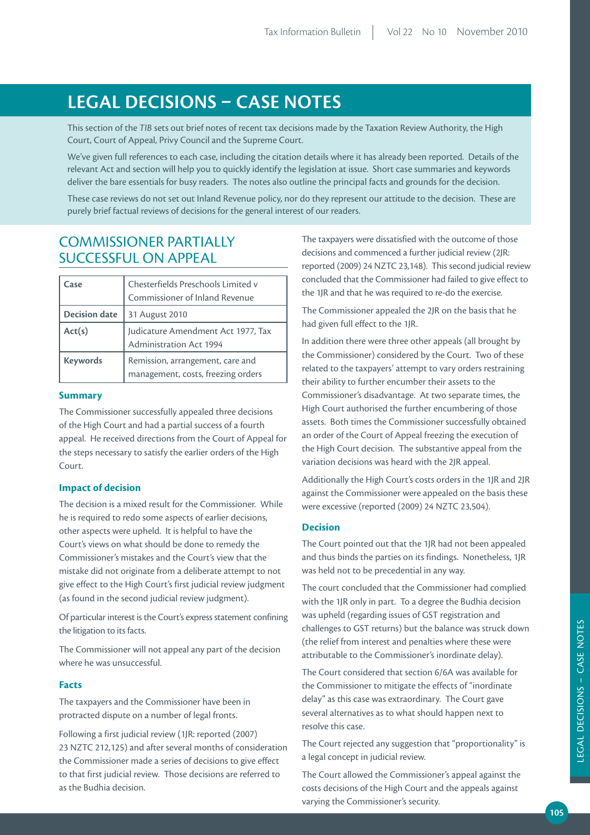# **LEGAL DECiSiONS – CASE NOTES**

This section of the *TIB* sets out brief notes of recent tax decisions made by the Taxation Review Authority, the High Court, Court of Appeal, Privy Council and the Supreme Court.

We've given full references to each case, including the citation details where it has already been reported. Details of the relevant Act and section will help you to quickly identify the legislation at issue. Short case summaries and keywords deliver the bare essentials for busy readers. The notes also outline the principal facts and grounds for the decision.

These case reviews do not set out Inland Revenue policy, nor do they represent our attitude to the decision. These are purely brief factual reviews of decisions for the general interest of our readers.

## COMMISSIONER PARTIALLY SUCCESSFUL ON APPEAL

| Case                 | Chesterfields Preschools Limited v<br>Commissioner of Inland Revenue   |
|----------------------|------------------------------------------------------------------------|
| <b>Decision date</b> | 31 August 2010                                                         |
| Act(s)               | Judicature Amendment Act 1977, Tax<br><b>Administration Act 1994</b>   |
| <b>Keywords</b>      | Remission, arrangement, care and<br>management, costs, freezing orders |

#### **Summary**

The Commissioner successfully appealed three decisions of the High Court and had a partial success of a fourth appeal. He received directions from the Court of Appeal for the steps necessary to satisfy the earlier orders of the High Court.

#### **Impact of decision**

The decision is a mixed result for the Commissioner. While he is required to redo some aspects of earlier decisions, other aspects were upheld. It is helpful to have the Court's views on what should be done to remedy the Commissioner's mistakes and the Court's view that the mistake did not originate from a deliberate attempt to not give effect to the High Court's first judicial review judgment (as found in the second judicial review judgment).

Of particular interest is the Court's express statement confining the litigation to its facts.

The Commissioner will not appeal any part of the decision where he was unsuccessful.

#### **Facts**

The taxpayers and the Commissioner have been in protracted dispute on a number of legal fronts.

Following a first judicial review (1JR: reported (2007) 23 NZTC 212,125) and after several months of consideration the Commissioner made a series of decisions to give effect to that first judicial review. Those decisions are referred to as the Budhia decision.

The taxpayers were dissatisfied with the outcome of those decisions and commenced a further judicial review (2JR: reported (2009) 24 NZTC 23,148). This second judicial review concluded that the Commissioner had failed to give effect to the 1JR and that he was required to re-do the exercise.

The Commissioner appealed the 2JR on the basis that he had given full effect to the 1JR.

In addition there were three other appeals (all brought by the Commissioner) considered by the Court. Two of these related to the taxpayers' attempt to vary orders restraining their ability to further encumber their assets to the Commissioner's disadvantage. At two separate times, the High Court authorised the further encumbering of those assets. Both times the Commissioner successfully obtained an order of the Court of Appeal freezing the execution of the High Court decision. The substantive appeal from the variation decisions was heard with the 2JR appeal.

Additionally the High Court's costs orders in the 1JR and 2JR against the Commissioner were appealed on the basis these were excessive (reported (2009) 24 NZTC 23,504).

#### **Decision**

The Court pointed out that the 1JR had not been appealed and thus binds the parties on its findings. Nonetheless, 1JR was held not to be precedential in any way.

The court concluded that the Commissioner had complied with the 1JR only in part. To a degree the Budhia decision was upheld (regarding issues of GST registration and challenges to GST returns) but the balance was struck down (the relief from interest and penalties where these were attributable to the Commissioner's inordinate delay).

The Court considered that section 6/6A was available for the Commissioner to mitigate the effects of "inordinate delay" as this case was extraordinary. The Court gave several alternatives as to what should happen next to resolve this case.

The Court rejected any suggestion that "proportionality" is a legal concept in judicial review.

The Court allowed the Commissioner's appeal against the costs decisions of the High Court and the appeals against varying the Commissioner's security.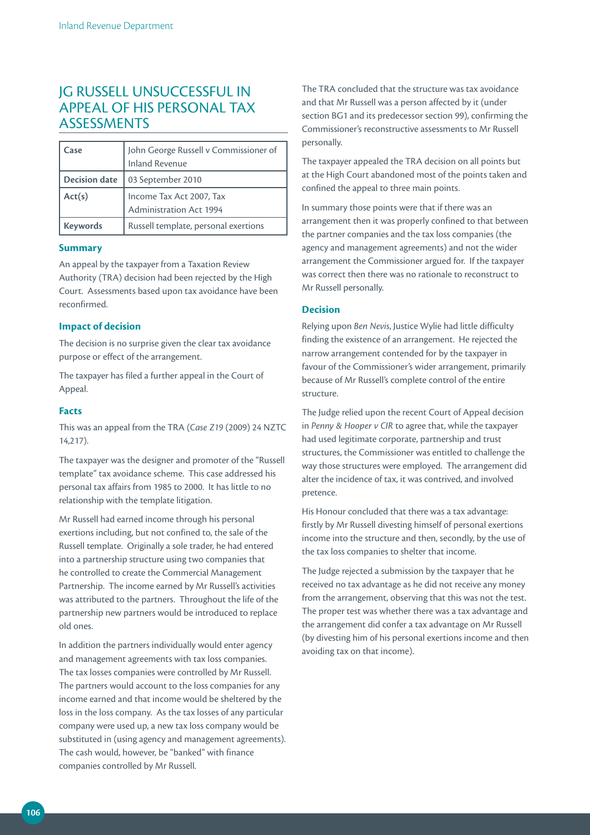## JG RUSSELL UNSUCCESSFUL IN APPEAL OF HIS PERSONAL TAX **ASSESSMENTS**

| Case                 | John George Russell v Commissioner of<br><b>Inland Revenue</b> |  |
|----------------------|----------------------------------------------------------------|--|
| <b>Decision date</b> | 03 September 2010                                              |  |
| Act(s)               | Income Tax Act 2007, Tax<br>Administration Act 1994            |  |
| <b>Keywords</b>      | Russell template, personal exertions                           |  |

#### **Summary**

An appeal by the taxpayer from a Taxation Review Authority (TRA) decision had been rejected by the High Court. Assessments based upon tax avoidance have been reconfirmed.

#### **Impact of decision**

The decision is no surprise given the clear tax avoidance purpose or effect of the arrangement.

The taxpayer has filed a further appeal in the Court of Appeal.

#### **Facts**

This was an appeal from the TRA (*Case Z19* (2009) 24 NZTC 14,217).

The taxpayer was the designer and promoter of the "Russell template" tax avoidance scheme. This case addressed his personal tax affairs from 1985 to 2000. It has little to no relationship with the template litigation.

Mr Russell had earned income through his personal exertions including, but not confined to, the sale of the Russell template. Originally a sole trader, he had entered into a partnership structure using two companies that he controlled to create the Commercial Management Partnership. The income earned by Mr Russell's activities was attributed to the partners. Throughout the life of the partnership new partners would be introduced to replace old ones.

In addition the partners individually would enter agency and management agreements with tax loss companies. The tax losses companies were controlled by Mr Russell. The partners would account to the loss companies for any income earned and that income would be sheltered by the loss in the loss company. As the tax losses of any particular company were used up, a new tax loss company would be substituted in (using agency and management agreements). The cash would, however, be "banked" with finance companies controlled by Mr Russell.

The TRA concluded that the structure was tax avoidance and that Mr Russell was a person affected by it (under section BG1 and its predecessor section 99), confirming the Commissioner's reconstructive assessments to Mr Russell personally.

The taxpayer appealed the TRA decision on all points but at the High Court abandoned most of the points taken and confined the appeal to three main points.

In summary those points were that if there was an arrangement then it was properly confined to that between the partner companies and the tax loss companies (the agency and management agreements) and not the wider arrangement the Commissioner argued for. If the taxpayer was correct then there was no rationale to reconstruct to Mr Russell personally.

#### **Decision**

Relying upon *Ben Nevis*, Justice Wylie had little difficulty finding the existence of an arrangement. He rejected the narrow arrangement contended for by the taxpayer in favour of the Commissioner's wider arrangement, primarily because of Mr Russell's complete control of the entire structure.

The Judge relied upon the recent Court of Appeal decision in *Penny & Hooper v CIR* to agree that, while the taxpayer had used legitimate corporate, partnership and trust structures, the Commissioner was entitled to challenge the way those structures were employed. The arrangement did alter the incidence of tax, it was contrived, and involved pretence.

His Honour concluded that there was a tax advantage: firstly by Mr Russell divesting himself of personal exertions income into the structure and then, secondly, by the use of the tax loss companies to shelter that income.

The Judge rejected a submission by the taxpayer that he received no tax advantage as he did not receive any money from the arrangement, observing that this was not the test. The proper test was whether there was a tax advantage and the arrangement did confer a tax advantage on Mr Russell (by divesting him of his personal exertions income and then avoiding tax on that income).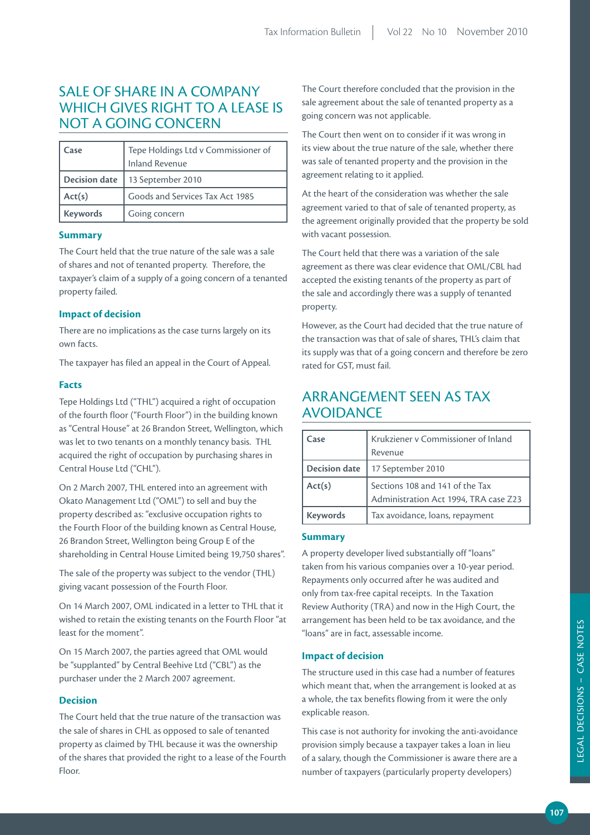# SALE OF SHARE IN A COMPANY WHICH GIVES RIGHT TO A LEASE IS NOT A GOING CONCERN

| Case                 | Tepe Holdings Ltd v Commissioner of<br><b>Inland Revenue</b> |
|----------------------|--------------------------------------------------------------|
| <b>Decision date</b> | 13 September 2010                                            |
| Act(s)               | Goods and Services Tax Act 1985                              |
| <b>Keywords</b>      | Going concern                                                |

#### **Summary**

The Court held that the true nature of the sale was a sale of shares and not of tenanted property. Therefore, the taxpayer's claim of a supply of a going concern of a tenanted property failed.

#### **Impact of decision**

There are no implications as the case turns largely on its own facts.

The taxpayer has filed an appeal in the Court of Appeal.

#### **Facts**

Tepe Holdings Ltd ("THL") acquired a right of occupation of the fourth floor ("Fourth Floor") in the building known as "Central House" at 26 Brandon Street, Wellington, which was let to two tenants on a monthly tenancy basis. THL acquired the right of occupation by purchasing shares in Central House Ltd ("CHL").

On 2 March 2007, THL entered into an agreement with Okato Management Ltd ("OML") to sell and buy the property described as: "exclusive occupation rights to the Fourth Floor of the building known as Central House, 26 Brandon Street, Wellington being Group E of the shareholding in Central House Limited being 19,750 shares".

The sale of the property was subject to the vendor (THL) giving vacant possession of the Fourth Floor.

On 14 March 2007, OML indicated in a letter to THL that it wished to retain the existing tenants on the Fourth Floor "at least for the moment".

On 15 March 2007, the parties agreed that OML would be "supplanted" by Central Beehive Ltd ("CBL") as the purchaser under the 2 March 2007 agreement.

### **Decision**

The Court held that the true nature of the transaction was the sale of shares in CHL as opposed to sale of tenanted property as claimed by THL because it was the ownership of the shares that provided the right to a lease of the Fourth Floor.

The Court therefore concluded that the provision in the sale agreement about the sale of tenanted property as a going concern was not applicable.

The Court then went on to consider if it was wrong in its view about the true nature of the sale, whether there was sale of tenanted property and the provision in the agreement relating to it applied.

At the heart of the consideration was whether the sale agreement varied to that of sale of tenanted property, as the agreement originally provided that the property be sold with vacant possession.

The Court held that there was a variation of the sale agreement as there was clear evidence that OML/CBL had accepted the existing tenants of the property as part of the sale and accordingly there was a supply of tenanted property.

However, as the Court had decided that the true nature of the transaction was that of sale of shares, THL's claim that its supply was that of a going concern and therefore be zero rated for GST, must fail.

# ARRANGEMENT SEEN AS TAX AVOIDANCE

| Case                 | Krukziener v Commissioner of Inland<br>Revenue                           |
|----------------------|--------------------------------------------------------------------------|
| <b>Decision date</b> | 17 September 2010                                                        |
| Act(s)               | Sections 108 and 141 of the Tax<br>Administration Act 1994, TRA case Z23 |
| <b>Keywords</b>      | Tax avoidance, loans, repayment                                          |

#### **Summary**

A property developer lived substantially off "loans" taken from his various companies over a 10-year period. Repayments only occurred after he was audited and only from tax-free capital receipts. In the Taxation Review Authority (TRA) and now in the High Court, the arrangement has been held to be tax avoidance, and the "loans" are in fact, assessable income.

### **Impact of decision**

The structure used in this case had a number of features which meant that, when the arrangement is looked at as a whole, the tax benefits flowing from it were the only explicable reason.

This case is not authority for invoking the anti-avoidance provision simply because a taxpayer takes a loan in lieu of a salary, though the Commissioner is aware there are a number of taxpayers (particularly property developers)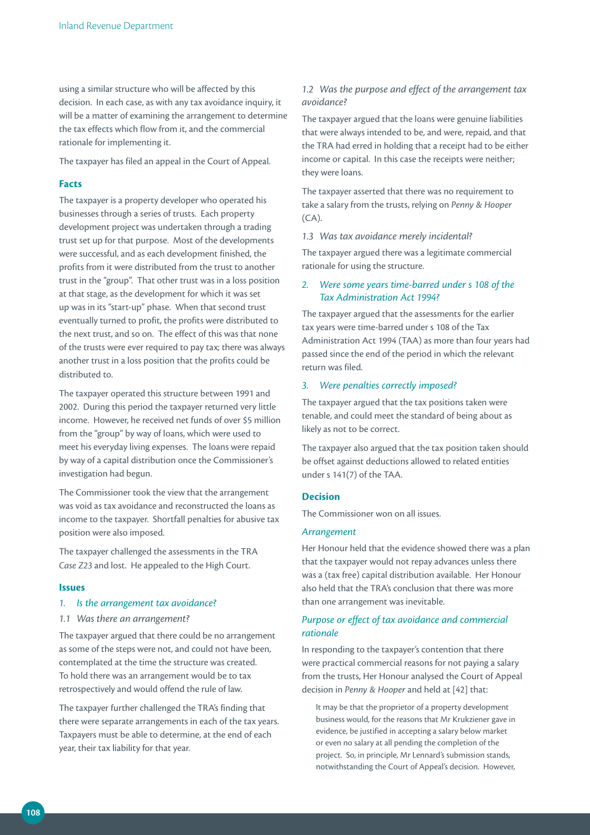using a similar structure who will be affected by this decision. In each case, as with any tax avoidance inquiry, it will be a matter of examining the arrangement to determine the tax effects which flow from it, and the commercial rationale for implementing it.

The taxpayer has filed an appeal in the Court of Appeal.

#### **Facts**

The taxpayer is a property developer who operated his businesses through a series of trusts. Each property development project was undertaken through a trading trust set up for that purpose. Most of the developments were successful, and as each development finished, the profits from it were distributed from the trust to another trust in the "group". That other trust was in a loss position at that stage, as the development for which it was set up was in its "start-up" phase. When that second trust eventually turned to profit, the profits were distributed to the next trust, and so on. The effect of this was that none of the trusts were ever required to pay tax; there was always another trust in a loss position that the profits could be distributed to.

The taxpayer operated this structure between 1991 and 2002. During this period the taxpayer returned very little income. However, he received net funds of over \$5 million from the "group" by way of loans, which were used to meet his everyday living expenses. The loans were repaid by way of a capital distribution once the Commissioner's investigation had begun.

The Commissioner took the view that the arrangement was void as tax avoidance and reconstructed the loans as income to the taxpayer. Shortfall penalties for abusive tax position were also imposed.

The taxpayer challenged the assessments in the TRA *Case Z23* and lost. He appealed to the High Court.

#### **Issues**

#### *1. Is the arrangement tax avoidance?*

#### *1.1 Was there an arrangement?*

The taxpayer argued that there could be no arrangement as some of the steps were not, and could not have been, contemplated at the time the structure was created. To hold there was an arrangement would be to tax retrospectively and would offend the rule of law.

The taxpayer further challenged the TRA's finding that there were separate arrangements in each of the tax years. Taxpayers must be able to determine, at the end of each year, their tax liability for that year.

#### *1.2 Was the purpose and effect of the arrangement tax avoidance?*

The taxpayer argued that the loans were genuine liabilities that were always intended to be, and were, repaid, and that the TRA had erred in holding that a receipt had to be either income or capital. In this case the receipts were neither; they were loans.

The taxpayer asserted that there was no requirement to take a salary from the trusts, relying on *Penny & Hooper*  $(CA)$ .

#### *1.3 Was tax avoidance merely incidental?*

The taxpayer argued there was a legitimate commercial rationale for using the structure.

### *2. Were some years time‑barred under s 108 of the Tax Administration Act 1994?*

The taxpayer argued that the assessments for the earlier tax years were time-barred under s 108 of the Tax Administration Act 1994 (TAA) as more than four years had passed since the end of the period in which the relevant return was filed.

#### *3. Were penalties correctly imposed?*

The taxpayer argued that the tax positions taken were tenable, and could meet the standard of being about as likely as not to be correct.

The taxpayer also argued that the tax position taken should be offset against deductions allowed to related entities under s 141(7) of the TAA.

#### **Decision**

The Commissioner won on all issues.

#### *Arrangement*

Her Honour held that the evidence showed there was a plan that the taxpayer would not repay advances unless there was a (tax free) capital distribution available. Her Honour also held that the TRA's conclusion that there was more than one arrangement was inevitable.

### *Purpose or effect of tax avoidance and commercial rationale*

In responding to the taxpayer's contention that there were practical commercial reasons for not paying a salary from the trusts, Her Honour analysed the Court of Appeal decision in *Penny & Hooper* and held at [42] that:

It may be that the proprietor of a property development business would, for the reasons that Mr Krukziener gave in evidence, be justified in accepting a salary below market or even no salary at all pending the completion of the project. So, in principle, Mr Lennard's submission stands, notwithstanding the Court of Appeal's decision. However,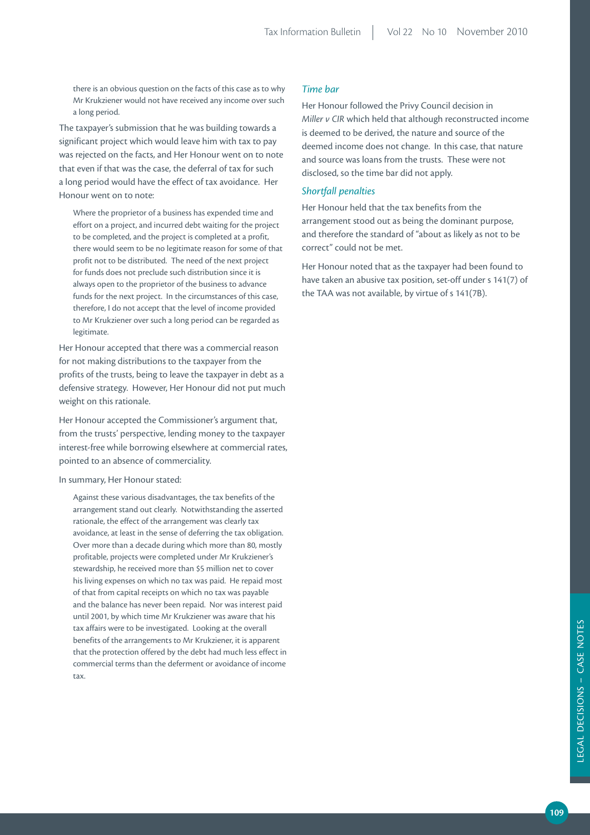there is an obvious question on the facts of this case as to why Mr Krukziener would not have received any income over such a long period.

The taxpayer's submission that he was building towards a significant project which would leave him with tax to pay was rejected on the facts, and Her Honour went on to note that even if that was the case, the deferral of tax for such a long period would have the effect of tax avoidance. Her Honour went on to note:

Where the proprietor of a business has expended time and effort on a project, and incurred debt waiting for the project to be completed, and the project is completed at a profit, there would seem to be no legitimate reason for some of that profit not to be distributed. The need of the next project for funds does not preclude such distribution since it is always open to the proprietor of the business to advance funds for the next project. In the circumstances of this case, therefore, I do not accept that the level of income provided to Mr Krukziener over such a long period can be regarded as legitimate.

Her Honour accepted that there was a commercial reason for not making distributions to the taxpayer from the profits of the trusts, being to leave the taxpayer in debt as a defensive strategy. However, Her Honour did not put much weight on this rationale.

Her Honour accepted the Commissioner's argument that, from the trusts' perspective, lending money to the taxpayer interest-free while borrowing elsewhere at commercial rates, pointed to an absence of commerciality.

#### In summary, Her Honour stated:

Against these various disadvantages, the tax benefits of the arrangement stand out clearly. Notwithstanding the asserted rationale, the effect of the arrangement was clearly tax avoidance, at least in the sense of deferring the tax obligation. Over more than a decade during which more than 80, mostly profitable, projects were completed under Mr Krukziener's stewardship, he received more than \$5 million net to cover his living expenses on which no tax was paid. He repaid most of that from capital receipts on which no tax was payable and the balance has never been repaid. Nor was interest paid until 2001, by which time Mr Krukziener was aware that his tax affairs were to be investigated. Looking at the overall benefits of the arrangements to Mr Krukziener, it is apparent that the protection offered by the debt had much less effect in commercial terms than the deferment or avoidance of income tax.

#### *Time bar*

Her Honour followed the Privy Council decision in *Miller v CIR* which held that although reconstructed income is deemed to be derived, the nature and source of the deemed income does not change. In this case, that nature and source was loans from the trusts. These were not disclosed, so the time bar did not apply.

#### *Shortfall penalties*

Her Honour held that the tax benefits from the arrangement stood out as being the dominant purpose, and therefore the standard of "about as likely as not to be correct" could not be met.

Her Honour noted that as the taxpayer had been found to have taken an abusive tax position, set-off under s 141(7) of the TAA was not available, by virtue of s 141(7B).